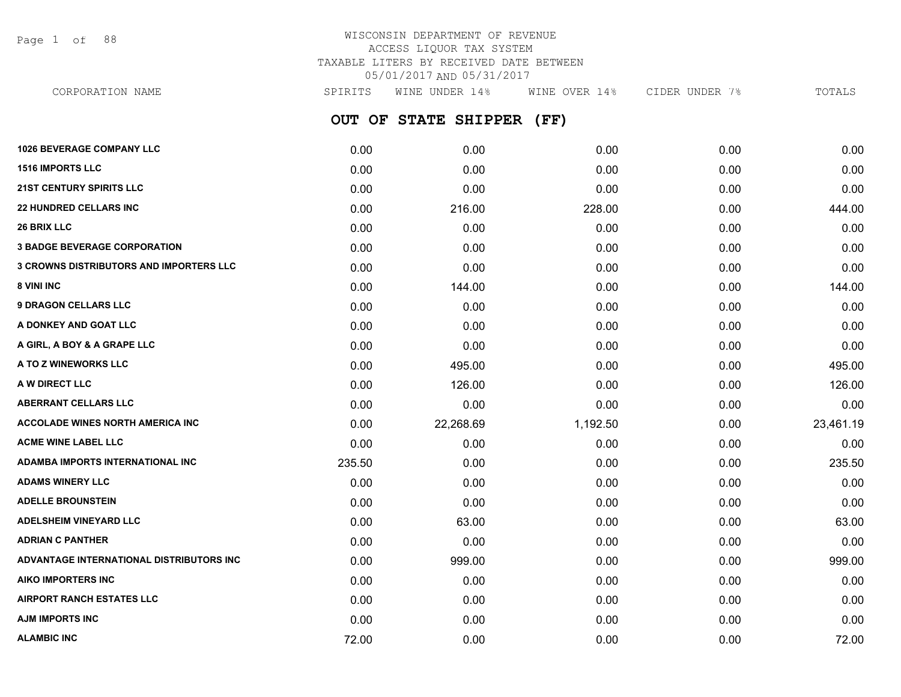Page 1 of 88

### WISCONSIN DEPARTMENT OF REVENUE ACCESS LIQUOR TAX SYSTEM TAXABLE LITERS BY RECEIVED DATE BETWEEN 05/01/2017 AND 05/31/2017 CORPORATION NAME SPIRITS WINE UNDER 14% WINE OVER 14% CIDER UNDER 7% TOTALS

**OUT OF STATE SHIPPER (FF) 1026 BEVERAGE COMPANY LLC** 0.00 0.00 0.00 0.00 0.00 **1516 IMPORTS LLC** 0.00 0.00 0.00 0.00 0.00 **21ST CENTURY SPIRITS LLC** 0.00 0.00 0.00 0.00 0.00 **22 HUNDRED CELLARS INC** 0.00 216.00 228.00 0.00 444.00 **26 BRIX LLC** 0.00 0.00 0.00 0.00 0.00 **3 BADGE BEVERAGE CORPORATION** 0.00 0.00 0.00 0.00 0.00 **3 CROWNS DISTRIBUTORS AND IMPORTERS LLC** 0.00 0.00 0.00 0.00 0.00 **8 VINI INC** 0.00 144.00 0.00 0.00 144.00 **9 DRAGON CELLARS LLC** 0.00 0.00 0.00 0.00 0.00 **A DONKEY AND GOAT LLC** 0.00 0.00 0.00 0.00 0.00 **A GIRL, A BOY & A GRAPE LLC** 0.00 0.00 0.00 0.00 0.00 **A TO Z WINEWORKS LLC** 0.00 495.00 0.00 0.00 495.00 **A W DIRECT LLC** 0.00 126.00 0.00 0.00 126.00 **ABERRANT CELLARS LLC** 0.00 0.00 0.00 0.00 0.00 **ACCOLADE WINES NORTH AMERICA INC** 0.00 22,268.69 1,192.50 0.00 23,461.19 **ACME WINE LABEL LLC** 0.00 0.00 0.00 0.00 0.00 **ADAMBA IMPORTS INTERNATIONAL INC** 235.50 0.00 0.00 0.00 235.50 **ADAMS WINERY LLC** 0.00 0.00 0.00 0.00 0.00 **ADELLE BROUNSTEIN** 0.00 0.00 0.00 0.00 0.00 **ADELSHEIM VINEYARD LLC** 0.00 63.00 0.00 0.00 63.00 **ADRIAN C PANTHER** 0.00 0.00 0.00 0.00 0.00 **ADVANTAGE INTERNATIONAL DISTRIBUTORS INC** 0.00 999.00 0.00 0.00 999.00

**AIKO IMPORTERS INC** 0.00 0.00 0.00 0.00 0.00 **AIRPORT RANCH ESTATES LLC** 0.00 0.00 0.00 0.00 0.00 **AJM IMPORTS INC** 0.00 0.00 0.00 0.00 0.00 **ALAMBIC INC** 72.00 0.00 0.00 0.00 72.00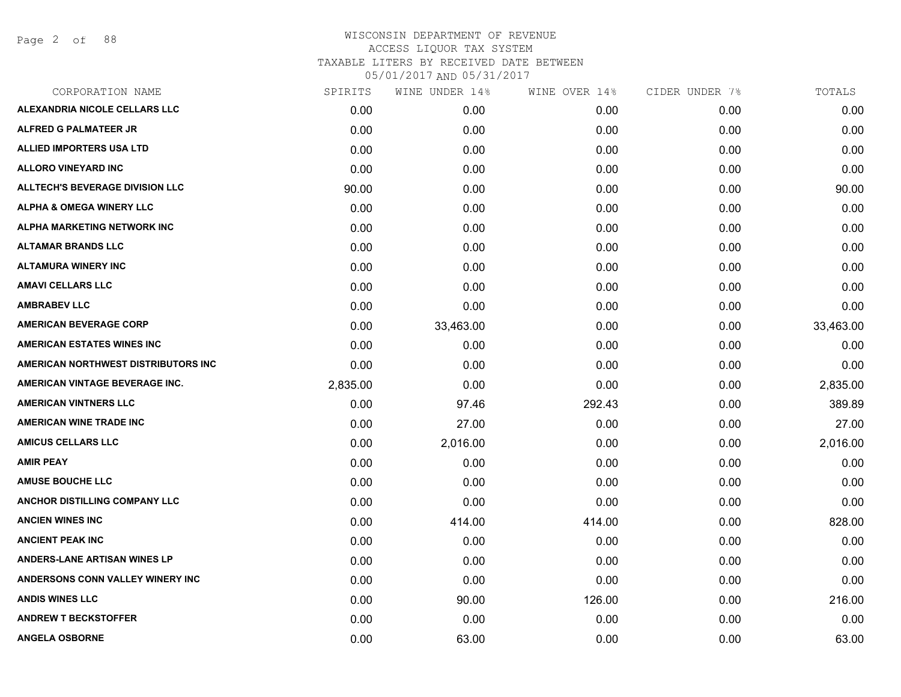Page 2 of 88

| SPIRITS  | WINE UNDER 14% | WINE OVER 14% |      | TOTALS         |
|----------|----------------|---------------|------|----------------|
| 0.00     | 0.00           | 0.00          | 0.00 | 0.00           |
| 0.00     | 0.00           | 0.00          | 0.00 | 0.00           |
| 0.00     | 0.00           | 0.00          | 0.00 | 0.00           |
| 0.00     | 0.00           | 0.00          | 0.00 | 0.00           |
| 90.00    | 0.00           | 0.00          | 0.00 | 90.00          |
| 0.00     | 0.00           | 0.00          | 0.00 | 0.00           |
| 0.00     | 0.00           | 0.00          | 0.00 | 0.00           |
| 0.00     | 0.00           | 0.00          | 0.00 | 0.00           |
| 0.00     | 0.00           | 0.00          | 0.00 | 0.00           |
| 0.00     | 0.00           | 0.00          | 0.00 | 0.00           |
| 0.00     | 0.00           | 0.00          | 0.00 | 0.00           |
| 0.00     | 33,463.00      | 0.00          | 0.00 | 33,463.00      |
| 0.00     | 0.00           | 0.00          | 0.00 | 0.00           |
| 0.00     | 0.00           | 0.00          | 0.00 | 0.00           |
| 2,835.00 | 0.00           | 0.00          | 0.00 | 2,835.00       |
| 0.00     | 97.46          | 292.43        | 0.00 | 389.89         |
| 0.00     | 27.00          | 0.00          | 0.00 | 27.00          |
| 0.00     | 2,016.00       | 0.00          | 0.00 | 2,016.00       |
| 0.00     | 0.00           | 0.00          | 0.00 | 0.00           |
| 0.00     | 0.00           | 0.00          | 0.00 | 0.00           |
| 0.00     | 0.00           | 0.00          | 0.00 | 0.00           |
| 0.00     | 414.00         | 414.00        | 0.00 | 828.00         |
| 0.00     | 0.00           | 0.00          | 0.00 | 0.00           |
| 0.00     | 0.00           | 0.00          | 0.00 | 0.00           |
| 0.00     | 0.00           | 0.00          | 0.00 | 0.00           |
| 0.00     | 90.00          | 126.00        | 0.00 | 216.00         |
| 0.00     | 0.00           | 0.00          | 0.00 | 0.00           |
| 0.00     | 63.00          | 0.00          | 0.00 | 63.00          |
|          |                |               |      | CIDER UNDER 7% |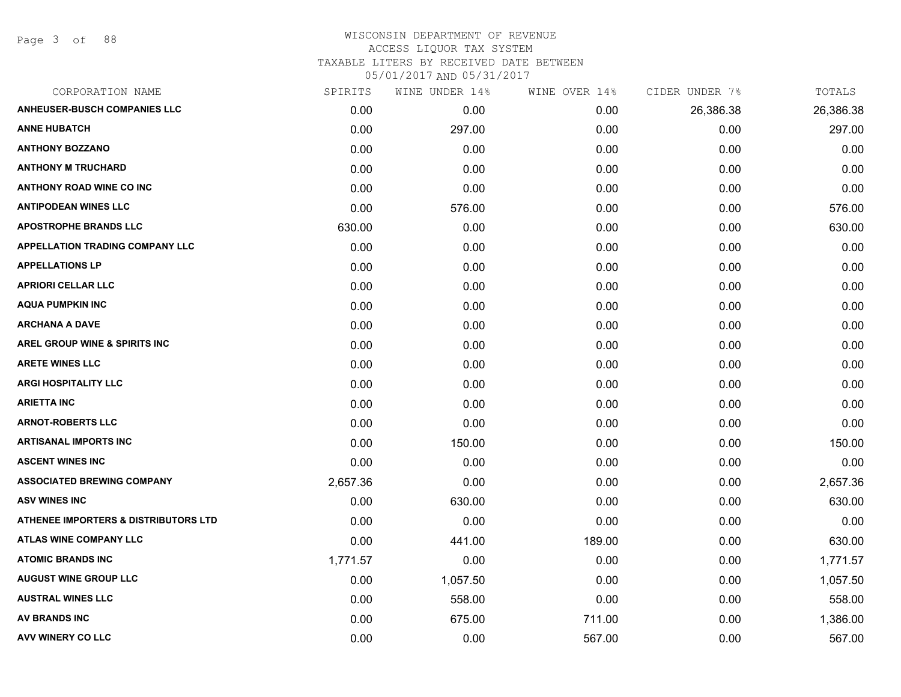Page 3 of 88

| CORPORATION NAME                                | SPIRITS  | WINE UNDER 14% | WINE OVER 14% | CIDER UNDER 7% | TOTALS    |
|-------------------------------------------------|----------|----------------|---------------|----------------|-----------|
| <b>ANHEUSER-BUSCH COMPANIES LLC</b>             | 0.00     | 0.00           | 0.00          | 26,386.38      | 26,386.38 |
| <b>ANNE HUBATCH</b>                             | 0.00     | 297.00         | 0.00          | 0.00           | 297.00    |
| <b>ANTHONY BOZZANO</b>                          | 0.00     | 0.00           | 0.00          | 0.00           | 0.00      |
| <b>ANTHONY M TRUCHARD</b>                       | 0.00     | 0.00           | 0.00          | 0.00           | 0.00      |
| <b>ANTHONY ROAD WINE CO INC</b>                 | 0.00     | 0.00           | 0.00          | 0.00           | 0.00      |
| <b>ANTIPODEAN WINES LLC</b>                     | 0.00     | 576.00         | 0.00          | 0.00           | 576.00    |
| <b>APOSTROPHE BRANDS LLC</b>                    | 630.00   | 0.00           | 0.00          | 0.00           | 630.00    |
| <b>APPELLATION TRADING COMPANY LLC</b>          | 0.00     | 0.00           | 0.00          | 0.00           | 0.00      |
| <b>APPELLATIONS LP</b>                          | 0.00     | 0.00           | 0.00          | 0.00           | 0.00      |
| <b>APRIORI CELLAR LLC</b>                       | 0.00     | 0.00           | 0.00          | 0.00           | 0.00      |
| <b>AQUA PUMPKIN INC</b>                         | 0.00     | 0.00           | 0.00          | 0.00           | 0.00      |
| <b>ARCHANA A DAVE</b>                           | 0.00     | 0.00           | 0.00          | 0.00           | 0.00      |
| AREL GROUP WINE & SPIRITS INC                   | 0.00     | 0.00           | 0.00          | 0.00           | 0.00      |
| <b>ARETE WINES LLC</b>                          | 0.00     | 0.00           | 0.00          | 0.00           | 0.00      |
| <b>ARGI HOSPITALITY LLC</b>                     | 0.00     | 0.00           | 0.00          | 0.00           | 0.00      |
| <b>ARIETTA INC</b>                              | 0.00     | 0.00           | 0.00          | 0.00           | 0.00      |
| <b>ARNOT-ROBERTS LLC</b>                        | 0.00     | 0.00           | 0.00          | 0.00           | 0.00      |
| <b>ARTISANAL IMPORTS INC</b>                    | 0.00     | 150.00         | 0.00          | 0.00           | 150.00    |
| <b>ASCENT WINES INC</b>                         | 0.00     | 0.00           | 0.00          | 0.00           | 0.00      |
| <b>ASSOCIATED BREWING COMPANY</b>               | 2,657.36 | 0.00           | 0.00          | 0.00           | 2,657.36  |
| <b>ASV WINES INC</b>                            | 0.00     | 630.00         | 0.00          | 0.00           | 630.00    |
| <b>ATHENEE IMPORTERS &amp; DISTRIBUTORS LTD</b> | 0.00     | 0.00           | 0.00          | 0.00           | 0.00      |
| <b>ATLAS WINE COMPANY LLC</b>                   | 0.00     | 441.00         | 189.00        | 0.00           | 630.00    |
| <b>ATOMIC BRANDS INC</b>                        | 1,771.57 | 0.00           | 0.00          | 0.00           | 1,771.57  |
| <b>AUGUST WINE GROUP LLC</b>                    | 0.00     | 1,057.50       | 0.00          | 0.00           | 1,057.50  |
| <b>AUSTRAL WINES LLC</b>                        | 0.00     | 558.00         | 0.00          | 0.00           | 558.00    |
| <b>AV BRANDS INC</b>                            | 0.00     | 675.00         | 711.00        | 0.00           | 1,386.00  |
| <b>AVV WINERY CO LLC</b>                        | 0.00     | 0.00           | 567.00        | 0.00           | 567.00    |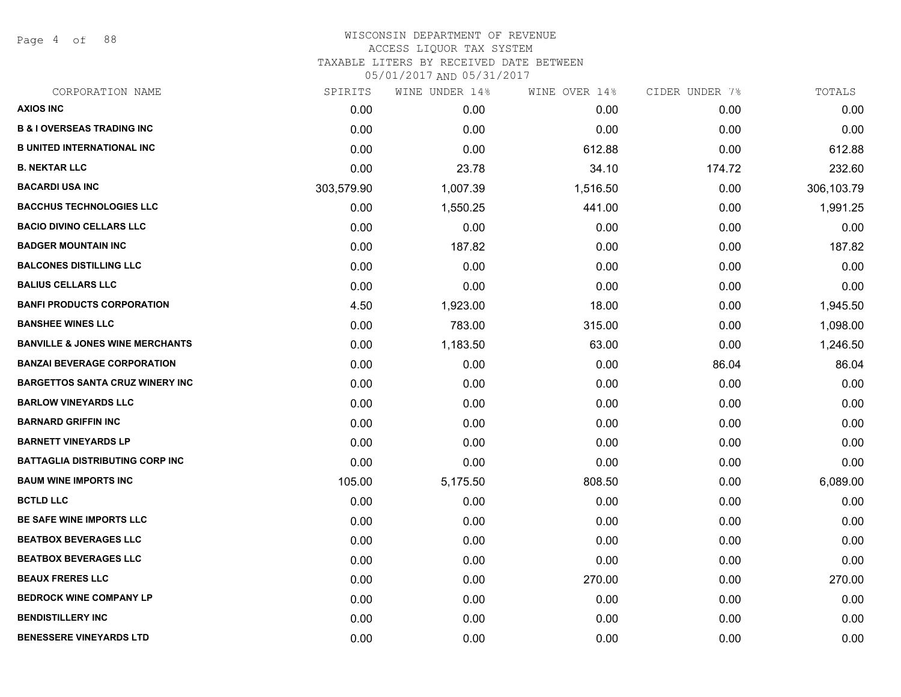Page 4 of 88

#### WISCONSIN DEPARTMENT OF REVENUE ACCESS LIQUOR TAX SYSTEM TAXABLE LITERS BY RECEIVED DATE BETWEEN

| CORPORATION NAME                           | SPIRITS    | WINE UNDER 14% | WINE OVER 14% | CIDER UNDER 7% | TOTALS     |
|--------------------------------------------|------------|----------------|---------------|----------------|------------|
| <b>AXIOS INC</b>                           | 0.00       | 0.00           | 0.00          | 0.00           | 0.00       |
| <b>B &amp; I OVERSEAS TRADING INC</b>      | 0.00       | 0.00           | 0.00          | 0.00           | 0.00       |
| <b>B UNITED INTERNATIONAL INC</b>          | 0.00       | 0.00           | 612.88        | 0.00           | 612.88     |
| <b>B. NEKTAR LLC</b>                       | 0.00       | 23.78          | 34.10         | 174.72         | 232.60     |
| <b>BACARDI USA INC</b>                     | 303,579.90 | 1,007.39       | 1,516.50      | 0.00           | 306,103.79 |
| <b>BACCHUS TECHNOLOGIES LLC</b>            | 0.00       | 1,550.25       | 441.00        | 0.00           | 1,991.25   |
| <b>BACIO DIVINO CELLARS LLC</b>            | 0.00       | 0.00           | 0.00          | 0.00           | 0.00       |
| <b>BADGER MOUNTAIN INC</b>                 | 0.00       | 187.82         | 0.00          | 0.00           | 187.82     |
| <b>BALCONES DISTILLING LLC</b>             | 0.00       | 0.00           | 0.00          | 0.00           | 0.00       |
| <b>BALIUS CELLARS LLC</b>                  | 0.00       | 0.00           | 0.00          | 0.00           | 0.00       |
| <b>BANFI PRODUCTS CORPORATION</b>          | 4.50       | 1,923.00       | 18.00         | 0.00           | 1,945.50   |
| <b>BANSHEE WINES LLC</b>                   | 0.00       | 783.00         | 315.00        | 0.00           | 1,098.00   |
| <b>BANVILLE &amp; JONES WINE MERCHANTS</b> | 0.00       | 1,183.50       | 63.00         | 0.00           | 1,246.50   |
| <b>BANZAI BEVERAGE CORPORATION</b>         | 0.00       | 0.00           | 0.00          | 86.04          | 86.04      |
| <b>BARGETTOS SANTA CRUZ WINERY INC</b>     | 0.00       | 0.00           | 0.00          | 0.00           | 0.00       |
| <b>BARLOW VINEYARDS LLC</b>                | 0.00       | 0.00           | 0.00          | 0.00           | 0.00       |
| <b>BARNARD GRIFFIN INC</b>                 | 0.00       | 0.00           | 0.00          | 0.00           | 0.00       |
| <b>BARNETT VINEYARDS LP</b>                | 0.00       | 0.00           | 0.00          | 0.00           | 0.00       |
| <b>BATTAGLIA DISTRIBUTING CORP INC</b>     | 0.00       | 0.00           | 0.00          | 0.00           | 0.00       |
| <b>BAUM WINE IMPORTS INC</b>               | 105.00     | 5,175.50       | 808.50        | 0.00           | 6,089.00   |
| <b>BCTLD LLC</b>                           | 0.00       | 0.00           | 0.00          | 0.00           | 0.00       |
| BE SAFE WINE IMPORTS LLC                   | 0.00       | 0.00           | 0.00          | 0.00           | 0.00       |
| <b>BEATBOX BEVERAGES LLC</b>               | 0.00       | 0.00           | 0.00          | 0.00           | 0.00       |
| <b>BEATBOX BEVERAGES LLC</b>               | 0.00       | 0.00           | 0.00          | 0.00           | 0.00       |
| <b>BEAUX FRERES LLC</b>                    | 0.00       | 0.00           | 270.00        | 0.00           | 270.00     |
| <b>BEDROCK WINE COMPANY LP</b>             | 0.00       | 0.00           | 0.00          | 0.00           | 0.00       |
| <b>BENDISTILLERY INC</b>                   | 0.00       | 0.00           | 0.00          | 0.00           | 0.00       |
| <b>BENESSERE VINEYARDS LTD</b>             | 0.00       | 0.00           | 0.00          | 0.00           | 0.00       |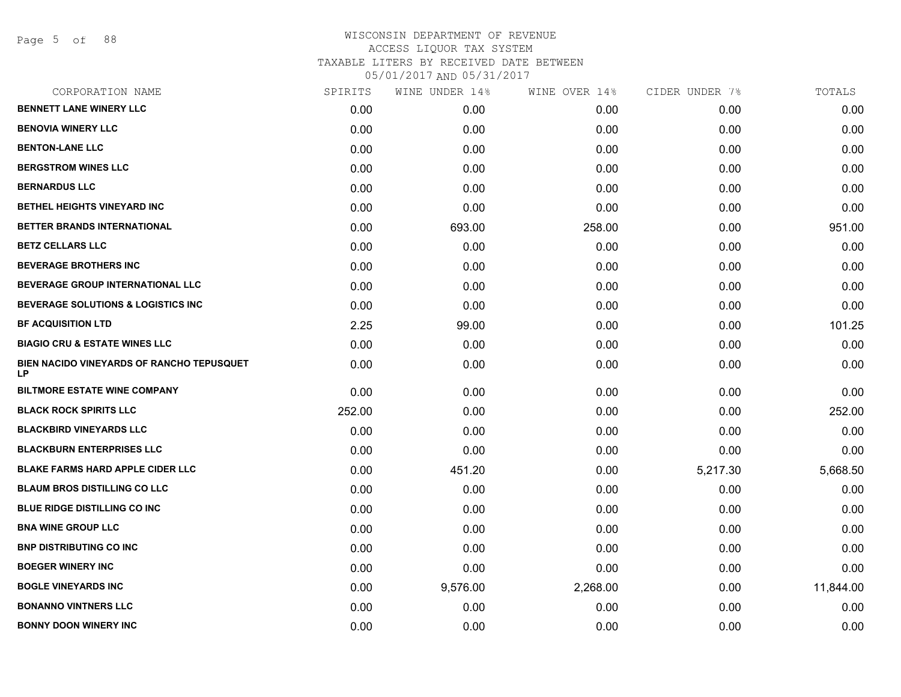| CORPORATION NAME                                       | SPIRITS | WINE UNDER 14% | WINE OVER 14% | CIDER UNDER 7% | TOTALS    |
|--------------------------------------------------------|---------|----------------|---------------|----------------|-----------|
| <b>BENNETT LANE WINERY LLC</b>                         | 0.00    | 0.00           | 0.00          | 0.00           | 0.00      |
| <b>BENOVIA WINERY LLC</b>                              | 0.00    | 0.00           | 0.00          | 0.00           | 0.00      |
| <b>BENTON-LANE LLC</b>                                 | 0.00    | 0.00           | 0.00          | 0.00           | 0.00      |
| <b>BERGSTROM WINES LLC</b>                             | 0.00    | 0.00           | 0.00          | 0.00           | 0.00      |
| <b>BERNARDUS LLC</b>                                   | 0.00    | 0.00           | 0.00          | 0.00           | 0.00      |
| BETHEL HEIGHTS VINEYARD INC                            | 0.00    | 0.00           | 0.00          | 0.00           | 0.00      |
| BETTER BRANDS INTERNATIONAL                            | 0.00    | 693.00         | 258.00        | 0.00           | 951.00    |
| <b>BETZ CELLARS LLC</b>                                | 0.00    | 0.00           | 0.00          | 0.00           | 0.00      |
| <b>BEVERAGE BROTHERS INC</b>                           | 0.00    | 0.00           | 0.00          | 0.00           | 0.00      |
| BEVERAGE GROUP INTERNATIONAL LLC                       | 0.00    | 0.00           | 0.00          | 0.00           | 0.00      |
| <b>BEVERAGE SOLUTIONS &amp; LOGISTICS INC</b>          | 0.00    | 0.00           | 0.00          | 0.00           | 0.00      |
| <b>BF ACQUISITION LTD</b>                              | 2.25    | 99.00          | 0.00          | 0.00           | 101.25    |
| <b>BIAGIO CRU &amp; ESTATE WINES LLC</b>               | 0.00    | 0.00           | 0.00          | 0.00           | 0.00      |
| BIEN NACIDO VINEYARDS OF RANCHO TEPUSQUET<br><b>LP</b> | 0.00    | 0.00           | 0.00          | 0.00           | 0.00      |
| <b>BILTMORE ESTATE WINE COMPANY</b>                    | 0.00    | 0.00           | 0.00          | 0.00           | 0.00      |
| <b>BLACK ROCK SPIRITS LLC</b>                          | 252.00  | 0.00           | 0.00          | 0.00           | 252.00    |
| <b>BLACKBIRD VINEYARDS LLC</b>                         | 0.00    | 0.00           | 0.00          | 0.00           | 0.00      |
| <b>BLACKBURN ENTERPRISES LLC</b>                       | 0.00    | 0.00           | 0.00          | 0.00           | 0.00      |
| <b>BLAKE FARMS HARD APPLE CIDER LLC</b>                | 0.00    | 451.20         | 0.00          | 5,217.30       | 5,668.50  |
| <b>BLAUM BROS DISTILLING CO LLC</b>                    | 0.00    | 0.00           | 0.00          | 0.00           | 0.00      |
| <b>BLUE RIDGE DISTILLING CO INC</b>                    | 0.00    | 0.00           | 0.00          | 0.00           | 0.00      |
| <b>BNA WINE GROUP LLC</b>                              | 0.00    | 0.00           | 0.00          | 0.00           | 0.00      |
| <b>BNP DISTRIBUTING CO INC</b>                         | 0.00    | 0.00           | 0.00          | 0.00           | 0.00      |
| <b>BOEGER WINERY INC</b>                               | 0.00    | 0.00           | 0.00          | 0.00           | 0.00      |
| <b>BOGLE VINEYARDS INC</b>                             | 0.00    | 9,576.00       | 2,268.00      | 0.00           | 11,844.00 |
| <b>BONANNO VINTNERS LLC</b>                            | 0.00    | 0.00           | 0.00          | 0.00           | 0.00      |
| <b>BONNY DOON WINERY INC</b>                           | 0.00    | 0.00           | 0.00          | 0.00           | 0.00      |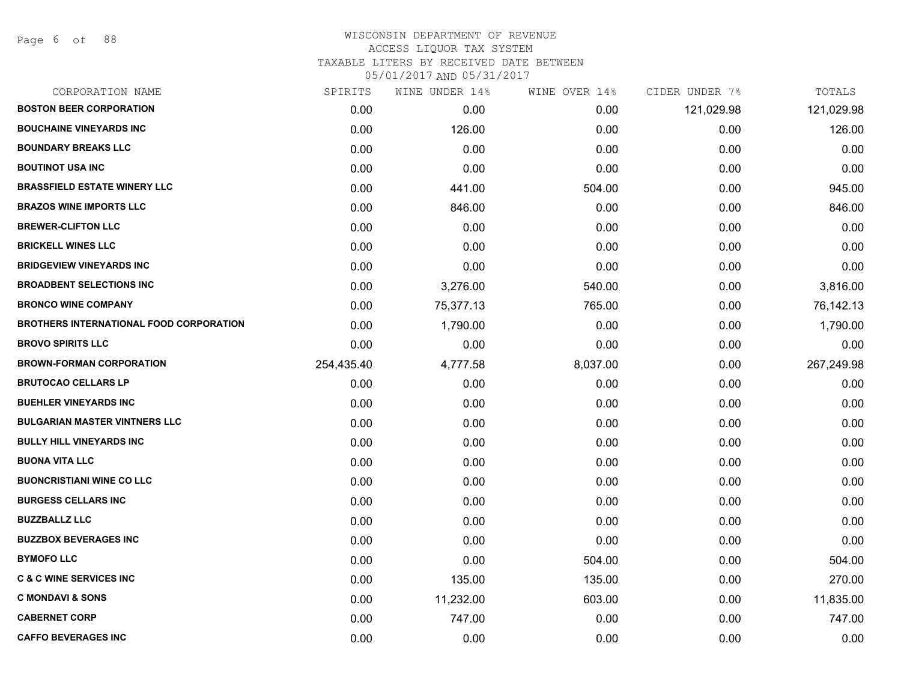## WISCONSIN DEPARTMENT OF REVENUE ACCESS LIQUOR TAX SYSTEM TAXABLE LITERS BY RECEIVED DATE BETWEEN

| CORPORATION NAME                               | SPIRITS    | WINE UNDER 14% | WINE OVER 14% | CIDER UNDER 7% | TOTALS     |
|------------------------------------------------|------------|----------------|---------------|----------------|------------|
| <b>BOSTON BEER CORPORATION</b>                 | 0.00       | 0.00           | 0.00          | 121,029.98     | 121,029.98 |
| <b>BOUCHAINE VINEYARDS INC</b>                 | 0.00       | 126.00         | 0.00          | 0.00           | 126.00     |
| <b>BOUNDARY BREAKS LLC</b>                     | 0.00       | 0.00           | 0.00          | 0.00           | 0.00       |
| <b>BOUTINOT USA INC</b>                        | 0.00       | 0.00           | 0.00          | 0.00           | 0.00       |
| <b>BRASSFIELD ESTATE WINERY LLC</b>            | 0.00       | 441.00         | 504.00        | 0.00           | 945.00     |
| <b>BRAZOS WINE IMPORTS LLC</b>                 | 0.00       | 846.00         | 0.00          | 0.00           | 846.00     |
| <b>BREWER-CLIFTON LLC</b>                      | 0.00       | 0.00           | 0.00          | 0.00           | 0.00       |
| <b>BRICKELL WINES LLC</b>                      | 0.00       | 0.00           | 0.00          | 0.00           | 0.00       |
| <b>BRIDGEVIEW VINEYARDS INC</b>                | 0.00       | 0.00           | 0.00          | 0.00           | 0.00       |
| <b>BROADBENT SELECTIONS INC</b>                | 0.00       | 3,276.00       | 540.00        | 0.00           | 3,816.00   |
| <b>BRONCO WINE COMPANY</b>                     | 0.00       | 75,377.13      | 765.00        | 0.00           | 76,142.13  |
| <b>BROTHERS INTERNATIONAL FOOD CORPORATION</b> | 0.00       | 1,790.00       | 0.00          | 0.00           | 1,790.00   |
| <b>BROVO SPIRITS LLC</b>                       | 0.00       | 0.00           | 0.00          | 0.00           | 0.00       |
| <b>BROWN-FORMAN CORPORATION</b>                | 254,435.40 | 4,777.58       | 8,037.00      | 0.00           | 267,249.98 |
| <b>BRUTOCAO CELLARS LP</b>                     | 0.00       | 0.00           | 0.00          | 0.00           | 0.00       |
| <b>BUEHLER VINEYARDS INC</b>                   | 0.00       | 0.00           | 0.00          | 0.00           | 0.00       |
| <b>BULGARIAN MASTER VINTNERS LLC</b>           | 0.00       | 0.00           | 0.00          | 0.00           | 0.00       |
| <b>BULLY HILL VINEYARDS INC</b>                | 0.00       | 0.00           | 0.00          | 0.00           | 0.00       |
| <b>BUONA VITA LLC</b>                          | 0.00       | 0.00           | 0.00          | 0.00           | 0.00       |
| <b>BUONCRISTIANI WINE CO LLC</b>               | 0.00       | 0.00           | 0.00          | 0.00           | 0.00       |
| <b>BURGESS CELLARS INC</b>                     | 0.00       | 0.00           | 0.00          | 0.00           | 0.00       |
| <b>BUZZBALLZ LLC</b>                           | 0.00       | 0.00           | 0.00          | 0.00           | 0.00       |
| <b>BUZZBOX BEVERAGES INC</b>                   | 0.00       | 0.00           | 0.00          | 0.00           | 0.00       |
| <b>BYMOFO LLC</b>                              | 0.00       | 0.00           | 504.00        | 0.00           | 504.00     |
| <b>C &amp; C WINE SERVICES INC</b>             | 0.00       | 135.00         | 135.00        | 0.00           | 270.00     |
| <b>C MONDAVI &amp; SONS</b>                    | 0.00       | 11,232.00      | 603.00        | 0.00           | 11,835.00  |
| <b>CABERNET CORP</b>                           | 0.00       | 747.00         | 0.00          | 0.00           | 747.00     |
| <b>CAFFO BEVERAGES INC</b>                     | 0.00       | 0.00           | 0.00          | 0.00           | 0.00       |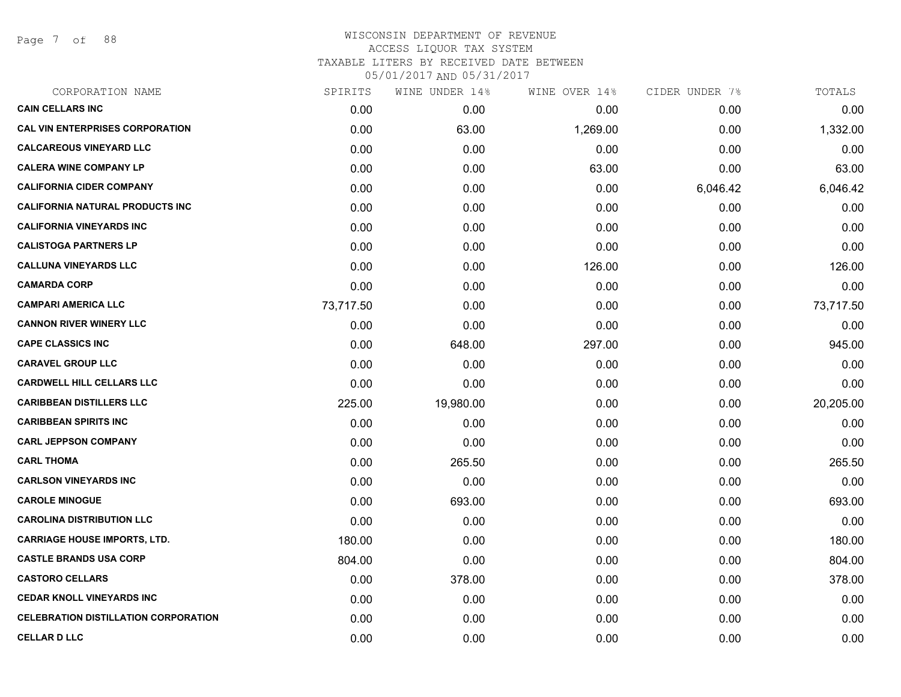Page 7 of 88

| CORPORATION NAME                            | SPIRITS   | WINE UNDER 14% | WINE OVER 14% | CIDER UNDER 7% | TOTALS    |
|---------------------------------------------|-----------|----------------|---------------|----------------|-----------|
| <b>CAIN CELLARS INC</b>                     | 0.00      | 0.00           | 0.00          | 0.00           | 0.00      |
| <b>CAL VIN ENTERPRISES CORPORATION</b>      | 0.00      | 63.00          | 1,269.00      | 0.00           | 1,332.00  |
| <b>CALCAREOUS VINEYARD LLC</b>              | 0.00      | 0.00           | 0.00          | 0.00           | 0.00      |
| <b>CALERA WINE COMPANY LP</b>               | 0.00      | 0.00           | 63.00         | 0.00           | 63.00     |
| <b>CALIFORNIA CIDER COMPANY</b>             | 0.00      | 0.00           | 0.00          | 6,046.42       | 6,046.42  |
| <b>CALIFORNIA NATURAL PRODUCTS INC</b>      | 0.00      | 0.00           | 0.00          | 0.00           | 0.00      |
| <b>CALIFORNIA VINEYARDS INC</b>             | 0.00      | 0.00           | 0.00          | 0.00           | 0.00      |
| <b>CALISTOGA PARTNERS LP</b>                | 0.00      | 0.00           | 0.00          | 0.00           | 0.00      |
| <b>CALLUNA VINEYARDS LLC</b>                | 0.00      | 0.00           | 126.00        | 0.00           | 126.00    |
| <b>CAMARDA CORP</b>                         | 0.00      | 0.00           | 0.00          | 0.00           | 0.00      |
| <b>CAMPARI AMERICA LLC</b>                  | 73,717.50 | 0.00           | 0.00          | 0.00           | 73,717.50 |
| <b>CANNON RIVER WINERY LLC</b>              | 0.00      | 0.00           | 0.00          | 0.00           | 0.00      |
| <b>CAPE CLASSICS INC</b>                    | 0.00      | 648.00         | 297.00        | 0.00           | 945.00    |
| <b>CARAVEL GROUP LLC</b>                    | 0.00      | 0.00           | 0.00          | 0.00           | 0.00      |
| <b>CARDWELL HILL CELLARS LLC</b>            | 0.00      | 0.00           | 0.00          | 0.00           | 0.00      |
| <b>CARIBBEAN DISTILLERS LLC</b>             | 225.00    | 19,980.00      | 0.00          | 0.00           | 20,205.00 |
| <b>CARIBBEAN SPIRITS INC</b>                | 0.00      | 0.00           | 0.00          | 0.00           | 0.00      |
| <b>CARL JEPPSON COMPANY</b>                 | 0.00      | 0.00           | 0.00          | 0.00           | 0.00      |
| <b>CARL THOMA</b>                           | 0.00      | 265.50         | 0.00          | 0.00           | 265.50    |
| <b>CARLSON VINEYARDS INC</b>                | 0.00      | 0.00           | 0.00          | 0.00           | 0.00      |
| <b>CAROLE MINOGUE</b>                       | 0.00      | 693.00         | 0.00          | 0.00           | 693.00    |
| <b>CAROLINA DISTRIBUTION LLC</b>            | 0.00      | 0.00           | 0.00          | 0.00           | 0.00      |
| <b>CARRIAGE HOUSE IMPORTS, LTD.</b>         | 180.00    | 0.00           | 0.00          | 0.00           | 180.00    |
| <b>CASTLE BRANDS USA CORP</b>               | 804.00    | 0.00           | 0.00          | 0.00           | 804.00    |
| <b>CASTORO CELLARS</b>                      | 0.00      | 378.00         | 0.00          | 0.00           | 378.00    |
| <b>CEDAR KNOLL VINEYARDS INC</b>            | 0.00      | 0.00           | 0.00          | 0.00           | 0.00      |
| <b>CELEBRATION DISTILLATION CORPORATION</b> | 0.00      | 0.00           | 0.00          | 0.00           | 0.00      |
| <b>CELLAR D LLC</b>                         | 0.00      | 0.00           | 0.00          | 0.00           | 0.00      |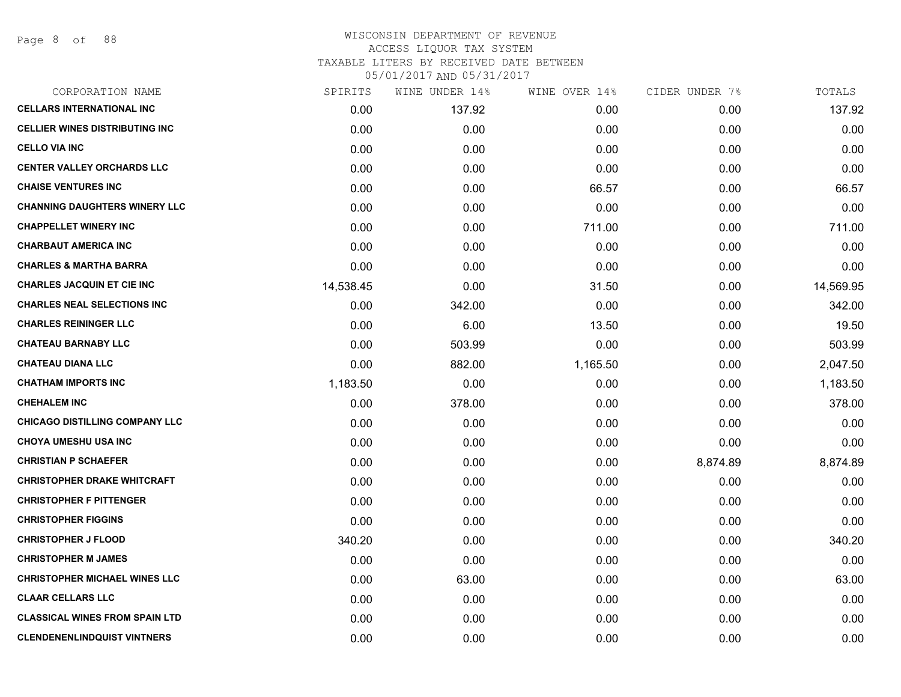## WISCONSIN DEPARTMENT OF REVENUE ACCESS LIQUOR TAX SYSTEM TAXABLE LITERS BY RECEIVED DATE BETWEEN

| CORPORATION NAME                      | SPIRITS   | WINE UNDER 14% | WINE OVER 14% | CIDER UNDER 7% | TOTALS    |
|---------------------------------------|-----------|----------------|---------------|----------------|-----------|
| <b>CELLARS INTERNATIONAL INC</b>      | 0.00      | 137.92         | 0.00          | 0.00           | 137.92    |
| <b>CELLIER WINES DISTRIBUTING INC</b> | 0.00      | 0.00           | 0.00          | 0.00           | 0.00      |
| <b>CELLO VIA INC</b>                  | 0.00      | 0.00           | 0.00          | 0.00           | 0.00      |
| <b>CENTER VALLEY ORCHARDS LLC</b>     | 0.00      | 0.00           | 0.00          | 0.00           | 0.00      |
| <b>CHAISE VENTURES INC</b>            | 0.00      | 0.00           | 66.57         | 0.00           | 66.57     |
| <b>CHANNING DAUGHTERS WINERY LLC</b>  | 0.00      | 0.00           | 0.00          | 0.00           | 0.00      |
| <b>CHAPPELLET WINERY INC</b>          | 0.00      | 0.00           | 711.00        | 0.00           | 711.00    |
| <b>CHARBAUT AMERICA INC</b>           | 0.00      | 0.00           | 0.00          | 0.00           | 0.00      |
| <b>CHARLES &amp; MARTHA BARRA</b>     | 0.00      | 0.00           | 0.00          | 0.00           | 0.00      |
| <b>CHARLES JACQUIN ET CIE INC</b>     | 14,538.45 | 0.00           | 31.50         | 0.00           | 14,569.95 |
| <b>CHARLES NEAL SELECTIONS INC</b>    | 0.00      | 342.00         | 0.00          | 0.00           | 342.00    |
| <b>CHARLES REININGER LLC</b>          | 0.00      | 6.00           | 13.50         | 0.00           | 19.50     |
| <b>CHATEAU BARNABY LLC</b>            | 0.00      | 503.99         | 0.00          | 0.00           | 503.99    |
| <b>CHATEAU DIANA LLC</b>              | 0.00      | 882.00         | 1,165.50      | 0.00           | 2,047.50  |
| <b>CHATHAM IMPORTS INC</b>            | 1,183.50  | 0.00           | 0.00          | 0.00           | 1,183.50  |
| <b>CHEHALEM INC</b>                   | 0.00      | 378.00         | 0.00          | 0.00           | 378.00    |
| CHICAGO DISTILLING COMPANY LLC        | 0.00      | 0.00           | 0.00          | 0.00           | 0.00      |
| <b>CHOYA UMESHU USA INC</b>           | 0.00      | 0.00           | 0.00          | 0.00           | 0.00      |
| <b>CHRISTIAN P SCHAEFER</b>           | 0.00      | 0.00           | 0.00          | 8,874.89       | 8,874.89  |
| <b>CHRISTOPHER DRAKE WHITCRAFT</b>    | 0.00      | 0.00           | 0.00          | 0.00           | 0.00      |
| <b>CHRISTOPHER F PITTENGER</b>        | 0.00      | 0.00           | 0.00          | 0.00           | 0.00      |
| <b>CHRISTOPHER FIGGINS</b>            | 0.00      | 0.00           | 0.00          | 0.00           | 0.00      |
| <b>CHRISTOPHER J FLOOD</b>            | 340.20    | 0.00           | 0.00          | 0.00           | 340.20    |
| <b>CHRISTOPHER M JAMES</b>            | 0.00      | 0.00           | 0.00          | 0.00           | 0.00      |
| <b>CHRISTOPHER MICHAEL WINES LLC</b>  | 0.00      | 63.00          | 0.00          | 0.00           | 63.00     |
| <b>CLAAR CELLARS LLC</b>              | 0.00      | 0.00           | 0.00          | 0.00           | 0.00      |
| <b>CLASSICAL WINES FROM SPAIN LTD</b> | 0.00      | 0.00           | 0.00          | 0.00           | 0.00      |
| <b>CLENDENENLINDQUIST VINTNERS</b>    | 0.00      | 0.00           | 0.00          | 0.00           | 0.00      |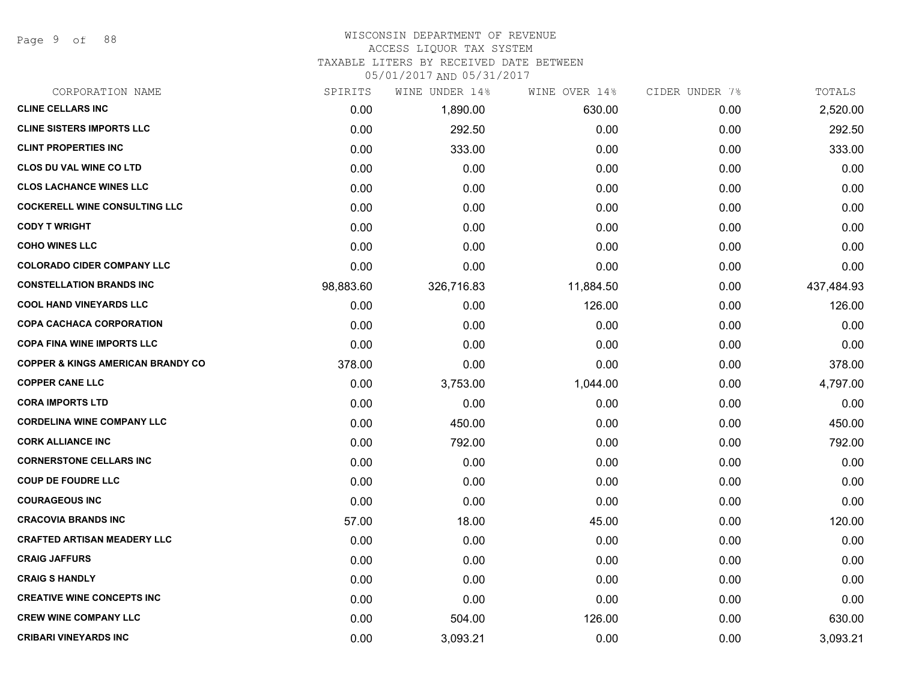Page 9 of 88

## WISCONSIN DEPARTMENT OF REVENUE

#### ACCESS LIQUOR TAX SYSTEM

TAXABLE LITERS BY RECEIVED DATE BETWEEN

| CORPORATION NAME                             | SPIRITS   | WINE UNDER 14% | WINE OVER 14% | CIDER UNDER 7% | TOTALS     |
|----------------------------------------------|-----------|----------------|---------------|----------------|------------|
| <b>CLINE CELLARS INC</b>                     | 0.00      | 1,890.00       | 630.00        | 0.00           | 2,520.00   |
| <b>CLINE SISTERS IMPORTS LLC</b>             | 0.00      | 292.50         | 0.00          | 0.00           | 292.50     |
| <b>CLINT PROPERTIES INC</b>                  | 0.00      | 333.00         | 0.00          | 0.00           | 333.00     |
| <b>CLOS DU VAL WINE CO LTD</b>               | 0.00      | 0.00           | 0.00          | 0.00           | 0.00       |
| <b>CLOS LACHANCE WINES LLC</b>               | 0.00      | 0.00           | 0.00          | 0.00           | 0.00       |
| <b>COCKERELL WINE CONSULTING LLC</b>         | 0.00      | 0.00           | 0.00          | 0.00           | 0.00       |
| <b>CODY T WRIGHT</b>                         | 0.00      | 0.00           | 0.00          | 0.00           | 0.00       |
| <b>COHO WINES LLC</b>                        | 0.00      | 0.00           | 0.00          | 0.00           | 0.00       |
| <b>COLORADO CIDER COMPANY LLC</b>            | 0.00      | 0.00           | 0.00          | 0.00           | 0.00       |
| <b>CONSTELLATION BRANDS INC</b>              | 98,883.60 | 326,716.83     | 11,884.50     | 0.00           | 437,484.93 |
| <b>COOL HAND VINEYARDS LLC</b>               | 0.00      | 0.00           | 126.00        | 0.00           | 126.00     |
| <b>COPA CACHACA CORPORATION</b>              | 0.00      | 0.00           | 0.00          | 0.00           | 0.00       |
| <b>COPA FINA WINE IMPORTS LLC</b>            | 0.00      | 0.00           | 0.00          | 0.00           | 0.00       |
| <b>COPPER &amp; KINGS AMERICAN BRANDY CO</b> | 378.00    | 0.00           | 0.00          | 0.00           | 378.00     |
| <b>COPPER CANE LLC</b>                       | 0.00      | 3,753.00       | 1,044.00      | 0.00           | 4,797.00   |
| <b>CORA IMPORTS LTD</b>                      | 0.00      | 0.00           | 0.00          | 0.00           | 0.00       |
| <b>CORDELINA WINE COMPANY LLC</b>            | 0.00      | 450.00         | 0.00          | 0.00           | 450.00     |
| <b>CORK ALLIANCE INC</b>                     | 0.00      | 792.00         | 0.00          | 0.00           | 792.00     |
| <b>CORNERSTONE CELLARS INC</b>               | 0.00      | 0.00           | 0.00          | 0.00           | 0.00       |
| <b>COUP DE FOUDRE LLC</b>                    | 0.00      | 0.00           | 0.00          | 0.00           | 0.00       |
| <b>COURAGEOUS INC</b>                        | 0.00      | 0.00           | 0.00          | 0.00           | 0.00       |
| <b>CRACOVIA BRANDS INC</b>                   | 57.00     | 18.00          | 45.00         | 0.00           | 120.00     |
| <b>CRAFTED ARTISAN MEADERY LLC</b>           | 0.00      | 0.00           | 0.00          | 0.00           | 0.00       |
| <b>CRAIG JAFFURS</b>                         | 0.00      | 0.00           | 0.00          | 0.00           | 0.00       |
| <b>CRAIG S HANDLY</b>                        | 0.00      | 0.00           | 0.00          | 0.00           | 0.00       |
| <b>CREATIVE WINE CONCEPTS INC</b>            | 0.00      | 0.00           | 0.00          | 0.00           | 0.00       |
| <b>CREW WINE COMPANY LLC</b>                 | 0.00      | 504.00         | 126.00        | 0.00           | 630.00     |
| <b>CRIBARI VINEYARDS INC</b>                 | 0.00      | 3,093.21       | 0.00          | 0.00           | 3,093.21   |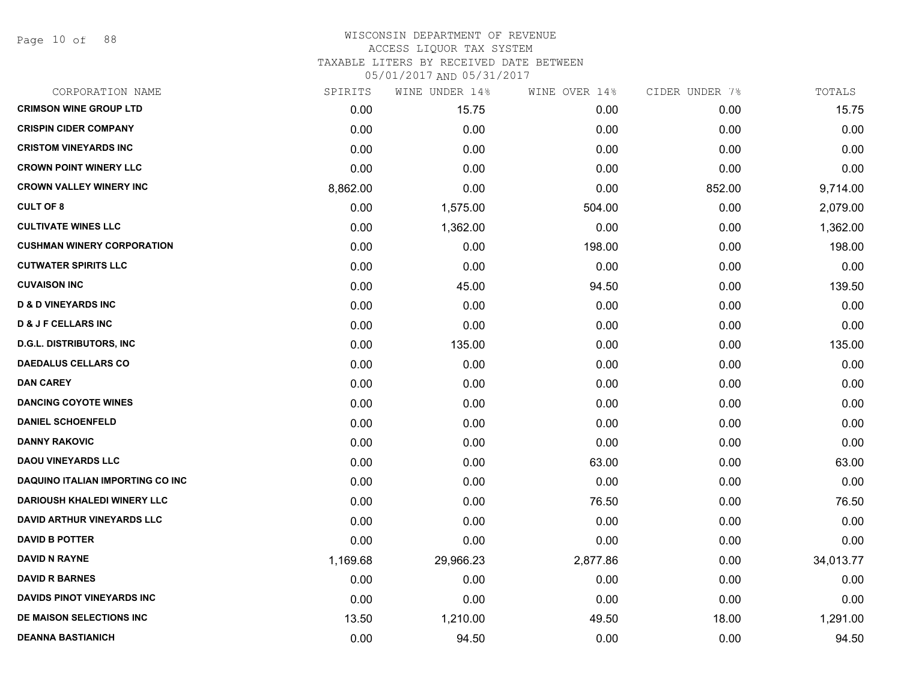Page 10 of 88

### WISCONSIN DEPARTMENT OF REVENUE ACCESS LIQUOR TAX SYSTEM TAXABLE LITERS BY RECEIVED DATE BETWEEN

| CORPORATION NAME                        | SPIRITS  | WINE UNDER 14% | WINE OVER 14% | CIDER UNDER 7% | TOTALS    |
|-----------------------------------------|----------|----------------|---------------|----------------|-----------|
| <b>CRIMSON WINE GROUP LTD</b>           | 0.00     | 15.75          | 0.00          | 0.00           | 15.75     |
| <b>CRISPIN CIDER COMPANY</b>            | 0.00     | 0.00           | 0.00          | 0.00           | 0.00      |
| <b>CRISTOM VINEYARDS INC</b>            | 0.00     | 0.00           | 0.00          | 0.00           | 0.00      |
| <b>CROWN POINT WINERY LLC</b>           | 0.00     | 0.00           | 0.00          | 0.00           | 0.00      |
| <b>CROWN VALLEY WINERY INC</b>          | 8,862.00 | 0.00           | 0.00          | 852.00         | 9,714.00  |
| <b>CULT OF 8</b>                        | 0.00     | 1,575.00       | 504.00        | 0.00           | 2,079.00  |
| <b>CULTIVATE WINES LLC</b>              | 0.00     | 1,362.00       | 0.00          | 0.00           | 1,362.00  |
| <b>CUSHMAN WINERY CORPORATION</b>       | 0.00     | 0.00           | 198.00        | 0.00           | 198.00    |
| <b>CUTWATER SPIRITS LLC</b>             | 0.00     | 0.00           | 0.00          | 0.00           | 0.00      |
| <b>CUVAISON INC</b>                     | 0.00     | 45.00          | 94.50         | 0.00           | 139.50    |
| <b>D &amp; D VINEYARDS INC</b>          | 0.00     | 0.00           | 0.00          | 0.00           | 0.00      |
| <b>D &amp; J F CELLARS INC</b>          | 0.00     | 0.00           | 0.00          | 0.00           | 0.00      |
| <b>D.G.L. DISTRIBUTORS, INC</b>         | 0.00     | 135.00         | 0.00          | 0.00           | 135.00    |
| <b>DAEDALUS CELLARS CO</b>              | 0.00     | 0.00           | 0.00          | 0.00           | 0.00      |
| <b>DAN CAREY</b>                        | 0.00     | 0.00           | 0.00          | 0.00           | 0.00      |
| <b>DANCING COYOTE WINES</b>             | 0.00     | 0.00           | 0.00          | 0.00           | 0.00      |
| <b>DANIEL SCHOENFELD</b>                | 0.00     | 0.00           | 0.00          | 0.00           | 0.00      |
| <b>DANNY RAKOVIC</b>                    | 0.00     | 0.00           | 0.00          | 0.00           | 0.00      |
| <b>DAOU VINEYARDS LLC</b>               | 0.00     | 0.00           | 63.00         | 0.00           | 63.00     |
| <b>DAQUINO ITALIAN IMPORTING CO INC</b> | 0.00     | 0.00           | 0.00          | 0.00           | 0.00      |
| <b>DARIOUSH KHALEDI WINERY LLC</b>      | 0.00     | 0.00           | 76.50         | 0.00           | 76.50     |
| DAVID ARTHUR VINEYARDS LLC              | 0.00     | 0.00           | 0.00          | 0.00           | 0.00      |
| <b>DAVID B POTTER</b>                   | 0.00     | 0.00           | 0.00          | 0.00           | 0.00      |
| <b>DAVID N RAYNE</b>                    | 1,169.68 | 29,966.23      | 2,877.86      | 0.00           | 34,013.77 |
| <b>DAVID R BARNES</b>                   | 0.00     | 0.00           | 0.00          | 0.00           | 0.00      |
| <b>DAVIDS PINOT VINEYARDS INC</b>       | 0.00     | 0.00           | 0.00          | 0.00           | 0.00      |
| DE MAISON SELECTIONS INC                | 13.50    | 1,210.00       | 49.50         | 18.00          | 1,291.00  |
| <b>DEANNA BASTIANICH</b>                | 0.00     | 94.50          | 0.00          | 0.00           | 94.50     |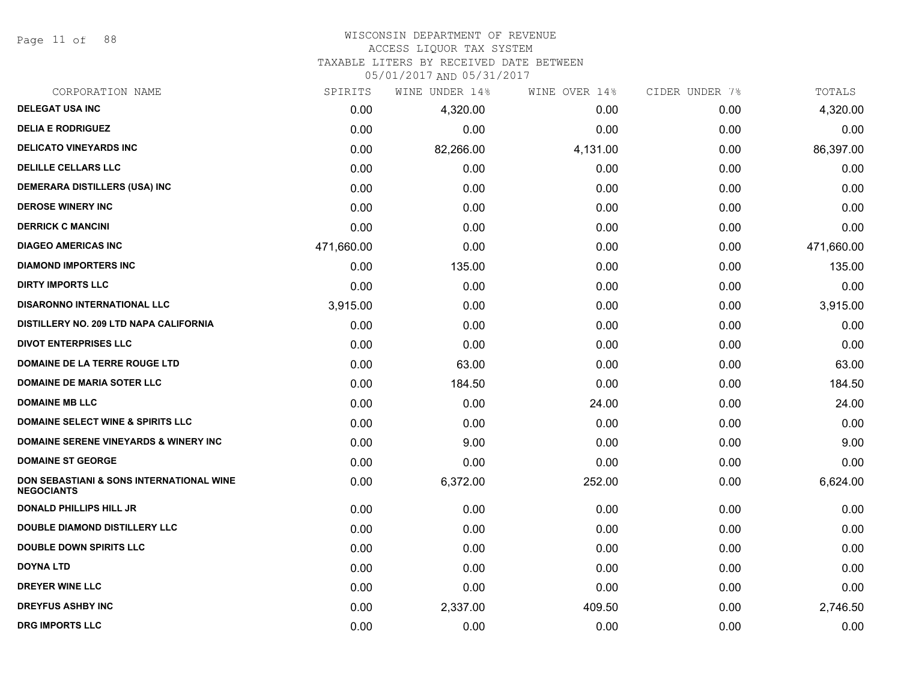Page 11 of 88

#### WISCONSIN DEPARTMENT OF REVENUE ACCESS LIQUOR TAX SYSTEM

TAXABLE LITERS BY RECEIVED DATE BETWEEN

| CORPORATION NAME                                                         | SPIRITS    | WINE UNDER 14% | WINE OVER 14% | CIDER UNDER 7% | TOTALS     |
|--------------------------------------------------------------------------|------------|----------------|---------------|----------------|------------|
| <b>DELEGAT USA INC</b>                                                   | 0.00       | 4,320.00       | 0.00          | 0.00           | 4,320.00   |
| <b>DELIA E RODRIGUEZ</b>                                                 | 0.00       | 0.00           | 0.00          | 0.00           | 0.00       |
| <b>DELICATO VINEYARDS INC</b>                                            | 0.00       | 82,266.00      | 4,131.00      | 0.00           | 86,397.00  |
| <b>DELILLE CELLARS LLC</b>                                               | 0.00       | 0.00           | 0.00          | 0.00           | 0.00       |
| <b>DEMERARA DISTILLERS (USA) INC</b>                                     | 0.00       | 0.00           | 0.00          | 0.00           | 0.00       |
| <b>DEROSE WINERY INC</b>                                                 | 0.00       | 0.00           | 0.00          | 0.00           | 0.00       |
| <b>DERRICK C MANCINI</b>                                                 | 0.00       | 0.00           | 0.00          | 0.00           | 0.00       |
| <b>DIAGEO AMERICAS INC</b>                                               | 471,660.00 | 0.00           | 0.00          | 0.00           | 471,660.00 |
| <b>DIAMOND IMPORTERS INC</b>                                             | 0.00       | 135.00         | 0.00          | 0.00           | 135.00     |
| <b>DIRTY IMPORTS LLC</b>                                                 | 0.00       | 0.00           | 0.00          | 0.00           | 0.00       |
| <b>DISARONNO INTERNATIONAL LLC</b>                                       | 3,915.00   | 0.00           | 0.00          | 0.00           | 3,915.00   |
| DISTILLERY NO. 209 LTD NAPA CALIFORNIA                                   | 0.00       | 0.00           | 0.00          | 0.00           | 0.00       |
| <b>DIVOT ENTERPRISES LLC</b>                                             | 0.00       | 0.00           | 0.00          | 0.00           | 0.00       |
| DOMAINE DE LA TERRE ROUGE LTD                                            | 0.00       | 63.00          | 0.00          | 0.00           | 63.00      |
| <b>DOMAINE DE MARIA SOTER LLC</b>                                        | 0.00       | 184.50         | 0.00          | 0.00           | 184.50     |
| <b>DOMAINE MB LLC</b>                                                    | 0.00       | 0.00           | 24.00         | 0.00           | 24.00      |
| <b>DOMAINE SELECT WINE &amp; SPIRITS LLC</b>                             | 0.00       | 0.00           | 0.00          | 0.00           | 0.00       |
| DOMAINE SERENE VINEYARDS & WINERY INC                                    | 0.00       | 9.00           | 0.00          | 0.00           | 9.00       |
| <b>DOMAINE ST GEORGE</b>                                                 | 0.00       | 0.00           | 0.00          | 0.00           | 0.00       |
| <b>DON SEBASTIANI &amp; SONS INTERNATIONAL WINE</b><br><b>NEGOCIANTS</b> | 0.00       | 6,372.00       | 252.00        | 0.00           | 6,624.00   |
| <b>DONALD PHILLIPS HILL JR</b>                                           | 0.00       | 0.00           | 0.00          | 0.00           | 0.00       |
| <b>DOUBLE DIAMOND DISTILLERY LLC</b>                                     | 0.00       | 0.00           | 0.00          | 0.00           | 0.00       |
| <b>DOUBLE DOWN SPIRITS LLC</b>                                           | 0.00       | 0.00           | 0.00          | 0.00           | 0.00       |
| <b>DOYNA LTD</b>                                                         | 0.00       | 0.00           | 0.00          | 0.00           | 0.00       |
| <b>DREYER WINE LLC</b>                                                   | 0.00       | 0.00           | 0.00          | 0.00           | 0.00       |
| <b>DREYFUS ASHBY INC</b>                                                 | 0.00       | 2,337.00       | 409.50        | 0.00           | 2,746.50   |
| <b>DRG IMPORTS LLC</b>                                                   | 0.00       | 0.00           | 0.00          | 0.00           | 0.00       |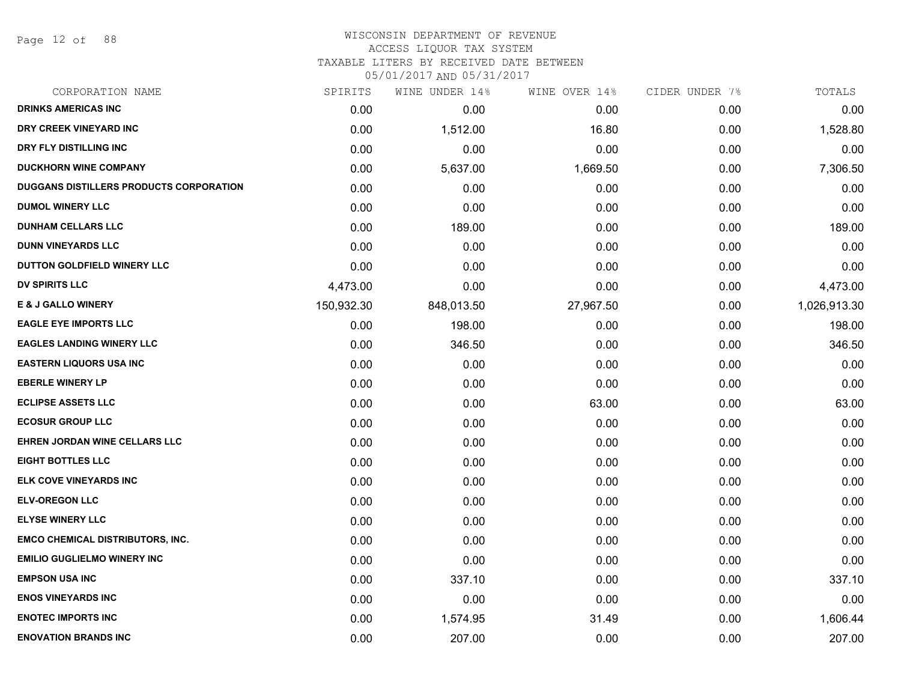Page 12 of 88

# WISCONSIN DEPARTMENT OF REVENUE

ACCESS LIQUOR TAX SYSTEM

TAXABLE LITERS BY RECEIVED DATE BETWEEN

| CORPORATION NAME                               | SPIRITS    | WINE UNDER 14% | WINE OVER 14% | CIDER UNDER 7% | TOTALS       |
|------------------------------------------------|------------|----------------|---------------|----------------|--------------|
| <b>DRINKS AMERICAS INC</b>                     | 0.00       | 0.00           | 0.00          | 0.00           | 0.00         |
| DRY CREEK VINEYARD INC                         | 0.00       | 1,512.00       | 16.80         | 0.00           | 1,528.80     |
| DRY FLY DISTILLING INC                         | 0.00       | 0.00           | 0.00          | 0.00           | 0.00         |
| <b>DUCKHORN WINE COMPANY</b>                   | 0.00       | 5,637.00       | 1,669.50      | 0.00           | 7,306.50     |
| <b>DUGGANS DISTILLERS PRODUCTS CORPORATION</b> | 0.00       | 0.00           | 0.00          | 0.00           | 0.00         |
| <b>DUMOL WINERY LLC</b>                        | 0.00       | 0.00           | 0.00          | 0.00           | 0.00         |
| <b>DUNHAM CELLARS LLC</b>                      | 0.00       | 189.00         | 0.00          | 0.00           | 189.00       |
| <b>DUNN VINEYARDS LLC</b>                      | 0.00       | 0.00           | 0.00          | 0.00           | 0.00         |
| DUTTON GOLDFIELD WINERY LLC                    | 0.00       | 0.00           | 0.00          | 0.00           | 0.00         |
| <b>DV SPIRITS LLC</b>                          | 4,473.00   | 0.00           | 0.00          | 0.00           | 4,473.00     |
| <b>E &amp; J GALLO WINERY</b>                  | 150,932.30 | 848,013.50     | 27,967.50     | 0.00           | 1,026,913.30 |
| <b>EAGLE EYE IMPORTS LLC</b>                   | 0.00       | 198.00         | 0.00          | 0.00           | 198.00       |
| <b>EAGLES LANDING WINERY LLC</b>               | 0.00       | 346.50         | 0.00          | 0.00           | 346.50       |
| <b>EASTERN LIQUORS USA INC</b>                 | 0.00       | 0.00           | 0.00          | 0.00           | 0.00         |
| <b>EBERLE WINERY LP</b>                        | 0.00       | 0.00           | 0.00          | 0.00           | 0.00         |
| <b>ECLIPSE ASSETS LLC</b>                      | 0.00       | 0.00           | 63.00         | 0.00           | 63.00        |
| <b>ECOSUR GROUP LLC</b>                        | 0.00       | 0.00           | 0.00          | 0.00           | 0.00         |
| <b>EHREN JORDAN WINE CELLARS LLC</b>           | 0.00       | 0.00           | 0.00          | 0.00           | 0.00         |
| <b>EIGHT BOTTLES LLC</b>                       | 0.00       | 0.00           | 0.00          | 0.00           | 0.00         |
| ELK COVE VINEYARDS INC                         | 0.00       | 0.00           | 0.00          | 0.00           | 0.00         |
| <b>ELV-OREGON LLC</b>                          | 0.00       | 0.00           | 0.00          | 0.00           | 0.00         |
| <b>ELYSE WINERY LLC</b>                        | 0.00       | 0.00           | 0.00          | 0.00           | 0.00         |
| <b>EMCO CHEMICAL DISTRIBUTORS, INC.</b>        | 0.00       | 0.00           | 0.00          | 0.00           | 0.00         |
| <b>EMILIO GUGLIELMO WINERY INC</b>             | 0.00       | 0.00           | 0.00          | 0.00           | 0.00         |
| <b>EMPSON USA INC</b>                          | 0.00       | 337.10         | 0.00          | 0.00           | 337.10       |
| <b>ENOS VINEYARDS INC</b>                      | 0.00       | 0.00           | 0.00          | 0.00           | 0.00         |
| <b>ENOTEC IMPORTS INC</b>                      | 0.00       | 1,574.95       | 31.49         | 0.00           | 1,606.44     |
| <b>ENOVATION BRANDS INC</b>                    | 0.00       | 207.00         | 0.00          | 0.00           | 207.00       |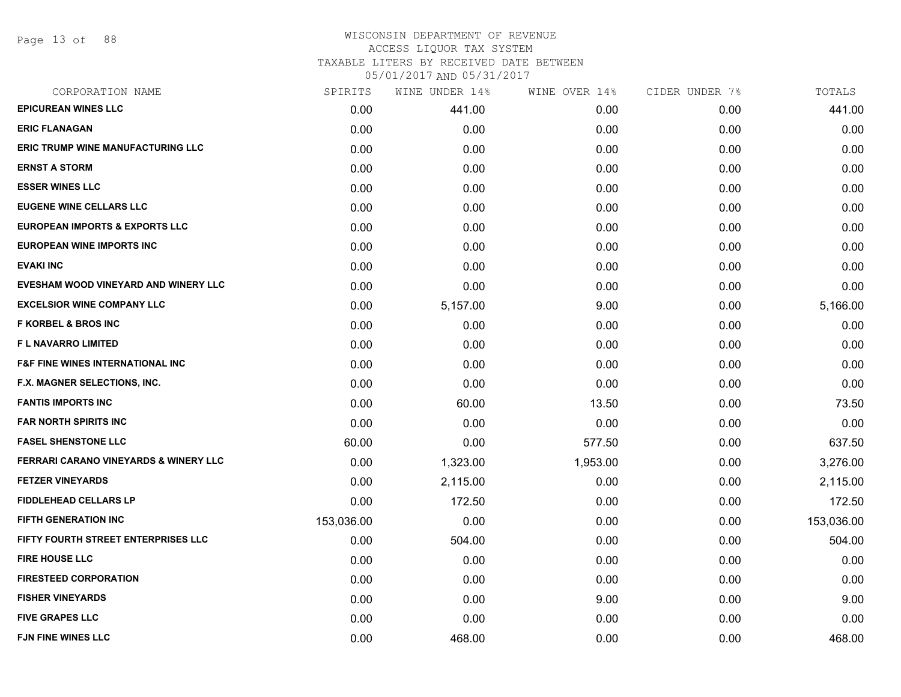Page 13 of 88

## WISCONSIN DEPARTMENT OF REVENUE ACCESS LIQUOR TAX SYSTEM TAXABLE LITERS BY RECEIVED DATE BETWEEN

| CORPORATION NAME                                 | SPIRITS    | WINE UNDER 14% | WINE OVER 14% | CIDER UNDER 7% | TOTALS     |
|--------------------------------------------------|------------|----------------|---------------|----------------|------------|
| <b>EPICUREAN WINES LLC</b>                       | 0.00       | 441.00         | 0.00          | 0.00           | 441.00     |
| <b>ERIC FLANAGAN</b>                             | 0.00       | 0.00           | 0.00          | 0.00           | 0.00       |
| <b>ERIC TRUMP WINE MANUFACTURING LLC</b>         | 0.00       | 0.00           | 0.00          | 0.00           | 0.00       |
| <b>ERNST A STORM</b>                             | 0.00       | 0.00           | 0.00          | 0.00           | 0.00       |
| <b>ESSER WINES LLC</b>                           | 0.00       | 0.00           | 0.00          | 0.00           | 0.00       |
| <b>EUGENE WINE CELLARS LLC</b>                   | 0.00       | 0.00           | 0.00          | 0.00           | 0.00       |
| <b>EUROPEAN IMPORTS &amp; EXPORTS LLC</b>        | 0.00       | 0.00           | 0.00          | 0.00           | 0.00       |
| <b>EUROPEAN WINE IMPORTS INC</b>                 | 0.00       | 0.00           | 0.00          | 0.00           | 0.00       |
| <b>EVAKI INC</b>                                 | 0.00       | 0.00           | 0.00          | 0.00           | 0.00       |
| EVESHAM WOOD VINEYARD AND WINERY LLC             | 0.00       | 0.00           | 0.00          | 0.00           | 0.00       |
| <b>EXCELSIOR WINE COMPANY LLC</b>                | 0.00       | 5,157.00       | 9.00          | 0.00           | 5,166.00   |
| <b>F KORBEL &amp; BROS INC</b>                   | 0.00       | 0.00           | 0.00          | 0.00           | 0.00       |
| <b>FL NAVARRO LIMITED</b>                        | 0.00       | 0.00           | 0.00          | 0.00           | 0.00       |
| <b>F&amp;F FINE WINES INTERNATIONAL INC</b>      | 0.00       | 0.00           | 0.00          | 0.00           | 0.00       |
| F.X. MAGNER SELECTIONS, INC.                     | 0.00       | 0.00           | 0.00          | 0.00           | 0.00       |
| <b>FANTIS IMPORTS INC</b>                        | 0.00       | 60.00          | 13.50         | 0.00           | 73.50      |
| <b>FAR NORTH SPIRITS INC</b>                     | 0.00       | 0.00           | 0.00          | 0.00           | 0.00       |
| <b>FASEL SHENSTONE LLC</b>                       | 60.00      | 0.00           | 577.50        | 0.00           | 637.50     |
| <b>FERRARI CARANO VINEYARDS &amp; WINERY LLC</b> | 0.00       | 1,323.00       | 1,953.00      | 0.00           | 3,276.00   |
| <b>FETZER VINEYARDS</b>                          | 0.00       | 2,115.00       | 0.00          | 0.00           | 2,115.00   |
| <b>FIDDLEHEAD CELLARS LP</b>                     | 0.00       | 172.50         | 0.00          | 0.00           | 172.50     |
| <b>FIFTH GENERATION INC</b>                      | 153,036.00 | 0.00           | 0.00          | 0.00           | 153,036.00 |
| FIFTY FOURTH STREET ENTERPRISES LLC              | 0.00       | 504.00         | 0.00          | 0.00           | 504.00     |
| <b>FIRE HOUSE LLC</b>                            | 0.00       | 0.00           | 0.00          | 0.00           | 0.00       |
| <b>FIRESTEED CORPORATION</b>                     | 0.00       | 0.00           | 0.00          | 0.00           | 0.00       |
| <b>FISHER VINEYARDS</b>                          | 0.00       | 0.00           | 9.00          | 0.00           | 9.00       |
| <b>FIVE GRAPES LLC</b>                           | 0.00       | 0.00           | 0.00          | 0.00           | 0.00       |
| <b>FJN FINE WINES LLC</b>                        | 0.00       | 468.00         | 0.00          | 0.00           | 468.00     |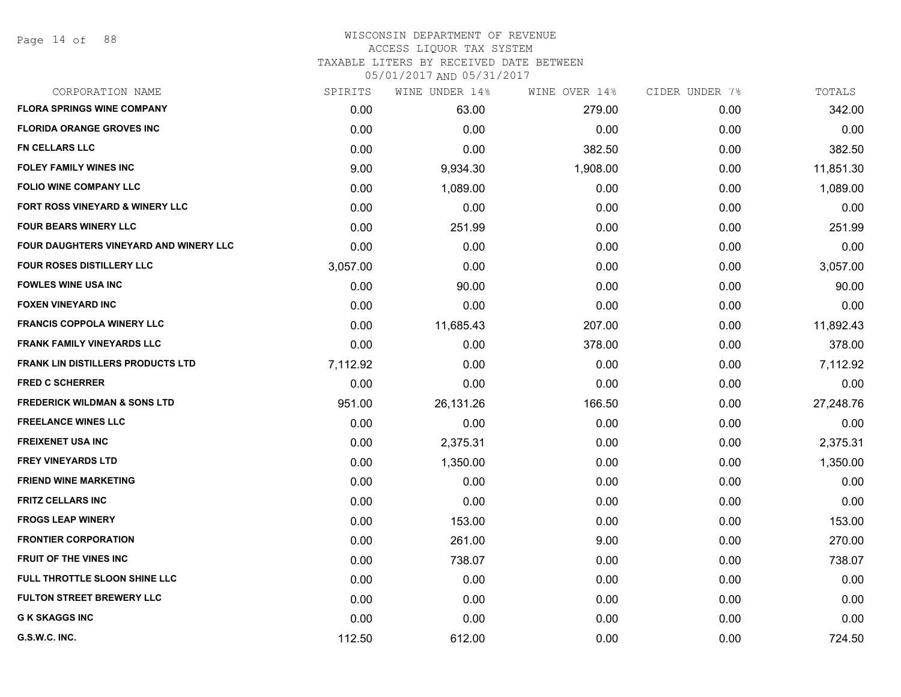#### WISCONSIN DEPARTMENT OF REVENUE ACCESS LIQUOR TAX SYSTEM

TAXABLE LITERS BY RECEIVED DATE BETWEEN

| CORPORATION NAME                           | SPIRITS  | WINE UNDER 14% | WINE OVER 14% | CIDER UNDER 7% | TOTALS    |
|--------------------------------------------|----------|----------------|---------------|----------------|-----------|
| <b>FLORA SPRINGS WINE COMPANY</b>          | 0.00     | 63.00          | 279.00        | 0.00           | 342.00    |
| <b>FLORIDA ORANGE GROVES INC</b>           | 0.00     | 0.00           | 0.00          | 0.00           | 0.00      |
| <b>FN CELLARS LLC</b>                      | 0.00     | 0.00           | 382.50        | 0.00           | 382.50    |
| <b>FOLEY FAMILY WINES INC</b>              | 9.00     | 9,934.30       | 1,908.00      | 0.00           | 11,851.30 |
| <b>FOLIO WINE COMPANY LLC</b>              | 0.00     | 1,089.00       | 0.00          | 0.00           | 1,089.00  |
| <b>FORT ROSS VINEYARD &amp; WINERY LLC</b> | 0.00     | 0.00           | 0.00          | 0.00           | 0.00      |
| <b>FOUR BEARS WINERY LLC</b>               | 0.00     | 251.99         | 0.00          | 0.00           | 251.99    |
| FOUR DAUGHTERS VINEYARD AND WINERY LLC     | 0.00     | 0.00           | 0.00          | 0.00           | 0.00      |
| FOUR ROSES DISTILLERY LLC                  | 3,057.00 | 0.00           | 0.00          | 0.00           | 3,057.00  |
| <b>FOWLES WINE USA INC</b>                 | 0.00     | 90.00          | 0.00          | 0.00           | 90.00     |
| <b>FOXEN VINEYARD INC</b>                  | 0.00     | 0.00           | 0.00          | 0.00           | 0.00      |
| <b>FRANCIS COPPOLA WINERY LLC</b>          | 0.00     | 11,685.43      | 207.00        | 0.00           | 11,892.43 |
| <b>FRANK FAMILY VINEYARDS LLC</b>          | 0.00     | 0.00           | 378.00        | 0.00           | 378.00    |
| <b>FRANK LIN DISTILLERS PRODUCTS LTD</b>   | 7,112.92 | 0.00           | 0.00          | 0.00           | 7,112.92  |
| <b>FRED C SCHERRER</b>                     | 0.00     | 0.00           | 0.00          | 0.00           | 0.00      |
| <b>FREDERICK WILDMAN &amp; SONS LTD</b>    | 951.00   | 26,131.26      | 166.50        | 0.00           | 27,248.76 |
| <b>FREELANCE WINES LLC</b>                 | 0.00     | 0.00           | 0.00          | 0.00           | 0.00      |
| <b>FREIXENET USA INC</b>                   | 0.00     | 2,375.31       | 0.00          | 0.00           | 2,375.31  |
| <b>FREY VINEYARDS LTD</b>                  | 0.00     | 1,350.00       | 0.00          | 0.00           | 1,350.00  |
| <b>FRIEND WINE MARKETING</b>               | 0.00     | 0.00           | 0.00          | 0.00           | 0.00      |
| <b>FRITZ CELLARS INC</b>                   | 0.00     | 0.00           | 0.00          | 0.00           | 0.00      |
| <b>FROGS LEAP WINERY</b>                   | 0.00     | 153.00         | 0.00          | 0.00           | 153.00    |
| <b>FRONTIER CORPORATION</b>                | 0.00     | 261.00         | 9.00          | 0.00           | 270.00    |
| <b>FRUIT OF THE VINES INC</b>              | 0.00     | 738.07         | 0.00          | 0.00           | 738.07    |
| FULL THROTTLE SLOON SHINE LLC              | 0.00     | 0.00           | 0.00          | 0.00           | 0.00      |
| <b>FULTON STREET BREWERY LLC</b>           | 0.00     | 0.00           | 0.00          | 0.00           | 0.00      |
| <b>G K SKAGGS INC</b>                      | 0.00     | 0.00           | 0.00          | 0.00           | 0.00      |
| G.S.W.C. INC.                              | 112.50   | 612.00         | 0.00          | 0.00           | 724.50    |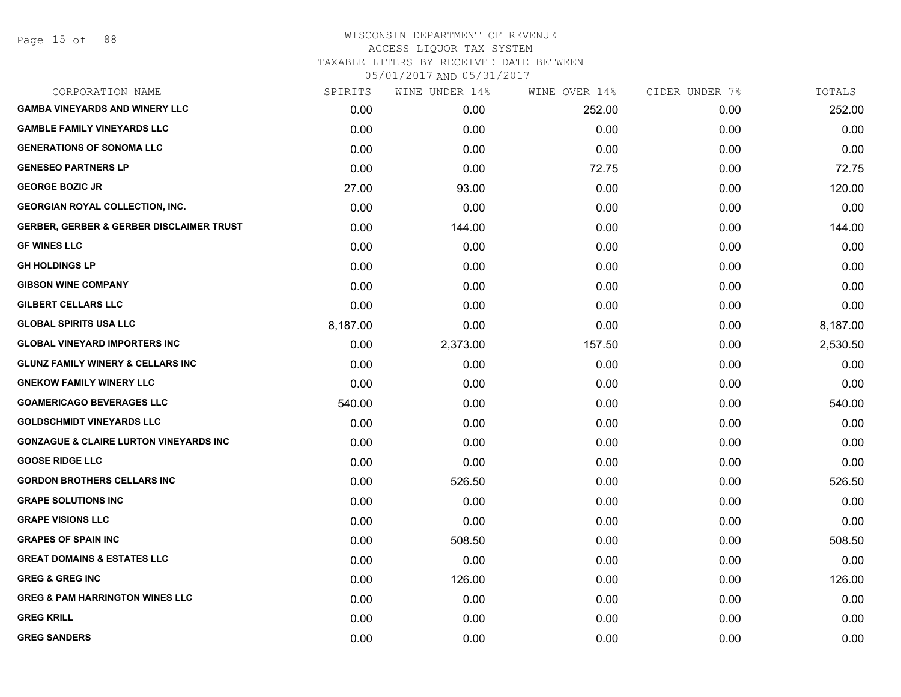Page 15 of 88

## WISCONSIN DEPARTMENT OF REVENUE ACCESS LIQUOR TAX SYSTEM

TAXABLE LITERS BY RECEIVED DATE BETWEEN

| CORPORATION NAME                                    | SPIRITS  | WINE UNDER 14% | WINE OVER 14% | CIDER UNDER 7% | TOTALS   |
|-----------------------------------------------------|----------|----------------|---------------|----------------|----------|
| <b>GAMBA VINEYARDS AND WINERY LLC</b>               | 0.00     | 0.00           | 252.00        | 0.00           | 252.00   |
| <b>GAMBLE FAMILY VINEYARDS LLC</b>                  | 0.00     | 0.00           | 0.00          | 0.00           | 0.00     |
| <b>GENERATIONS OF SONOMA LLC</b>                    | 0.00     | 0.00           | 0.00          | 0.00           | 0.00     |
| <b>GENESEO PARTNERS LP</b>                          | 0.00     | 0.00           | 72.75         | 0.00           | 72.75    |
| <b>GEORGE BOZIC JR</b>                              | 27.00    | 93.00          | 0.00          | 0.00           | 120.00   |
| <b>GEORGIAN ROYAL COLLECTION, INC.</b>              | 0.00     | 0.00           | 0.00          | 0.00           | 0.00     |
| <b>GERBER, GERBER &amp; GERBER DISCLAIMER TRUST</b> | 0.00     | 144.00         | 0.00          | 0.00           | 144.00   |
| <b>GF WINES LLC</b>                                 | 0.00     | 0.00           | 0.00          | 0.00           | 0.00     |
| <b>GH HOLDINGS LP</b>                               | 0.00     | 0.00           | 0.00          | 0.00           | 0.00     |
| <b>GIBSON WINE COMPANY</b>                          | 0.00     | 0.00           | 0.00          | 0.00           | 0.00     |
| <b>GILBERT CELLARS LLC</b>                          | 0.00     | 0.00           | 0.00          | 0.00           | 0.00     |
| <b>GLOBAL SPIRITS USA LLC</b>                       | 8,187.00 | 0.00           | 0.00          | 0.00           | 8,187.00 |
| <b>GLOBAL VINEYARD IMPORTERS INC</b>                | 0.00     | 2,373.00       | 157.50        | 0.00           | 2,530.50 |
| <b>GLUNZ FAMILY WINERY &amp; CELLARS INC</b>        | 0.00     | 0.00           | 0.00          | 0.00           | 0.00     |
| <b>GNEKOW FAMILY WINERY LLC</b>                     | 0.00     | 0.00           | 0.00          | 0.00           | 0.00     |
| <b>GOAMERICAGO BEVERAGES LLC</b>                    | 540.00   | 0.00           | 0.00          | 0.00           | 540.00   |
| <b>GOLDSCHMIDT VINEYARDS LLC</b>                    | 0.00     | 0.00           | 0.00          | 0.00           | 0.00     |
| <b>GONZAGUE &amp; CLAIRE LURTON VINEYARDS INC</b>   | 0.00     | 0.00           | 0.00          | 0.00           | 0.00     |
| <b>GOOSE RIDGE LLC</b>                              | 0.00     | 0.00           | 0.00          | 0.00           | 0.00     |
| <b>GORDON BROTHERS CELLARS INC</b>                  | 0.00     | 526.50         | 0.00          | 0.00           | 526.50   |
| <b>GRAPE SOLUTIONS INC</b>                          | 0.00     | 0.00           | 0.00          | 0.00           | 0.00     |
| <b>GRAPE VISIONS LLC</b>                            | 0.00     | 0.00           | 0.00          | 0.00           | 0.00     |
| <b>GRAPES OF SPAIN INC</b>                          | 0.00     | 508.50         | 0.00          | 0.00           | 508.50   |
| <b>GREAT DOMAINS &amp; ESTATES LLC</b>              | 0.00     | 0.00           | 0.00          | 0.00           | 0.00     |
| <b>GREG &amp; GREG INC</b>                          | 0.00     | 126.00         | 0.00          | 0.00           | 126.00   |
| <b>GREG &amp; PAM HARRINGTON WINES LLC</b>          | 0.00     | 0.00           | 0.00          | 0.00           | 0.00     |
| <b>GREG KRILL</b>                                   | 0.00     | 0.00           | 0.00          | 0.00           | 0.00     |
| <b>GREG SANDERS</b>                                 | 0.00     | 0.00           | 0.00          | 0.00           | 0.00     |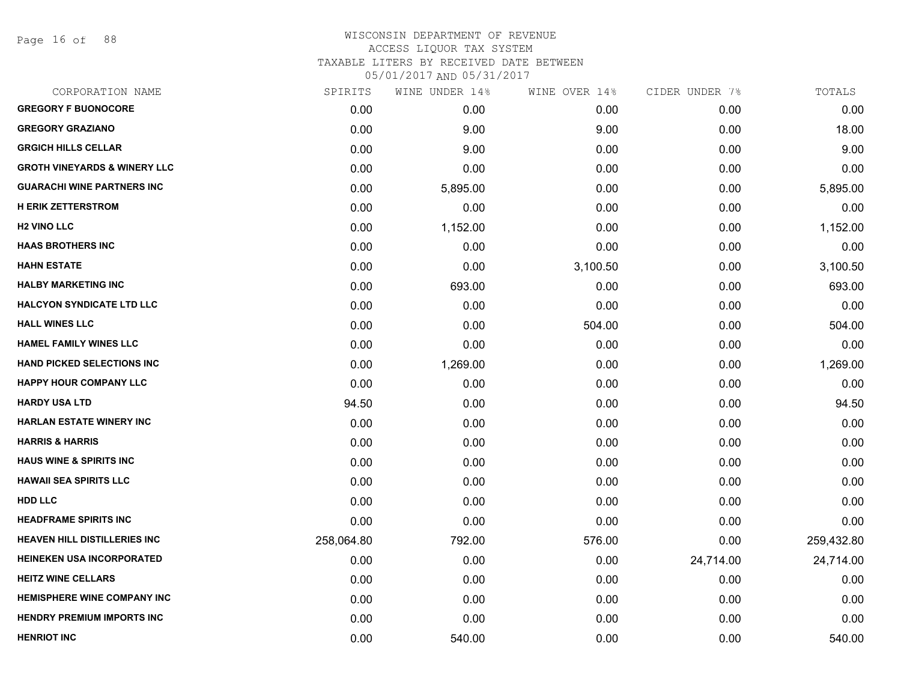Page 16 of 88

| CORPORATION NAME                        | SPIRITS    | WINE UNDER 14% | WINE OVER 14% | CIDER UNDER 7% | TOTALS     |
|-----------------------------------------|------------|----------------|---------------|----------------|------------|
| <b>GREGORY F BUONOCORE</b>              | 0.00       | 0.00           | 0.00          | 0.00           | 0.00       |
| <b>GREGORY GRAZIANO</b>                 | 0.00       | 9.00           | 9.00          | 0.00           | 18.00      |
| <b>GRGICH HILLS CELLAR</b>              | 0.00       | 9.00           | 0.00          | 0.00           | 9.00       |
| <b>GROTH VINEYARDS &amp; WINERY LLC</b> | 0.00       | 0.00           | 0.00          | 0.00           | 0.00       |
| <b>GUARACHI WINE PARTNERS INC</b>       | 0.00       | 5,895.00       | 0.00          | 0.00           | 5,895.00   |
| <b>H ERIK ZETTERSTROM</b>               | 0.00       | 0.00           | 0.00          | 0.00           | 0.00       |
| <b>H2 VINO LLC</b>                      | 0.00       | 1,152.00       | 0.00          | 0.00           | 1,152.00   |
| <b>HAAS BROTHERS INC</b>                | 0.00       | 0.00           | 0.00          | 0.00           | 0.00       |
| <b>HAHN ESTATE</b>                      | 0.00       | 0.00           | 3,100.50      | 0.00           | 3,100.50   |
| <b>HALBY MARKETING INC</b>              | 0.00       | 693.00         | 0.00          | 0.00           | 693.00     |
| <b>HALCYON SYNDICATE LTD LLC</b>        | 0.00       | 0.00           | 0.00          | 0.00           | 0.00       |
| <b>HALL WINES LLC</b>                   | 0.00       | 0.00           | 504.00        | 0.00           | 504.00     |
| <b>HAMEL FAMILY WINES LLC</b>           | 0.00       | 0.00           | 0.00          | 0.00           | 0.00       |
| <b>HAND PICKED SELECTIONS INC</b>       | 0.00       | 1,269.00       | 0.00          | 0.00           | 1,269.00   |
| <b>HAPPY HOUR COMPANY LLC</b>           | 0.00       | 0.00           | 0.00          | 0.00           | 0.00       |
| <b>HARDY USA LTD</b>                    | 94.50      | 0.00           | 0.00          | 0.00           | 94.50      |
| <b>HARLAN ESTATE WINERY INC</b>         | 0.00       | 0.00           | 0.00          | 0.00           | 0.00       |
| <b>HARRIS &amp; HARRIS</b>              | 0.00       | 0.00           | 0.00          | 0.00           | 0.00       |
| <b>HAUS WINE &amp; SPIRITS INC</b>      | 0.00       | 0.00           | 0.00          | 0.00           | 0.00       |
| <b>HAWAII SEA SPIRITS LLC</b>           | 0.00       | 0.00           | 0.00          | 0.00           | 0.00       |
| <b>HDD LLC</b>                          | 0.00       | 0.00           | 0.00          | 0.00           | 0.00       |
| <b>HEADFRAME SPIRITS INC</b>            | 0.00       | 0.00           | 0.00          | 0.00           | 0.00       |
| <b>HEAVEN HILL DISTILLERIES INC</b>     | 258,064.80 | 792.00         | 576.00        | 0.00           | 259,432.80 |
| <b>HEINEKEN USA INCORPORATED</b>        | 0.00       | 0.00           | 0.00          | 24,714.00      | 24,714.00  |
| <b>HEITZ WINE CELLARS</b>               | 0.00       | 0.00           | 0.00          | 0.00           | 0.00       |
| <b>HEMISPHERE WINE COMPANY INC</b>      | 0.00       | 0.00           | 0.00          | 0.00           | 0.00       |
| <b>HENDRY PREMIUM IMPORTS INC</b>       | 0.00       | 0.00           | 0.00          | 0.00           | 0.00       |
| <b>HENRIOT INC</b>                      | 0.00       | 540.00         | 0.00          | 0.00           | 540.00     |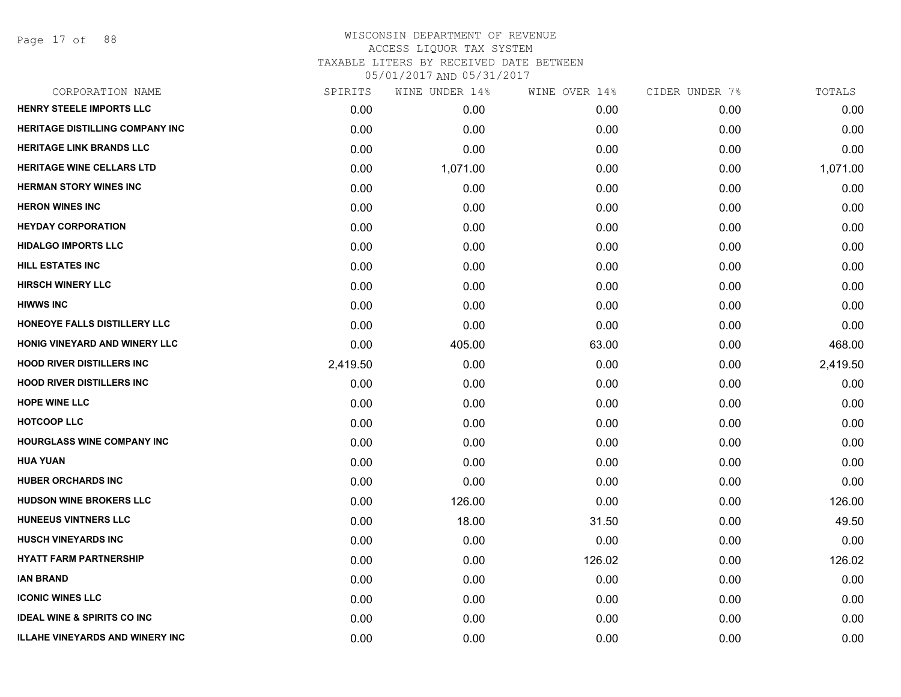Page 17 of 88

| CORPORATION NAME                       | SPIRITS  | WINE UNDER 14% | WINE OVER 14% | CIDER UNDER 7% | TOTALS   |
|----------------------------------------|----------|----------------|---------------|----------------|----------|
| HENRY STEELE IMPORTS LLC               | 0.00     | 0.00           | 0.00          | 0.00           | 0.00     |
| <b>HERITAGE DISTILLING COMPANY INC</b> | 0.00     | 0.00           | 0.00          | 0.00           | 0.00     |
| <b>HERITAGE LINK BRANDS LLC</b>        | 0.00     | 0.00           | 0.00          | 0.00           | 0.00     |
| <b>HERITAGE WINE CELLARS LTD</b>       | 0.00     | 1,071.00       | 0.00          | 0.00           | 1,071.00 |
| <b>HERMAN STORY WINES INC</b>          | 0.00     | 0.00           | 0.00          | 0.00           | 0.00     |
| <b>HERON WINES INC</b>                 | 0.00     | 0.00           | 0.00          | 0.00           | 0.00     |
| <b>HEYDAY CORPORATION</b>              | 0.00     | 0.00           | 0.00          | 0.00           | 0.00     |
| <b>HIDALGO IMPORTS LLC</b>             | 0.00     | 0.00           | 0.00          | 0.00           | 0.00     |
| HILL ESTATES INC                       | 0.00     | 0.00           | 0.00          | 0.00           | 0.00     |
| <b>HIRSCH WINERY LLC</b>               | 0.00     | 0.00           | 0.00          | 0.00           | 0.00     |
| <b>HIWWS INC</b>                       | 0.00     | 0.00           | 0.00          | 0.00           | 0.00     |
| HONEOYE FALLS DISTILLERY LLC           | 0.00     | 0.00           | 0.00          | 0.00           | 0.00     |
| HONIG VINEYARD AND WINERY LLC          | 0.00     | 405.00         | 63.00         | 0.00           | 468.00   |
| <b>HOOD RIVER DISTILLERS INC</b>       | 2,419.50 | 0.00           | 0.00          | 0.00           | 2,419.50 |
| <b>HOOD RIVER DISTILLERS INC</b>       | 0.00     | 0.00           | 0.00          | 0.00           | 0.00     |
| <b>HOPE WINE LLC</b>                   | 0.00     | 0.00           | 0.00          | 0.00           | 0.00     |
| <b>HOTCOOP LLC</b>                     | 0.00     | 0.00           | 0.00          | 0.00           | 0.00     |
| <b>HOURGLASS WINE COMPANY INC</b>      | 0.00     | 0.00           | 0.00          | 0.00           | 0.00     |
| <b>HUA YUAN</b>                        | 0.00     | 0.00           | 0.00          | 0.00           | 0.00     |
| <b>HUBER ORCHARDS INC</b>              | 0.00     | 0.00           | 0.00          | 0.00           | 0.00     |
| <b>HUDSON WINE BROKERS LLC</b>         | 0.00     | 126.00         | 0.00          | 0.00           | 126.00   |
| HUNEEUS VINTNERS LLC                   | 0.00     | 18.00          | 31.50         | 0.00           | 49.50    |
| <b>HUSCH VINEYARDS INC</b>             | 0.00     | 0.00           | 0.00          | 0.00           | 0.00     |
| <b>HYATT FARM PARTNERSHIP</b>          | 0.00     | 0.00           | 126.02        | 0.00           | 126.02   |
| <b>IAN BRAND</b>                       | 0.00     | 0.00           | 0.00          | 0.00           | 0.00     |
| <b>ICONIC WINES LLC</b>                | 0.00     | 0.00           | 0.00          | 0.00           | 0.00     |
| <b>IDEAL WINE &amp; SPIRITS CO INC</b> | 0.00     | 0.00           | 0.00          | 0.00           | 0.00     |
| <b>ILLAHE VINEYARDS AND WINERY INC</b> | 0.00     | 0.00           | 0.00          | 0.00           | 0.00     |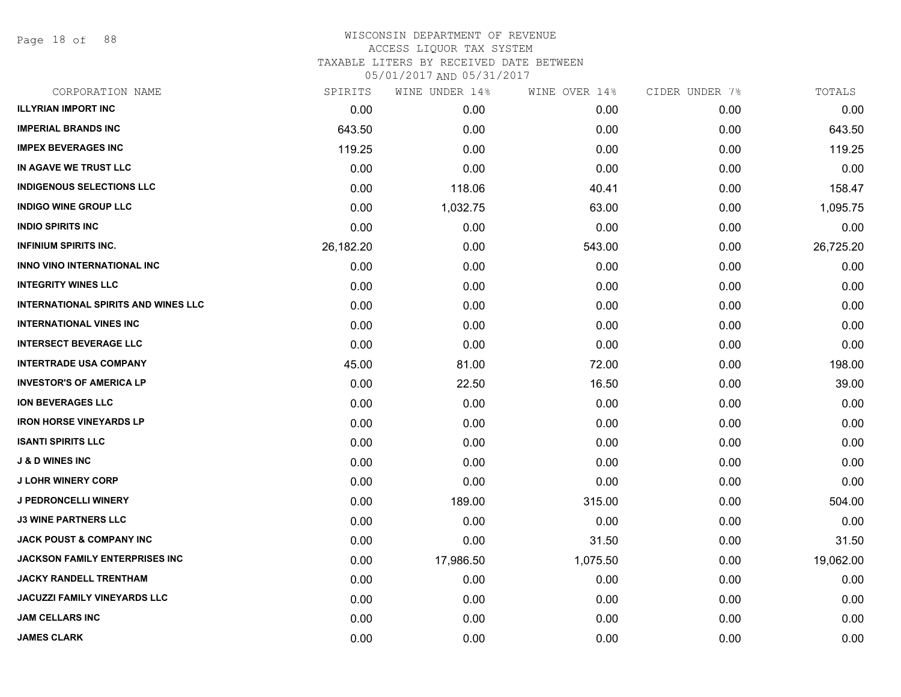Page 18 of 88

## WISCONSIN DEPARTMENT OF REVENUE ACCESS LIQUOR TAX SYSTEM TAXABLE LITERS BY RECEIVED DATE BETWEEN

| CORPORATION NAME                           | SPIRITS   | WINE UNDER 14% | WINE OVER 14% | CIDER UNDER 7% | TOTALS    |
|--------------------------------------------|-----------|----------------|---------------|----------------|-----------|
| <b>ILLYRIAN IMPORT INC</b>                 | 0.00      | 0.00           | 0.00          | 0.00           | 0.00      |
| <b>IMPERIAL BRANDS INC</b>                 | 643.50    | 0.00           | 0.00          | 0.00           | 643.50    |
| <b>IMPEX BEVERAGES INC</b>                 | 119.25    | 0.00           | 0.00          | 0.00           | 119.25    |
| IN AGAVE WE TRUST LLC                      | 0.00      | 0.00           | 0.00          | 0.00           | 0.00      |
| <b>INDIGENOUS SELECTIONS LLC</b>           | 0.00      | 118.06         | 40.41         | 0.00           | 158.47    |
| <b>INDIGO WINE GROUP LLC</b>               | 0.00      | 1,032.75       | 63.00         | 0.00           | 1,095.75  |
| <b>INDIO SPIRITS INC</b>                   | 0.00      | 0.00           | 0.00          | 0.00           | 0.00      |
| <b>INFINIUM SPIRITS INC.</b>               | 26,182.20 | 0.00           | 543.00        | 0.00           | 26,725.20 |
| INNO VINO INTERNATIONAL INC                | 0.00      | 0.00           | 0.00          | 0.00           | 0.00      |
| <b>INTEGRITY WINES LLC</b>                 | 0.00      | 0.00           | 0.00          | 0.00           | 0.00      |
| <b>INTERNATIONAL SPIRITS AND WINES LLC</b> | 0.00      | 0.00           | 0.00          | 0.00           | 0.00      |
| <b>INTERNATIONAL VINES INC</b>             | 0.00      | 0.00           | 0.00          | 0.00           | 0.00      |
| <b>INTERSECT BEVERAGE LLC</b>              | 0.00      | 0.00           | 0.00          | 0.00           | 0.00      |
| <b>INTERTRADE USA COMPANY</b>              | 45.00     | 81.00          | 72.00         | 0.00           | 198.00    |
| <b>INVESTOR'S OF AMERICA LP</b>            | 0.00      | 22.50          | 16.50         | 0.00           | 39.00     |
| <b>ION BEVERAGES LLC</b>                   | 0.00      | 0.00           | 0.00          | 0.00           | 0.00      |
| <b>IRON HORSE VINEYARDS LP</b>             | 0.00      | 0.00           | 0.00          | 0.00           | 0.00      |
| <b>ISANTI SPIRITS LLC</b>                  | 0.00      | 0.00           | 0.00          | 0.00           | 0.00      |
| <b>J &amp; D WINES INC</b>                 | 0.00      | 0.00           | 0.00          | 0.00           | 0.00      |
| <b>J LOHR WINERY CORP</b>                  | 0.00      | 0.00           | 0.00          | 0.00           | 0.00      |
| <b>J PEDRONCELLI WINERY</b>                | 0.00      | 189.00         | 315.00        | 0.00           | 504.00    |
| <b>J3 WINE PARTNERS LLC</b>                | 0.00      | 0.00           | 0.00          | 0.00           | 0.00      |
| <b>JACK POUST &amp; COMPANY INC</b>        | 0.00      | 0.00           | 31.50         | 0.00           | 31.50     |
| JACKSON FAMILY ENTERPRISES INC             | 0.00      | 17,986.50      | 1,075.50      | 0.00           | 19,062.00 |
| <b>JACKY RANDELL TRENTHAM</b>              | 0.00      | 0.00           | 0.00          | 0.00           | 0.00      |
| <b>JACUZZI FAMILY VINEYARDS LLC</b>        | 0.00      | 0.00           | 0.00          | 0.00           | 0.00      |
| <b>JAM CELLARS INC</b>                     | 0.00      | 0.00           | 0.00          | 0.00           | 0.00      |
| <b>JAMES CLARK</b>                         | 0.00      | 0.00           | 0.00          | 0.00           | 0.00      |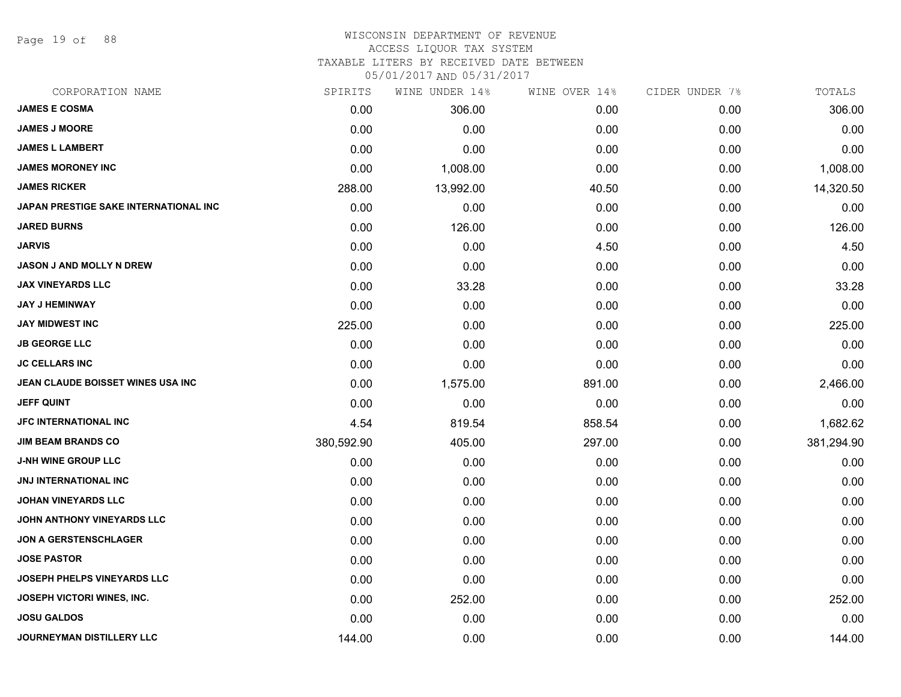Page 19 of 88

#### WISCONSIN DEPARTMENT OF REVENUE ACCESS LIQUOR TAX SYSTEM

TAXABLE LITERS BY RECEIVED DATE BETWEEN

| CORPORATION NAME                      | SPIRITS    | WINE UNDER 14% | WINE OVER 14% | CIDER UNDER 7% | TOTALS     |
|---------------------------------------|------------|----------------|---------------|----------------|------------|
| <b>JAMES E COSMA</b>                  | 0.00       | 306.00         | 0.00          | 0.00           | 306.00     |
| <b>JAMES J MOORE</b>                  | 0.00       | 0.00           | 0.00          | 0.00           | 0.00       |
| <b>JAMES L LAMBERT</b>                | 0.00       | 0.00           | 0.00          | 0.00           | 0.00       |
| <b>JAMES MORONEY INC</b>              | 0.00       | 1,008.00       | 0.00          | 0.00           | 1,008.00   |
| <b>JAMES RICKER</b>                   | 288.00     | 13,992.00      | 40.50         | 0.00           | 14,320.50  |
| JAPAN PRESTIGE SAKE INTERNATIONAL INC | 0.00       | 0.00           | 0.00          | 0.00           | 0.00       |
| <b>JARED BURNS</b>                    | 0.00       | 126.00         | 0.00          | 0.00           | 126.00     |
| <b>JARVIS</b>                         | 0.00       | 0.00           | 4.50          | 0.00           | 4.50       |
| <b>JASON J AND MOLLY N DREW</b>       | 0.00       | 0.00           | 0.00          | 0.00           | 0.00       |
| <b>JAX VINEYARDS LLC</b>              | 0.00       | 33.28          | 0.00          | 0.00           | 33.28      |
| <b>JAY J HEMINWAY</b>                 | 0.00       | 0.00           | 0.00          | 0.00           | 0.00       |
| <b>JAY MIDWEST INC</b>                | 225.00     | 0.00           | 0.00          | 0.00           | 225.00     |
| <b>JB GEORGE LLC</b>                  | 0.00       | 0.00           | 0.00          | 0.00           | 0.00       |
| <b>JC CELLARS INC</b>                 | 0.00       | 0.00           | 0.00          | 0.00           | 0.00       |
| JEAN CLAUDE BOISSET WINES USA INC     | 0.00       | 1,575.00       | 891.00        | 0.00           | 2,466.00   |
| <b>JEFF QUINT</b>                     | 0.00       | 0.00           | 0.00          | 0.00           | 0.00       |
| <b>JFC INTERNATIONAL INC</b>          | 4.54       | 819.54         | 858.54        | 0.00           | 1,682.62   |
| <b>JIM BEAM BRANDS CO</b>             | 380,592.90 | 405.00         | 297.00        | 0.00           | 381,294.90 |
| <b>J-NH WINE GROUP LLC</b>            | 0.00       | 0.00           | 0.00          | 0.00           | 0.00       |
| <b>JNJ INTERNATIONAL INC</b>          | 0.00       | 0.00           | 0.00          | 0.00           | 0.00       |
| <b>JOHAN VINEYARDS LLC</b>            | 0.00       | 0.00           | 0.00          | 0.00           | 0.00       |
| JOHN ANTHONY VINEYARDS LLC            | 0.00       | 0.00           | 0.00          | 0.00           | 0.00       |
| <b>JON A GERSTENSCHLAGER</b>          | 0.00       | 0.00           | 0.00          | 0.00           | 0.00       |
| <b>JOSE PASTOR</b>                    | 0.00       | 0.00           | 0.00          | 0.00           | 0.00       |
| <b>JOSEPH PHELPS VINEYARDS LLC</b>    | 0.00       | 0.00           | 0.00          | 0.00           | 0.00       |
| <b>JOSEPH VICTORI WINES, INC.</b>     | 0.00       | 252.00         | 0.00          | 0.00           | 252.00     |
| <b>JOSU GALDOS</b>                    | 0.00       | 0.00           | 0.00          | 0.00           | 0.00       |
| JOURNEYMAN DISTILLERY LLC             | 144.00     | 0.00           | 0.00          | 0.00           | 144.00     |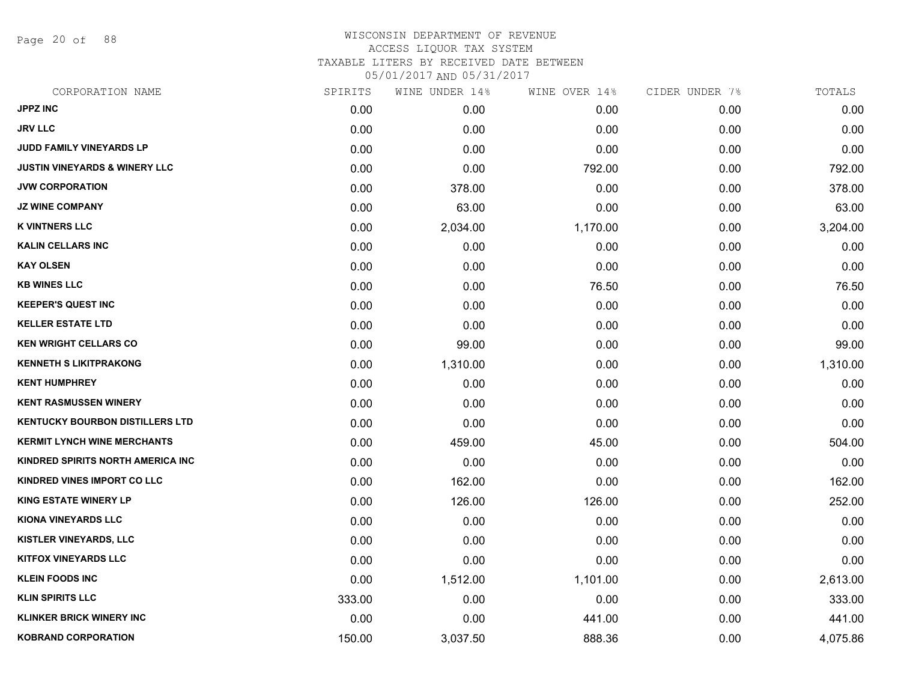Page 20 of 88

#### WISCONSIN DEPARTMENT OF REVENUE ACCESS LIQUOR TAX SYSTEM TAXABLE LITERS BY RECEIVED DATE BETWEEN

| CORPORATION NAME                         | SPIRITS | WINE UNDER 14% | WINE OVER 14% | CIDER UNDER 7% | TOTALS   |
|------------------------------------------|---------|----------------|---------------|----------------|----------|
| <b>JPPZ INC</b>                          | 0.00    | 0.00           | 0.00          | 0.00           | 0.00     |
| <b>JRV LLC</b>                           | 0.00    | 0.00           | 0.00          | 0.00           | 0.00     |
| <b>JUDD FAMILY VINEYARDS LP</b>          | 0.00    | 0.00           | 0.00          | 0.00           | 0.00     |
| <b>JUSTIN VINEYARDS &amp; WINERY LLC</b> | 0.00    | 0.00           | 792.00        | 0.00           | 792.00   |
| <b>JVW CORPORATION</b>                   | 0.00    | 378.00         | 0.00          | 0.00           | 378.00   |
| <b>JZ WINE COMPANY</b>                   | 0.00    | 63.00          | 0.00          | 0.00           | 63.00    |
| <b>K VINTNERS LLC</b>                    | 0.00    | 2,034.00       | 1,170.00      | 0.00           | 3,204.00 |
| <b>KALIN CELLARS INC</b>                 | 0.00    | 0.00           | 0.00          | 0.00           | 0.00     |
| <b>KAY OLSEN</b>                         | 0.00    | 0.00           | 0.00          | 0.00           | 0.00     |
| <b>KB WINES LLC</b>                      | 0.00    | 0.00           | 76.50         | 0.00           | 76.50    |
| <b>KEEPER'S QUEST INC</b>                | 0.00    | 0.00           | 0.00          | 0.00           | 0.00     |
| <b>KELLER ESTATE LTD</b>                 | 0.00    | 0.00           | 0.00          | 0.00           | 0.00     |
| <b>KEN WRIGHT CELLARS CO</b>             | 0.00    | 99.00          | 0.00          | 0.00           | 99.00    |
| <b>KENNETH S LIKITPRAKONG</b>            | 0.00    | 1,310.00       | 0.00          | 0.00           | 1,310.00 |
| <b>KENT HUMPHREY</b>                     | 0.00    | 0.00           | 0.00          | 0.00           | 0.00     |
| <b>KENT RASMUSSEN WINERY</b>             | 0.00    | 0.00           | 0.00          | 0.00           | 0.00     |
| <b>KENTUCKY BOURBON DISTILLERS LTD</b>   | 0.00    | 0.00           | 0.00          | 0.00           | 0.00     |
| <b>KERMIT LYNCH WINE MERCHANTS</b>       | 0.00    | 459.00         | 45.00         | 0.00           | 504.00   |
| KINDRED SPIRITS NORTH AMERICA INC        | 0.00    | 0.00           | 0.00          | 0.00           | 0.00     |
| KINDRED VINES IMPORT CO LLC              | 0.00    | 162.00         | 0.00          | 0.00           | 162.00   |
| <b>KING ESTATE WINERY LP</b>             | 0.00    | 126.00         | 126.00        | 0.00           | 252.00   |
| KIONA VINEYARDS LLC                      | 0.00    | 0.00           | 0.00          | 0.00           | 0.00     |
| <b>KISTLER VINEYARDS, LLC</b>            | 0.00    | 0.00           | 0.00          | 0.00           | 0.00     |
| <b>KITFOX VINEYARDS LLC</b>              | 0.00    | 0.00           | 0.00          | 0.00           | 0.00     |
| <b>KLEIN FOODS INC</b>                   | 0.00    | 1,512.00       | 1,101.00      | 0.00           | 2,613.00 |
| <b>KLIN SPIRITS LLC</b>                  | 333.00  | 0.00           | 0.00          | 0.00           | 333.00   |
| <b>KLINKER BRICK WINERY INC</b>          | 0.00    | 0.00           | 441.00        | 0.00           | 441.00   |
| <b>KOBRAND CORPORATION</b>               | 150.00  | 3,037.50       | 888.36        | 0.00           | 4,075.86 |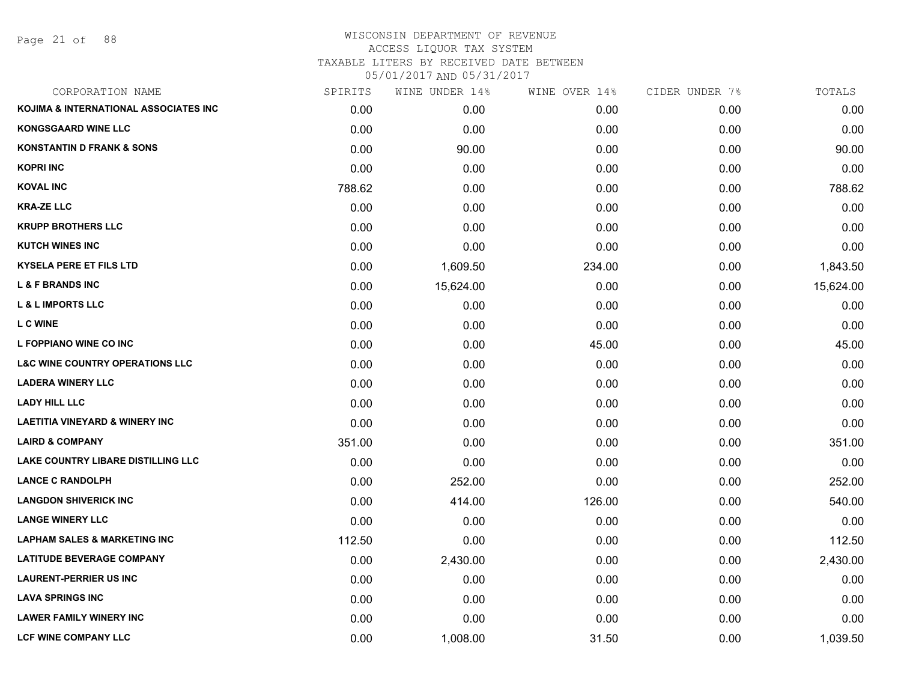Page 21 of 88

## WISCONSIN DEPARTMENT OF REVENUE ACCESS LIQUOR TAX SYSTEM TAXABLE LITERS BY RECEIVED DATE BETWEEN

| CORPORATION NAME                           | SPIRITS | WINE UNDER 14% | WINE OVER 14% | CIDER UNDER 7% | TOTALS    |
|--------------------------------------------|---------|----------------|---------------|----------------|-----------|
| KOJIMA & INTERNATIONAL ASSOCIATES INC      | 0.00    | 0.00           | 0.00          | 0.00           | 0.00      |
| <b>KONGSGAARD WINE LLC</b>                 | 0.00    | 0.00           | 0.00          | 0.00           | 0.00      |
| <b>KONSTANTIN D FRANK &amp; SONS</b>       | 0.00    | 90.00          | 0.00          | 0.00           | 90.00     |
| <b>KOPRI INC</b>                           | 0.00    | 0.00           | 0.00          | 0.00           | 0.00      |
| <b>KOVAL INC</b>                           | 788.62  | 0.00           | 0.00          | 0.00           | 788.62    |
| <b>KRA-ZE LLC</b>                          | 0.00    | 0.00           | 0.00          | 0.00           | 0.00      |
| <b>KRUPP BROTHERS LLC</b>                  | 0.00    | 0.00           | 0.00          | 0.00           | 0.00      |
| <b>KUTCH WINES INC</b>                     | 0.00    | 0.00           | 0.00          | 0.00           | 0.00      |
| <b>KYSELA PERE ET FILS LTD</b>             | 0.00    | 1,609.50       | 234.00        | 0.00           | 1,843.50  |
| <b>L &amp; F BRANDS INC</b>                | 0.00    | 15,624.00      | 0.00          | 0.00           | 15,624.00 |
| <b>L &amp; L IMPORTS LLC</b>               | 0.00    | 0.00           | 0.00          | 0.00           | 0.00      |
| <b>LC WINE</b>                             | 0.00    | 0.00           | 0.00          | 0.00           | 0.00      |
| L FOPPIANO WINE CO INC                     | 0.00    | 0.00           | 45.00         | 0.00           | 45.00     |
| <b>L&amp;C WINE COUNTRY OPERATIONS LLC</b> | 0.00    | 0.00           | 0.00          | 0.00           | 0.00      |
| <b>LADERA WINERY LLC</b>                   | 0.00    | 0.00           | 0.00          | 0.00           | 0.00      |
| <b>LADY HILL LLC</b>                       | 0.00    | 0.00           | 0.00          | 0.00           | 0.00      |
| <b>LAETITIA VINEYARD &amp; WINERY INC</b>  | 0.00    | 0.00           | 0.00          | 0.00           | 0.00      |
| <b>LAIRD &amp; COMPANY</b>                 | 351.00  | 0.00           | 0.00          | 0.00           | 351.00    |
| <b>LAKE COUNTRY LIBARE DISTILLING LLC</b>  | 0.00    | 0.00           | 0.00          | 0.00           | 0.00      |
| <b>LANCE C RANDOLPH</b>                    | 0.00    | 252.00         | 0.00          | 0.00           | 252.00    |
| <b>LANGDON SHIVERICK INC</b>               | 0.00    | 414.00         | 126.00        | 0.00           | 540.00    |
| <b>LANGE WINERY LLC</b>                    | 0.00    | 0.00           | 0.00          | 0.00           | 0.00      |
| <b>LAPHAM SALES &amp; MARKETING INC</b>    | 112.50  | 0.00           | 0.00          | 0.00           | 112.50    |
| <b>LATITUDE BEVERAGE COMPANY</b>           | 0.00    | 2,430.00       | 0.00          | 0.00           | 2,430.00  |
| <b>LAURENT-PERRIER US INC</b>              | 0.00    | 0.00           | 0.00          | 0.00           | 0.00      |
| <b>LAVA SPRINGS INC</b>                    | 0.00    | 0.00           | 0.00          | 0.00           | 0.00      |
| <b>LAWER FAMILY WINERY INC</b>             | 0.00    | 0.00           | 0.00          | 0.00           | 0.00      |
| <b>LCF WINE COMPANY LLC</b>                | 0.00    | 1,008.00       | 31.50         | 0.00           | 1,039.50  |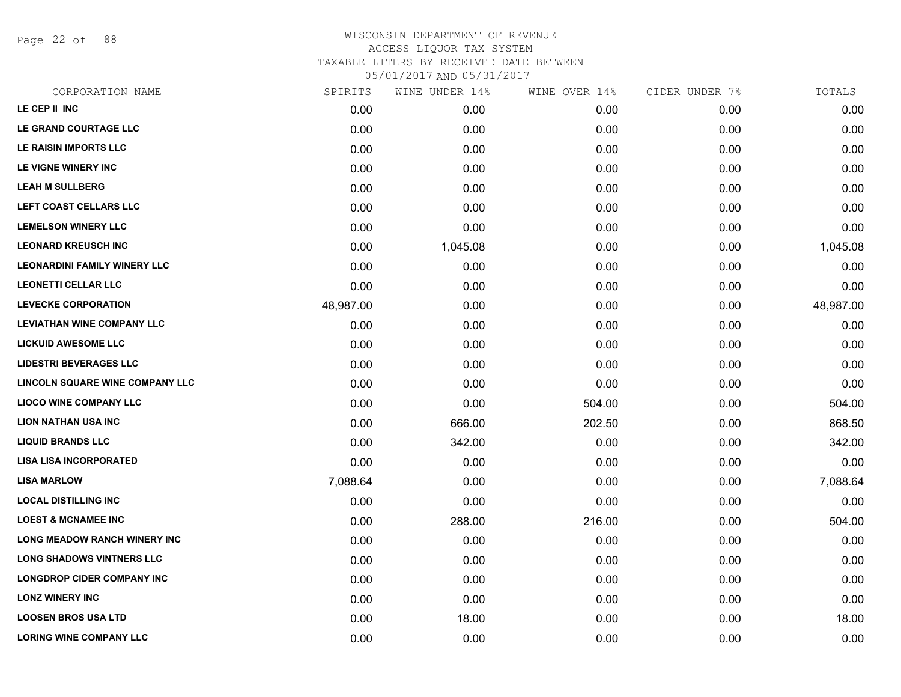Page 22 of 88

## WISCONSIN DEPARTMENT OF REVENUE ACCESS LIQUOR TAX SYSTEM TAXABLE LITERS BY RECEIVED DATE BETWEEN

| CORPORATION NAME                    | SPIRITS   | WINE UNDER 14% | WINE OVER 14% | CIDER UNDER 7% | TOTALS    |
|-------------------------------------|-----------|----------------|---------------|----------------|-----------|
| LE CEP II INC                       | 0.00      | 0.00           | 0.00          | 0.00           | 0.00      |
| LE GRAND COURTAGE LLC               | 0.00      | 0.00           | 0.00          | 0.00           | 0.00      |
| LE RAISIN IMPORTS LLC               | 0.00      | 0.00           | 0.00          | 0.00           | 0.00      |
| LE VIGNE WINERY INC                 | 0.00      | 0.00           | 0.00          | 0.00           | 0.00      |
| <b>LEAH M SULLBERG</b>              | 0.00      | 0.00           | 0.00          | 0.00           | 0.00      |
| LEFT COAST CELLARS LLC              | 0.00      | 0.00           | 0.00          | 0.00           | 0.00      |
| <b>LEMELSON WINERY LLC</b>          | 0.00      | 0.00           | 0.00          | 0.00           | 0.00      |
| <b>LEONARD KREUSCH INC</b>          | 0.00      | 1,045.08       | 0.00          | 0.00           | 1,045.08  |
| <b>LEONARDINI FAMILY WINERY LLC</b> | 0.00      | 0.00           | 0.00          | 0.00           | 0.00      |
| <b>LEONETTI CELLAR LLC</b>          | 0.00      | 0.00           | 0.00          | 0.00           | 0.00      |
| <b>LEVECKE CORPORATION</b>          | 48,987.00 | 0.00           | 0.00          | 0.00           | 48,987.00 |
| <b>LEVIATHAN WINE COMPANY LLC</b>   | 0.00      | 0.00           | 0.00          | 0.00           | 0.00      |
| <b>LICKUID AWESOME LLC</b>          | 0.00      | 0.00           | 0.00          | 0.00           | 0.00      |
| <b>LIDESTRI BEVERAGES LLC</b>       | 0.00      | 0.00           | 0.00          | 0.00           | 0.00      |
| LINCOLN SQUARE WINE COMPANY LLC     | 0.00      | 0.00           | 0.00          | 0.00           | 0.00      |
| <b>LIOCO WINE COMPANY LLC</b>       | 0.00      | 0.00           | 504.00        | 0.00           | 504.00    |
| <b>LION NATHAN USA INC</b>          | 0.00      | 666.00         | 202.50        | 0.00           | 868.50    |
| <b>LIQUID BRANDS LLC</b>            | 0.00      | 342.00         | 0.00          | 0.00           | 342.00    |
| <b>LISA LISA INCORPORATED</b>       | 0.00      | 0.00           | 0.00          | 0.00           | 0.00      |
| <b>LISA MARLOW</b>                  | 7,088.64  | 0.00           | 0.00          | 0.00           | 7,088.64  |
| <b>LOCAL DISTILLING INC</b>         | 0.00      | 0.00           | 0.00          | 0.00           | 0.00      |
| <b>LOEST &amp; MCNAMEE INC</b>      | 0.00      | 288.00         | 216.00        | 0.00           | 504.00    |
| <b>LONG MEADOW RANCH WINERY INC</b> | 0.00      | 0.00           | 0.00          | 0.00           | 0.00      |
| <b>LONG SHADOWS VINTNERS LLC</b>    | 0.00      | 0.00           | 0.00          | 0.00           | 0.00      |
| <b>LONGDROP CIDER COMPANY INC</b>   | 0.00      | 0.00           | 0.00          | 0.00           | 0.00      |
| <b>LONZ WINERY INC</b>              | 0.00      | 0.00           | 0.00          | 0.00           | 0.00      |
| <b>LOOSEN BROS USA LTD</b>          | 0.00      | 18.00          | 0.00          | 0.00           | 18.00     |
| <b>LORING WINE COMPANY LLC</b>      | 0.00      | 0.00           | 0.00          | 0.00           | 0.00      |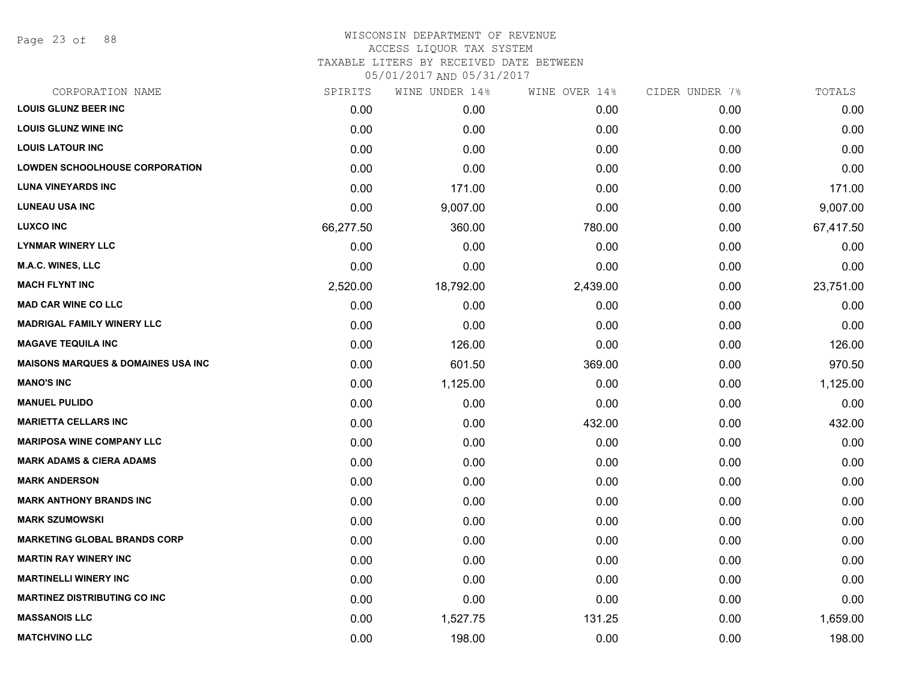Page 23 of 88

#### WISCONSIN DEPARTMENT OF REVENUE ACCESS LIQUOR TAX SYSTEM

TAXABLE LITERS BY RECEIVED DATE BETWEEN

| CORPORATION NAME                               | SPIRITS   | WINE UNDER 14% | WINE OVER 14% | CIDER UNDER 7% | TOTALS    |
|------------------------------------------------|-----------|----------------|---------------|----------------|-----------|
| <b>LOUIS GLUNZ BEER INC</b>                    | 0.00      | 0.00           | 0.00          | 0.00           | 0.00      |
| <b>LOUIS GLUNZ WINE INC</b>                    | 0.00      | 0.00           | 0.00          | 0.00           | 0.00      |
| <b>LOUIS LATOUR INC</b>                        | 0.00      | 0.00           | 0.00          | 0.00           | 0.00      |
| <b>LOWDEN SCHOOLHOUSE CORPORATION</b>          | 0.00      | 0.00           | 0.00          | 0.00           | 0.00      |
| <b>LUNA VINEYARDS INC</b>                      | 0.00      | 171.00         | 0.00          | 0.00           | 171.00    |
| <b>LUNEAU USA INC</b>                          | 0.00      | 9,007.00       | 0.00          | 0.00           | 9,007.00  |
| <b>LUXCO INC</b>                               | 66,277.50 | 360.00         | 780.00        | 0.00           | 67,417.50 |
| <b>LYNMAR WINERY LLC</b>                       | 0.00      | 0.00           | 0.00          | 0.00           | 0.00      |
| M.A.C. WINES, LLC                              | 0.00      | 0.00           | 0.00          | 0.00           | 0.00      |
| <b>MACH FLYNT INC</b>                          | 2,520.00  | 18,792.00      | 2,439.00      | 0.00           | 23,751.00 |
| <b>MAD CAR WINE CO LLC</b>                     | 0.00      | 0.00           | 0.00          | 0.00           | 0.00      |
| <b>MADRIGAL FAMILY WINERY LLC</b>              | 0.00      | 0.00           | 0.00          | 0.00           | 0.00      |
| <b>MAGAVE TEQUILA INC</b>                      | 0.00      | 126.00         | 0.00          | 0.00           | 126.00    |
| <b>MAISONS MARQUES &amp; DOMAINES USA INC.</b> | 0.00      | 601.50         | 369.00        | 0.00           | 970.50    |
| <b>MANO'S INC</b>                              | 0.00      | 1,125.00       | 0.00          | 0.00           | 1,125.00  |
| <b>MANUEL PULIDO</b>                           | 0.00      | 0.00           | 0.00          | 0.00           | 0.00      |
| <b>MARIETTA CELLARS INC</b>                    | 0.00      | 0.00           | 432.00        | 0.00           | 432.00    |
| <b>MARIPOSA WINE COMPANY LLC</b>               | 0.00      | 0.00           | 0.00          | 0.00           | 0.00      |
| <b>MARK ADAMS &amp; CIERA ADAMS</b>            | 0.00      | 0.00           | 0.00          | 0.00           | 0.00      |
| <b>MARK ANDERSON</b>                           | 0.00      | 0.00           | 0.00          | 0.00           | 0.00      |
| <b>MARK ANTHONY BRANDS INC</b>                 | 0.00      | 0.00           | 0.00          | 0.00           | 0.00      |
| <b>MARK SZUMOWSKI</b>                          | 0.00      | 0.00           | 0.00          | 0.00           | 0.00      |
| <b>MARKETING GLOBAL BRANDS CORP</b>            | 0.00      | 0.00           | 0.00          | 0.00           | 0.00      |
| <b>MARTIN RAY WINERY INC</b>                   | 0.00      | 0.00           | 0.00          | 0.00           | 0.00      |
| <b>MARTINELLI WINERY INC</b>                   | 0.00      | 0.00           | 0.00          | 0.00           | 0.00      |
| <b>MARTINEZ DISTRIBUTING CO INC</b>            | 0.00      | 0.00           | 0.00          | 0.00           | 0.00      |
| <b>MASSANOIS LLC</b>                           | 0.00      | 1,527.75       | 131.25        | 0.00           | 1,659.00  |
| <b>MATCHVINO LLC</b>                           | 0.00      | 198.00         | 0.00          | 0.00           | 198.00    |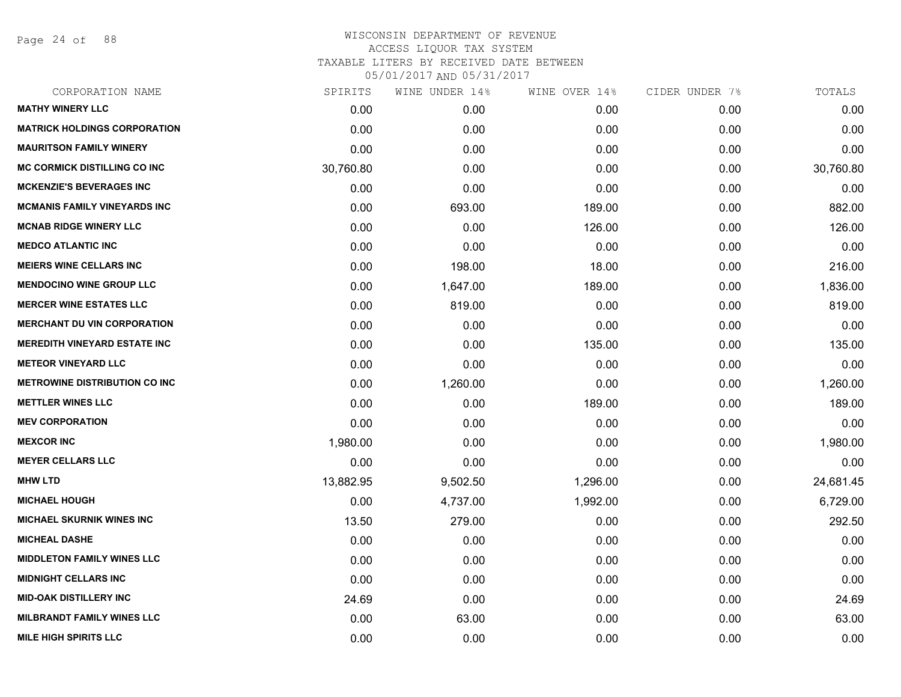Page 24 of 88

| CORPORATION NAME                     | SPIRITS   | WINE UNDER 14% | WINE OVER 14% | CIDER UNDER 7% | TOTALS    |
|--------------------------------------|-----------|----------------|---------------|----------------|-----------|
| <b>MATHY WINERY LLC</b>              | 0.00      | 0.00           | 0.00          | 0.00           | 0.00      |
| <b>MATRICK HOLDINGS CORPORATION</b>  | 0.00      | 0.00           | 0.00          | 0.00           | 0.00      |
| <b>MAURITSON FAMILY WINERY</b>       | 0.00      | 0.00           | 0.00          | 0.00           | 0.00      |
| <b>MC CORMICK DISTILLING CO INC</b>  | 30,760.80 | 0.00           | 0.00          | 0.00           | 30,760.80 |
| <b>MCKENZIE'S BEVERAGES INC</b>      | 0.00      | 0.00           | 0.00          | 0.00           | 0.00      |
| <b>MCMANIS FAMILY VINEYARDS INC</b>  | 0.00      | 693.00         | 189.00        | 0.00           | 882.00    |
| <b>MCNAB RIDGE WINERY LLC</b>        | 0.00      | 0.00           | 126.00        | 0.00           | 126.00    |
| <b>MEDCO ATLANTIC INC</b>            | 0.00      | 0.00           | 0.00          | 0.00           | 0.00      |
| <b>MEIERS WINE CELLARS INC</b>       | 0.00      | 198.00         | 18.00         | 0.00           | 216.00    |
| <b>MENDOCINO WINE GROUP LLC</b>      | 0.00      | 1,647.00       | 189.00        | 0.00           | 1,836.00  |
| <b>MERCER WINE ESTATES LLC</b>       | 0.00      | 819.00         | 0.00          | 0.00           | 819.00    |
| <b>MERCHANT DU VIN CORPORATION</b>   | 0.00      | 0.00           | 0.00          | 0.00           | 0.00      |
| <b>MEREDITH VINEYARD ESTATE INC</b>  | 0.00      | 0.00           | 135.00        | 0.00           | 135.00    |
| <b>METEOR VINEYARD LLC</b>           | 0.00      | 0.00           | 0.00          | 0.00           | 0.00      |
| <b>METROWINE DISTRIBUTION CO INC</b> | 0.00      | 1,260.00       | 0.00          | 0.00           | 1,260.00  |
| <b>METTLER WINES LLC</b>             | 0.00      | 0.00           | 189.00        | 0.00           | 189.00    |
| <b>MEV CORPORATION</b>               | 0.00      | 0.00           | 0.00          | 0.00           | 0.00      |
| <b>MEXCOR INC</b>                    | 1,980.00  | 0.00           | 0.00          | 0.00           | 1,980.00  |
| <b>MEYER CELLARS LLC</b>             | 0.00      | 0.00           | 0.00          | 0.00           | 0.00      |
| <b>MHW LTD</b>                       | 13,882.95 | 9,502.50       | 1,296.00      | 0.00           | 24,681.45 |
| <b>MICHAEL HOUGH</b>                 | 0.00      | 4,737.00       | 1,992.00      | 0.00           | 6,729.00  |
| <b>MICHAEL SKURNIK WINES INC</b>     | 13.50     | 279.00         | 0.00          | 0.00           | 292.50    |
| <b>MICHEAL DASHE</b>                 | 0.00      | 0.00           | 0.00          | 0.00           | 0.00      |
| <b>MIDDLETON FAMILY WINES LLC</b>    | 0.00      | 0.00           | 0.00          | 0.00           | 0.00      |
| <b>MIDNIGHT CELLARS INC</b>          | 0.00      | 0.00           | 0.00          | 0.00           | 0.00      |
| <b>MID-OAK DISTILLERY INC</b>        | 24.69     | 0.00           | 0.00          | 0.00           | 24.69     |
| <b>MILBRANDT FAMILY WINES LLC</b>    | 0.00      | 63.00          | 0.00          | 0.00           | 63.00     |
| <b>MILE HIGH SPIRITS LLC</b>         | 0.00      | 0.00           | 0.00          | 0.00           | 0.00      |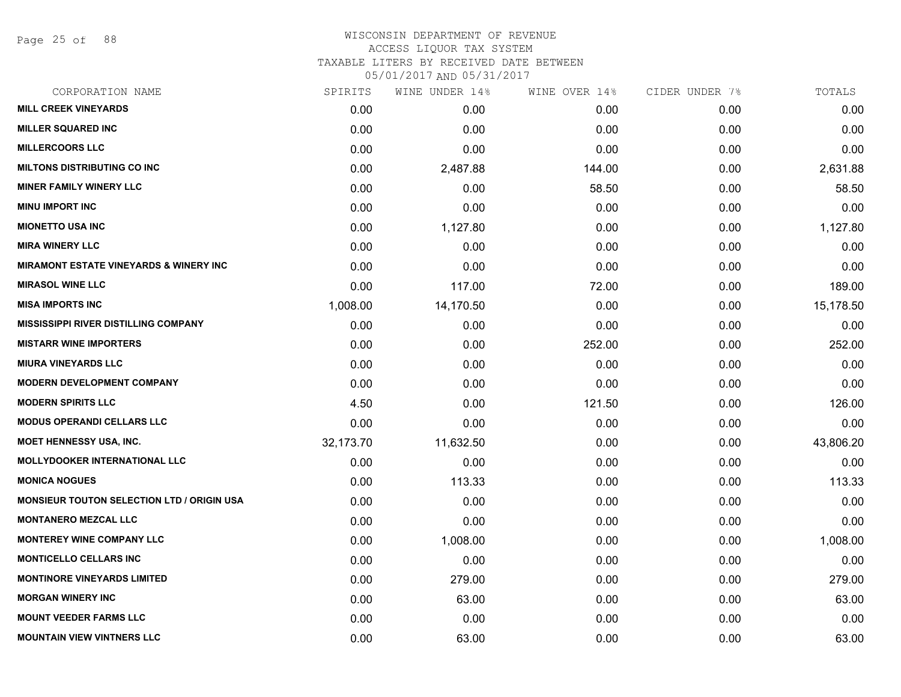Page 25 of 88

#### WISCONSIN DEPARTMENT OF REVENUE ACCESS LIQUOR TAX SYSTEM TAXABLE LITERS BY RECEIVED DATE BETWEEN

| CORPORATION NAME                                  | SPIRITS   | WINE UNDER 14% | WINE OVER 14% | CIDER UNDER 7% | TOTALS    |
|---------------------------------------------------|-----------|----------------|---------------|----------------|-----------|
| <b>MILL CREEK VINEYARDS</b>                       | 0.00      | 0.00           | 0.00          | 0.00           | 0.00      |
| <b>MILLER SQUARED INC</b>                         | 0.00      | 0.00           | 0.00          | 0.00           | 0.00      |
| <b>MILLERCOORS LLC</b>                            | 0.00      | 0.00           | 0.00          | 0.00           | 0.00      |
| <b>MILTONS DISTRIBUTING CO INC</b>                | 0.00      | 2,487.88       | 144.00        | 0.00           | 2,631.88  |
| <b>MINER FAMILY WINERY LLC</b>                    | 0.00      | 0.00           | 58.50         | 0.00           | 58.50     |
| <b>MINU IMPORT INC</b>                            | 0.00      | 0.00           | 0.00          | 0.00           | 0.00      |
| <b>MIONETTO USA INC</b>                           | 0.00      | 1,127.80       | 0.00          | 0.00           | 1,127.80  |
| <b>MIRA WINERY LLC</b>                            | 0.00      | 0.00           | 0.00          | 0.00           | 0.00      |
| <b>MIRAMONT ESTATE VINEYARDS &amp; WINERY INC</b> | 0.00      | 0.00           | 0.00          | 0.00           | 0.00      |
| <b>MIRASOL WINE LLC</b>                           | 0.00      | 117.00         | 72.00         | 0.00           | 189.00    |
| <b>MISA IMPORTS INC</b>                           | 1,008.00  | 14,170.50      | 0.00          | 0.00           | 15,178.50 |
| <b>MISSISSIPPI RIVER DISTILLING COMPANY</b>       | 0.00      | 0.00           | 0.00          | 0.00           | 0.00      |
| <b>MISTARR WINE IMPORTERS</b>                     | 0.00      | 0.00           | 252.00        | 0.00           | 252.00    |
| <b>MIURA VINEYARDS LLC</b>                        | 0.00      | 0.00           | 0.00          | 0.00           | 0.00      |
| <b>MODERN DEVELOPMENT COMPANY</b>                 | 0.00      | 0.00           | 0.00          | 0.00           | 0.00      |
| <b>MODERN SPIRITS LLC</b>                         | 4.50      | 0.00           | 121.50        | 0.00           | 126.00    |
| <b>MODUS OPERANDI CELLARS LLC</b>                 | 0.00      | 0.00           | 0.00          | 0.00           | 0.00      |
| MOET HENNESSY USA, INC.                           | 32,173.70 | 11,632.50      | 0.00          | 0.00           | 43,806.20 |
| <b>MOLLYDOOKER INTERNATIONAL LLC</b>              | 0.00      | 0.00           | 0.00          | 0.00           | 0.00      |
| <b>MONICA NOGUES</b>                              | 0.00      | 113.33         | 0.00          | 0.00           | 113.33    |
| <b>MONSIEUR TOUTON SELECTION LTD / ORIGIN USA</b> | 0.00      | 0.00           | 0.00          | 0.00           | 0.00      |
| <b>MONTANERO MEZCAL LLC</b>                       | 0.00      | 0.00           | 0.00          | 0.00           | 0.00      |
| <b>MONTEREY WINE COMPANY LLC</b>                  | 0.00      | 1,008.00       | 0.00          | 0.00           | 1,008.00  |
| <b>MONTICELLO CELLARS INC</b>                     | 0.00      | 0.00           | 0.00          | 0.00           | 0.00      |
| <b>MONTINORE VINEYARDS LIMITED</b>                | 0.00      | 279.00         | 0.00          | 0.00           | 279.00    |
| <b>MORGAN WINERY INC</b>                          | 0.00      | 63.00          | 0.00          | 0.00           | 63.00     |
| <b>MOUNT VEEDER FARMS LLC</b>                     | 0.00      | 0.00           | 0.00          | 0.00           | 0.00      |
| <b>MOUNTAIN VIEW VINTNERS LLC</b>                 | 0.00      | 63.00          | 0.00          | 0.00           | 63.00     |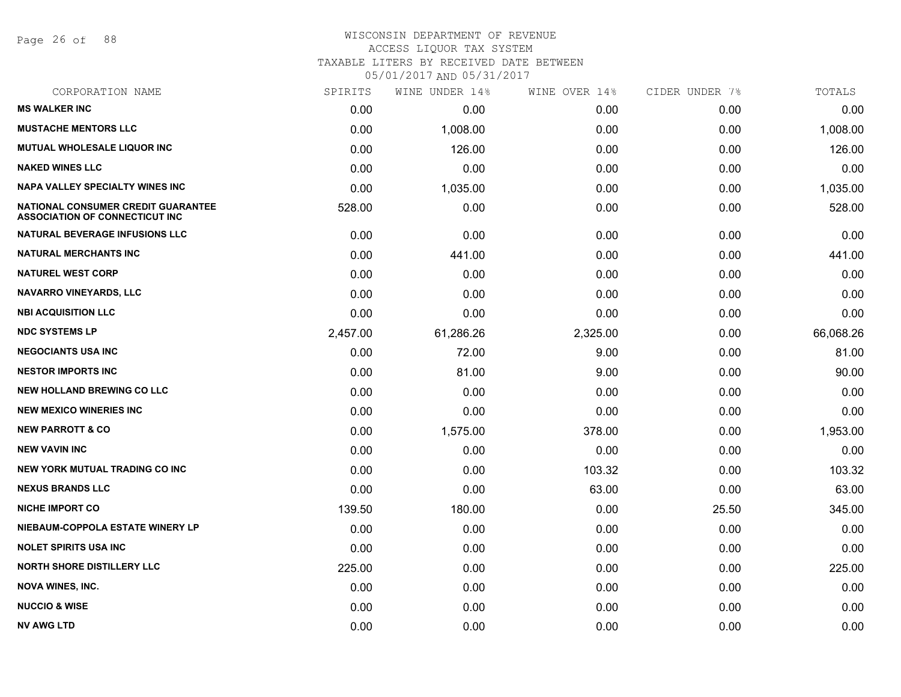Page 26 of 88

## WISCONSIN DEPARTMENT OF REVENUE ACCESS LIQUOR TAX SYSTEM TAXABLE LITERS BY RECEIVED DATE BETWEEN

| CORPORATION NAME                                                            | SPIRITS  | WINE UNDER 14% | WINE OVER 14% | CIDER UNDER 7% | TOTALS    |
|-----------------------------------------------------------------------------|----------|----------------|---------------|----------------|-----------|
| <b>MS WALKER INC</b>                                                        | 0.00     | 0.00           | 0.00          | 0.00           | 0.00      |
| <b>MUSTACHE MENTORS LLC</b>                                                 | 0.00     | 1,008.00       | 0.00          | 0.00           | 1,008.00  |
| <b>MUTUAL WHOLESALE LIQUOR INC</b>                                          | 0.00     | 126.00         | 0.00          | 0.00           | 126.00    |
| <b>NAKED WINES LLC</b>                                                      | 0.00     | 0.00           | 0.00          | 0.00           | 0.00      |
| <b>NAPA VALLEY SPECIALTY WINES INC</b>                                      | 0.00     | 1,035.00       | 0.00          | 0.00           | 1,035.00  |
| NATIONAL CONSUMER CREDIT GUARANTEE<br><b>ASSOCIATION OF CONNECTICUT INC</b> | 528.00   | 0.00           | 0.00          | 0.00           | 528.00    |
| <b>NATURAL BEVERAGE INFUSIONS LLC</b>                                       | 0.00     | 0.00           | 0.00          | 0.00           | 0.00      |
| <b>NATURAL MERCHANTS INC</b>                                                | 0.00     | 441.00         | 0.00          | 0.00           | 441.00    |
| <b>NATUREL WEST CORP</b>                                                    | 0.00     | 0.00           | 0.00          | 0.00           | 0.00      |
| <b>NAVARRO VINEYARDS, LLC</b>                                               | 0.00     | 0.00           | 0.00          | 0.00           | 0.00      |
| <b>NBI ACQUISITION LLC</b>                                                  | 0.00     | 0.00           | 0.00          | 0.00           | 0.00      |
| <b>NDC SYSTEMS LP</b>                                                       | 2,457.00 | 61,286.26      | 2,325.00      | 0.00           | 66,068.26 |
| <b>NEGOCIANTS USA INC</b>                                                   | 0.00     | 72.00          | 9.00          | 0.00           | 81.00     |
| <b>NESTOR IMPORTS INC</b>                                                   | 0.00     | 81.00          | 9.00          | 0.00           | 90.00     |
| <b>NEW HOLLAND BREWING CO LLC</b>                                           | 0.00     | 0.00           | 0.00          | 0.00           | 0.00      |
| <b>NEW MEXICO WINERIES INC</b>                                              | 0.00     | 0.00           | 0.00          | 0.00           | 0.00      |
| <b>NEW PARROTT &amp; CO</b>                                                 | 0.00     | 1,575.00       | 378.00        | 0.00           | 1,953.00  |
| <b>NEW VAVIN INC</b>                                                        | 0.00     | 0.00           | 0.00          | 0.00           | 0.00      |
| <b>NEW YORK MUTUAL TRADING CO INC</b>                                       | 0.00     | 0.00           | 103.32        | 0.00           | 103.32    |
| <b>NEXUS BRANDS LLC</b>                                                     | 0.00     | 0.00           | 63.00         | 0.00           | 63.00     |
| <b>NICHE IMPORT CO</b>                                                      | 139.50   | 180.00         | 0.00          | 25.50          | 345.00    |
| NIEBAUM-COPPOLA ESTATE WINERY LP                                            | 0.00     | 0.00           | 0.00          | 0.00           | 0.00      |
| <b>NOLET SPIRITS USA INC</b>                                                | 0.00     | 0.00           | 0.00          | 0.00           | 0.00      |
| <b>NORTH SHORE DISTILLERY LLC</b>                                           | 225.00   | 0.00           | 0.00          | 0.00           | 225.00    |
| <b>NOVA WINES, INC.</b>                                                     | 0.00     | 0.00           | 0.00          | 0.00           | 0.00      |
| <b>NUCCIO &amp; WISE</b>                                                    | 0.00     | 0.00           | 0.00          | 0.00           | 0.00      |
| NV AWG LTD                                                                  | 0.00     | 0.00           | 0.00          | 0.00           | 0.00      |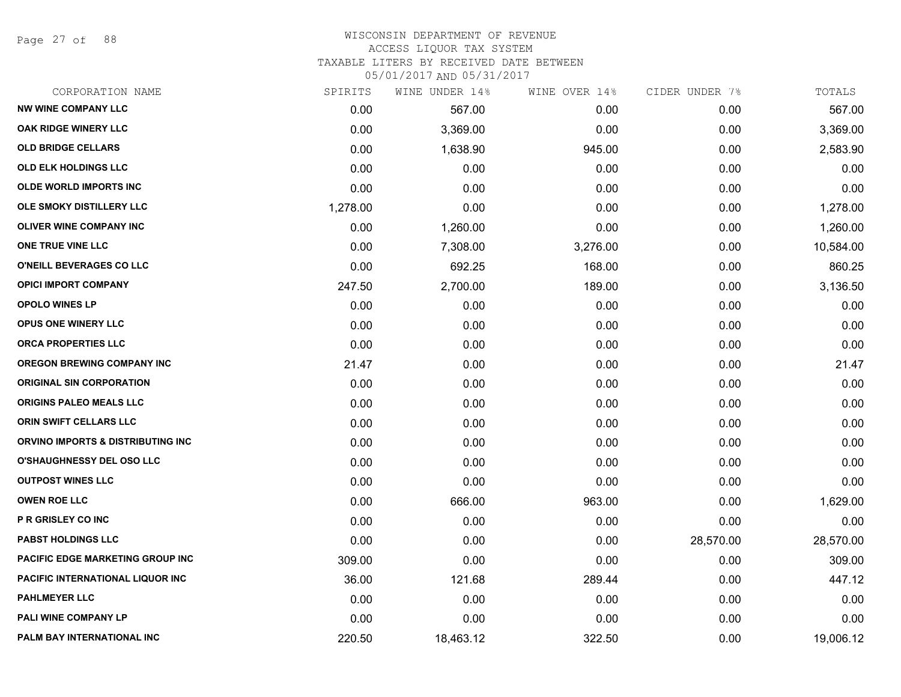Page 27 of 88

#### WISCONSIN DEPARTMENT OF REVENUE ACCESS LIQUOR TAX SYSTEM

TAXABLE LITERS BY RECEIVED DATE BETWEEN

| CORPORATION NAME                         | SPIRITS  | WINE UNDER 14% | WINE OVER 14% | CIDER UNDER 7% | TOTALS    |
|------------------------------------------|----------|----------------|---------------|----------------|-----------|
| <b>NW WINE COMPANY LLC</b>               | 0.00     | 567.00         | 0.00          | 0.00           | 567.00    |
| <b>OAK RIDGE WINERY LLC</b>              | 0.00     | 3,369.00       | 0.00          | 0.00           | 3,369.00  |
| <b>OLD BRIDGE CELLARS</b>                | 0.00     | 1,638.90       | 945.00        | 0.00           | 2,583.90  |
| <b>OLD ELK HOLDINGS LLC</b>              | 0.00     | 0.00           | 0.00          | 0.00           | 0.00      |
| <b>OLDE WORLD IMPORTS INC</b>            | 0.00     | 0.00           | 0.00          | 0.00           | 0.00      |
| OLE SMOKY DISTILLERY LLC                 | 1,278.00 | 0.00           | 0.00          | 0.00           | 1,278.00  |
| <b>OLIVER WINE COMPANY INC</b>           | 0.00     | 1,260.00       | 0.00          | 0.00           | 1,260.00  |
| ONE TRUE VINE LLC                        | 0.00     | 7,308.00       | 3,276.00      | 0.00           | 10,584.00 |
| O'NEILL BEVERAGES CO LLC                 | 0.00     | 692.25         | 168.00        | 0.00           | 860.25    |
| <b>OPICI IMPORT COMPANY</b>              | 247.50   | 2,700.00       | 189.00        | 0.00           | 3,136.50  |
| <b>OPOLO WINES LP</b>                    | 0.00     | 0.00           | 0.00          | 0.00           | 0.00      |
| <b>OPUS ONE WINERY LLC</b>               | 0.00     | 0.00           | 0.00          | 0.00           | 0.00      |
| ORCA PROPERTIES LLC                      | 0.00     | 0.00           | 0.00          | 0.00           | 0.00      |
| <b>OREGON BREWING COMPANY INC</b>        | 21.47    | 0.00           | 0.00          | 0.00           | 21.47     |
| <b>ORIGINAL SIN CORPORATION</b>          | 0.00     | 0.00           | 0.00          | 0.00           | 0.00      |
| ORIGINS PALEO MEALS LLC                  | 0.00     | 0.00           | 0.00          | 0.00           | 0.00      |
| <b>ORIN SWIFT CELLARS LLC</b>            | 0.00     | 0.00           | 0.00          | 0.00           | 0.00      |
| ORVINO IMPORTS & DISTRIBUTING INC        | 0.00     | 0.00           | 0.00          | 0.00           | 0.00      |
| O'SHAUGHNESSY DEL OSO LLC                | 0.00     | 0.00           | 0.00          | 0.00           | 0.00      |
| <b>OUTPOST WINES LLC</b>                 | 0.00     | 0.00           | 0.00          | 0.00           | 0.00      |
| <b>OWEN ROE LLC</b>                      | 0.00     | 666.00         | 963.00        | 0.00           | 1,629.00  |
| P R GRISLEY CO INC                       | 0.00     | 0.00           | 0.00          | 0.00           | 0.00      |
| <b>PABST HOLDINGS LLC</b>                | 0.00     | 0.00           | 0.00          | 28,570.00      | 28,570.00 |
| <b>PACIFIC EDGE MARKETING GROUP INC</b>  | 309.00   | 0.00           | 0.00          | 0.00           | 309.00    |
| <b>PACIFIC INTERNATIONAL LIQUOR INC.</b> | 36.00    | 121.68         | 289.44        | 0.00           | 447.12    |
| <b>PAHLMEYER LLC</b>                     | 0.00     | 0.00           | 0.00          | 0.00           | 0.00      |
| PALI WINE COMPANY LP                     | 0.00     | 0.00           | 0.00          | 0.00           | 0.00      |
| PALM BAY INTERNATIONAL INC               | 220.50   | 18,463.12      | 322.50        | 0.00           | 19,006.12 |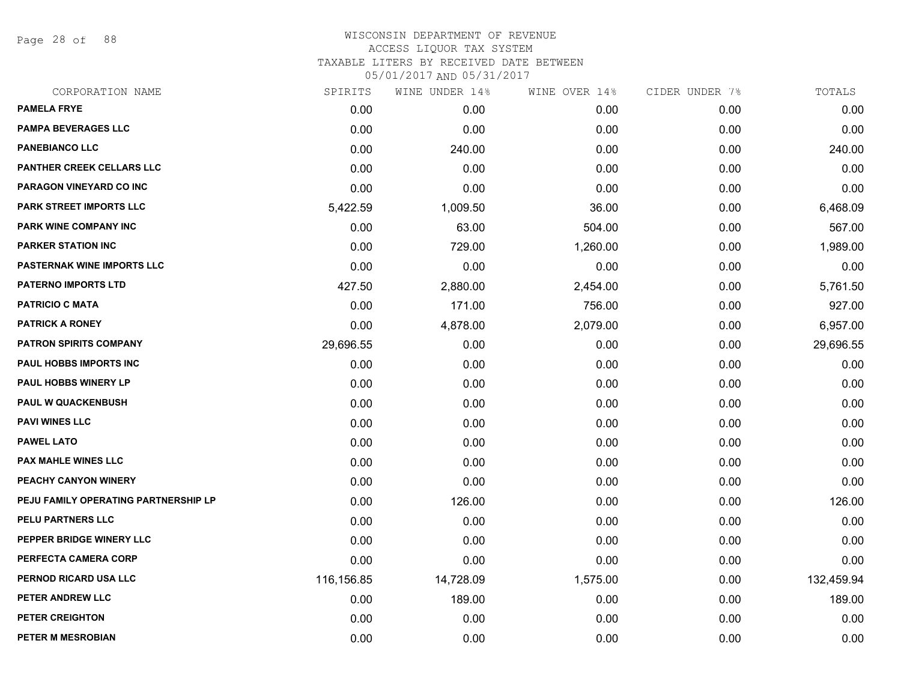Page 28 of 88

| CORPORATION NAME                     | SPIRITS    | WINE UNDER 14% | WINE OVER 14% | CIDER UNDER 7% | TOTALS     |
|--------------------------------------|------------|----------------|---------------|----------------|------------|
| <b>PAMELA FRYE</b>                   | 0.00       | 0.00           | 0.00          | 0.00           | 0.00       |
| <b>PAMPA BEVERAGES LLC</b>           | 0.00       | 0.00           | 0.00          | 0.00           | 0.00       |
| <b>PANEBIANCO LLC</b>                | 0.00       | 240.00         | 0.00          | 0.00           | 240.00     |
| PANTHER CREEK CELLARS LLC            | 0.00       | 0.00           | 0.00          | 0.00           | 0.00       |
| <b>PARAGON VINEYARD CO INC</b>       | 0.00       | 0.00           | 0.00          | 0.00           | 0.00       |
| <b>PARK STREET IMPORTS LLC</b>       | 5,422.59   | 1,009.50       | 36.00         | 0.00           | 6,468.09   |
| <b>PARK WINE COMPANY INC</b>         | 0.00       | 63.00          | 504.00        | 0.00           | 567.00     |
| <b>PARKER STATION INC</b>            | 0.00       | 729.00         | 1,260.00      | 0.00           | 1,989.00   |
| PASTERNAK WINE IMPORTS LLC           | 0.00       | 0.00           | 0.00          | 0.00           | 0.00       |
| <b>PATERNO IMPORTS LTD</b>           | 427.50     | 2,880.00       | 2,454.00      | 0.00           | 5,761.50   |
| <b>PATRICIO C MATA</b>               | 0.00       | 171.00         | 756.00        | 0.00           | 927.00     |
| <b>PATRICK A RONEY</b>               | 0.00       | 4,878.00       | 2,079.00      | 0.00           | 6,957.00   |
| <b>PATRON SPIRITS COMPANY</b>        | 29,696.55  | 0.00           | 0.00          | 0.00           | 29,696.55  |
| PAUL HOBBS IMPORTS INC               | 0.00       | 0.00           | 0.00          | 0.00           | 0.00       |
| PAUL HOBBS WINERY LP                 | 0.00       | 0.00           | 0.00          | 0.00           | 0.00       |
| <b>PAUL W QUACKENBUSH</b>            | 0.00       | 0.00           | 0.00          | 0.00           | 0.00       |
| <b>PAVI WINES LLC</b>                | 0.00       | 0.00           | 0.00          | 0.00           | 0.00       |
| <b>PAWEL LATO</b>                    | 0.00       | 0.00           | 0.00          | 0.00           | 0.00       |
| PAX MAHLE WINES LLC                  | 0.00       | 0.00           | 0.00          | 0.00           | 0.00       |
| PEACHY CANYON WINERY                 | 0.00       | 0.00           | 0.00          | 0.00           | 0.00       |
| PEJU FAMILY OPERATING PARTNERSHIP LP | 0.00       | 126.00         | 0.00          | 0.00           | 126.00     |
| PELU PARTNERS LLC                    | 0.00       | 0.00           | 0.00          | 0.00           | 0.00       |
| PEPPER BRIDGE WINERY LLC             | 0.00       | 0.00           | 0.00          | 0.00           | 0.00       |
| PERFECTA CAMERA CORP                 | 0.00       | 0.00           | 0.00          | 0.00           | 0.00       |
| PERNOD RICARD USA LLC                | 116,156.85 | 14,728.09      | 1,575.00      | 0.00           | 132,459.94 |
| PETER ANDREW LLC                     | 0.00       | 189.00         | 0.00          | 0.00           | 189.00     |
| PETER CREIGHTON                      | 0.00       | 0.00           | 0.00          | 0.00           | 0.00       |
| PETER M MESROBIAN                    | 0.00       | 0.00           | 0.00          | 0.00           | 0.00       |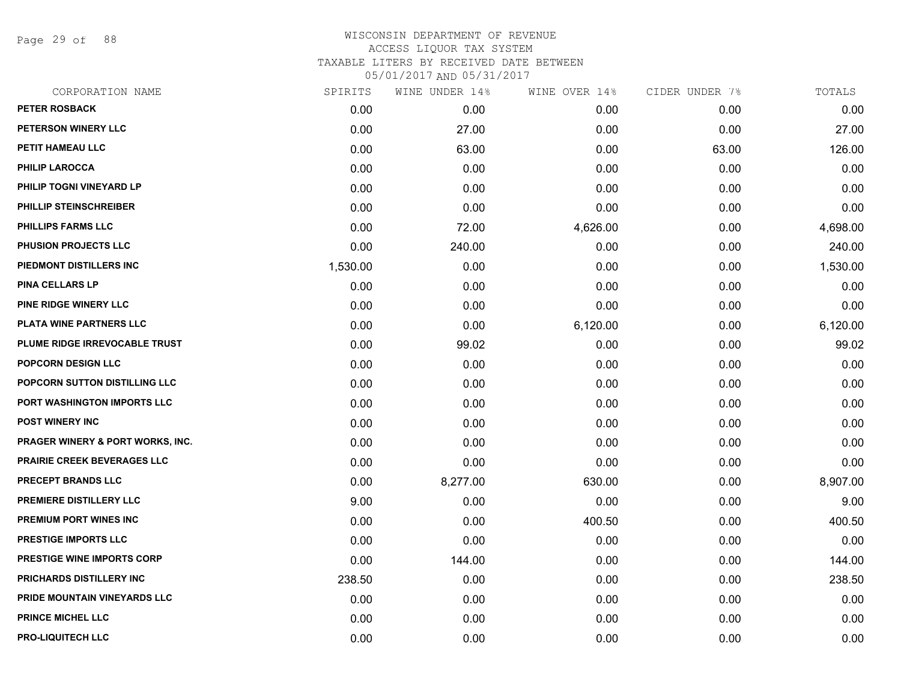Page 29 of 88

| CORPORATION NAME                  | SPIRITS  | WINE UNDER 14% | WINE OVER 14% | CIDER UNDER 7% | TOTALS   |
|-----------------------------------|----------|----------------|---------------|----------------|----------|
| <b>PETER ROSBACK</b>              | 0.00     | 0.00           | 0.00          | 0.00           | 0.00     |
| PETERSON WINERY LLC               | 0.00     | 27.00          | 0.00          | 0.00           | 27.00    |
| PETIT HAMEAU LLC                  | 0.00     | 63.00          | 0.00          | 63.00          | 126.00   |
| PHILIP LAROCCA                    | 0.00     | 0.00           | 0.00          | 0.00           | 0.00     |
| PHILIP TOGNI VINEYARD LP          | 0.00     | 0.00           | 0.00          | 0.00           | 0.00     |
| PHILLIP STEINSCHREIBER            | 0.00     | 0.00           | 0.00          | 0.00           | 0.00     |
| PHILLIPS FARMS LLC                | 0.00     | 72.00          | 4,626.00      | 0.00           | 4,698.00 |
| PHUSION PROJECTS LLC              | 0.00     | 240.00         | 0.00          | 0.00           | 240.00   |
| PIEDMONT DISTILLERS INC           | 1,530.00 | 0.00           | 0.00          | 0.00           | 1,530.00 |
| <b>PINA CELLARS LP</b>            | 0.00     | 0.00           | 0.00          | 0.00           | 0.00     |
| PINE RIDGE WINERY LLC             | 0.00     | 0.00           | 0.00          | 0.00           | 0.00     |
| PLATA WINE PARTNERS LLC           | 0.00     | 0.00           | 6,120.00      | 0.00           | 6,120.00 |
| PLUME RIDGE IRREVOCABLE TRUST     | 0.00     | 99.02          | 0.00          | 0.00           | 99.02    |
| <b>POPCORN DESIGN LLC</b>         | 0.00     | 0.00           | 0.00          | 0.00           | 0.00     |
| POPCORN SUTTON DISTILLING LLC     | 0.00     | 0.00           | 0.00          | 0.00           | 0.00     |
| PORT WASHINGTON IMPORTS LLC       | 0.00     | 0.00           | 0.00          | 0.00           | 0.00     |
| POST WINERY INC                   | 0.00     | 0.00           | 0.00          | 0.00           | 0.00     |
| PRAGER WINERY & PORT WORKS, INC.  | 0.00     | 0.00           | 0.00          | 0.00           | 0.00     |
| PRAIRIE CREEK BEVERAGES LLC       | 0.00     | 0.00           | 0.00          | 0.00           | 0.00     |
| PRECEPT BRANDS LLC                | 0.00     | 8,277.00       | 630.00        | 0.00           | 8,907.00 |
| PREMIERE DISTILLERY LLC           | 9.00     | 0.00           | 0.00          | 0.00           | 9.00     |
| PREMIUM PORT WINES INC            | 0.00     | 0.00           | 400.50        | 0.00           | 400.50   |
| PRESTIGE IMPORTS LLC              | 0.00     | 0.00           | 0.00          | 0.00           | 0.00     |
| <b>PRESTIGE WINE IMPORTS CORP</b> | 0.00     | 144.00         | 0.00          | 0.00           | 144.00   |
| PRICHARDS DISTILLERY INC          | 238.50   | 0.00           | 0.00          | 0.00           | 238.50   |
| PRIDE MOUNTAIN VINEYARDS LLC      | 0.00     | 0.00           | 0.00          | 0.00           | 0.00     |
| <b>PRINCE MICHEL LLC</b>          | 0.00     | 0.00           | 0.00          | 0.00           | 0.00     |
| <b>PRO-LIQUITECH LLC</b>          | 0.00     | 0.00           | 0.00          | 0.00           | 0.00     |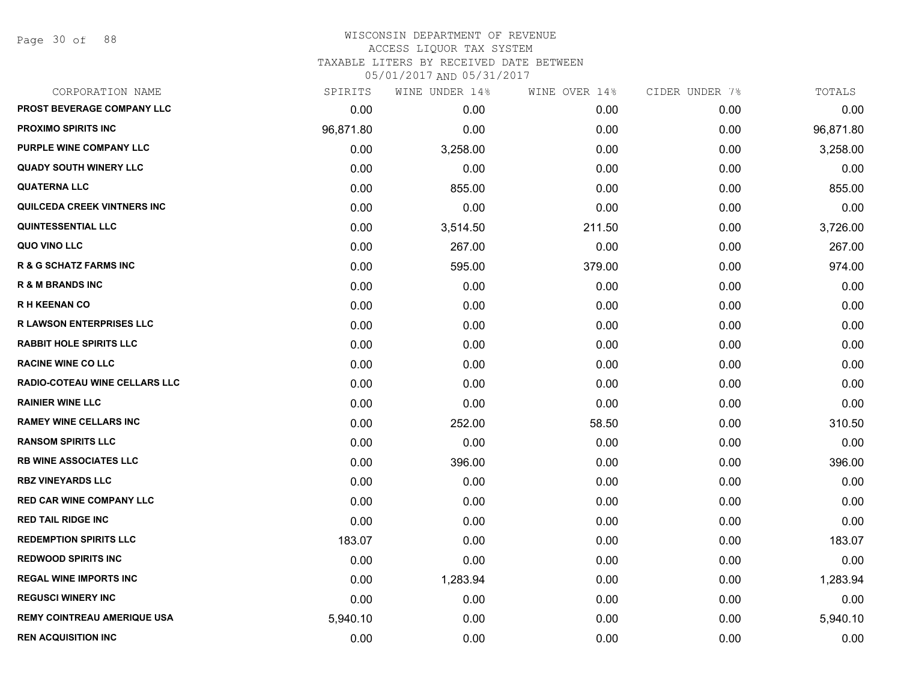Page 30 of 88

#### WISCONSIN DEPARTMENT OF REVENUE ACCESS LIQUOR TAX SYSTEM

TAXABLE LITERS BY RECEIVED DATE BETWEEN

| CORPORATION NAME                   | SPIRITS   | WINE UNDER 14% | WINE OVER 14% | CIDER UNDER 7% | TOTALS    |
|------------------------------------|-----------|----------------|---------------|----------------|-----------|
| PROST BEVERAGE COMPANY LLC         | 0.00      | 0.00           | 0.00          | 0.00           | 0.00      |
| <b>PROXIMO SPIRITS INC</b>         | 96,871.80 | 0.00           | 0.00          | 0.00           | 96,871.80 |
| PURPLE WINE COMPANY LLC            | 0.00      | 3,258.00       | 0.00          | 0.00           | 3,258.00  |
| <b>QUADY SOUTH WINERY LLC</b>      | 0.00      | 0.00           | 0.00          | 0.00           | 0.00      |
| <b>QUATERNA LLC</b>                | 0.00      | 855.00         | 0.00          | 0.00           | 855.00    |
| <b>QUILCEDA CREEK VINTNERS INC</b> | 0.00      | 0.00           | 0.00          | 0.00           | 0.00      |
| <b>QUINTESSENTIAL LLC</b>          | 0.00      | 3,514.50       | 211.50        | 0.00           | 3,726.00  |
| QUO VINO LLC                       | 0.00      | 267.00         | 0.00          | 0.00           | 267.00    |
| <b>R &amp; G SCHATZ FARMS INC</b>  | 0.00      | 595.00         | 379.00        | 0.00           | 974.00    |
| <b>R &amp; M BRANDS INC</b>        | 0.00      | 0.00           | 0.00          | 0.00           | 0.00      |
| <b>RH KEENAN CO</b>                | 0.00      | 0.00           | 0.00          | 0.00           | 0.00      |
| <b>R LAWSON ENTERPRISES LLC</b>    | 0.00      | 0.00           | 0.00          | 0.00           | 0.00      |
| <b>RABBIT HOLE SPIRITS LLC</b>     | 0.00      | 0.00           | 0.00          | 0.00           | 0.00      |
| <b>RACINE WINE CO LLC</b>          | 0.00      | 0.00           | 0.00          | 0.00           | 0.00      |
| RADIO-COTEAU WINE CELLARS LLC      | 0.00      | 0.00           | 0.00          | 0.00           | 0.00      |
| <b>RAINIER WINE LLC</b>            | 0.00      | 0.00           | 0.00          | 0.00           | 0.00      |
| <b>RAMEY WINE CELLARS INC</b>      | 0.00      | 252.00         | 58.50         | 0.00           | 310.50    |
| <b>RANSOM SPIRITS LLC</b>          | 0.00      | 0.00           | 0.00          | 0.00           | 0.00      |
| <b>RB WINE ASSOCIATES LLC</b>      | 0.00      | 396.00         | 0.00          | 0.00           | 396.00    |
| <b>RBZ VINEYARDS LLC</b>           | 0.00      | 0.00           | 0.00          | 0.00           | 0.00      |
| RED CAR WINE COMPANY LLC           | 0.00      | 0.00           | 0.00          | 0.00           | 0.00      |
| <b>RED TAIL RIDGE INC</b>          | 0.00      | 0.00           | 0.00          | 0.00           | 0.00      |
| <b>REDEMPTION SPIRITS LLC</b>      | 183.07    | 0.00           | 0.00          | 0.00           | 183.07    |
| <b>REDWOOD SPIRITS INC</b>         | 0.00      | 0.00           | 0.00          | 0.00           | 0.00      |
| <b>REGAL WINE IMPORTS INC</b>      | 0.00      | 1,283.94       | 0.00          | 0.00           | 1,283.94  |
| <b>REGUSCI WINERY INC</b>          | 0.00      | 0.00           | 0.00          | 0.00           | 0.00      |
| <b>REMY COINTREAU AMERIQUE USA</b> | 5,940.10  | 0.00           | 0.00          | 0.00           | 5,940.10  |
| <b>REN ACQUISITION INC</b>         | 0.00      | 0.00           | 0.00          | 0.00           | 0.00      |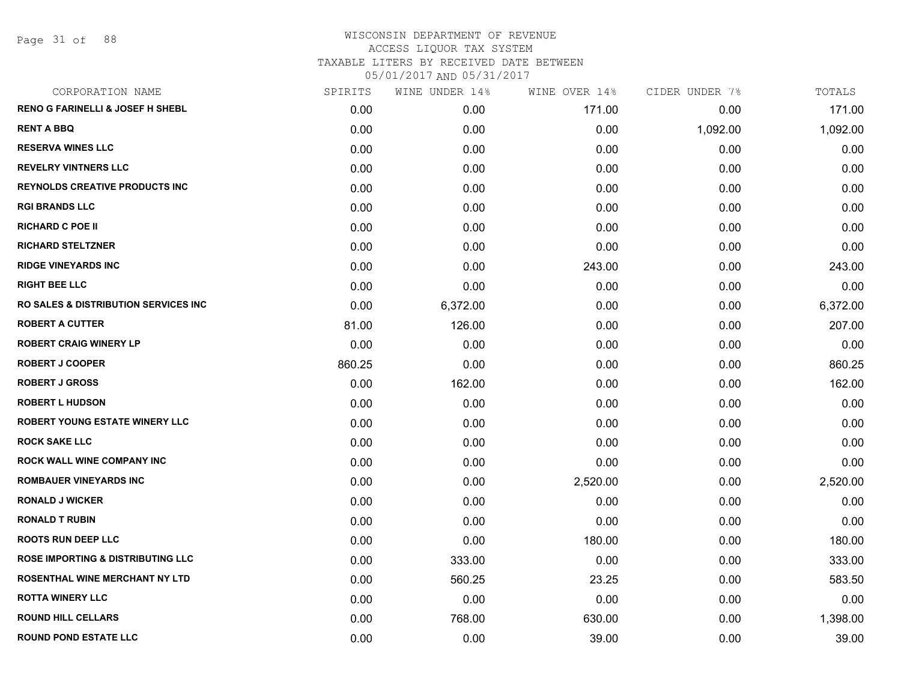Page 31 of 88

| CORPORATION NAME                                | SPIRITS | WINE UNDER 14% | WINE OVER 14% | CIDER UNDER 7% | TOTALS   |
|-------------------------------------------------|---------|----------------|---------------|----------------|----------|
| <b>RENO G FARINELLI &amp; JOSEF H SHEBL</b>     | 0.00    | 0.00           | 171.00        | 0.00           | 171.00   |
| <b>RENT A BBQ</b>                               | 0.00    | 0.00           | 0.00          | 1,092.00       | 1,092.00 |
| <b>RESERVA WINES LLC</b>                        | 0.00    | 0.00           | 0.00          | 0.00           | 0.00     |
| <b>REVELRY VINTNERS LLC</b>                     | 0.00    | 0.00           | 0.00          | 0.00           | 0.00     |
| <b>REYNOLDS CREATIVE PRODUCTS INC</b>           | 0.00    | 0.00           | 0.00          | 0.00           | 0.00     |
| <b>RGI BRANDS LLC</b>                           | 0.00    | 0.00           | 0.00          | 0.00           | 0.00     |
| <b>RICHARD C POE II</b>                         | 0.00    | 0.00           | 0.00          | 0.00           | 0.00     |
| <b>RICHARD STELTZNER</b>                        | 0.00    | 0.00           | 0.00          | 0.00           | 0.00     |
| <b>RIDGE VINEYARDS INC</b>                      | 0.00    | 0.00           | 243.00        | 0.00           | 243.00   |
| <b>RIGHT BEE LLC</b>                            | 0.00    | 0.00           | 0.00          | 0.00           | 0.00     |
| <b>RO SALES &amp; DISTRIBUTION SERVICES INC</b> | 0.00    | 6,372.00       | 0.00          | 0.00           | 6,372.00 |
| <b>ROBERT A CUTTER</b>                          | 81.00   | 126.00         | 0.00          | 0.00           | 207.00   |
| <b>ROBERT CRAIG WINERY LP</b>                   | 0.00    | 0.00           | 0.00          | 0.00           | 0.00     |
| <b>ROBERT J COOPER</b>                          | 860.25  | 0.00           | 0.00          | 0.00           | 860.25   |
| <b>ROBERT J GROSS</b>                           | 0.00    | 162.00         | 0.00          | 0.00           | 162.00   |
| <b>ROBERT L HUDSON</b>                          | 0.00    | 0.00           | 0.00          | 0.00           | 0.00     |
| <b>ROBERT YOUNG ESTATE WINERY LLC</b>           | 0.00    | 0.00           | 0.00          | 0.00           | 0.00     |
| <b>ROCK SAKE LLC</b>                            | 0.00    | 0.00           | 0.00          | 0.00           | 0.00     |
| <b>ROCK WALL WINE COMPANY INC</b>               | 0.00    | 0.00           | 0.00          | 0.00           | 0.00     |
| <b>ROMBAUER VINEYARDS INC</b>                   | 0.00    | 0.00           | 2,520.00      | 0.00           | 2,520.00 |
| <b>RONALD J WICKER</b>                          | 0.00    | 0.00           | 0.00          | 0.00           | 0.00     |
| <b>RONALD T RUBIN</b>                           | 0.00    | 0.00           | 0.00          | 0.00           | 0.00     |
| <b>ROOTS RUN DEEP LLC</b>                       | 0.00    | 0.00           | 180.00        | 0.00           | 180.00   |
| <b>ROSE IMPORTING &amp; DISTRIBUTING LLC</b>    | 0.00    | 333.00         | 0.00          | 0.00           | 333.00   |
| ROSENTHAL WINE MERCHANT NY LTD                  | 0.00    | 560.25         | 23.25         | 0.00           | 583.50   |
| <b>ROTTA WINERY LLC</b>                         | 0.00    | 0.00           | 0.00          | 0.00           | 0.00     |
| <b>ROUND HILL CELLARS</b>                       | 0.00    | 768.00         | 630.00        | 0.00           | 1,398.00 |
| <b>ROUND POND ESTATE LLC</b>                    | 0.00    | 0.00           | 39.00         | 0.00           | 39.00    |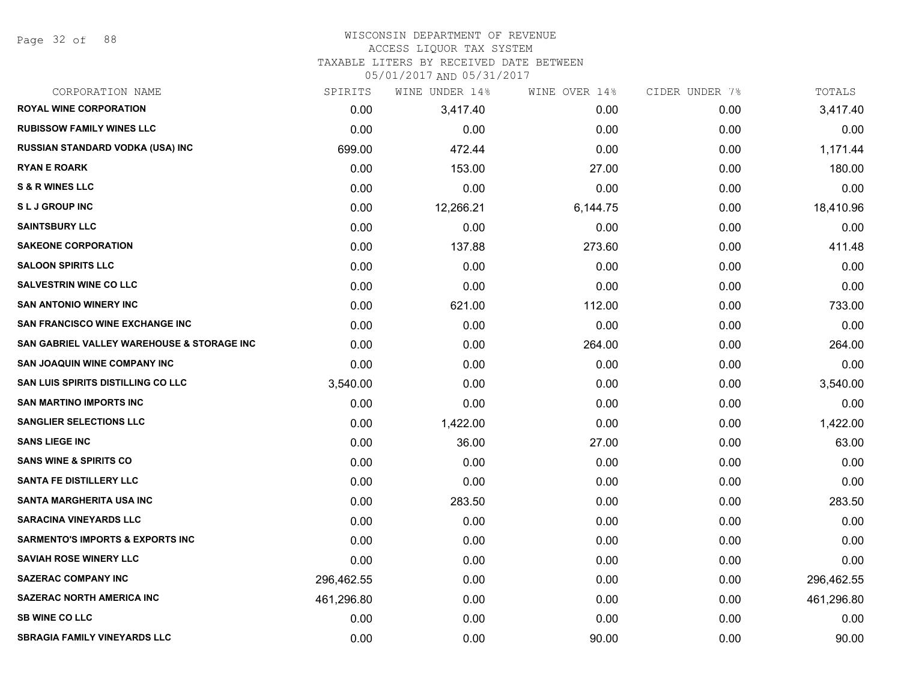Page 32 of 88

## WISCONSIN DEPARTMENT OF REVENUE

## ACCESS LIQUOR TAX SYSTEM

TAXABLE LITERS BY RECEIVED DATE BETWEEN

| CORPORATION NAME                            | SPIRITS    | WINE UNDER 14% | WINE OVER 14% | CIDER UNDER 7% | TOTALS     |
|---------------------------------------------|------------|----------------|---------------|----------------|------------|
| <b>ROYAL WINE CORPORATION</b>               | 0.00       | 3,417.40       | 0.00          | 0.00           | 3,417.40   |
| <b>RUBISSOW FAMILY WINES LLC</b>            | 0.00       | 0.00           | 0.00          | 0.00           | 0.00       |
| <b>RUSSIAN STANDARD VODKA (USA) INC</b>     | 699.00     | 472.44         | 0.00          | 0.00           | 1,171.44   |
| <b>RYAN E ROARK</b>                         | 0.00       | 153.00         | 27.00         | 0.00           | 180.00     |
| <b>S &amp; R WINES LLC</b>                  | 0.00       | 0.00           | 0.00          | 0.00           | 0.00       |
| <b>SLJ GROUP INC</b>                        | 0.00       | 12,266.21      | 6,144.75      | 0.00           | 18,410.96  |
| <b>SAINTSBURY LLC</b>                       | 0.00       | 0.00           | 0.00          | 0.00           | 0.00       |
| <b>SAKEONE CORPORATION</b>                  | 0.00       | 137.88         | 273.60        | 0.00           | 411.48     |
| <b>SALOON SPIRITS LLC</b>                   | 0.00       | 0.00           | 0.00          | 0.00           | 0.00       |
| <b>SALVESTRIN WINE CO LLC</b>               | 0.00       | 0.00           | 0.00          | 0.00           | 0.00       |
| <b>SAN ANTONIO WINERY INC</b>               | 0.00       | 621.00         | 112.00        | 0.00           | 733.00     |
| SAN FRANCISCO WINE EXCHANGE INC             | 0.00       | 0.00           | 0.00          | 0.00           | 0.00       |
| SAN GABRIEL VALLEY WAREHOUSE & STORAGE INC  | 0.00       | 0.00           | 264.00        | 0.00           | 264.00     |
| <b>SAN JOAQUIN WINE COMPANY INC</b>         | 0.00       | 0.00           | 0.00          | 0.00           | 0.00       |
| <b>SAN LUIS SPIRITS DISTILLING CO LLC</b>   | 3,540.00   | 0.00           | 0.00          | 0.00           | 3,540.00   |
| <b>SAN MARTINO IMPORTS INC</b>              | 0.00       | 0.00           | 0.00          | 0.00           | 0.00       |
| <b>SANGLIER SELECTIONS LLC</b>              | 0.00       | 1,422.00       | 0.00          | 0.00           | 1,422.00   |
| <b>SANS LIEGE INC</b>                       | 0.00       | 36.00          | 27.00         | 0.00           | 63.00      |
| <b>SANS WINE &amp; SPIRITS CO</b>           | 0.00       | 0.00           | 0.00          | 0.00           | 0.00       |
| <b>SANTA FE DISTILLERY LLC</b>              | 0.00       | 0.00           | 0.00          | 0.00           | 0.00       |
| SANTA MARGHERITA USA INC                    | 0.00       | 283.50         | 0.00          | 0.00           | 283.50     |
| <b>SARACINA VINEYARDS LLC</b>               | 0.00       | 0.00           | 0.00          | 0.00           | 0.00       |
| <b>SARMENTO'S IMPORTS &amp; EXPORTS INC</b> | 0.00       | 0.00           | 0.00          | 0.00           | 0.00       |
| <b>SAVIAH ROSE WINERY LLC</b>               | 0.00       | 0.00           | 0.00          | 0.00           | 0.00       |
| <b>SAZERAC COMPANY INC</b>                  | 296,462.55 | 0.00           | 0.00          | 0.00           | 296,462.55 |
| <b>SAZERAC NORTH AMERICA INC</b>            | 461,296.80 | 0.00           | 0.00          | 0.00           | 461,296.80 |
| <b>SB WINE CO LLC</b>                       | 0.00       | 0.00           | 0.00          | 0.00           | 0.00       |
| <b>SBRAGIA FAMILY VINEYARDS LLC</b>         | 0.00       | 0.00           | 90.00         | 0.00           | 90.00      |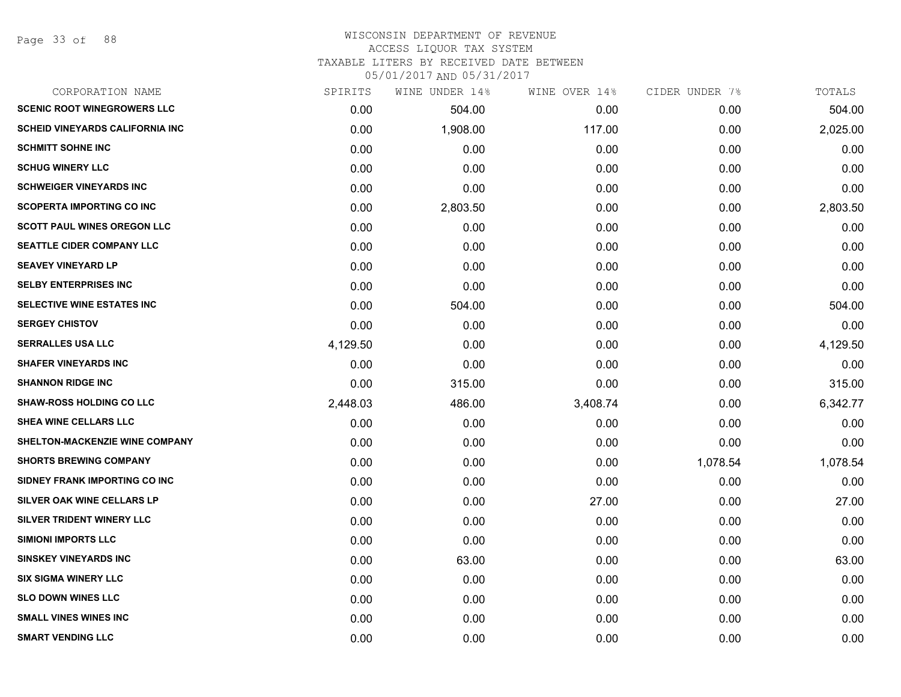#### WISCONSIN DEPARTMENT OF REVENUE ACCESS LIQUOR TAX SYSTEM TAXABLE LITERS BY RECEIVED DATE BETWEEN

| CORPORATION NAME                       | SPIRITS  | WINE UNDER 14% | WINE OVER 14% | CIDER UNDER 7% | TOTALS   |
|----------------------------------------|----------|----------------|---------------|----------------|----------|
| <b>SCENIC ROOT WINEGROWERS LLC</b>     | 0.00     | 504.00         | 0.00          | 0.00           | 504.00   |
| <b>SCHEID VINEYARDS CALIFORNIA INC</b> | 0.00     | 1,908.00       | 117.00        | 0.00           | 2,025.00 |
| <b>SCHMITT SOHNE INC</b>               | 0.00     | 0.00           | 0.00          | 0.00           | 0.00     |
| <b>SCHUG WINERY LLC</b>                | 0.00     | 0.00           | 0.00          | 0.00           | 0.00     |
| <b>SCHWEIGER VINEYARDS INC</b>         | 0.00     | 0.00           | 0.00          | 0.00           | 0.00     |
| <b>SCOPERTA IMPORTING CO INC</b>       | 0.00     | 2,803.50       | 0.00          | 0.00           | 2,803.50 |
| <b>SCOTT PAUL WINES OREGON LLC</b>     | 0.00     | 0.00           | 0.00          | 0.00           | 0.00     |
| <b>SEATTLE CIDER COMPANY LLC</b>       | 0.00     | 0.00           | 0.00          | 0.00           | 0.00     |
| <b>SEAVEY VINEYARD LP</b>              | 0.00     | 0.00           | 0.00          | 0.00           | 0.00     |
| <b>SELBY ENTERPRISES INC</b>           | 0.00     | 0.00           | 0.00          | 0.00           | 0.00     |
| SELECTIVE WINE ESTATES INC             | 0.00     | 504.00         | 0.00          | 0.00           | 504.00   |
| <b>SERGEY CHISTOV</b>                  | 0.00     | 0.00           | 0.00          | 0.00           | 0.00     |
| <b>SERRALLES USA LLC</b>               | 4,129.50 | 0.00           | 0.00          | 0.00           | 4,129.50 |
| <b>SHAFER VINEYARDS INC</b>            | 0.00     | 0.00           | 0.00          | 0.00           | 0.00     |
| <b>SHANNON RIDGE INC</b>               | 0.00     | 315.00         | 0.00          | 0.00           | 315.00   |
| <b>SHAW-ROSS HOLDING CO LLC</b>        | 2,448.03 | 486.00         | 3,408.74      | 0.00           | 6,342.77 |
| SHEA WINE CELLARS LLC                  | 0.00     | 0.00           | 0.00          | 0.00           | 0.00     |
| SHELTON-MACKENZIE WINE COMPANY         | 0.00     | 0.00           | 0.00          | 0.00           | 0.00     |
| <b>SHORTS BREWING COMPANY</b>          | 0.00     | 0.00           | 0.00          | 1,078.54       | 1,078.54 |
| SIDNEY FRANK IMPORTING CO INC          | 0.00     | 0.00           | 0.00          | 0.00           | 0.00     |
| SILVER OAK WINE CELLARS LP             | 0.00     | 0.00           | 27.00         | 0.00           | 27.00    |
| SILVER TRIDENT WINERY LLC              | 0.00     | 0.00           | 0.00          | 0.00           | 0.00     |
| <b>SIMIONI IMPORTS LLC</b>             | 0.00     | 0.00           | 0.00          | 0.00           | 0.00     |
| <b>SINSKEY VINEYARDS INC</b>           | 0.00     | 63.00          | 0.00          | 0.00           | 63.00    |
| <b>SIX SIGMA WINERY LLC</b>            | 0.00     | 0.00           | 0.00          | 0.00           | 0.00     |
| <b>SLO DOWN WINES LLC</b>              | 0.00     | 0.00           | 0.00          | 0.00           | 0.00     |
| <b>SMALL VINES WINES INC</b>           | 0.00     | 0.00           | 0.00          | 0.00           | 0.00     |
| <b>SMART VENDING LLC</b>               | 0.00     | 0.00           | 0.00          | 0.00           | 0.00     |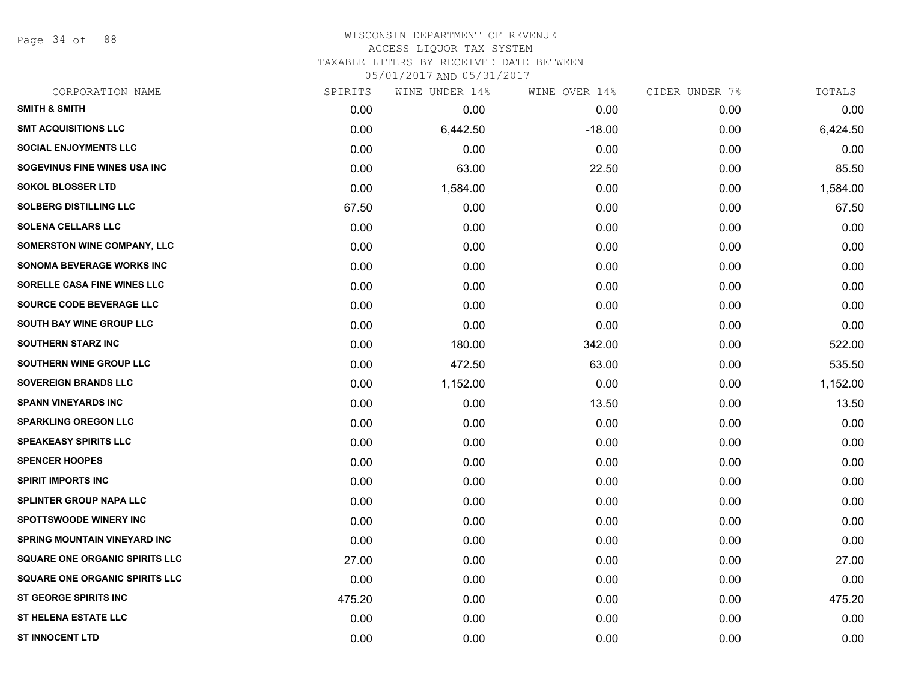Page 34 of 88

## WISCONSIN DEPARTMENT OF REVENUE ACCESS LIQUOR TAX SYSTEM TAXABLE LITERS BY RECEIVED DATE BETWEEN

| CORPORATION NAME                      | SPIRITS | WINE UNDER 14% | WINE OVER 14% | CIDER UNDER 7% | TOTALS   |
|---------------------------------------|---------|----------------|---------------|----------------|----------|
| <b>SMITH &amp; SMITH</b>              | 0.00    | 0.00           | 0.00          | 0.00           | 0.00     |
| <b>SMT ACQUISITIONS LLC</b>           | 0.00    | 6,442.50       | $-18.00$      | 0.00           | 6,424.50 |
| <b>SOCIAL ENJOYMENTS LLC</b>          | 0.00    | 0.00           | 0.00          | 0.00           | 0.00     |
| SOGEVINUS FINE WINES USA INC          | 0.00    | 63.00          | 22.50         | 0.00           | 85.50    |
| <b>SOKOL BLOSSER LTD</b>              | 0.00    | 1,584.00       | 0.00          | 0.00           | 1,584.00 |
| <b>SOLBERG DISTILLING LLC</b>         | 67.50   | 0.00           | 0.00          | 0.00           | 67.50    |
| <b>SOLENA CELLARS LLC</b>             | 0.00    | 0.00           | 0.00          | 0.00           | 0.00     |
| SOMERSTON WINE COMPANY, LLC           | 0.00    | 0.00           | 0.00          | 0.00           | 0.00     |
| <b>SONOMA BEVERAGE WORKS INC</b>      | 0.00    | 0.00           | 0.00          | 0.00           | 0.00     |
| SORELLE CASA FINE WINES LLC           | 0.00    | 0.00           | 0.00          | 0.00           | 0.00     |
| SOURCE CODE BEVERAGE LLC              | 0.00    | 0.00           | 0.00          | 0.00           | 0.00     |
| SOUTH BAY WINE GROUP LLC              | 0.00    | 0.00           | 0.00          | 0.00           | 0.00     |
| <b>SOUTHERN STARZ INC</b>             | 0.00    | 180.00         | 342.00        | 0.00           | 522.00   |
| <b>SOUTHERN WINE GROUP LLC</b>        | 0.00    | 472.50         | 63.00         | 0.00           | 535.50   |
| <b>SOVEREIGN BRANDS LLC</b>           | 0.00    | 1,152.00       | 0.00          | 0.00           | 1,152.00 |
| <b>SPANN VINEYARDS INC</b>            | 0.00    | 0.00           | 13.50         | 0.00           | 13.50    |
| <b>SPARKLING OREGON LLC</b>           | 0.00    | 0.00           | 0.00          | 0.00           | 0.00     |
| <b>SPEAKEASY SPIRITS LLC</b>          | 0.00    | 0.00           | 0.00          | 0.00           | 0.00     |
| <b>SPENCER HOOPES</b>                 | 0.00    | 0.00           | 0.00          | 0.00           | 0.00     |
| <b>SPIRIT IMPORTS INC</b>             | 0.00    | 0.00           | 0.00          | 0.00           | 0.00     |
| <b>SPLINTER GROUP NAPA LLC</b>        | 0.00    | 0.00           | 0.00          | 0.00           | 0.00     |
| <b>SPOTTSWOODE WINERY INC</b>         | 0.00    | 0.00           | 0.00          | 0.00           | 0.00     |
| SPRING MOUNTAIN VINEYARD INC          | 0.00    | 0.00           | 0.00          | 0.00           | 0.00     |
| <b>SQUARE ONE ORGANIC SPIRITS LLC</b> | 27.00   | 0.00           | 0.00          | 0.00           | 27.00    |
| <b>SQUARE ONE ORGANIC SPIRITS LLC</b> | 0.00    | 0.00           | 0.00          | 0.00           | 0.00     |
| ST GEORGE SPIRITS INC                 | 475.20  | 0.00           | 0.00          | 0.00           | 475.20   |
| <b>ST HELENA ESTATE LLC</b>           | 0.00    | 0.00           | 0.00          | 0.00           | 0.00     |
| <b>ST INNOCENT LTD</b>                | 0.00    | 0.00           | 0.00          | 0.00           | 0.00     |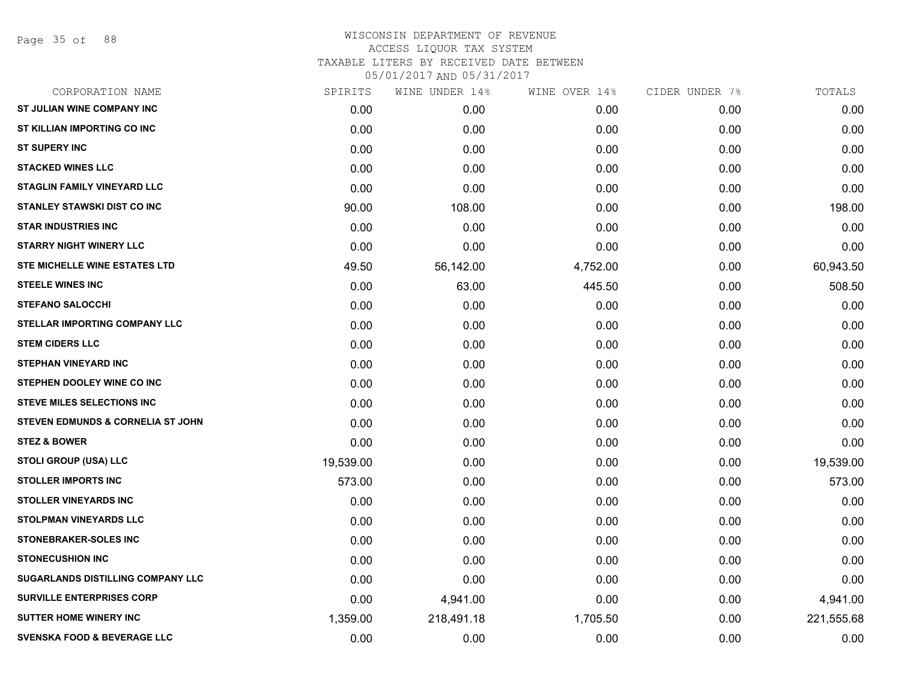| CORPORATION NAME                             | SPIRITS   | WINE UNDER 14% | WINE OVER 14% | CIDER UNDER 7% | TOTALS     |
|----------------------------------------------|-----------|----------------|---------------|----------------|------------|
| ST JULIAN WINE COMPANY INC                   | 0.00      | 0.00           | 0.00          | 0.00           | 0.00       |
| ST KILLIAN IMPORTING CO INC                  | 0.00      | 0.00           | 0.00          | 0.00           | 0.00       |
| <b>ST SUPERY INC</b>                         | 0.00      | 0.00           | 0.00          | 0.00           | 0.00       |
| <b>STACKED WINES LLC</b>                     | 0.00      | 0.00           | 0.00          | 0.00           | 0.00       |
| <b>STAGLIN FAMILY VINEYARD LLC</b>           | 0.00      | 0.00           | 0.00          | 0.00           | 0.00       |
| STANLEY STAWSKI DIST CO INC                  | 90.00     | 108.00         | 0.00          | 0.00           | 198.00     |
| <b>STAR INDUSTRIES INC</b>                   | 0.00      | 0.00           | 0.00          | 0.00           | 0.00       |
| <b>STARRY NIGHT WINERY LLC</b>               | 0.00      | 0.00           | 0.00          | 0.00           | 0.00       |
| STE MICHELLE WINE ESTATES LTD                | 49.50     | 56,142.00      | 4,752.00      | 0.00           | 60,943.50  |
| <b>STEELE WINES INC</b>                      | 0.00      | 63.00          | 445.50        | 0.00           | 508.50     |
| <b>STEFANO SALOCCHI</b>                      | 0.00      | 0.00           | 0.00          | 0.00           | 0.00       |
| <b>STELLAR IMPORTING COMPANY LLC</b>         | 0.00      | 0.00           | 0.00          | 0.00           | 0.00       |
| <b>STEM CIDERS LLC</b>                       | 0.00      | 0.00           | 0.00          | 0.00           | 0.00       |
| <b>STEPHAN VINEYARD INC</b>                  | 0.00      | 0.00           | 0.00          | 0.00           | 0.00       |
| STEPHEN DOOLEY WINE CO INC                   | 0.00      | 0.00           | 0.00          | 0.00           | 0.00       |
| <b>STEVE MILES SELECTIONS INC</b>            | 0.00      | 0.00           | 0.00          | 0.00           | 0.00       |
| <b>STEVEN EDMUNDS &amp; CORNELIA ST JOHN</b> | 0.00      | 0.00           | 0.00          | 0.00           | 0.00       |
| <b>STEZ &amp; BOWER</b>                      | 0.00      | 0.00           | 0.00          | 0.00           | 0.00       |
| <b>STOLI GROUP (USA) LLC</b>                 | 19,539.00 | 0.00           | 0.00          | 0.00           | 19,539.00  |
| <b>STOLLER IMPORTS INC</b>                   | 573.00    | 0.00           | 0.00          | 0.00           | 573.00     |
| <b>STOLLER VINEYARDS INC</b>                 | 0.00      | 0.00           | 0.00          | 0.00           | 0.00       |
| <b>STOLPMAN VINEYARDS LLC</b>                | 0.00      | 0.00           | 0.00          | 0.00           | 0.00       |
| STONEBRAKER-SOLES INC                        | 0.00      | 0.00           | 0.00          | 0.00           | 0.00       |
| <b>STONECUSHION INC</b>                      | 0.00      | 0.00           | 0.00          | 0.00           | 0.00       |
| <b>SUGARLANDS DISTILLING COMPANY LLC</b>     | 0.00      | 0.00           | 0.00          | 0.00           | 0.00       |
| <b>SURVILLE ENTERPRISES CORP</b>             | 0.00      | 4,941.00       | 0.00          | 0.00           | 4,941.00   |
| <b>SUTTER HOME WINERY INC</b>                | 1,359.00  | 218,491.18     | 1,705.50      | 0.00           | 221,555.68 |
| <b>SVENSKA FOOD &amp; BEVERAGE LLC</b>       | 0.00      | 0.00           | 0.00          | 0.00           | 0.00       |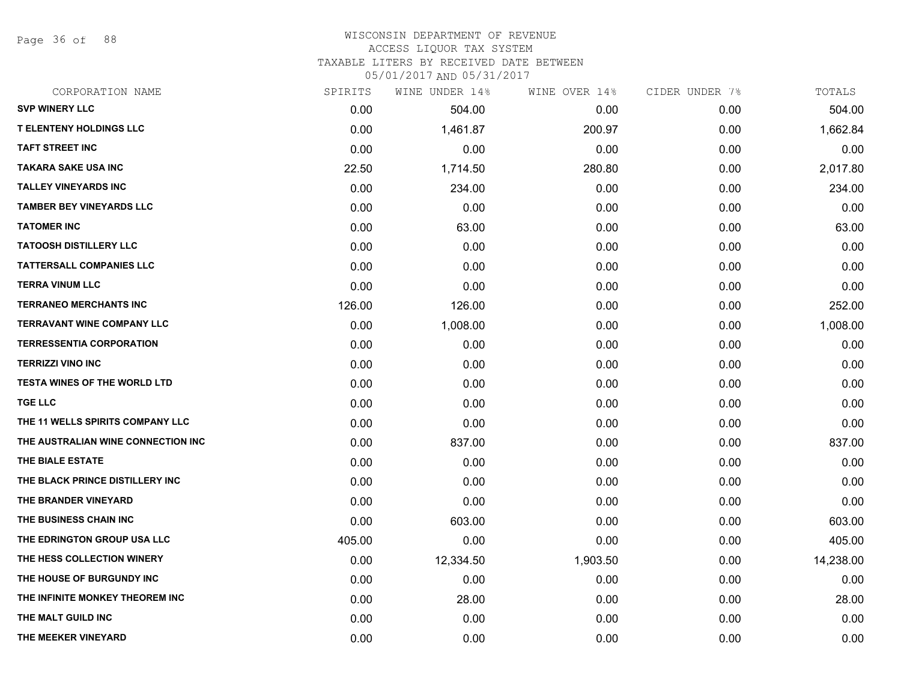Page 36 of 88

## WISCONSIN DEPARTMENT OF REVENUE ACCESS LIQUOR TAX SYSTEM

TAXABLE LITERS BY RECEIVED DATE BETWEEN

| CORPORATION NAME                    | SPIRITS | WINE UNDER 14% | WINE OVER 14% | CIDER UNDER 7% | TOTALS    |
|-------------------------------------|---------|----------------|---------------|----------------|-----------|
| <b>SVP WINERY LLC</b>               | 0.00    | 504.00         | 0.00          | 0.00           | 504.00    |
| <b>T ELENTENY HOLDINGS LLC</b>      | 0.00    | 1,461.87       | 200.97        | 0.00           | 1,662.84  |
| <b>TAFT STREET INC</b>              | 0.00    | 0.00           | 0.00          | 0.00           | 0.00      |
| <b>TAKARA SAKE USA INC</b>          | 22.50   | 1,714.50       | 280.80        | 0.00           | 2,017.80  |
| <b>TALLEY VINEYARDS INC</b>         | 0.00    | 234.00         | 0.00          | 0.00           | 234.00    |
| <b>TAMBER BEY VINEYARDS LLC</b>     | 0.00    | 0.00           | 0.00          | 0.00           | 0.00      |
| <b>TATOMER INC</b>                  | 0.00    | 63.00          | 0.00          | 0.00           | 63.00     |
| <b>TATOOSH DISTILLERY LLC</b>       | 0.00    | 0.00           | 0.00          | 0.00           | 0.00      |
| <b>TATTERSALL COMPANIES LLC</b>     | 0.00    | 0.00           | 0.00          | 0.00           | 0.00      |
| <b>TERRA VINUM LLC</b>              | 0.00    | 0.00           | 0.00          | 0.00           | 0.00      |
| <b>TERRANEO MERCHANTS INC</b>       | 126.00  | 126.00         | 0.00          | 0.00           | 252.00    |
| <b>TERRAVANT WINE COMPANY LLC</b>   | 0.00    | 1,008.00       | 0.00          | 0.00           | 1,008.00  |
| <b>TERRESSENTIA CORPORATION</b>     | 0.00    | 0.00           | 0.00          | 0.00           | 0.00      |
| <b>TERRIZZI VINO INC</b>            | 0.00    | 0.00           | 0.00          | 0.00           | 0.00      |
| <b>TESTA WINES OF THE WORLD LTD</b> | 0.00    | 0.00           | 0.00          | 0.00           | 0.00      |
| <b>TGE LLC</b>                      | 0.00    | 0.00           | 0.00          | 0.00           | 0.00      |
| THE 11 WELLS SPIRITS COMPANY LLC    | 0.00    | 0.00           | 0.00          | 0.00           | 0.00      |
| THE AUSTRALIAN WINE CONNECTION INC  | 0.00    | 837.00         | 0.00          | 0.00           | 837.00    |
| THE BIALE ESTATE                    | 0.00    | 0.00           | 0.00          | 0.00           | 0.00      |
| THE BLACK PRINCE DISTILLERY INC     | 0.00    | 0.00           | 0.00          | 0.00           | 0.00      |
| THE BRANDER VINEYARD                | 0.00    | 0.00           | 0.00          | 0.00           | 0.00      |
| THE BUSINESS CHAIN INC              | 0.00    | 603.00         | 0.00          | 0.00           | 603.00    |
| THE EDRINGTON GROUP USA LLC         | 405.00  | 0.00           | 0.00          | 0.00           | 405.00    |
| THE HESS COLLECTION WINERY          | 0.00    | 12,334.50      | 1,903.50      | 0.00           | 14,238.00 |
| THE HOUSE OF BURGUNDY INC           | 0.00    | 0.00           | 0.00          | 0.00           | 0.00      |
| THE INFINITE MONKEY THEOREM INC     | 0.00    | 28.00          | 0.00          | 0.00           | 28.00     |
| THE MALT GUILD INC                  | 0.00    | 0.00           | 0.00          | 0.00           | 0.00      |
| THE MEEKER VINEYARD                 | 0.00    | 0.00           | 0.00          | 0.00           | 0.00      |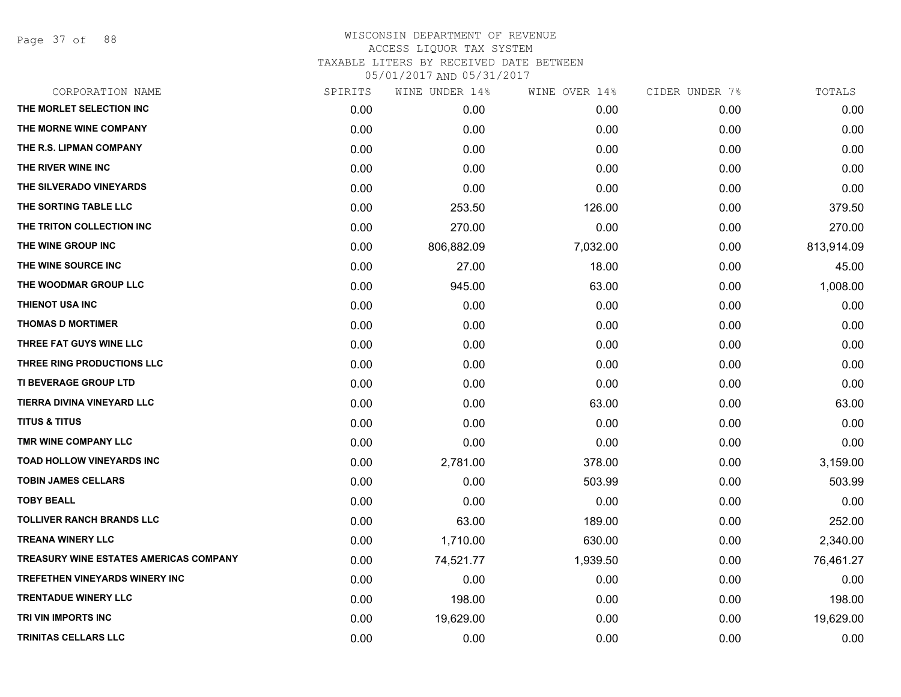Page 37 of 88

| CORPORATION NAME                              | SPIRITS | WINE UNDER 14% | WINE OVER 14% | CIDER UNDER 7% | TOTALS     |
|-----------------------------------------------|---------|----------------|---------------|----------------|------------|
| THE MORLET SELECTION INC                      | 0.00    | 0.00           | 0.00          | 0.00           | 0.00       |
| THE MORNE WINE COMPANY                        | 0.00    | 0.00           | 0.00          | 0.00           | 0.00       |
| THE R.S. LIPMAN COMPANY                       | 0.00    | 0.00           | 0.00          | 0.00           | 0.00       |
| THE RIVER WINE INC                            | 0.00    | 0.00           | 0.00          | 0.00           | 0.00       |
| THE SILVERADO VINEYARDS                       | 0.00    | 0.00           | 0.00          | 0.00           | 0.00       |
| THE SORTING TABLE LLC                         | 0.00    | 253.50         | 126.00        | 0.00           | 379.50     |
| THE TRITON COLLECTION INC                     | 0.00    | 270.00         | 0.00          | 0.00           | 270.00     |
| THE WINE GROUP INC                            | 0.00    | 806,882.09     | 7,032.00      | 0.00           | 813,914.09 |
| THE WINE SOURCE INC                           | 0.00    | 27.00          | 18.00         | 0.00           | 45.00      |
| THE WOODMAR GROUP LLC                         | 0.00    | 945.00         | 63.00         | 0.00           | 1,008.00   |
| <b>THIENOT USA INC</b>                        | 0.00    | 0.00           | 0.00          | 0.00           | 0.00       |
| <b>THOMAS D MORTIMER</b>                      | 0.00    | 0.00           | 0.00          | 0.00           | 0.00       |
| THREE FAT GUYS WINE LLC                       | 0.00    | 0.00           | 0.00          | 0.00           | 0.00       |
| THREE RING PRODUCTIONS LLC                    | 0.00    | 0.00           | 0.00          | 0.00           | 0.00       |
| TI BEVERAGE GROUP LTD                         | 0.00    | 0.00           | 0.00          | 0.00           | 0.00       |
| TIERRA DIVINA VINEYARD LLC                    | 0.00    | 0.00           | 63.00         | 0.00           | 63.00      |
| <b>TITUS &amp; TITUS</b>                      | 0.00    | 0.00           | 0.00          | 0.00           | 0.00       |
| TMR WINE COMPANY LLC                          | 0.00    | 0.00           | 0.00          | 0.00           | 0.00       |
| <b>TOAD HOLLOW VINEYARDS INC</b>              | 0.00    | 2,781.00       | 378.00        | 0.00           | 3,159.00   |
| <b>TOBIN JAMES CELLARS</b>                    | 0.00    | 0.00           | 503.99        | 0.00           | 503.99     |
| <b>TOBY BEALL</b>                             | 0.00    | 0.00           | 0.00          | 0.00           | 0.00       |
| <b>TOLLIVER RANCH BRANDS LLC</b>              | 0.00    | 63.00          | 189.00        | 0.00           | 252.00     |
| <b>TREANA WINERY LLC</b>                      | 0.00    | 1,710.00       | 630.00        | 0.00           | 2,340.00   |
| <b>TREASURY WINE ESTATES AMERICAS COMPANY</b> | 0.00    | 74,521.77      | 1,939.50      | 0.00           | 76,461.27  |
| <b>TREFETHEN VINEYARDS WINERY INC</b>         | 0.00    | 0.00           | 0.00          | 0.00           | 0.00       |
| <b>TRENTADUE WINERY LLC</b>                   | 0.00    | 198.00         | 0.00          | 0.00           | 198.00     |
| TRI VIN IMPORTS INC                           | 0.00    | 19,629.00      | 0.00          | 0.00           | 19,629.00  |
| TRINITAS CELLARS LLC                          | 0.00    | 0.00           | 0.00          | 0.00           | 0.00       |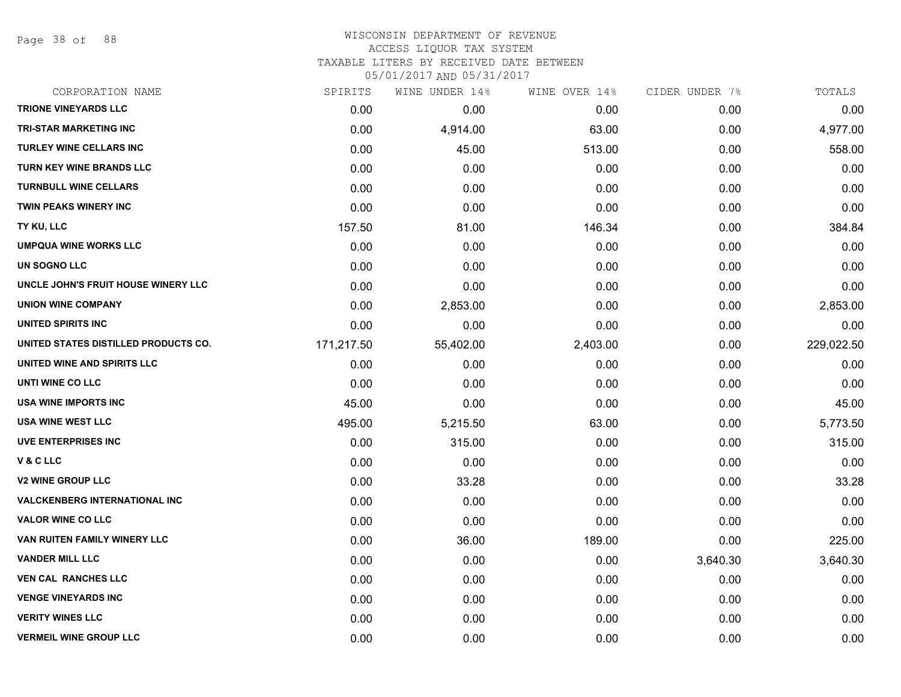Page 38 of 88

### WISCONSIN DEPARTMENT OF REVENUE ACCESS LIQUOR TAX SYSTEM TAXABLE LITERS BY RECEIVED DATE BETWEEN

| CORPORATION NAME                     | SPIRITS    | WINE UNDER 14% | WINE OVER 14% | CIDER UNDER 7% | TOTALS     |
|--------------------------------------|------------|----------------|---------------|----------------|------------|
| <b>TRIONE VINEYARDS LLC</b>          | 0.00       | 0.00           | 0.00          | 0.00           | 0.00       |
| <b>TRI-STAR MARKETING INC</b>        | 0.00       | 4,914.00       | 63.00         | 0.00           | 4,977.00   |
| <b>TURLEY WINE CELLARS INC</b>       | 0.00       | 45.00          | 513.00        | 0.00           | 558.00     |
| <b>TURN KEY WINE BRANDS LLC</b>      | 0.00       | 0.00           | 0.00          | 0.00           | 0.00       |
| <b>TURNBULL WINE CELLARS</b>         | 0.00       | 0.00           | 0.00          | 0.00           | 0.00       |
| <b>TWIN PEAKS WINERY INC</b>         | 0.00       | 0.00           | 0.00          | 0.00           | 0.00       |
| TY KU, LLC                           | 157.50     | 81.00          | 146.34        | 0.00           | 384.84     |
| <b>UMPQUA WINE WORKS LLC</b>         | 0.00       | 0.00           | 0.00          | 0.00           | 0.00       |
| UN SOGNO LLC                         | 0.00       | 0.00           | 0.00          | 0.00           | 0.00       |
| UNCLE JOHN'S FRUIT HOUSE WINERY LLC  | 0.00       | 0.00           | 0.00          | 0.00           | 0.00       |
| <b>UNION WINE COMPANY</b>            | 0.00       | 2,853.00       | 0.00          | 0.00           | 2,853.00   |
| UNITED SPIRITS INC                   | 0.00       | 0.00           | 0.00          | 0.00           | 0.00       |
| UNITED STATES DISTILLED PRODUCTS CO. | 171,217.50 | 55,402.00      | 2,403.00      | 0.00           | 229,022.50 |
| UNITED WINE AND SPIRITS LLC          | 0.00       | 0.00           | 0.00          | 0.00           | 0.00       |
| UNTI WINE CO LLC                     | 0.00       | 0.00           | 0.00          | 0.00           | 0.00       |
| USA WINE IMPORTS INC                 | 45.00      | 0.00           | 0.00          | 0.00           | 45.00      |
| <b>USA WINE WEST LLC</b>             | 495.00     | 5,215.50       | 63.00         | 0.00           | 5,773.50   |
| <b>UVE ENTERPRISES INC</b>           | 0.00       | 315.00         | 0.00          | 0.00           | 315.00     |
| V&CLLC                               | 0.00       | 0.00           | 0.00          | 0.00           | 0.00       |
| <b>V2 WINE GROUP LLC</b>             | 0.00       | 33.28          | 0.00          | 0.00           | 33.28      |
| <b>VALCKENBERG INTERNATIONAL INC</b> | 0.00       | 0.00           | 0.00          | 0.00           | 0.00       |
| <b>VALOR WINE CO LLC</b>             | 0.00       | 0.00           | 0.00          | 0.00           | 0.00       |
| VAN RUITEN FAMILY WINERY LLC         | 0.00       | 36.00          | 189.00        | 0.00           | 225.00     |
| <b>VANDER MILL LLC</b>               | 0.00       | 0.00           | 0.00          | 3,640.30       | 3,640.30   |
| <b>VEN CAL RANCHES LLC</b>           | 0.00       | 0.00           | 0.00          | 0.00           | 0.00       |
| <b>VENGE VINEYARDS INC</b>           | 0.00       | 0.00           | 0.00          | 0.00           | 0.00       |
| <b>VERITY WINES LLC</b>              | 0.00       | 0.00           | 0.00          | 0.00           | 0.00       |
| <b>VERMEIL WINE GROUP LLC</b>        | 0.00       | 0.00           | 0.00          | 0.00           | 0.00       |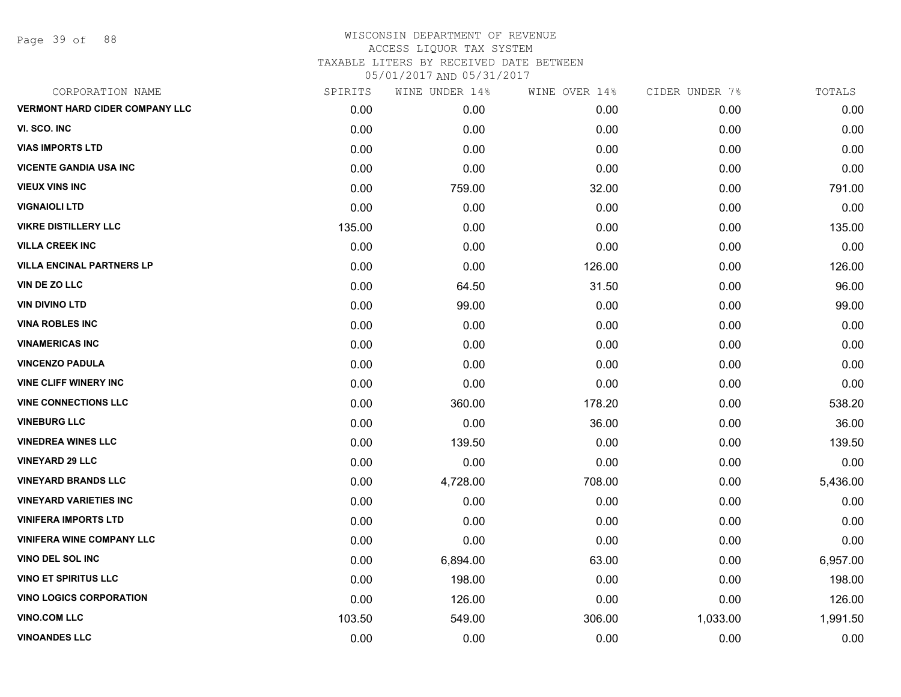Page 39 of 88

| CORPORATION NAME                      | SPIRITS | WINE UNDER 14% | WINE OVER 14% | CIDER UNDER 7% | TOTALS   |
|---------------------------------------|---------|----------------|---------------|----------------|----------|
| <b>VERMONT HARD CIDER COMPANY LLC</b> | 0.00    | 0.00           | 0.00          | 0.00           | 0.00     |
| VI. SCO. INC                          | 0.00    | 0.00           | 0.00          | 0.00           | 0.00     |
| <b>VIAS IMPORTS LTD</b>               | 0.00    | 0.00           | 0.00          | 0.00           | 0.00     |
| <b>VICENTE GANDIA USA INC</b>         | 0.00    | 0.00           | 0.00          | 0.00           | 0.00     |
| <b>VIEUX VINS INC</b>                 | 0.00    | 759.00         | 32.00         | 0.00           | 791.00   |
| <b>VIGNAIOLI LTD</b>                  | 0.00    | 0.00           | 0.00          | 0.00           | 0.00     |
| <b>VIKRE DISTILLERY LLC</b>           | 135.00  | 0.00           | 0.00          | 0.00           | 135.00   |
| <b>VILLA CREEK INC</b>                | 0.00    | 0.00           | 0.00          | 0.00           | 0.00     |
| <b>VILLA ENCINAL PARTNERS LP</b>      | 0.00    | 0.00           | 126.00        | 0.00           | 126.00   |
| VIN DE ZO LLC                         | 0.00    | 64.50          | 31.50         | 0.00           | 96.00    |
| <b>VIN DIVINO LTD</b>                 | 0.00    | 99.00          | 0.00          | 0.00           | 99.00    |
| <b>VINA ROBLES INC</b>                | 0.00    | 0.00           | 0.00          | 0.00           | 0.00     |
| <b>VINAMERICAS INC</b>                | 0.00    | 0.00           | 0.00          | 0.00           | 0.00     |
| <b>VINCENZO PADULA</b>                | 0.00    | 0.00           | 0.00          | 0.00           | 0.00     |
| <b>VINE CLIFF WINERY INC</b>          | 0.00    | 0.00           | 0.00          | 0.00           | 0.00     |
| <b>VINE CONNECTIONS LLC</b>           | 0.00    | 360.00         | 178.20        | 0.00           | 538.20   |
| <b>VINEBURG LLC</b>                   | 0.00    | 0.00           | 36.00         | 0.00           | 36.00    |
| <b>VINEDREA WINES LLC</b>             | 0.00    | 139.50         | 0.00          | 0.00           | 139.50   |
| <b>VINEYARD 29 LLC</b>                | 0.00    | 0.00           | 0.00          | 0.00           | 0.00     |
| <b>VINEYARD BRANDS LLC</b>            | 0.00    | 4,728.00       | 708.00        | 0.00           | 5,436.00 |
| <b>VINEYARD VARIETIES INC</b>         | 0.00    | 0.00           | 0.00          | 0.00           | 0.00     |
| <b>VINIFERA IMPORTS LTD</b>           | 0.00    | 0.00           | 0.00          | 0.00           | 0.00     |
| <b>VINIFERA WINE COMPANY LLC</b>      | 0.00    | 0.00           | 0.00          | 0.00           | 0.00     |
| VINO DEL SOL INC                      | 0.00    | 6,894.00       | 63.00         | 0.00           | 6,957.00 |
| <b>VINO ET SPIRITUS LLC</b>           | 0.00    | 198.00         | 0.00          | 0.00           | 198.00   |
| <b>VINO LOGICS CORPORATION</b>        | 0.00    | 126.00         | 0.00          | 0.00           | 126.00   |
| <b>VINO.COM LLC</b>                   | 103.50  | 549.00         | 306.00        | 1,033.00       | 1,991.50 |
| <b>VINOANDES LLC</b>                  | 0.00    | 0.00           | 0.00          | 0.00           | 0.00     |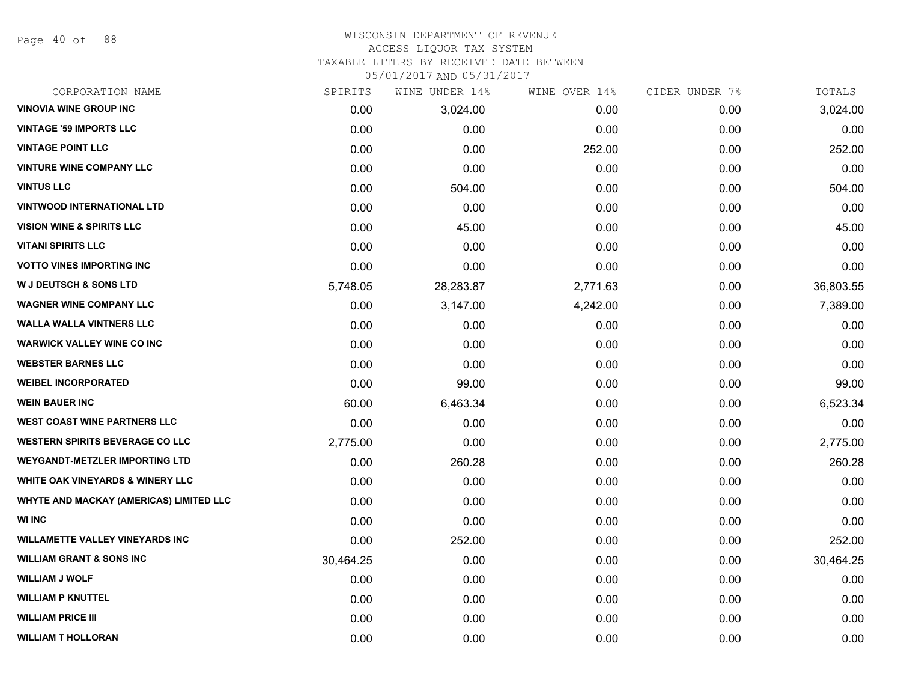Page 40 of 88

#### WISCONSIN DEPARTMENT OF REVENUE ACCESS LIQUOR TAX SYSTEM

TAXABLE LITERS BY RECEIVED DATE BETWEEN

| CORPORATION NAME                               | SPIRITS   | WINE UNDER 14% | WINE OVER 14% | CIDER UNDER 7% | TOTALS    |
|------------------------------------------------|-----------|----------------|---------------|----------------|-----------|
| <b>VINOVIA WINE GROUP INC</b>                  | 0.00      | 3,024.00       | 0.00          | 0.00           | 3,024.00  |
| <b>VINTAGE '59 IMPORTS LLC</b>                 | 0.00      | 0.00           | 0.00          | 0.00           | 0.00      |
| <b>VINTAGE POINT LLC</b>                       | 0.00      | 0.00           | 252.00        | 0.00           | 252.00    |
| <b>VINTURE WINE COMPANY LLC</b>                | 0.00      | 0.00           | 0.00          | 0.00           | 0.00      |
| <b>VINTUS LLC</b>                              | 0.00      | 504.00         | 0.00          | 0.00           | 504.00    |
| <b>VINTWOOD INTERNATIONAL LTD</b>              | 0.00      | 0.00           | 0.00          | 0.00           | 0.00      |
| <b>VISION WINE &amp; SPIRITS LLC</b>           | 0.00      | 45.00          | 0.00          | 0.00           | 45.00     |
| <b>VITANI SPIRITS LLC</b>                      | 0.00      | 0.00           | 0.00          | 0.00           | 0.00      |
| <b>VOTTO VINES IMPORTING INC</b>               | 0.00      | 0.00           | 0.00          | 0.00           | 0.00      |
| <b>W J DEUTSCH &amp; SONS LTD</b>              | 5,748.05  | 28,283.87      | 2,771.63      | 0.00           | 36,803.55 |
| <b>WAGNER WINE COMPANY LLC</b>                 | 0.00      | 3,147.00       | 4,242.00      | 0.00           | 7,389.00  |
| <b>WALLA WALLA VINTNERS LLC</b>                | 0.00      | 0.00           | 0.00          | 0.00           | 0.00      |
| <b>WARWICK VALLEY WINE CO INC</b>              | 0.00      | 0.00           | 0.00          | 0.00           | 0.00      |
| <b>WEBSTER BARNES LLC</b>                      | 0.00      | 0.00           | 0.00          | 0.00           | 0.00      |
| <b>WEIBEL INCORPORATED</b>                     | 0.00      | 99.00          | 0.00          | 0.00           | 99.00     |
| <b>WEIN BAUER INC</b>                          | 60.00     | 6,463.34       | 0.00          | 0.00           | 6,523.34  |
| <b>WEST COAST WINE PARTNERS LLC</b>            | 0.00      | 0.00           | 0.00          | 0.00           | 0.00      |
| <b>WESTERN SPIRITS BEVERAGE CO LLC</b>         | 2,775.00  | 0.00           | 0.00          | 0.00           | 2,775.00  |
| <b>WEYGANDT-METZLER IMPORTING LTD</b>          | 0.00      | 260.28         | 0.00          | 0.00           | 260.28    |
| <b>WHITE OAK VINEYARDS &amp; WINERY LLC</b>    | 0.00      | 0.00           | 0.00          | 0.00           | 0.00      |
| <b>WHYTE AND MACKAY (AMERICAS) LIMITED LLC</b> | 0.00      | 0.00           | 0.00          | 0.00           | 0.00      |
| <b>WI INC</b>                                  | 0.00      | 0.00           | 0.00          | 0.00           | 0.00      |
| <b>WILLAMETTE VALLEY VINEYARDS INC</b>         | 0.00      | 252.00         | 0.00          | 0.00           | 252.00    |
| <b>WILLIAM GRANT &amp; SONS INC</b>            | 30,464.25 | 0.00           | 0.00          | 0.00           | 30,464.25 |
| <b>WILLIAM J WOLF</b>                          | 0.00      | 0.00           | 0.00          | 0.00           | 0.00      |
| <b>WILLIAM P KNUTTEL</b>                       | 0.00      | 0.00           | 0.00          | 0.00           | 0.00      |
| <b>WILLIAM PRICE III</b>                       | 0.00      | 0.00           | 0.00          | 0.00           | 0.00      |
| <b>WILLIAM T HOLLORAN</b>                      | 0.00      | 0.00           | 0.00          | 0.00           | 0.00      |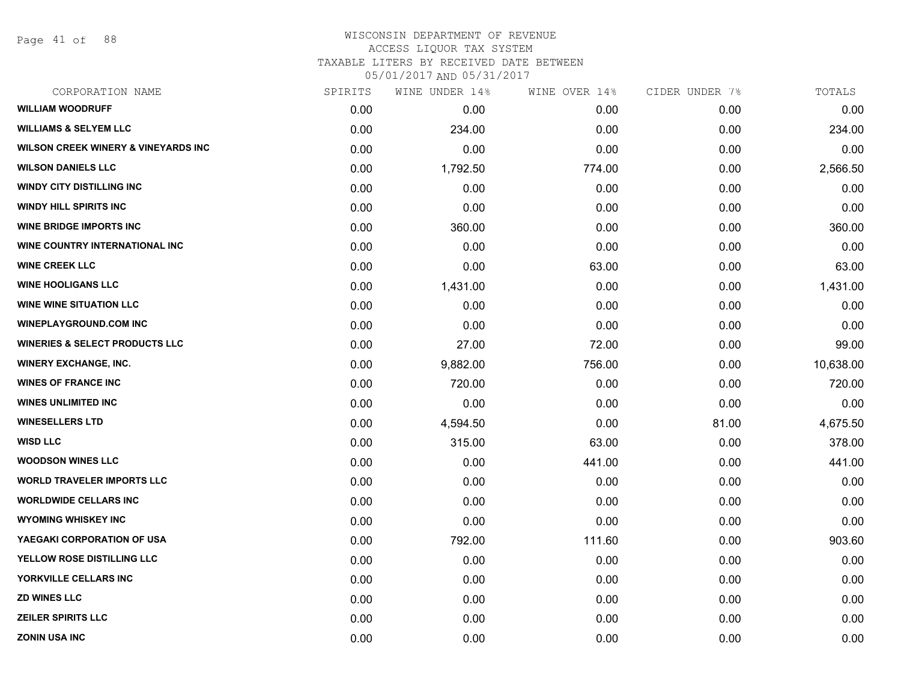Page 41 of 88

### WISCONSIN DEPARTMENT OF REVENUE ACCESS LIQUOR TAX SYSTEM TAXABLE LITERS BY RECEIVED DATE BETWEEN

| CORPORATION NAME                               | SPIRITS | WINE UNDER 14% | WINE OVER 14% | CIDER UNDER 7% | TOTALS    |
|------------------------------------------------|---------|----------------|---------------|----------------|-----------|
| <b>WILLIAM WOODRUFF</b>                        | 0.00    | 0.00           | 0.00          | 0.00           | 0.00      |
| <b>WILLIAMS &amp; SELYEM LLC</b>               | 0.00    | 234.00         | 0.00          | 0.00           | 234.00    |
| <b>WILSON CREEK WINERY &amp; VINEYARDS INC</b> | 0.00    | 0.00           | 0.00          | 0.00           | 0.00      |
| <b>WILSON DANIELS LLC</b>                      | 0.00    | 1,792.50       | 774.00        | 0.00           | 2,566.50  |
| <b>WINDY CITY DISTILLING INC</b>               | 0.00    | 0.00           | 0.00          | 0.00           | 0.00      |
| <b>WINDY HILL SPIRITS INC</b>                  | 0.00    | 0.00           | 0.00          | 0.00           | 0.00      |
| <b>WINE BRIDGE IMPORTS INC</b>                 | 0.00    | 360.00         | 0.00          | 0.00           | 360.00    |
| WINE COUNTRY INTERNATIONAL INC                 | 0.00    | 0.00           | 0.00          | 0.00           | 0.00      |
| <b>WINE CREEK LLC</b>                          | 0.00    | 0.00           | 63.00         | 0.00           | 63.00     |
| <b>WINE HOOLIGANS LLC</b>                      | 0.00    | 1,431.00       | 0.00          | 0.00           | 1,431.00  |
| <b>WINE WINE SITUATION LLC</b>                 | 0.00    | 0.00           | 0.00          | 0.00           | 0.00      |
| <b>WINEPLAYGROUND.COM INC</b>                  | 0.00    | 0.00           | 0.00          | 0.00           | 0.00      |
| <b>WINERIES &amp; SELECT PRODUCTS LLC</b>      | 0.00    | 27.00          | 72.00         | 0.00           | 99.00     |
| <b>WINERY EXCHANGE, INC.</b>                   | 0.00    | 9,882.00       | 756.00        | 0.00           | 10,638.00 |
| <b>WINES OF FRANCE INC</b>                     | 0.00    | 720.00         | 0.00          | 0.00           | 720.00    |
| <b>WINES UNLIMITED INC</b>                     | 0.00    | 0.00           | 0.00          | 0.00           | 0.00      |
| <b>WINESELLERS LTD</b>                         | 0.00    | 4,594.50       | 0.00          | 81.00          | 4,675.50  |
| <b>WISD LLC</b>                                | 0.00    | 315.00         | 63.00         | 0.00           | 378.00    |
| <b>WOODSON WINES LLC</b>                       | 0.00    | 0.00           | 441.00        | 0.00           | 441.00    |
| <b>WORLD TRAVELER IMPORTS LLC</b>              | 0.00    | 0.00           | 0.00          | 0.00           | 0.00      |
| <b>WORLDWIDE CELLARS INC</b>                   | 0.00    | 0.00           | 0.00          | 0.00           | 0.00      |
| <b>WYOMING WHISKEY INC</b>                     | 0.00    | 0.00           | 0.00          | 0.00           | 0.00      |
| YAEGAKI CORPORATION OF USA                     | 0.00    | 792.00         | 111.60        | 0.00           | 903.60    |
| YELLOW ROSE DISTILLING LLC                     | 0.00    | 0.00           | 0.00          | 0.00           | 0.00      |
| YORKVILLE CELLARS INC                          | 0.00    | 0.00           | 0.00          | 0.00           | 0.00      |
| <b>ZD WINES LLC</b>                            | 0.00    | 0.00           | 0.00          | 0.00           | 0.00      |
| <b>ZEILER SPIRITS LLC</b>                      | 0.00    | 0.00           | 0.00          | 0.00           | 0.00      |
| <b>ZONIN USA INC</b>                           | 0.00    | 0.00           | 0.00          | 0.00           | 0.00      |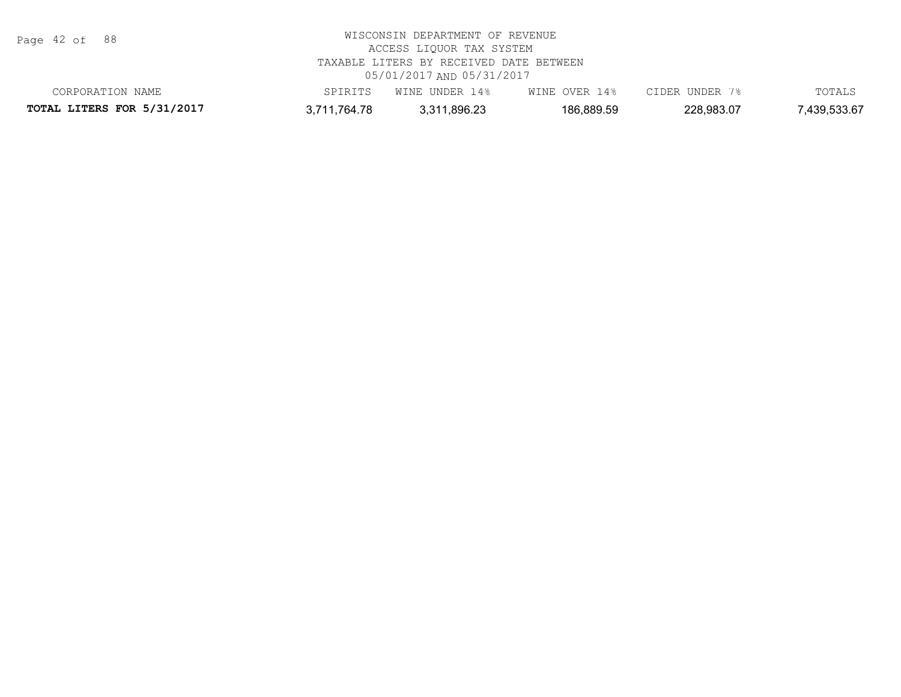Page 42 of 88

| CORPORATION NAME                  | PIRITS       | UNDER<br>ା 4 %<br>WINE | OVER<br>4%<br>WINE | TIDER UNDER | TOTALS      |
|-----------------------------------|--------------|------------------------|--------------------|-------------|-------------|
| <b>TOTAL LITERS FOR 5/31/2017</b> | र,711,764.78 | 3,311,896.23           | 186,889.59         | 228,983.07  | ,439,533.67 |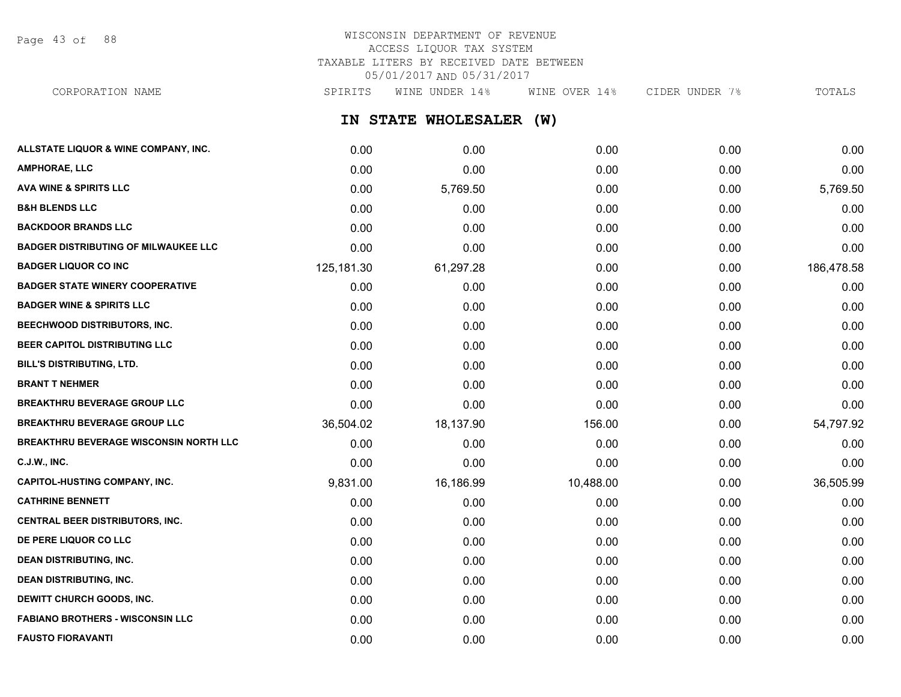Page 43 of 88

## WISCONSIN DEPARTMENT OF REVENUE ACCESS LIQUOR TAX SYSTEM TAXABLE LITERS BY RECEIVED DATE BETWEEN 05/01/2017 AND 05/31/2017

**IN STATE WHOLESALER (W) ALLSTATE LIQUOR & WINE COMPANY, INC.** 0.00 0.00 0.00 0.00 0.00 CORPORATION NAME SPIRITS WINE UNDER 14% WINE OVER 14% CIDER UNDER 7% TOTALS

| <b>AMPHORAE, LLC</b>                          | 0.00       | 0.00      | 0.00      | 0.00 | 0.00       |
|-----------------------------------------------|------------|-----------|-----------|------|------------|
| <b>AVA WINE &amp; SPIRITS LLC</b>             | 0.00       | 5,769.50  | 0.00      | 0.00 | 5,769.50   |
| <b>B&amp;H BLENDS LLC</b>                     | 0.00       | 0.00      | 0.00      | 0.00 | 0.00       |
| <b>BACKDOOR BRANDS LLC</b>                    | 0.00       | 0.00      | 0.00      | 0.00 | 0.00       |
| <b>BADGER DISTRIBUTING OF MILWAUKEE LLC</b>   | 0.00       | 0.00      | 0.00      | 0.00 | 0.00       |
| <b>BADGER LIQUOR CO INC</b>                   | 125,181.30 | 61,297.28 | 0.00      | 0.00 | 186,478.58 |
| <b>BADGER STATE WINERY COOPERATIVE</b>        | 0.00       | 0.00      | 0.00      | 0.00 | 0.00       |
| <b>BADGER WINE &amp; SPIRITS LLC</b>          | 0.00       | 0.00      | 0.00      | 0.00 | 0.00       |
| BEECHWOOD DISTRIBUTORS, INC.                  | 0.00       | 0.00      | 0.00      | 0.00 | 0.00       |
| BEER CAPITOL DISTRIBUTING LLC                 | 0.00       | 0.00      | 0.00      | 0.00 | 0.00       |
| <b>BILL'S DISTRIBUTING, LTD.</b>              | 0.00       | 0.00      | 0.00      | 0.00 | 0.00       |
| <b>BRANT T NEHMER</b>                         | 0.00       | 0.00      | 0.00      | 0.00 | 0.00       |
| <b>BREAKTHRU BEVERAGE GROUP LLC</b>           | 0.00       | 0.00      | 0.00      | 0.00 | 0.00       |
| <b>BREAKTHRU BEVERAGE GROUP LLC</b>           | 36,504.02  | 18,137.90 | 156.00    | 0.00 | 54,797.92  |
| <b>BREAKTHRU BEVERAGE WISCONSIN NORTH LLC</b> | 0.00       | 0.00      | 0.00      | 0.00 | 0.00       |
| <b>C.J.W., INC.</b>                           | 0.00       | 0.00      | 0.00      | 0.00 | 0.00       |
| <b>CAPITOL-HUSTING COMPANY, INC.</b>          | 9,831.00   | 16,186.99 | 10,488.00 | 0.00 | 36,505.99  |
| <b>CATHRINE BENNETT</b>                       | 0.00       | 0.00      | 0.00      | 0.00 | 0.00       |
| <b>CENTRAL BEER DISTRIBUTORS, INC.</b>        | 0.00       | 0.00      | 0.00      | 0.00 | 0.00       |
| DE PERE LIQUOR CO LLC                         | 0.00       | 0.00      | 0.00      | 0.00 | 0.00       |
| <b>DEAN DISTRIBUTING, INC.</b>                | 0.00       | 0.00      | 0.00      | 0.00 | 0.00       |
| <b>DEAN DISTRIBUTING, INC.</b>                | 0.00       | 0.00      | 0.00      | 0.00 | 0.00       |
| DEWITT CHURCH GOODS, INC.                     | 0.00       | 0.00      | 0.00      | 0.00 | 0.00       |
| <b>FABIANO BROTHERS - WISCONSIN LLC</b>       | 0.00       | 0.00      | 0.00      | 0.00 | 0.00       |
| <b>FAUSTO FIORAVANTI</b>                      | 0.00       | 0.00      | 0.00      | 0.00 | 0.00       |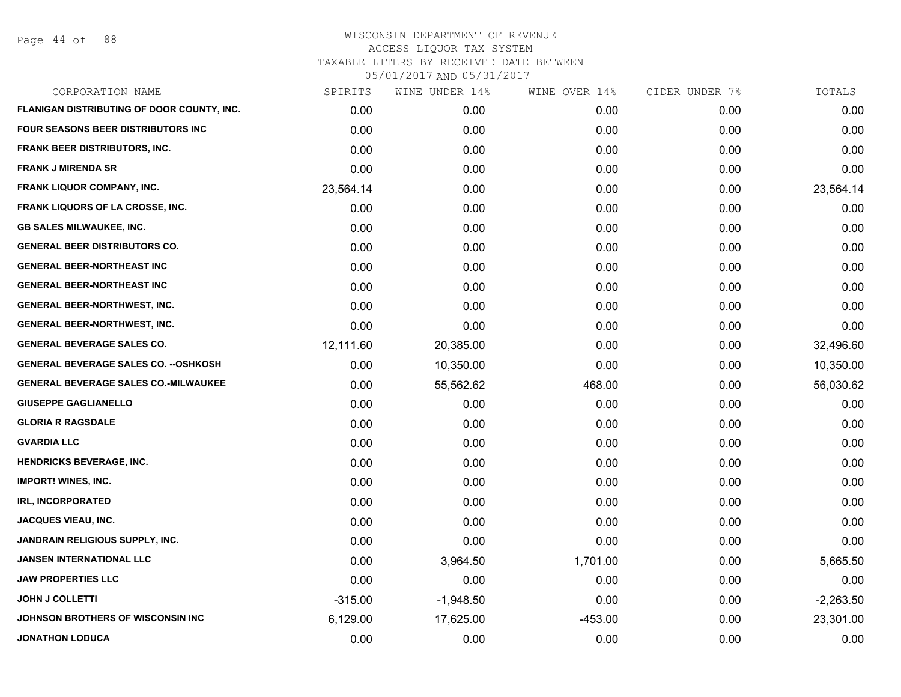Page 44 of 88

| CORPORATION NAME                             | SPIRITS   | WINE UNDER 14% | WINE OVER 14% | CIDER UNDER 7% | TOTALS      |
|----------------------------------------------|-----------|----------------|---------------|----------------|-------------|
| FLANIGAN DISTRIBUTING OF DOOR COUNTY, INC.   | 0.00      | 0.00           | 0.00          | 0.00           | 0.00        |
| FOUR SEASONS BEER DISTRIBUTORS INC           | 0.00      | 0.00           | 0.00          | 0.00           | 0.00        |
| FRANK BEER DISTRIBUTORS, INC.                | 0.00      | 0.00           | 0.00          | 0.00           | 0.00        |
| <b>FRANK J MIRENDA SR</b>                    | 0.00      | 0.00           | 0.00          | 0.00           | 0.00        |
| <b>FRANK LIQUOR COMPANY, INC.</b>            | 23,564.14 | 0.00           | 0.00          | 0.00           | 23,564.14   |
| <b>FRANK LIQUORS OF LA CROSSE, INC.</b>      | 0.00      | 0.00           | 0.00          | 0.00           | 0.00        |
| <b>GB SALES MILWAUKEE, INC.</b>              | 0.00      | 0.00           | 0.00          | 0.00           | 0.00        |
| <b>GENERAL BEER DISTRIBUTORS CO.</b>         | 0.00      | 0.00           | 0.00          | 0.00           | 0.00        |
| <b>GENERAL BEER-NORTHEAST INC</b>            | 0.00      | 0.00           | 0.00          | 0.00           | 0.00        |
| <b>GENERAL BEER-NORTHEAST INC</b>            | 0.00      | 0.00           | 0.00          | 0.00           | 0.00        |
| <b>GENERAL BEER-NORTHWEST, INC.</b>          | 0.00      | 0.00           | 0.00          | 0.00           | 0.00        |
| <b>GENERAL BEER-NORTHWEST, INC.</b>          | 0.00      | 0.00           | 0.00          | 0.00           | 0.00        |
| <b>GENERAL BEVERAGE SALES CO.</b>            | 12,111.60 | 20,385.00      | 0.00          | 0.00           | 32,496.60   |
| <b>GENERAL BEVERAGE SALES CO. -- OSHKOSH</b> | 0.00      | 10,350.00      | 0.00          | 0.00           | 10,350.00   |
| <b>GENERAL BEVERAGE SALES CO.-MILWAUKEE</b>  | 0.00      | 55,562.62      | 468.00        | 0.00           | 56,030.62   |
| <b>GIUSEPPE GAGLIANELLO</b>                  | 0.00      | 0.00           | 0.00          | 0.00           | 0.00        |
| <b>GLORIA R RAGSDALE</b>                     | 0.00      | 0.00           | 0.00          | 0.00           | 0.00        |
| <b>GVARDIA LLC</b>                           | 0.00      | 0.00           | 0.00          | 0.00           | 0.00        |
| <b>HENDRICKS BEVERAGE, INC.</b>              | 0.00      | 0.00           | 0.00          | 0.00           | 0.00        |
| <b>IMPORT! WINES, INC.</b>                   | 0.00      | 0.00           | 0.00          | 0.00           | 0.00        |
| <b>IRL, INCORPORATED</b>                     | 0.00      | 0.00           | 0.00          | 0.00           | 0.00        |
| <b>JACQUES VIEAU, INC.</b>                   | 0.00      | 0.00           | 0.00          | 0.00           | 0.00        |
| JANDRAIN RELIGIOUS SUPPLY, INC.              | 0.00      | 0.00           | 0.00          | 0.00           | 0.00        |
| <b>JANSEN INTERNATIONAL LLC</b>              | 0.00      | 3,964.50       | 1,701.00      | 0.00           | 5,665.50    |
| <b>JAW PROPERTIES LLC</b>                    | 0.00      | 0.00           | 0.00          | 0.00           | 0.00        |
| <b>JOHN J COLLETTI</b>                       | $-315.00$ | $-1,948.50$    | 0.00          | 0.00           | $-2,263.50$ |
| JOHNSON BROTHERS OF WISCONSIN INC            | 6,129.00  | 17,625.00      | $-453.00$     | 0.00           | 23,301.00   |
| <b>JONATHON LODUCA</b>                       | 0.00      | 0.00           | 0.00          | 0.00           | 0.00        |
|                                              |           |                |               |                |             |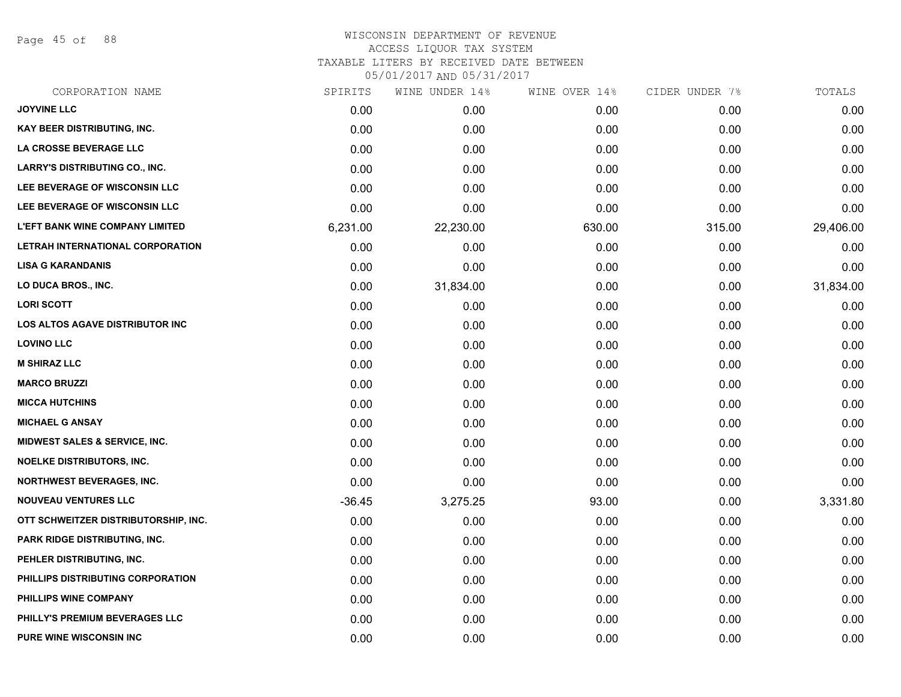Page 45 of 88

| CORPORATION NAME                         | SPIRITS  | WINE UNDER 14% | WINE OVER 14% | CIDER UNDER 7% | TOTALS    |
|------------------------------------------|----------|----------------|---------------|----------------|-----------|
| <b>JOYVINE LLC</b>                       | 0.00     | 0.00           | 0.00          | 0.00           | 0.00      |
| <b>KAY BEER DISTRIBUTING, INC.</b>       | 0.00     | 0.00           | 0.00          | 0.00           | 0.00      |
| LA CROSSE BEVERAGE LLC                   | 0.00     | 0.00           | 0.00          | 0.00           | 0.00      |
| LARRY'S DISTRIBUTING CO., INC.           | 0.00     | 0.00           | 0.00          | 0.00           | 0.00      |
| LEE BEVERAGE OF WISCONSIN LLC            | 0.00     | 0.00           | 0.00          | 0.00           | 0.00      |
| LEE BEVERAGE OF WISCONSIN LLC            | 0.00     | 0.00           | 0.00          | 0.00           | 0.00      |
| <b>L'EFT BANK WINE COMPANY LIMITED</b>   | 6,231.00 | 22,230.00      | 630.00        | 315.00         | 29,406.00 |
| LETRAH INTERNATIONAL CORPORATION         | 0.00     | 0.00           | 0.00          | 0.00           | 0.00      |
| <b>LISA G KARANDANIS</b>                 | 0.00     | 0.00           | 0.00          | 0.00           | 0.00      |
| LO DUCA BROS., INC.                      | 0.00     | 31,834.00      | 0.00          | 0.00           | 31,834.00 |
| <b>LORI SCOTT</b>                        | 0.00     | 0.00           | 0.00          | 0.00           | 0.00      |
| LOS ALTOS AGAVE DISTRIBUTOR INC          | 0.00     | 0.00           | 0.00          | 0.00           | 0.00      |
| <b>LOVINO LLC</b>                        | 0.00     | 0.00           | 0.00          | 0.00           | 0.00      |
| <b>M SHIRAZ LLC</b>                      | 0.00     | 0.00           | 0.00          | 0.00           | 0.00      |
| <b>MARCO BRUZZI</b>                      | 0.00     | 0.00           | 0.00          | 0.00           | 0.00      |
| <b>MICCA HUTCHINS</b>                    | 0.00     | 0.00           | 0.00          | 0.00           | 0.00      |
| <b>MICHAEL G ANSAY</b>                   | 0.00     | 0.00           | 0.00          | 0.00           | 0.00      |
| <b>MIDWEST SALES &amp; SERVICE, INC.</b> | 0.00     | 0.00           | 0.00          | 0.00           | 0.00      |
| <b>NOELKE DISTRIBUTORS, INC.</b>         | 0.00     | 0.00           | 0.00          | 0.00           | 0.00      |
| <b>NORTHWEST BEVERAGES, INC.</b>         | 0.00     | 0.00           | 0.00          | 0.00           | 0.00      |
| <b>NOUVEAU VENTURES LLC</b>              | $-36.45$ | 3,275.25       | 93.00         | 0.00           | 3,331.80  |
| OTT SCHWEITZER DISTRIBUTORSHIP, INC.     | 0.00     | 0.00           | 0.00          | 0.00           | 0.00      |
| <b>PARK RIDGE DISTRIBUTING, INC.</b>     | 0.00     | 0.00           | 0.00          | 0.00           | 0.00      |
| PEHLER DISTRIBUTING, INC.                | 0.00     | 0.00           | 0.00          | 0.00           | 0.00      |
| PHILLIPS DISTRIBUTING CORPORATION        | 0.00     | 0.00           | 0.00          | 0.00           | 0.00      |
| PHILLIPS WINE COMPANY                    | 0.00     | 0.00           | 0.00          | 0.00           | 0.00      |
| PHILLY'S PREMIUM BEVERAGES LLC           | 0.00     | 0.00           | 0.00          | 0.00           | 0.00      |
| <b>PURE WINE WISCONSIN INC</b>           | 0.00     | 0.00           | 0.00          | 0.00           | 0.00      |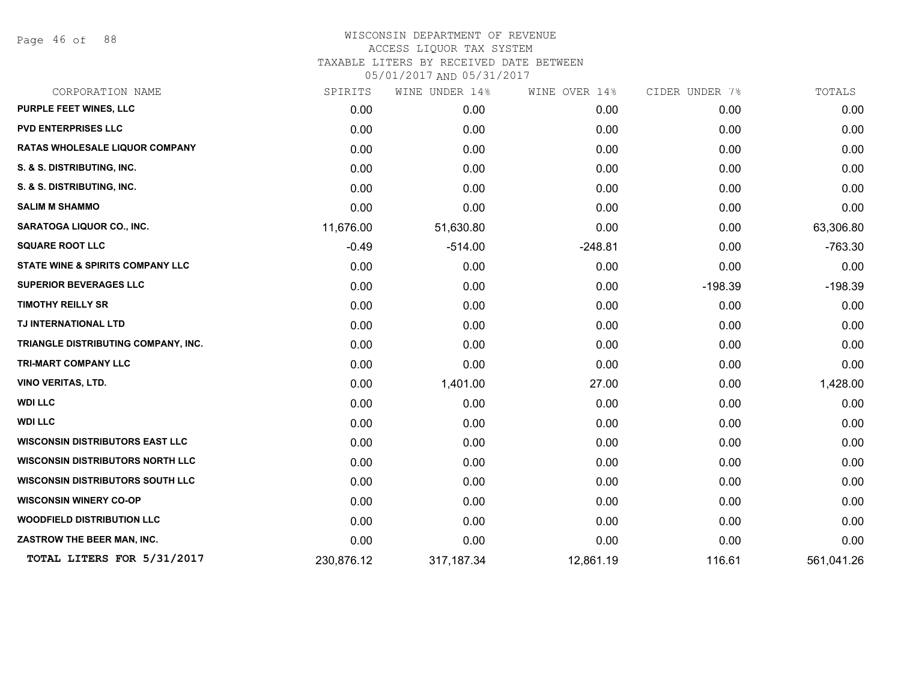Page 46 of 88

## WISCONSIN DEPARTMENT OF REVENUE ACCESS LIQUOR TAX SYSTEM TAXABLE LITERS BY RECEIVED DATE BETWEEN

| CORPORATION NAME                            | SPIRITS    | WINE UNDER 14% | WINE OVER 14% | CIDER UNDER 7% | TOTALS     |
|---------------------------------------------|------------|----------------|---------------|----------------|------------|
| <b>PURPLE FEET WINES, LLC</b>               | 0.00       | 0.00           | 0.00          | 0.00           | 0.00       |
| <b>PVD ENTERPRISES LLC</b>                  | 0.00       | 0.00           | 0.00          | 0.00           | 0.00       |
| <b>RATAS WHOLESALE LIQUOR COMPANY</b>       | 0.00       | 0.00           | 0.00          | 0.00           | 0.00       |
| S. & S. DISTRIBUTING, INC.                  | 0.00       | 0.00           | 0.00          | 0.00           | 0.00       |
| S. & S. DISTRIBUTING, INC.                  | 0.00       | 0.00           | 0.00          | 0.00           | 0.00       |
| <b>SALIM M SHAMMO</b>                       | 0.00       | 0.00           | 0.00          | 0.00           | 0.00       |
| <b>SARATOGA LIQUOR CO., INC.</b>            | 11,676.00  | 51,630.80      | 0.00          | 0.00           | 63,306.80  |
| <b>SQUARE ROOT LLC</b>                      | $-0.49$    | $-514.00$      | $-248.81$     | 0.00           | $-763.30$  |
| <b>STATE WINE &amp; SPIRITS COMPANY LLC</b> | 0.00       | 0.00           | 0.00          | 0.00           | 0.00       |
| <b>SUPERIOR BEVERAGES LLC</b>               | 0.00       | 0.00           | 0.00          | $-198.39$      | $-198.39$  |
| <b>TIMOTHY REILLY SR</b>                    | 0.00       | 0.00           | 0.00          | 0.00           | 0.00       |
| TJ INTERNATIONAL LTD                        | 0.00       | 0.00           | 0.00          | 0.00           | 0.00       |
| TRIANGLE DISTRIBUTING COMPANY, INC.         | 0.00       | 0.00           | 0.00          | 0.00           | 0.00       |
| <b>TRI-MART COMPANY LLC</b>                 | 0.00       | 0.00           | 0.00          | 0.00           | 0.00       |
| <b>VINO VERITAS, LTD.</b>                   | 0.00       | 1,401.00       | 27.00         | 0.00           | 1,428.00   |
| <b>WDI LLC</b>                              | 0.00       | 0.00           | 0.00          | 0.00           | 0.00       |
| <b>WDI LLC</b>                              | 0.00       | 0.00           | 0.00          | 0.00           | 0.00       |
| <b>WISCONSIN DISTRIBUTORS EAST LLC</b>      | 0.00       | 0.00           | 0.00          | 0.00           | 0.00       |
| <b>WISCONSIN DISTRIBUTORS NORTH LLC</b>     | 0.00       | 0.00           | 0.00          | 0.00           | 0.00       |
| <b>WISCONSIN DISTRIBUTORS SOUTH LLC</b>     | 0.00       | 0.00           | 0.00          | 0.00           | 0.00       |
| <b>WISCONSIN WINERY CO-OP</b>               | 0.00       | 0.00           | 0.00          | 0.00           | 0.00       |
| <b>WOODFIELD DISTRIBUTION LLC</b>           | 0.00       | 0.00           | 0.00          | 0.00           | 0.00       |
| ZASTROW THE BEER MAN, INC.                  | 0.00       | 0.00           | 0.00          | 0.00           | 0.00       |
| TOTAL LITERS FOR 5/31/2017                  | 230,876.12 | 317, 187. 34   | 12,861.19     | 116.61         | 561,041.26 |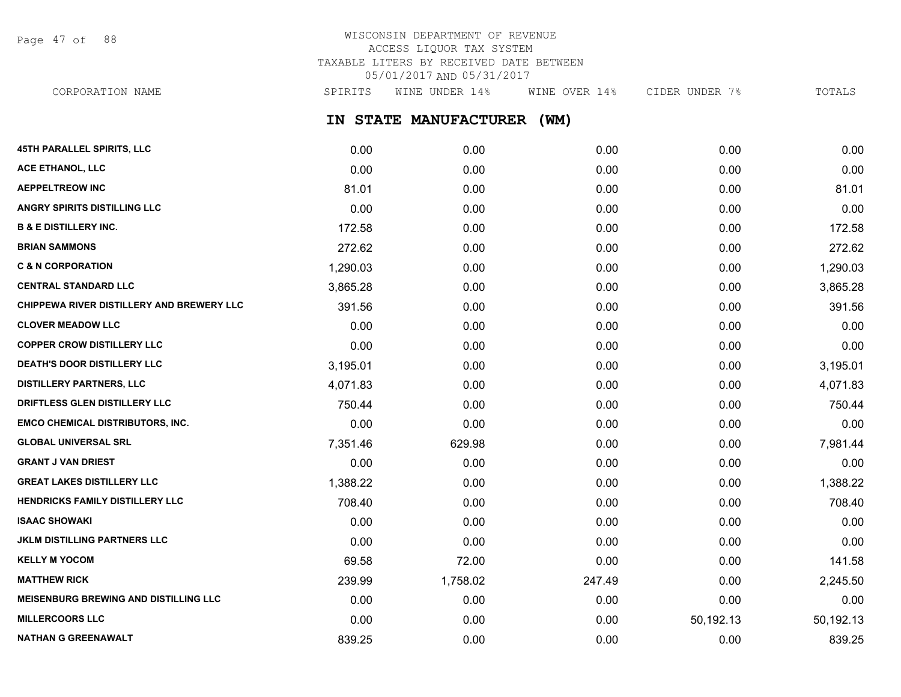Page 47 of 88

# WISCONSIN DEPARTMENT OF REVENUE ACCESS LIQUOR TAX SYSTEM TAXABLE LITERS BY RECEIVED DATE BETWEEN 05/01/2017 AND 05/31/2017

CORPORATION NAME SPIRITS WINE UNDER 14% WINE OVER 14% CIDER UNDER 7% TOTALS

**IN STATE MANUFACTURER (WM)**

| <b>45TH PARALLEL SPIRITS, LLC</b>            | 0.00     | 0.00     | 0.00   | 0.00      | 0.00      |
|----------------------------------------------|----------|----------|--------|-----------|-----------|
| ACE ETHANOL, LLC                             | 0.00     | 0.00     | 0.00   | 0.00      | 0.00      |
| <b>AEPPELTREOW INC</b>                       | 81.01    | 0.00     | 0.00   | 0.00      | 81.01     |
| <b>ANGRY SPIRITS DISTILLING LLC</b>          | 0.00     | 0.00     | 0.00   | 0.00      | 0.00      |
| <b>B &amp; E DISTILLERY INC.</b>             | 172.58   | 0.00     | 0.00   | 0.00      | 172.58    |
| <b>BRIAN SAMMONS</b>                         | 272.62   | 0.00     | 0.00   | 0.00      | 272.62    |
| <b>C &amp; N CORPORATION</b>                 | 1,290.03 | 0.00     | 0.00   | 0.00      | 1,290.03  |
| <b>CENTRAL STANDARD LLC</b>                  | 3,865.28 | 0.00     | 0.00   | 0.00      | 3,865.28  |
| CHIPPEWA RIVER DISTILLERY AND BREWERY LLC    | 391.56   | 0.00     | 0.00   | 0.00      | 391.56    |
| <b>CLOVER MEADOW LLC</b>                     | 0.00     | 0.00     | 0.00   | 0.00      | 0.00      |
| <b>COPPER CROW DISTILLERY LLC</b>            | 0.00     | 0.00     | 0.00   | 0.00      | 0.00      |
| <b>DEATH'S DOOR DISTILLERY LLC</b>           | 3,195.01 | 0.00     | 0.00   | 0.00      | 3,195.01  |
| <b>DISTILLERY PARTNERS, LLC</b>              | 4,071.83 | 0.00     | 0.00   | 0.00      | 4,071.83  |
| DRIFTLESS GLEN DISTILLERY LLC                | 750.44   | 0.00     | 0.00   | 0.00      | 750.44    |
| <b>EMCO CHEMICAL DISTRIBUTORS, INC.</b>      | 0.00     | 0.00     | 0.00   | 0.00      | 0.00      |
| <b>GLOBAL UNIVERSAL SRL</b>                  | 7,351.46 | 629.98   | 0.00   | 0.00      | 7,981.44  |
| <b>GRANT J VAN DRIEST</b>                    | 0.00     | 0.00     | 0.00   | 0.00      | 0.00      |
| <b>GREAT LAKES DISTILLERY LLC</b>            | 1,388.22 | 0.00     | 0.00   | 0.00      | 1,388.22  |
| HENDRICKS FAMILY DISTILLERY LLC              | 708.40   | 0.00     | 0.00   | 0.00      | 708.40    |
| <b>ISAAC SHOWAKI</b>                         | 0.00     | 0.00     | 0.00   | 0.00      | 0.00      |
| <b>JKLM DISTILLING PARTNERS LLC</b>          | 0.00     | 0.00     | 0.00   | 0.00      | 0.00      |
| <b>KELLY M YOCOM</b>                         | 69.58    | 72.00    | 0.00   | 0.00      | 141.58    |
| <b>MATTHEW RICK</b>                          | 239.99   | 1,758.02 | 247.49 | 0.00      | 2,245.50  |
| <b>MEISENBURG BREWING AND DISTILLING LLC</b> | 0.00     | 0.00     | 0.00   | 0.00      | 0.00      |
| <b>MILLERCOORS LLC</b>                       | 0.00     | 0.00     | 0.00   | 50,192.13 | 50,192.13 |
| <b>NATHAN G GREENAWALT</b>                   | 839.25   | 0.00     | 0.00   | 0.00      | 839.25    |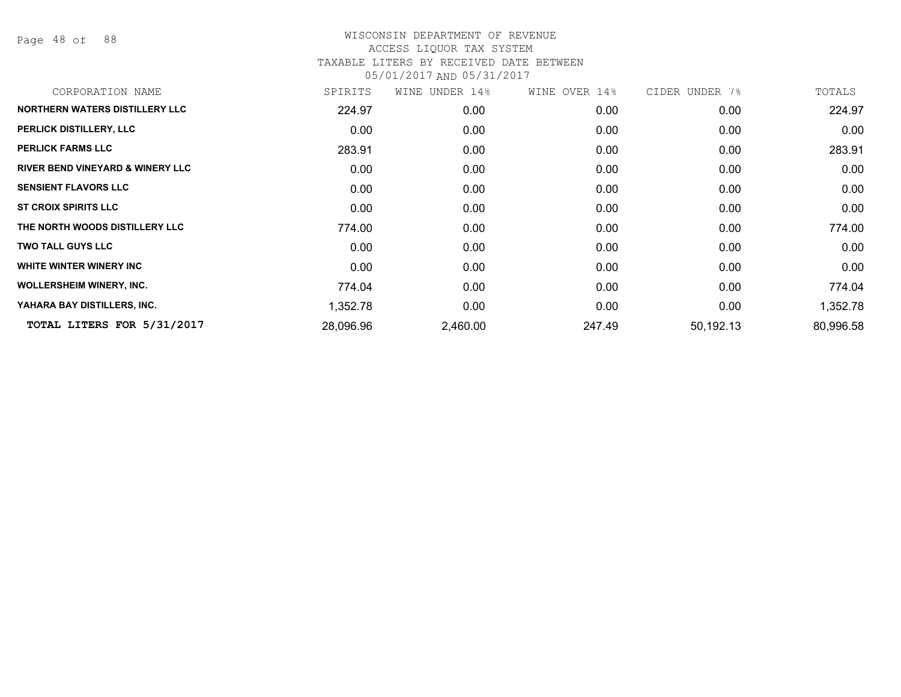Page 48 of 88

| CORPORATION NAME                            | SPIRITS   | WINE UNDER 14% | WINE OVER 14% | CIDER UNDER 7% | TOTALS    |
|---------------------------------------------|-----------|----------------|---------------|----------------|-----------|
| <b>NORTHERN WATERS DISTILLERY LLC</b>       | 224.97    | 0.00           | 0.00          | 0.00           | 224.97    |
| PERLICK DISTILLERY, LLC                     | 0.00      | 0.00           | 0.00          | 0.00           | 0.00      |
| <b>PERLICK FARMS LLC</b>                    | 283.91    | 0.00           | 0.00          | 0.00           | 283.91    |
| <b>RIVER BEND VINEYARD &amp; WINERY LLC</b> | 0.00      | 0.00           | 0.00          | 0.00           | 0.00      |
| <b>SENSIENT FLAVORS LLC</b>                 | 0.00      | 0.00           | 0.00          | 0.00           | 0.00      |
| <b>ST CROIX SPIRITS LLC</b>                 | 0.00      | 0.00           | 0.00          | 0.00           | 0.00      |
| THE NORTH WOODS DISTILLERY LLC              | 774.00    | 0.00           | 0.00          | 0.00           | 774.00    |
| <b>TWO TALL GUYS LLC</b>                    | 0.00      | 0.00           | 0.00          | 0.00           | 0.00      |
| WHITE WINTER WINERY INC                     | 0.00      | 0.00           | 0.00          | 0.00           | 0.00      |
| <b>WOLLERSHEIM WINERY, INC.</b>             | 774.04    | 0.00           | 0.00          | 0.00           | 774.04    |
| YAHARA BAY DISTILLERS, INC.                 | 1,352.78  | 0.00           | 0.00          | 0.00           | 1,352.78  |
| TOTAL LITERS FOR 5/31/2017                  | 28,096.96 | 2,460.00       | 247.49        | 50,192.13      | 80,996.58 |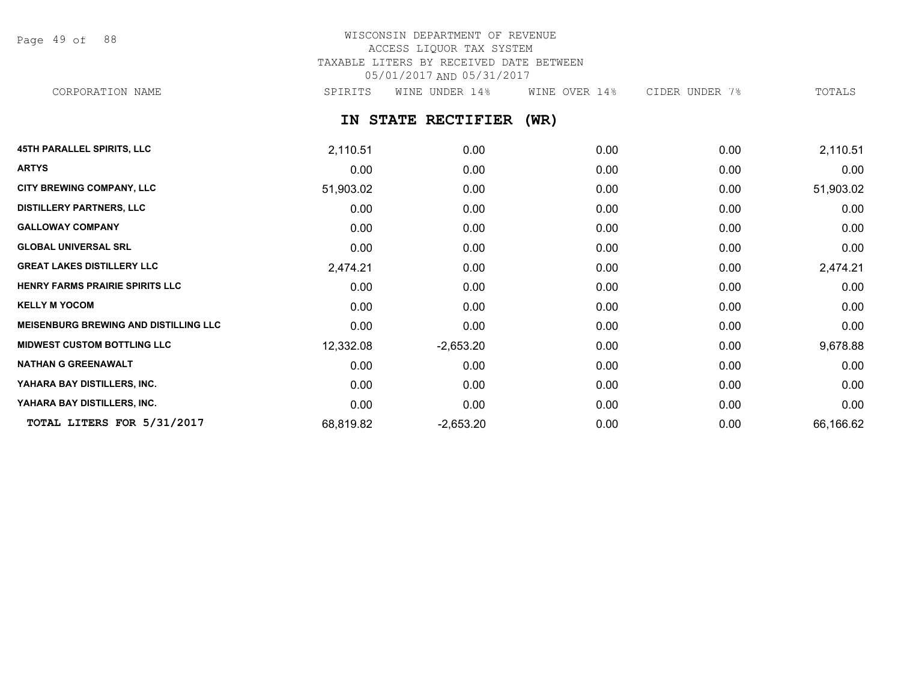Page 49 of 88

# WISCONSIN DEPARTMENT OF REVENUE ACCESS LIQUOR TAX SYSTEM TAXABLE LITERS BY RECEIVED DATE BETWEEN 05/01/2017 AND 05/31/2017

CORPORATION NAME SPIRITS WINE UNDER 14% WINE OVER 14% CIDER UNDER 7% TOTALS

**IN STATE RECTIFIER (WR)**

| <b>45TH PARALLEL SPIRITS, LLC</b>            | 2,110.51  | 0.00        | 0.00 | 0.00 | 2,110.51  |
|----------------------------------------------|-----------|-------------|------|------|-----------|
| <b>ARTYS</b>                                 | 0.00      | 0.00        | 0.00 | 0.00 | 0.00      |
| CITY BREWING COMPANY, LLC                    | 51,903.02 | 0.00        | 0.00 | 0.00 | 51,903.02 |
| <b>DISTILLERY PARTNERS, LLC</b>              | 0.00      | 0.00        | 0.00 | 0.00 | 0.00      |
| <b>GALLOWAY COMPANY</b>                      | 0.00      | 0.00        | 0.00 | 0.00 | 0.00      |
| <b>GLOBAL UNIVERSAL SRL</b>                  | 0.00      | 0.00        | 0.00 | 0.00 | 0.00      |
| <b>GREAT LAKES DISTILLERY LLC</b>            | 2,474.21  | 0.00        | 0.00 | 0.00 | 2,474.21  |
| <b>HENRY FARMS PRAIRIE SPIRITS LLC</b>       | 0.00      | 0.00        | 0.00 | 0.00 | 0.00      |
| <b>KELLY M YOCOM</b>                         | 0.00      | 0.00        | 0.00 | 0.00 | 0.00      |
| <b>MEISENBURG BREWING AND DISTILLING LLC</b> | 0.00      | 0.00        | 0.00 | 0.00 | 0.00      |
| <b>MIDWEST CUSTOM BOTTLING LLC</b>           | 12,332.08 | $-2,653.20$ | 0.00 | 0.00 | 9,678.88  |
| <b>NATHAN G GREENAWALT</b>                   | 0.00      | 0.00        | 0.00 | 0.00 | 0.00      |
| YAHARA BAY DISTILLERS, INC.                  | 0.00      | 0.00        | 0.00 | 0.00 | 0.00      |
| YAHARA BAY DISTILLERS, INC.                  | 0.00      | 0.00        | 0.00 | 0.00 | 0.00      |
| TOTAL LITERS FOR 5/31/2017                   | 68,819.82 | $-2,653.20$ | 0.00 | 0.00 | 66,166.62 |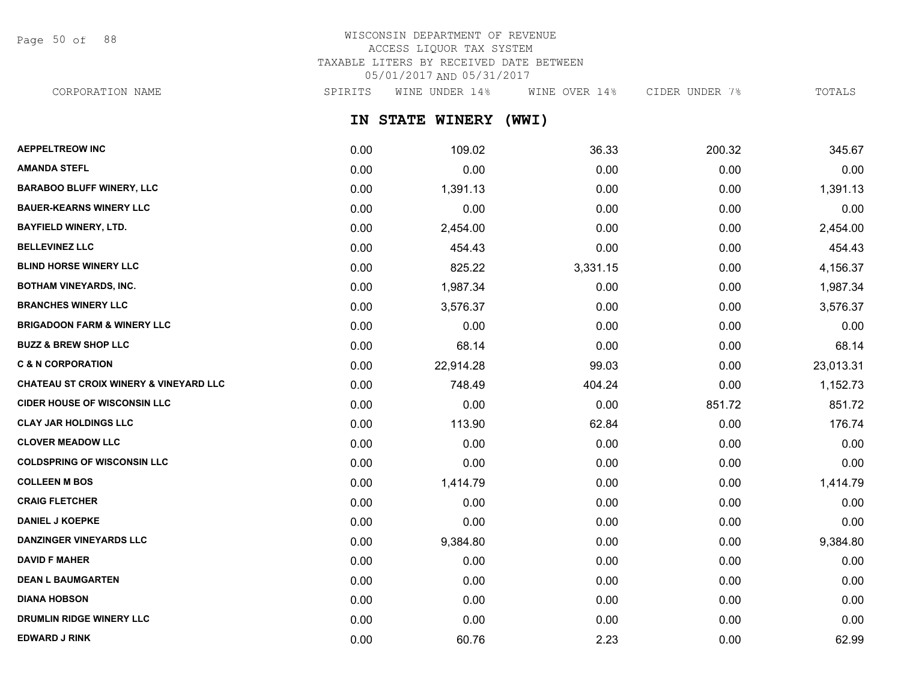Page 50 of 88

## WISCONSIN DEPARTMENT OF REVENUE ACCESS LIQUOR TAX SYSTEM TAXABLE LITERS BY RECEIVED DATE BETWEEN 05/01/2017 AND 05/31/2017 CORPORATION NAME SPIRITS WINE UNDER 14% WINE OVER 14% CIDER UNDER 7% TOTALS

**IN STATE WINERY (WWI)**

| <b>AEPPELTREOW INC</b>                 | 0.00 | 109.02    | 36.33    | 200.32 | 345.67    |
|----------------------------------------|------|-----------|----------|--------|-----------|
| <b>AMANDA STEFL</b>                    | 0.00 | 0.00      | 0.00     | 0.00   | 0.00      |
| <b>BARABOO BLUFF WINERY, LLC</b>       | 0.00 | 1,391.13  | 0.00     | 0.00   | 1,391.13  |
| <b>BAUER-KEARNS WINERY LLC</b>         | 0.00 | 0.00      | 0.00     | 0.00   | 0.00      |
| <b>BAYFIELD WINERY, LTD.</b>           | 0.00 | 2,454.00  | 0.00     | 0.00   | 2,454.00  |
| <b>BELLEVINEZ LLC</b>                  | 0.00 | 454.43    | 0.00     | 0.00   | 454.43    |
| <b>BLIND HORSE WINERY LLC</b>          | 0.00 | 825.22    | 3,331.15 | 0.00   | 4,156.37  |
| <b>BOTHAM VINEYARDS, INC.</b>          | 0.00 | 1,987.34  | 0.00     | 0.00   | 1,987.34  |
| <b>BRANCHES WINERY LLC</b>             | 0.00 | 3,576.37  | 0.00     | 0.00   | 3,576.37  |
| <b>BRIGADOON FARM &amp; WINERY LLC</b> | 0.00 | 0.00      | 0.00     | 0.00   | 0.00      |
| <b>BUZZ &amp; BREW SHOP LLC</b>        | 0.00 | 68.14     | 0.00     | 0.00   | 68.14     |
| <b>C &amp; N CORPORATION</b>           | 0.00 | 22,914.28 | 99.03    | 0.00   | 23,013.31 |
| CHATEAU ST CROIX WINERY & VINEYARD LLC | 0.00 | 748.49    | 404.24   | 0.00   | 1,152.73  |
| <b>CIDER HOUSE OF WISCONSIN LLC</b>    | 0.00 | 0.00      | 0.00     | 851.72 | 851.72    |
| <b>CLAY JAR HOLDINGS LLC</b>           | 0.00 | 113.90    | 62.84    | 0.00   | 176.74    |
| <b>CLOVER MEADOW LLC</b>               | 0.00 | 0.00      | 0.00     | 0.00   | 0.00      |
| <b>COLDSPRING OF WISCONSIN LLC</b>     | 0.00 | 0.00      | 0.00     | 0.00   | 0.00      |
| <b>COLLEEN M BOS</b>                   | 0.00 | 1,414.79  | 0.00     | 0.00   | 1,414.79  |
| <b>CRAIG FLETCHER</b>                  | 0.00 | 0.00      | 0.00     | 0.00   | 0.00      |
| <b>DANIEL J KOEPKE</b>                 | 0.00 | 0.00      | 0.00     | 0.00   | 0.00      |
| <b>DANZINGER VINEYARDS LLC</b>         | 0.00 | 9,384.80  | 0.00     | 0.00   | 9,384.80  |
| <b>DAVID F MAHER</b>                   | 0.00 | 0.00      | 0.00     | 0.00   | 0.00      |
| <b>DEAN L BAUMGARTEN</b>               | 0.00 | 0.00      | 0.00     | 0.00   | 0.00      |
| <b>DIANA HOBSON</b>                    | 0.00 | 0.00      | 0.00     | 0.00   | 0.00      |
| DRUMLIN RIDGE WINERY LLC               | 0.00 | 0.00      | 0.00     | 0.00   | 0.00      |
| <b>EDWARD J RINK</b>                   | 0.00 | 60.76     | 2.23     | 0.00   | 62.99     |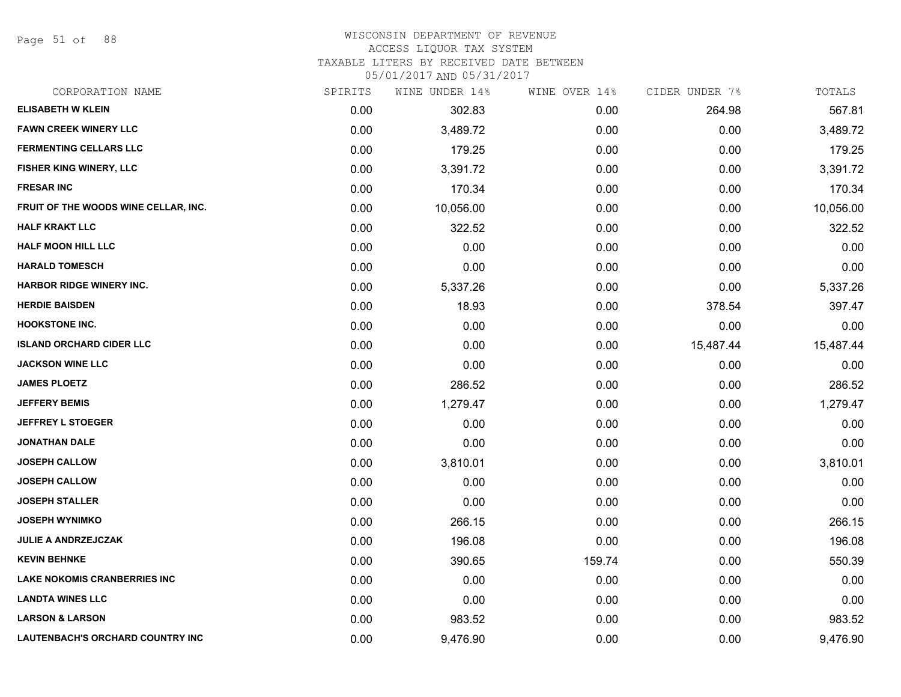Page 51 of 88

## WISCONSIN DEPARTMENT OF REVENUE

### ACCESS LIQUOR TAX SYSTEM

TAXABLE LITERS BY RECEIVED DATE BETWEEN

| CORPORATION NAME                        | SPIRITS | WINE UNDER 14% | WINE OVER 14% | CIDER UNDER 7% | TOTALS    |
|-----------------------------------------|---------|----------------|---------------|----------------|-----------|
| <b>ELISABETH W KLEIN</b>                | 0.00    | 302.83         | 0.00          | 264.98         | 567.81    |
| <b>FAWN CREEK WINERY LLC</b>            | 0.00    | 3,489.72       | 0.00          | 0.00           | 3,489.72  |
| <b>FERMENTING CELLARS LLC</b>           | 0.00    | 179.25         | 0.00          | 0.00           | 179.25    |
| FISHER KING WINERY, LLC                 | 0.00    | 3,391.72       | 0.00          | 0.00           | 3,391.72  |
| <b>FRESAR INC</b>                       | 0.00    | 170.34         | 0.00          | 0.00           | 170.34    |
| FRUIT OF THE WOODS WINE CELLAR, INC.    | 0.00    | 10,056.00      | 0.00          | 0.00           | 10,056.00 |
| <b>HALF KRAKT LLC</b>                   | 0.00    | 322.52         | 0.00          | 0.00           | 322.52    |
| <b>HALF MOON HILL LLC</b>               | 0.00    | 0.00           | 0.00          | 0.00           | 0.00      |
| <b>HARALD TOMESCH</b>                   | 0.00    | 0.00           | 0.00          | 0.00           | 0.00      |
| <b>HARBOR RIDGE WINERY INC.</b>         | 0.00    | 5,337.26       | 0.00          | 0.00           | 5,337.26  |
| <b>HERDIE BAISDEN</b>                   | 0.00    | 18.93          | 0.00          | 378.54         | 397.47    |
| <b>HOOKSTONE INC.</b>                   | 0.00    | 0.00           | 0.00          | 0.00           | 0.00      |
| <b>ISLAND ORCHARD CIDER LLC</b>         | 0.00    | 0.00           | 0.00          | 15,487.44      | 15,487.44 |
| <b>JACKSON WINE LLC</b>                 | 0.00    | 0.00           | 0.00          | 0.00           | 0.00      |
| <b>JAMES PLOETZ</b>                     | 0.00    | 286.52         | 0.00          | 0.00           | 286.52    |
| <b>JEFFERY BEMIS</b>                    | 0.00    | 1,279.47       | 0.00          | 0.00           | 1,279.47  |
| <b>JEFFREY L STOEGER</b>                | 0.00    | 0.00           | 0.00          | 0.00           | 0.00      |
| <b>JONATHAN DALE</b>                    | 0.00    | 0.00           | 0.00          | 0.00           | 0.00      |
| <b>JOSEPH CALLOW</b>                    | 0.00    | 3,810.01       | 0.00          | 0.00           | 3,810.01  |
| <b>JOSEPH CALLOW</b>                    | 0.00    | 0.00           | 0.00          | 0.00           | 0.00      |
| <b>JOSEPH STALLER</b>                   | 0.00    | 0.00           | 0.00          | 0.00           | 0.00      |
| <b>JOSEPH WYNIMKO</b>                   | 0.00    | 266.15         | 0.00          | 0.00           | 266.15    |
| <b>JULIE A ANDRZEJCZAK</b>              | 0.00    | 196.08         | 0.00          | 0.00           | 196.08    |
| <b>KEVIN BEHNKE</b>                     | 0.00    | 390.65         | 159.74        | 0.00           | 550.39    |
| <b>LAKE NOKOMIS CRANBERRIES INC</b>     | 0.00    | 0.00           | 0.00          | 0.00           | 0.00      |
| <b>LANDTA WINES LLC</b>                 | 0.00    | 0.00           | 0.00          | 0.00           | 0.00      |
| <b>LARSON &amp; LARSON</b>              | 0.00    | 983.52         | 0.00          | 0.00           | 983.52    |
| <b>LAUTENBACH'S ORCHARD COUNTRY INC</b> | 0.00    | 9,476.90       | 0.00          | 0.00           | 9,476.90  |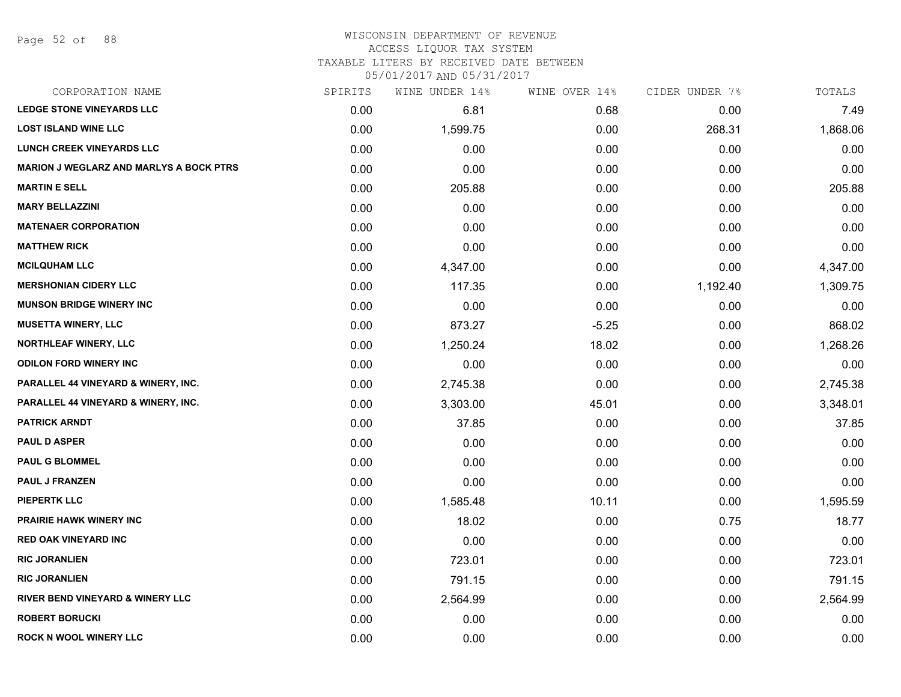#### WISCONSIN DEPARTMENT OF REVENUE ACCESS LIQUOR TAX SYSTEM

TAXABLE LITERS BY RECEIVED DATE BETWEEN

| CORPORATION NAME                               | SPIRITS | WINE UNDER 14% | WINE OVER 14% | CIDER UNDER 7% | TOTALS   |
|------------------------------------------------|---------|----------------|---------------|----------------|----------|
| <b>LEDGE STONE VINEYARDS LLC</b>               | 0.00    | 6.81           | 0.68          | 0.00           | 7.49     |
| <b>LOST ISLAND WINE LLC</b>                    | 0.00    | 1,599.75       | 0.00          | 268.31         | 1,868.06 |
| <b>LUNCH CREEK VINEYARDS LLC</b>               | 0.00    | 0.00           | 0.00          | 0.00           | 0.00     |
| <b>MARION J WEGLARZ AND MARLYS A BOCK PTRS</b> | 0.00    | 0.00           | 0.00          | 0.00           | 0.00     |
| <b>MARTIN E SELL</b>                           | 0.00    | 205.88         | 0.00          | 0.00           | 205.88   |
| <b>MARY BELLAZZINI</b>                         | 0.00    | 0.00           | 0.00          | 0.00           | 0.00     |
| <b>MATENAER CORPORATION</b>                    | 0.00    | 0.00           | 0.00          | 0.00           | 0.00     |
| <b>MATTHEW RICK</b>                            | 0.00    | 0.00           | 0.00          | 0.00           | 0.00     |
| <b>MCILQUHAM LLC</b>                           | 0.00    | 4,347.00       | 0.00          | 0.00           | 4,347.00 |
| <b>MERSHONIAN CIDERY LLC</b>                   | 0.00    | 117.35         | 0.00          | 1,192.40       | 1,309.75 |
| <b>MUNSON BRIDGE WINERY INC</b>                | 0.00    | 0.00           | 0.00          | 0.00           | 0.00     |
| <b>MUSETTA WINERY, LLC</b>                     | 0.00    | 873.27         | $-5.25$       | 0.00           | 868.02   |
| NORTHLEAF WINERY, LLC                          | 0.00    | 1,250.24       | 18.02         | 0.00           | 1,268.26 |
| <b>ODILON FORD WINERY INC</b>                  | 0.00    | 0.00           | 0.00          | 0.00           | 0.00     |
| PARALLEL 44 VINEYARD & WINERY, INC.            | 0.00    | 2,745.38       | 0.00          | 0.00           | 2,745.38 |
| PARALLEL 44 VINEYARD & WINERY, INC.            | 0.00    | 3,303.00       | 45.01         | 0.00           | 3,348.01 |
| <b>PATRICK ARNDT</b>                           | 0.00    | 37.85          | 0.00          | 0.00           | 37.85    |
| <b>PAUL D ASPER</b>                            | 0.00    | 0.00           | 0.00          | 0.00           | 0.00     |
| <b>PAUL G BLOMMEL</b>                          | 0.00    | 0.00           | 0.00          | 0.00           | 0.00     |
| <b>PAUL J FRANZEN</b>                          | 0.00    | 0.00           | 0.00          | 0.00           | 0.00     |
| <b>PIEPERTK LLC</b>                            | 0.00    | 1,585.48       | 10.11         | 0.00           | 1,595.59 |
| PRAIRIE HAWK WINERY INC                        | 0.00    | 18.02          | 0.00          | 0.75           | 18.77    |
| <b>RED OAK VINEYARD INC</b>                    | 0.00    | 0.00           | 0.00          | 0.00           | 0.00     |
| <b>RIC JORANLIEN</b>                           | 0.00    | 723.01         | 0.00          | 0.00           | 723.01   |
| <b>RIC JORANLIEN</b>                           | 0.00    | 791.15         | 0.00          | 0.00           | 791.15   |
| <b>RIVER BEND VINEYARD &amp; WINERY LLC</b>    | 0.00    | 2,564.99       | 0.00          | 0.00           | 2,564.99 |
| <b>ROBERT BORUCKI</b>                          | 0.00    | 0.00           | 0.00          | 0.00           | 0.00     |
| <b>ROCK N WOOL WINERY LLC</b>                  | 0.00    | 0.00           | 0.00          | 0.00           | 0.00     |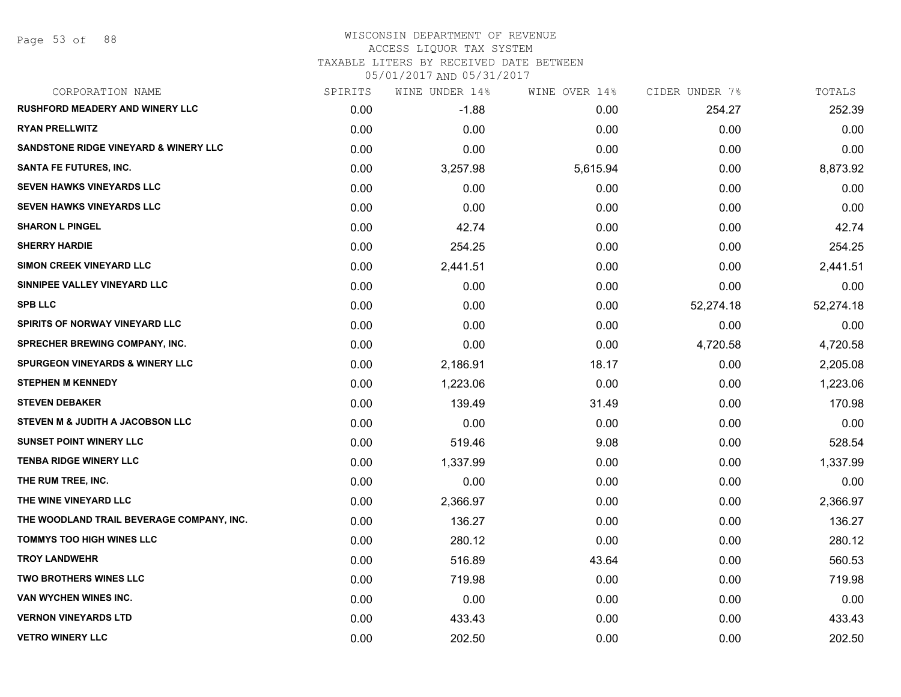#### WISCONSIN DEPARTMENT OF REVENUE ACCESS LIQUOR TAX SYSTEM

TAXABLE LITERS BY RECEIVED DATE BETWEEN

| CORPORATION NAME                                 | SPIRITS | WINE UNDER 14% | WINE OVER 14% | CIDER UNDER 7% | TOTALS    |
|--------------------------------------------------|---------|----------------|---------------|----------------|-----------|
| <b>RUSHFORD MEADERY AND WINERY LLC</b>           | 0.00    | $-1.88$        | 0.00          | 254.27         | 252.39    |
| <b>RYAN PRELLWITZ</b>                            | 0.00    | 0.00           | 0.00          | 0.00           | 0.00      |
| <b>SANDSTONE RIDGE VINEYARD &amp; WINERY LLC</b> | 0.00    | 0.00           | 0.00          | 0.00           | 0.00      |
| <b>SANTA FE FUTURES, INC.</b>                    | 0.00    | 3,257.98       | 5,615.94      | 0.00           | 8,873.92  |
| <b>SEVEN HAWKS VINEYARDS LLC</b>                 | 0.00    | 0.00           | 0.00          | 0.00           | 0.00      |
| <b>SEVEN HAWKS VINEYARDS LLC</b>                 | 0.00    | 0.00           | 0.00          | 0.00           | 0.00      |
| <b>SHARON L PINGEL</b>                           | 0.00    | 42.74          | 0.00          | 0.00           | 42.74     |
| <b>SHERRY HARDIE</b>                             | 0.00    | 254.25         | 0.00          | 0.00           | 254.25    |
| <b>SIMON CREEK VINEYARD LLC</b>                  | 0.00    | 2,441.51       | 0.00          | 0.00           | 2,441.51  |
| SINNIPEE VALLEY VINEYARD LLC                     | 0.00    | 0.00           | 0.00          | 0.00           | 0.00      |
| <b>SPB LLC</b>                                   | 0.00    | 0.00           | 0.00          | 52,274.18      | 52,274.18 |
| SPIRITS OF NORWAY VINEYARD LLC                   | 0.00    | 0.00           | 0.00          | 0.00           | 0.00      |
| SPRECHER BREWING COMPANY, INC.                   | 0.00    | 0.00           | 0.00          | 4,720.58       | 4,720.58  |
| <b>SPURGEON VINEYARDS &amp; WINERY LLC</b>       | 0.00    | 2,186.91       | 18.17         | 0.00           | 2,205.08  |
| <b>STEPHEN M KENNEDY</b>                         | 0.00    | 1,223.06       | 0.00          | 0.00           | 1,223.06  |
| <b>STEVEN DEBAKER</b>                            | 0.00    | 139.49         | 31.49         | 0.00           | 170.98    |
| STEVEN M & JUDITH A JACOBSON LLC                 | 0.00    | 0.00           | 0.00          | 0.00           | 0.00      |
| <b>SUNSET POINT WINERY LLC</b>                   | 0.00    | 519.46         | 9.08          | 0.00           | 528.54    |
| <b>TENBA RIDGE WINERY LLC</b>                    | 0.00    | 1,337.99       | 0.00          | 0.00           | 1,337.99  |
| THE RUM TREE, INC.                               | 0.00    | 0.00           | 0.00          | 0.00           | 0.00      |
| THE WINE VINEYARD LLC                            | 0.00    | 2,366.97       | 0.00          | 0.00           | 2,366.97  |
| THE WOODLAND TRAIL BEVERAGE COMPANY, INC.        | 0.00    | 136.27         | 0.00          | 0.00           | 136.27    |
| TOMMYS TOO HIGH WINES LLC                        | 0.00    | 280.12         | 0.00          | 0.00           | 280.12    |
| <b>TROY LANDWEHR</b>                             | 0.00    | 516.89         | 43.64         | 0.00           | 560.53    |
| <b>TWO BROTHERS WINES LLC</b>                    | 0.00    | 719.98         | 0.00          | 0.00           | 719.98    |
| VAN WYCHEN WINES INC.                            | 0.00    | 0.00           | 0.00          | 0.00           | 0.00      |
| <b>VERNON VINEYARDS LTD</b>                      | 0.00    | 433.43         | 0.00          | 0.00           | 433.43    |
| <b>VETRO WINERY LLC</b>                          | 0.00    | 202.50         | 0.00          | 0.00           | 202.50    |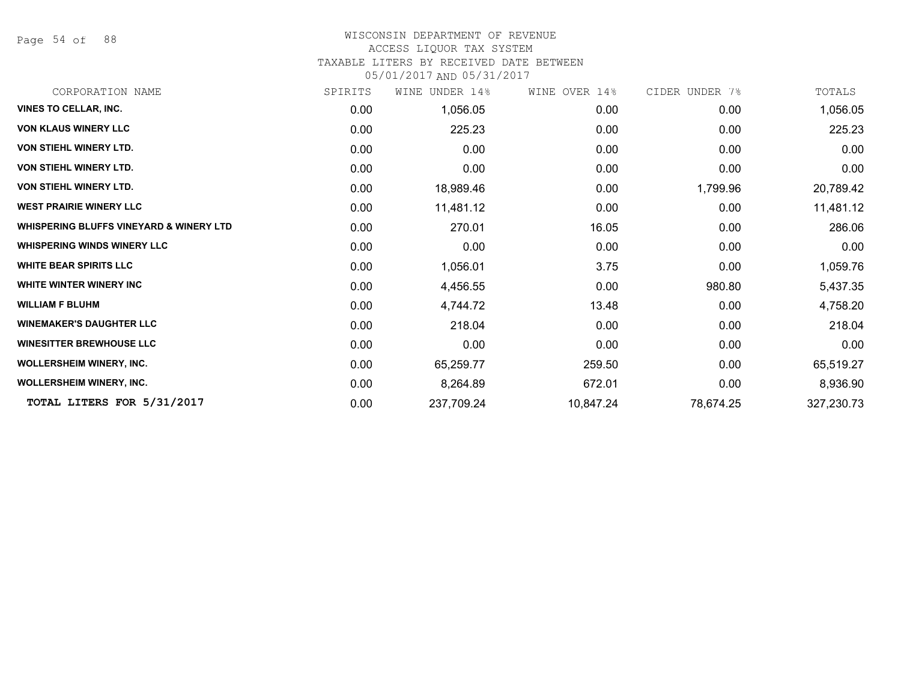Page 54 of 88

### WISCONSIN DEPARTMENT OF REVENUE

#### ACCESS LIQUOR TAX SYSTEM

TAXABLE LITERS BY RECEIVED DATE BETWEEN

| CORPORATION NAME                                   | SPIRITS | UNDER 14%<br>WINE | WINE OVER 14% | CIDER UNDER 7% | TOTALS     |
|----------------------------------------------------|---------|-------------------|---------------|----------------|------------|
| <b>VINES TO CELLAR, INC.</b>                       | 0.00    | 1,056.05          | 0.00          | 0.00           | 1,056.05   |
| <b>VON KLAUS WINERY LLC</b>                        | 0.00    | 225.23            | 0.00          | 0.00           | 225.23     |
| <b>VON STIEHL WINERY LTD.</b>                      | 0.00    | 0.00              | 0.00          | 0.00           | 0.00       |
| <b>VON STIEHL WINERY LTD.</b>                      | 0.00    | 0.00              | 0.00          | 0.00           | 0.00       |
| <b>VON STIEHL WINERY LTD.</b>                      | 0.00    | 18,989.46         | 0.00          | 1,799.96       | 20,789.42  |
| <b>WEST PRAIRIE WINERY LLC</b>                     | 0.00    | 11,481.12         | 0.00          | 0.00           | 11,481.12  |
| <b>WHISPERING BLUFFS VINEYARD &amp; WINERY LTD</b> | 0.00    | 270.01            | 16.05         | 0.00           | 286.06     |
| <b>WHISPERING WINDS WINERY LLC</b>                 | 0.00    | 0.00              | 0.00          | 0.00           | 0.00       |
| <b>WHITE BEAR SPIRITS LLC</b>                      | 0.00    | 1,056.01          | 3.75          | 0.00           | 1,059.76   |
| <b>WHITE WINTER WINERY INC</b>                     | 0.00    | 4,456.55          | 0.00          | 980.80         | 5,437.35   |
| <b>WILLIAM F BLUHM</b>                             | 0.00    | 4,744.72          | 13.48         | 0.00           | 4,758.20   |
| <b>WINEMAKER'S DAUGHTER LLC</b>                    | 0.00    | 218.04            | 0.00          | 0.00           | 218.04     |
| <b>WINESITTER BREWHOUSE LLC</b>                    | 0.00    | 0.00              | 0.00          | 0.00           | 0.00       |
| <b>WOLLERSHEIM WINERY, INC.</b>                    | 0.00    | 65,259.77         | 259.50        | 0.00           | 65,519.27  |
| <b>WOLLERSHEIM WINERY, INC.</b>                    | 0.00    | 8,264.89          | 672.01        | 0.00           | 8,936.90   |
| TOTAL LITERS FOR 5/31/2017                         | 0.00    | 237,709.24        | 10,847.24     | 78,674.25      | 327,230.73 |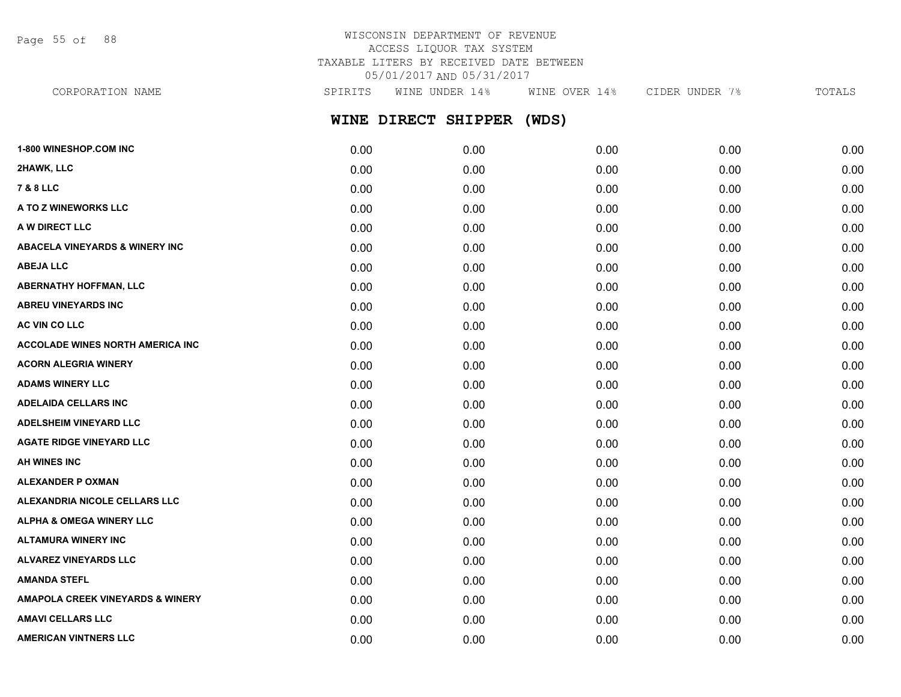Page 55 of 88

## WISCONSIN DEPARTMENT OF REVENUE ACCESS LIQUOR TAX SYSTEM TAXABLE LITERS BY RECEIVED DATE BETWEEN 05/01/2017 AND 05/31/2017

**WINE DIRECT SHIPPER (WDS) 1-800 WINESHOP.COM INC** 0.00 0.00 0.00 0.00 0.00 CORPORATION NAME SPIRITS WINE UNDER 14% WINE OVER 14% CIDER UNDER 7% TOTALS

| 2HAWK, LLC                                  | 0.00 | 0.00 | 0.00 | 0.00 | 0.00 |
|---------------------------------------------|------|------|------|------|------|
| <b>7 &amp; 8 LLC</b>                        | 0.00 | 0.00 | 0.00 | 0.00 | 0.00 |
| A TO Z WINEWORKS LLC                        | 0.00 | 0.00 | 0.00 | 0.00 | 0.00 |
| A W DIRECT LLC                              | 0.00 | 0.00 | 0.00 | 0.00 | 0.00 |
| <b>ABACELA VINEYARDS &amp; WINERY INC</b>   | 0.00 | 0.00 | 0.00 | 0.00 | 0.00 |
| <b>ABEJA LLC</b>                            | 0.00 | 0.00 | 0.00 | 0.00 | 0.00 |
| <b>ABERNATHY HOFFMAN, LLC</b>               | 0.00 | 0.00 | 0.00 | 0.00 | 0.00 |
| <b>ABREU VINEYARDS INC</b>                  | 0.00 | 0.00 | 0.00 | 0.00 | 0.00 |
| AC VIN CO LLC                               | 0.00 | 0.00 | 0.00 | 0.00 | 0.00 |
| <b>ACCOLADE WINES NORTH AMERICA INC</b>     | 0.00 | 0.00 | 0.00 | 0.00 | 0.00 |
| <b>ACORN ALEGRIA WINERY</b>                 | 0.00 | 0.00 | 0.00 | 0.00 | 0.00 |
| <b>ADAMS WINERY LLC</b>                     | 0.00 | 0.00 | 0.00 | 0.00 | 0.00 |
| <b>ADELAIDA CELLARS INC</b>                 | 0.00 | 0.00 | 0.00 | 0.00 | 0.00 |
| <b>ADELSHEIM VINEYARD LLC</b>               | 0.00 | 0.00 | 0.00 | 0.00 | 0.00 |
| <b>AGATE RIDGE VINEYARD LLC</b>             | 0.00 | 0.00 | 0.00 | 0.00 | 0.00 |
| AH WINES INC                                | 0.00 | 0.00 | 0.00 | 0.00 | 0.00 |
| <b>ALEXANDER P OXMAN</b>                    | 0.00 | 0.00 | 0.00 | 0.00 | 0.00 |
| ALEXANDRIA NICOLE CELLARS LLC               | 0.00 | 0.00 | 0.00 | 0.00 | 0.00 |
| <b>ALPHA &amp; OMEGA WINERY LLC</b>         | 0.00 | 0.00 | 0.00 | 0.00 | 0.00 |
| <b>ALTAMURA WINERY INC</b>                  | 0.00 | 0.00 | 0.00 | 0.00 | 0.00 |
| <b>ALVAREZ VINEYARDS LLC</b>                | 0.00 | 0.00 | 0.00 | 0.00 | 0.00 |
| <b>AMANDA STEFL</b>                         | 0.00 | 0.00 | 0.00 | 0.00 | 0.00 |
| <b>AMAPOLA CREEK VINEYARDS &amp; WINERY</b> | 0.00 | 0.00 | 0.00 | 0.00 | 0.00 |
| <b>AMAVI CELLARS LLC</b>                    | 0.00 | 0.00 | 0.00 | 0.00 | 0.00 |
| <b>AMERICAN VINTNERS LLC</b>                | 0.00 | 0.00 | 0.00 | 0.00 | 0.00 |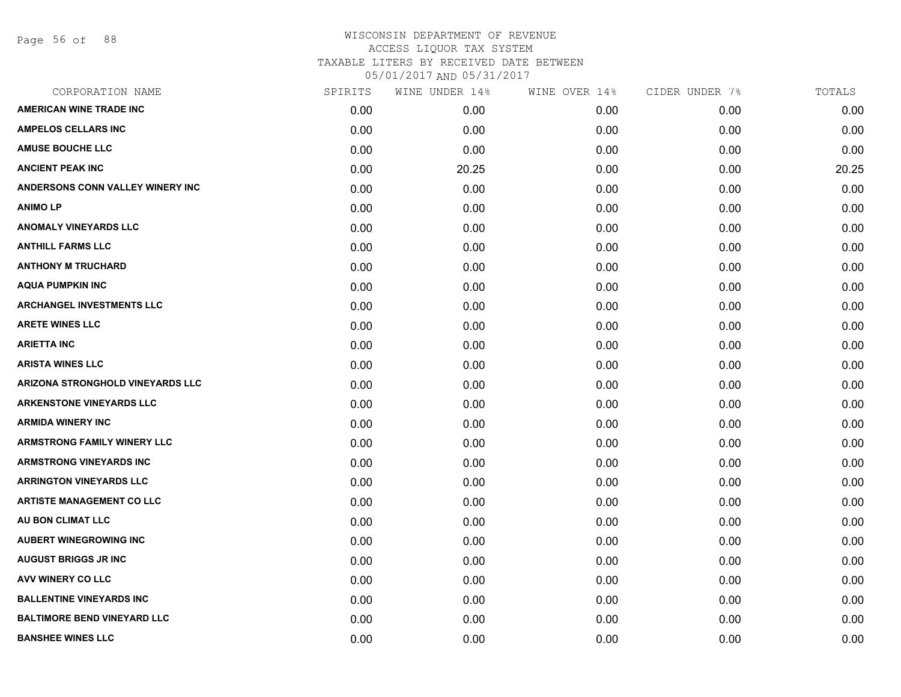Page 56 of 88

| CORPORATION NAME                   | SPIRITS | WINE UNDER 14% | WINE OVER 14% | CIDER UNDER 7% | TOTALS |
|------------------------------------|---------|----------------|---------------|----------------|--------|
| <b>AMERICAN WINE TRADE INC</b>     | 0.00    | 0.00           | 0.00          | 0.00           | 0.00   |
| <b>AMPELOS CELLARS INC</b>         | 0.00    | 0.00           | 0.00          | 0.00           | 0.00   |
| <b>AMUSE BOUCHE LLC</b>            | 0.00    | 0.00           | 0.00          | 0.00           | 0.00   |
| <b>ANCIENT PEAK INC</b>            | 0.00    | 20.25          | 0.00          | 0.00           | 20.25  |
| ANDERSONS CONN VALLEY WINERY INC   | 0.00    | 0.00           | 0.00          | 0.00           | 0.00   |
| <b>ANIMO LP</b>                    | 0.00    | 0.00           | 0.00          | 0.00           | 0.00   |
| <b>ANOMALY VINEYARDS LLC</b>       | 0.00    | 0.00           | 0.00          | 0.00           | 0.00   |
| <b>ANTHILL FARMS LLC</b>           | 0.00    | 0.00           | 0.00          | 0.00           | 0.00   |
| <b>ANTHONY M TRUCHARD</b>          | 0.00    | 0.00           | 0.00          | 0.00           | 0.00   |
| <b>AQUA PUMPKIN INC</b>            | 0.00    | 0.00           | 0.00          | 0.00           | 0.00   |
| <b>ARCHANGEL INVESTMENTS LLC</b>   | 0.00    | 0.00           | 0.00          | 0.00           | 0.00   |
| <b>ARETE WINES LLC</b>             | 0.00    | 0.00           | 0.00          | 0.00           | 0.00   |
| <b>ARIETTA INC</b>                 | 0.00    | 0.00           | 0.00          | 0.00           | 0.00   |
| <b>ARISTA WINES LLC</b>            | 0.00    | 0.00           | 0.00          | 0.00           | 0.00   |
| ARIZONA STRONGHOLD VINEYARDS LLC   | 0.00    | 0.00           | 0.00          | 0.00           | 0.00   |
| <b>ARKENSTONE VINEYARDS LLC</b>    | 0.00    | 0.00           | 0.00          | 0.00           | 0.00   |
| <b>ARMIDA WINERY INC</b>           | 0.00    | 0.00           | 0.00          | 0.00           | 0.00   |
| <b>ARMSTRONG FAMILY WINERY LLC</b> | 0.00    | 0.00           | 0.00          | 0.00           | 0.00   |
| <b>ARMSTRONG VINEYARDS INC</b>     | 0.00    | 0.00           | 0.00          | 0.00           | 0.00   |
| <b>ARRINGTON VINEYARDS LLC</b>     | 0.00    | 0.00           | 0.00          | 0.00           | 0.00   |
| <b>ARTISTE MANAGEMENT CO LLC</b>   | 0.00    | 0.00           | 0.00          | 0.00           | 0.00   |
| AU BON CLIMAT LLC                  | 0.00    | 0.00           | 0.00          | 0.00           | 0.00   |
| <b>AUBERT WINEGROWING INC</b>      | 0.00    | 0.00           | 0.00          | 0.00           | 0.00   |
| <b>AUGUST BRIGGS JR INC</b>        | 0.00    | 0.00           | 0.00          | 0.00           | 0.00   |
| AVV WINERY CO LLC                  | 0.00    | 0.00           | 0.00          | 0.00           | 0.00   |
| <b>BALLENTINE VINEYARDS INC</b>    | 0.00    | 0.00           | 0.00          | 0.00           | 0.00   |
| <b>BALTIMORE BEND VINEYARD LLC</b> | 0.00    | 0.00           | 0.00          | 0.00           | 0.00   |
| <b>BANSHEE WINES LLC</b>           | 0.00    | 0.00           | 0.00          | 0.00           | 0.00   |
|                                    |         |                |               |                |        |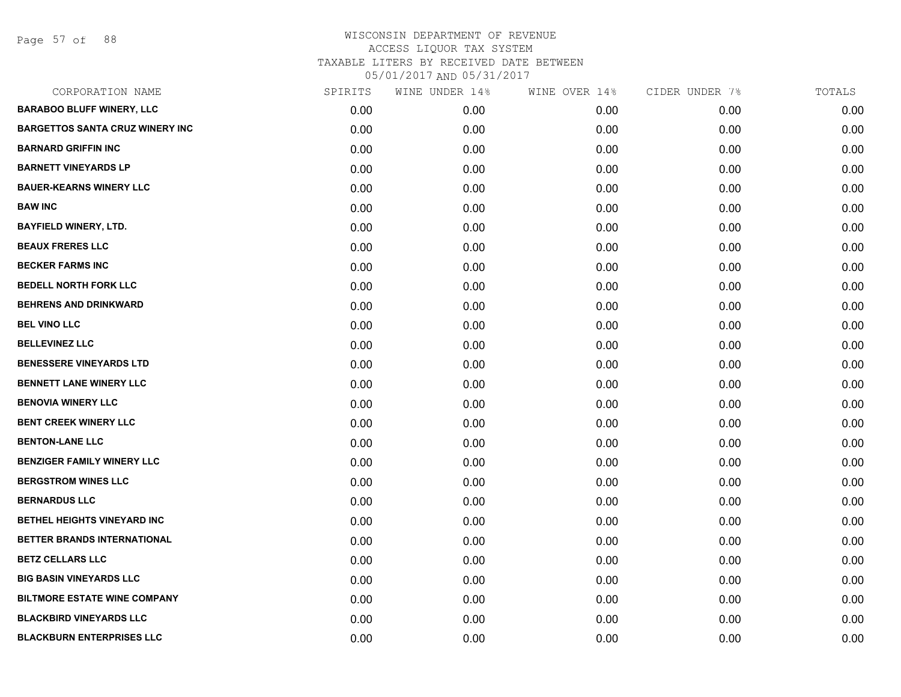Page 57 of 88

| CORPORATION NAME                       | SPIRITS | WINE UNDER 14% | WINE OVER 14% | CIDER UNDER 7% | TOTALS |
|----------------------------------------|---------|----------------|---------------|----------------|--------|
| <b>BARABOO BLUFF WINERY, LLC</b>       | 0.00    | 0.00           | 0.00          | 0.00           | 0.00   |
| <b>BARGETTOS SANTA CRUZ WINERY INC</b> | 0.00    | 0.00           | 0.00          | 0.00           | 0.00   |
| <b>BARNARD GRIFFIN INC</b>             | 0.00    | 0.00           | 0.00          | 0.00           | 0.00   |
| <b>BARNETT VINEYARDS LP</b>            | 0.00    | 0.00           | 0.00          | 0.00           | 0.00   |
| <b>BAUER-KEARNS WINERY LLC</b>         | 0.00    | 0.00           | 0.00          | 0.00           | 0.00   |
| <b>BAW INC</b>                         | 0.00    | 0.00           | 0.00          | 0.00           | 0.00   |
| <b>BAYFIELD WINERY, LTD.</b>           | 0.00    | 0.00           | 0.00          | 0.00           | 0.00   |
| <b>BEAUX FRERES LLC</b>                | 0.00    | 0.00           | 0.00          | 0.00           | 0.00   |
| <b>BECKER FARMS INC</b>                | 0.00    | 0.00           | 0.00          | 0.00           | 0.00   |
| <b>BEDELL NORTH FORK LLC</b>           | 0.00    | 0.00           | 0.00          | 0.00           | 0.00   |
| <b>BEHRENS AND DRINKWARD</b>           | 0.00    | 0.00           | 0.00          | 0.00           | 0.00   |
| <b>BEL VINO LLC</b>                    | 0.00    | 0.00           | 0.00          | 0.00           | 0.00   |
| <b>BELLEVINEZ LLC</b>                  | 0.00    | 0.00           | 0.00          | 0.00           | 0.00   |
| <b>BENESSERE VINEYARDS LTD</b>         | 0.00    | 0.00           | 0.00          | 0.00           | 0.00   |
| BENNETT LANE WINERY LLC                | 0.00    | 0.00           | 0.00          | 0.00           | 0.00   |
| <b>BENOVIA WINERY LLC</b>              | 0.00    | 0.00           | 0.00          | 0.00           | 0.00   |
| <b>BENT CREEK WINERY LLC</b>           | 0.00    | 0.00           | 0.00          | 0.00           | 0.00   |
| <b>BENTON-LANE LLC</b>                 | 0.00    | 0.00           | 0.00          | 0.00           | 0.00   |
| <b>BENZIGER FAMILY WINERY LLC</b>      | 0.00    | 0.00           | 0.00          | 0.00           | 0.00   |
| <b>BERGSTROM WINES LLC</b>             | 0.00    | 0.00           | 0.00          | 0.00           | 0.00   |
| <b>BERNARDUS LLC</b>                   | 0.00    | 0.00           | 0.00          | 0.00           | 0.00   |
| BETHEL HEIGHTS VINEYARD INC            | 0.00    | 0.00           | 0.00          | 0.00           | 0.00   |
| BETTER BRANDS INTERNATIONAL            | 0.00    | 0.00           | 0.00          | 0.00           | 0.00   |
| <b>BETZ CELLARS LLC</b>                | 0.00    | 0.00           | 0.00          | 0.00           | 0.00   |
| <b>BIG BASIN VINEYARDS LLC</b>         | 0.00    | 0.00           | 0.00          | 0.00           | 0.00   |
| <b>BILTMORE ESTATE WINE COMPANY</b>    | 0.00    | 0.00           | 0.00          | 0.00           | 0.00   |
| <b>BLACKBIRD VINEYARDS LLC</b>         | 0.00    | 0.00           | 0.00          | 0.00           | 0.00   |
| <b>BLACKBURN ENTERPRISES LLC</b>       | 0.00    | 0.00           | 0.00          | 0.00           | 0.00   |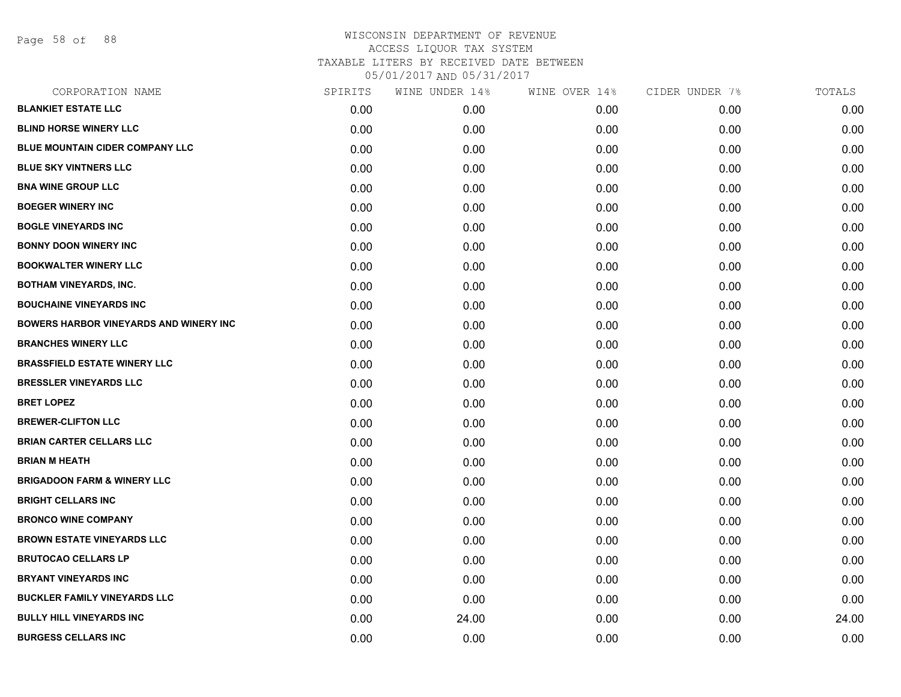Page 58 of 88

| CORPORATION NAME                              | SPIRITS | WINE UNDER 14% | WINE OVER 14% | CIDER UNDER 7% | TOTALS |
|-----------------------------------------------|---------|----------------|---------------|----------------|--------|
| <b>BLANKIET ESTATE LLC</b>                    | 0.00    | 0.00           | 0.00          | 0.00           | 0.00   |
| <b>BLIND HORSE WINERY LLC</b>                 | 0.00    | 0.00           | 0.00          | 0.00           | 0.00   |
| BLUE MOUNTAIN CIDER COMPANY LLC               | 0.00    | 0.00           | 0.00          | 0.00           | 0.00   |
| <b>BLUE SKY VINTNERS LLC</b>                  | 0.00    | 0.00           | 0.00          | 0.00           | 0.00   |
| <b>BNA WINE GROUP LLC</b>                     | 0.00    | 0.00           | 0.00          | 0.00           | 0.00   |
| <b>BOEGER WINERY INC</b>                      | 0.00    | 0.00           | 0.00          | 0.00           | 0.00   |
| <b>BOGLE VINEYARDS INC</b>                    | 0.00    | 0.00           | 0.00          | 0.00           | 0.00   |
| <b>BONNY DOON WINERY INC</b>                  | 0.00    | 0.00           | 0.00          | 0.00           | 0.00   |
| <b>BOOKWALTER WINERY LLC</b>                  | 0.00    | 0.00           | 0.00          | 0.00           | 0.00   |
| <b>BOTHAM VINEYARDS, INC.</b>                 | 0.00    | 0.00           | 0.00          | 0.00           | 0.00   |
| <b>BOUCHAINE VINEYARDS INC</b>                | 0.00    | 0.00           | 0.00          | 0.00           | 0.00   |
| <b>BOWERS HARBOR VINEYARDS AND WINERY INC</b> | 0.00    | 0.00           | 0.00          | 0.00           | 0.00   |
| <b>BRANCHES WINERY LLC</b>                    | 0.00    | 0.00           | 0.00          | 0.00           | 0.00   |
| <b>BRASSFIELD ESTATE WINERY LLC</b>           | 0.00    | 0.00           | 0.00          | 0.00           | 0.00   |
| <b>BRESSLER VINEYARDS LLC</b>                 | 0.00    | 0.00           | 0.00          | 0.00           | 0.00   |
| <b>BRET LOPEZ</b>                             | 0.00    | 0.00           | 0.00          | 0.00           | 0.00   |
| <b>BREWER-CLIFTON LLC</b>                     | 0.00    | 0.00           | 0.00          | 0.00           | 0.00   |
| <b>BRIAN CARTER CELLARS LLC</b>               | 0.00    | 0.00           | 0.00          | 0.00           | 0.00   |
| <b>BRIAN M HEATH</b>                          | 0.00    | 0.00           | 0.00          | 0.00           | 0.00   |
| <b>BRIGADOON FARM &amp; WINERY LLC</b>        | 0.00    | 0.00           | 0.00          | 0.00           | 0.00   |
| <b>BRIGHT CELLARS INC</b>                     | 0.00    | 0.00           | 0.00          | 0.00           | 0.00   |
| <b>BRONCO WINE COMPANY</b>                    | 0.00    | 0.00           | 0.00          | 0.00           | 0.00   |
| <b>BROWN ESTATE VINEYARDS LLC</b>             | 0.00    | 0.00           | 0.00          | 0.00           | 0.00   |
| <b>BRUTOCAO CELLARS LP</b>                    | 0.00    | 0.00           | 0.00          | 0.00           | 0.00   |
| <b>BRYANT VINEYARDS INC</b>                   | 0.00    | 0.00           | 0.00          | 0.00           | 0.00   |
| <b>BUCKLER FAMILY VINEYARDS LLC</b>           | 0.00    | 0.00           | 0.00          | 0.00           | 0.00   |
| <b>BULLY HILL VINEYARDS INC</b>               | 0.00    | 24.00          | 0.00          | 0.00           | 24.00  |
| <b>BURGESS CELLARS INC</b>                    | 0.00    | 0.00           | 0.00          | 0.00           | 0.00   |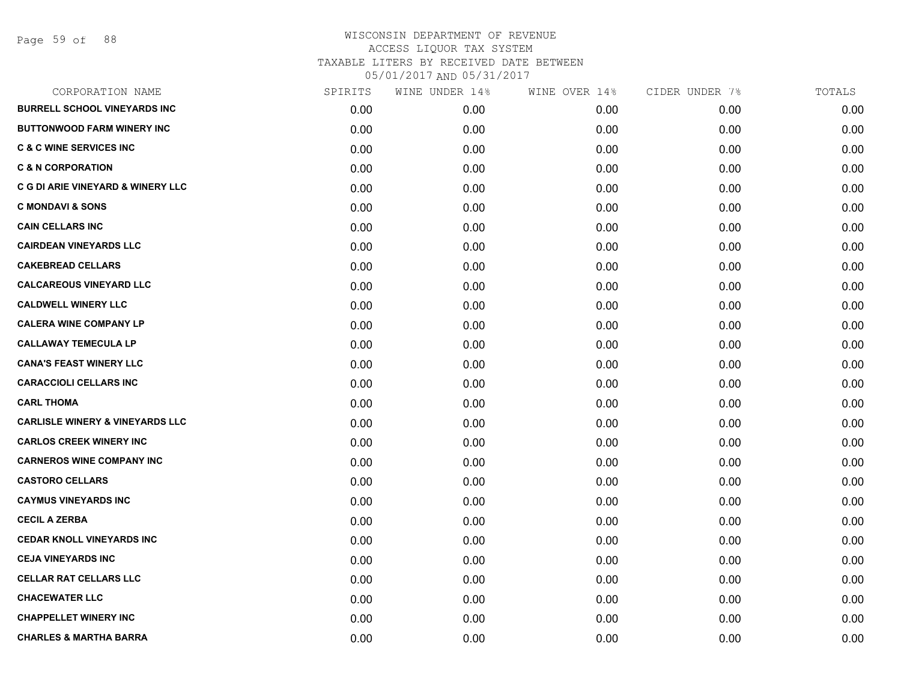Page 59 of 88

| CORPORATION NAME                           | SPIRITS | WINE UNDER 14% | WINE OVER 14% | CIDER UNDER 7% | TOTALS |
|--------------------------------------------|---------|----------------|---------------|----------------|--------|
| <b>BURRELL SCHOOL VINEYARDS INC</b>        | 0.00    | 0.00           | 0.00          | 0.00           | 0.00   |
| <b>BUTTONWOOD FARM WINERY INC</b>          | 0.00    | 0.00           | 0.00          | 0.00           | 0.00   |
| <b>C &amp; C WINE SERVICES INC</b>         | 0.00    | 0.00           | 0.00          | 0.00           | 0.00   |
| <b>C &amp; N CORPORATION</b>               | 0.00    | 0.00           | 0.00          | 0.00           | 0.00   |
| C G DI ARIE VINEYARD & WINERY LLC          | 0.00    | 0.00           | 0.00          | 0.00           | 0.00   |
| <b>C MONDAVI &amp; SONS</b>                | 0.00    | 0.00           | 0.00          | 0.00           | 0.00   |
| <b>CAIN CELLARS INC</b>                    | 0.00    | 0.00           | 0.00          | 0.00           | 0.00   |
| <b>CAIRDEAN VINEYARDS LLC</b>              | 0.00    | 0.00           | 0.00          | 0.00           | 0.00   |
| <b>CAKEBREAD CELLARS</b>                   | 0.00    | 0.00           | 0.00          | 0.00           | 0.00   |
| <b>CALCAREOUS VINEYARD LLC</b>             | 0.00    | 0.00           | 0.00          | 0.00           | 0.00   |
| <b>CALDWELL WINERY LLC</b>                 | 0.00    | 0.00           | 0.00          | 0.00           | 0.00   |
| <b>CALERA WINE COMPANY LP</b>              | 0.00    | 0.00           | 0.00          | 0.00           | 0.00   |
| <b>CALLAWAY TEMECULA LP</b>                | 0.00    | 0.00           | 0.00          | 0.00           | 0.00   |
| <b>CANA'S FEAST WINERY LLC</b>             | 0.00    | 0.00           | 0.00          | 0.00           | 0.00   |
| <b>CARACCIOLI CELLARS INC</b>              | 0.00    | 0.00           | 0.00          | 0.00           | 0.00   |
| <b>CARL THOMA</b>                          | 0.00    | 0.00           | 0.00          | 0.00           | 0.00   |
| <b>CARLISLE WINERY &amp; VINEYARDS LLC</b> | 0.00    | 0.00           | 0.00          | 0.00           | 0.00   |
| <b>CARLOS CREEK WINERY INC</b>             | 0.00    | 0.00           | 0.00          | 0.00           | 0.00   |
| <b>CARNEROS WINE COMPANY INC</b>           | 0.00    | 0.00           | 0.00          | 0.00           | 0.00   |
| <b>CASTORO CELLARS</b>                     | 0.00    | 0.00           | 0.00          | 0.00           | 0.00   |
| <b>CAYMUS VINEYARDS INC</b>                | 0.00    | 0.00           | 0.00          | 0.00           | 0.00   |
| <b>CECIL A ZERBA</b>                       | 0.00    | 0.00           | 0.00          | 0.00           | 0.00   |
| <b>CEDAR KNOLL VINEYARDS INC</b>           | 0.00    | 0.00           | 0.00          | 0.00           | 0.00   |
| <b>CEJA VINEYARDS INC</b>                  | 0.00    | 0.00           | 0.00          | 0.00           | 0.00   |
| <b>CELLAR RAT CELLARS LLC</b>              | 0.00    | 0.00           | 0.00          | 0.00           | 0.00   |
| <b>CHACEWATER LLC</b>                      | 0.00    | 0.00           | 0.00          | 0.00           | 0.00   |
| <b>CHAPPELLET WINERY INC</b>               | 0.00    | 0.00           | 0.00          | 0.00           | 0.00   |
| <b>CHARLES &amp; MARTHA BARRA</b>          | 0.00    | 0.00           | 0.00          | 0.00           | 0.00   |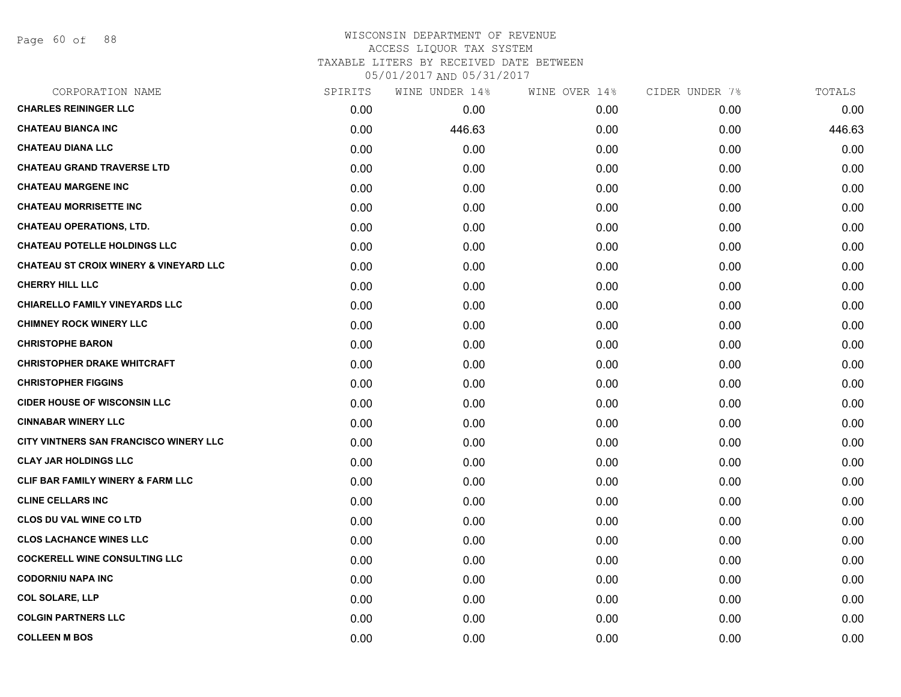Page 60 of 88

## WISCONSIN DEPARTMENT OF REVENUE ACCESS LIQUOR TAX SYSTEM TAXABLE LITERS BY RECEIVED DATE BETWEEN

| CORPORATION NAME                                  | SPIRITS | WINE UNDER 14% | WINE OVER 14% | CIDER UNDER 7% | TOTALS |
|---------------------------------------------------|---------|----------------|---------------|----------------|--------|
| <b>CHARLES REININGER LLC</b>                      | 0.00    | 0.00           | 0.00          | 0.00           | 0.00   |
| <b>CHATEAU BIANCA INC</b>                         | 0.00    | 446.63         | 0.00          | 0.00           | 446.63 |
| <b>CHATEAU DIANA LLC</b>                          | 0.00    | 0.00           | 0.00          | 0.00           | 0.00   |
| <b>CHATEAU GRAND TRAVERSE LTD</b>                 | 0.00    | 0.00           | 0.00          | 0.00           | 0.00   |
| <b>CHATEAU MARGENE INC</b>                        | 0.00    | 0.00           | 0.00          | 0.00           | 0.00   |
| <b>CHATEAU MORRISETTE INC</b>                     | 0.00    | 0.00           | 0.00          | 0.00           | 0.00   |
| <b>CHATEAU OPERATIONS, LTD.</b>                   | 0.00    | 0.00           | 0.00          | 0.00           | 0.00   |
| <b>CHATEAU POTELLE HOLDINGS LLC</b>               | 0.00    | 0.00           | 0.00          | 0.00           | 0.00   |
| <b>CHATEAU ST CROIX WINERY &amp; VINEYARD LLC</b> | 0.00    | 0.00           | 0.00          | 0.00           | 0.00   |
| <b>CHERRY HILL LLC</b>                            | 0.00    | 0.00           | 0.00          | 0.00           | 0.00   |
| <b>CHIARELLO FAMILY VINEYARDS LLC</b>             | 0.00    | 0.00           | 0.00          | 0.00           | 0.00   |
| <b>CHIMNEY ROCK WINERY LLC</b>                    | 0.00    | 0.00           | 0.00          | 0.00           | 0.00   |
| <b>CHRISTOPHE BARON</b>                           | 0.00    | 0.00           | 0.00          | 0.00           | 0.00   |
| <b>CHRISTOPHER DRAKE WHITCRAFT</b>                | 0.00    | 0.00           | 0.00          | 0.00           | 0.00   |
| <b>CHRISTOPHER FIGGINS</b>                        | 0.00    | 0.00           | 0.00          | 0.00           | 0.00   |
| <b>CIDER HOUSE OF WISCONSIN LLC</b>               | 0.00    | 0.00           | 0.00          | 0.00           | 0.00   |
| <b>CINNABAR WINERY LLC</b>                        | 0.00    | 0.00           | 0.00          | 0.00           | 0.00   |
| CITY VINTNERS SAN FRANCISCO WINERY LLC            | 0.00    | 0.00           | 0.00          | 0.00           | 0.00   |
| <b>CLAY JAR HOLDINGS LLC</b>                      | 0.00    | 0.00           | 0.00          | 0.00           | 0.00   |
| <b>CLIF BAR FAMILY WINERY &amp; FARM LLC</b>      | 0.00    | 0.00           | 0.00          | 0.00           | 0.00   |
| <b>CLINE CELLARS INC</b>                          | 0.00    | 0.00           | 0.00          | 0.00           | 0.00   |
| <b>CLOS DU VAL WINE CO LTD</b>                    | 0.00    | 0.00           | 0.00          | 0.00           | 0.00   |
| <b>CLOS LACHANCE WINES LLC</b>                    | 0.00    | 0.00           | 0.00          | 0.00           | 0.00   |
| <b>COCKERELL WINE CONSULTING LLC</b>              | 0.00    | 0.00           | 0.00          | 0.00           | 0.00   |
| <b>CODORNIU NAPA INC</b>                          | 0.00    | 0.00           | 0.00          | 0.00           | 0.00   |
| <b>COL SOLARE, LLP</b>                            | 0.00    | 0.00           | 0.00          | 0.00           | 0.00   |
| <b>COLGIN PARTNERS LLC</b>                        | 0.00    | 0.00           | 0.00          | 0.00           | 0.00   |
| <b>COLLEEN M BOS</b>                              | 0.00    | 0.00           | 0.00          | 0.00           | 0.00   |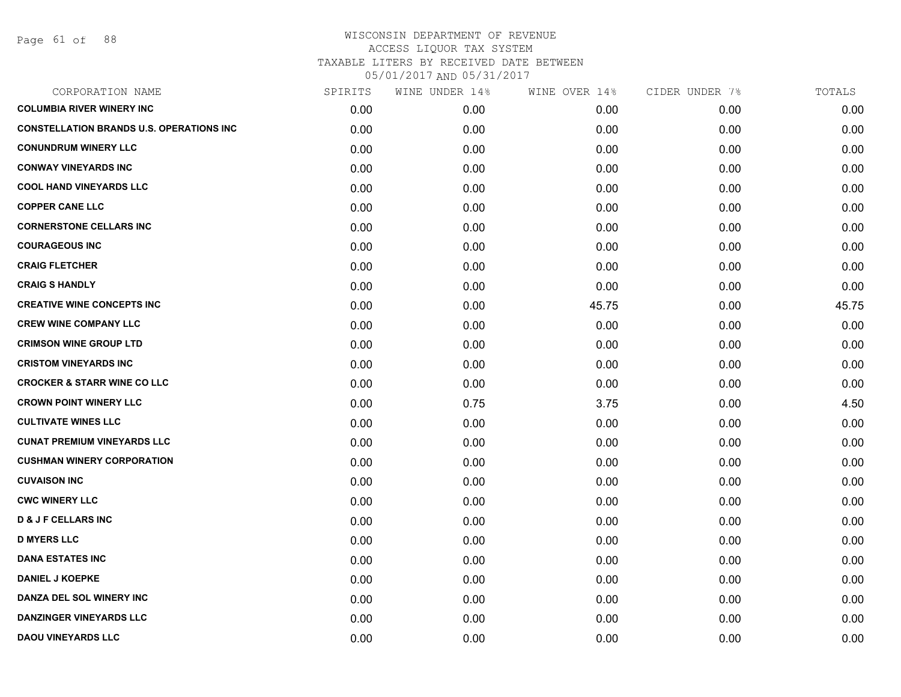| CORPORATION NAME                                | SPIRITS | WINE UNDER 14% | WINE OVER 14% | CIDER UNDER 7% | TOTALS |
|-------------------------------------------------|---------|----------------|---------------|----------------|--------|
| <b>COLUMBIA RIVER WINERY INC</b>                | 0.00    | 0.00           | 0.00          | 0.00           | 0.00   |
| <b>CONSTELLATION BRANDS U.S. OPERATIONS INC</b> | 0.00    | 0.00           | 0.00          | 0.00           | 0.00   |
| <b>CONUNDRUM WINERY LLC</b>                     | 0.00    | 0.00           | 0.00          | 0.00           | 0.00   |
| <b>CONWAY VINEYARDS INC</b>                     | 0.00    | 0.00           | 0.00          | 0.00           | 0.00   |
| <b>COOL HAND VINEYARDS LLC</b>                  | 0.00    | 0.00           | 0.00          | 0.00           | 0.00   |
| <b>COPPER CANE LLC</b>                          | 0.00    | 0.00           | 0.00          | 0.00           | 0.00   |
| <b>CORNERSTONE CELLARS INC</b>                  | 0.00    | 0.00           | 0.00          | 0.00           | 0.00   |
| <b>COURAGEOUS INC</b>                           | 0.00    | 0.00           | 0.00          | 0.00           | 0.00   |
| <b>CRAIG FLETCHER</b>                           | 0.00    | 0.00           | 0.00          | 0.00           | 0.00   |
| <b>CRAIG S HANDLY</b>                           | 0.00    | 0.00           | 0.00          | 0.00           | 0.00   |
| <b>CREATIVE WINE CONCEPTS INC</b>               | 0.00    | 0.00           | 45.75         | 0.00           | 45.75  |
| <b>CREW WINE COMPANY LLC</b>                    | 0.00    | 0.00           | 0.00          | 0.00           | 0.00   |
| <b>CRIMSON WINE GROUP LTD</b>                   | 0.00    | 0.00           | 0.00          | 0.00           | 0.00   |
| <b>CRISTOM VINEYARDS INC</b>                    | 0.00    | 0.00           | 0.00          | 0.00           | 0.00   |
| <b>CROCKER &amp; STARR WINE CO LLC</b>          | 0.00    | 0.00           | 0.00          | 0.00           | 0.00   |
| <b>CROWN POINT WINERY LLC</b>                   | 0.00    | 0.75           | 3.75          | 0.00           | 4.50   |
| <b>CULTIVATE WINES LLC</b>                      | 0.00    | 0.00           | 0.00          | 0.00           | 0.00   |
| <b>CUNAT PREMIUM VINEYARDS LLC</b>              | 0.00    | 0.00           | 0.00          | 0.00           | 0.00   |
| <b>CUSHMAN WINERY CORPORATION</b>               | 0.00    | 0.00           | 0.00          | 0.00           | 0.00   |
| <b>CUVAISON INC</b>                             | 0.00    | 0.00           | 0.00          | 0.00           | 0.00   |
| <b>CWC WINERY LLC</b>                           | 0.00    | 0.00           | 0.00          | 0.00           | 0.00   |
| <b>D &amp; J F CELLARS INC</b>                  | 0.00    | 0.00           | 0.00          | 0.00           | 0.00   |
| <b>D MYERS LLC</b>                              | 0.00    | 0.00           | 0.00          | 0.00           | 0.00   |
| <b>DANA ESTATES INC</b>                         | 0.00    | 0.00           | 0.00          | 0.00           | 0.00   |
| <b>DANIEL J KOEPKE</b>                          | 0.00    | 0.00           | 0.00          | 0.00           | 0.00   |
| DANZA DEL SOL WINERY INC                        | 0.00    | 0.00           | 0.00          | 0.00           | 0.00   |
| <b>DANZINGER VINEYARDS LLC</b>                  | 0.00    | 0.00           | 0.00          | 0.00           | 0.00   |
| <b>DAOU VINEYARDS LLC</b>                       | 0.00    | 0.00           | 0.00          | 0.00           | 0.00   |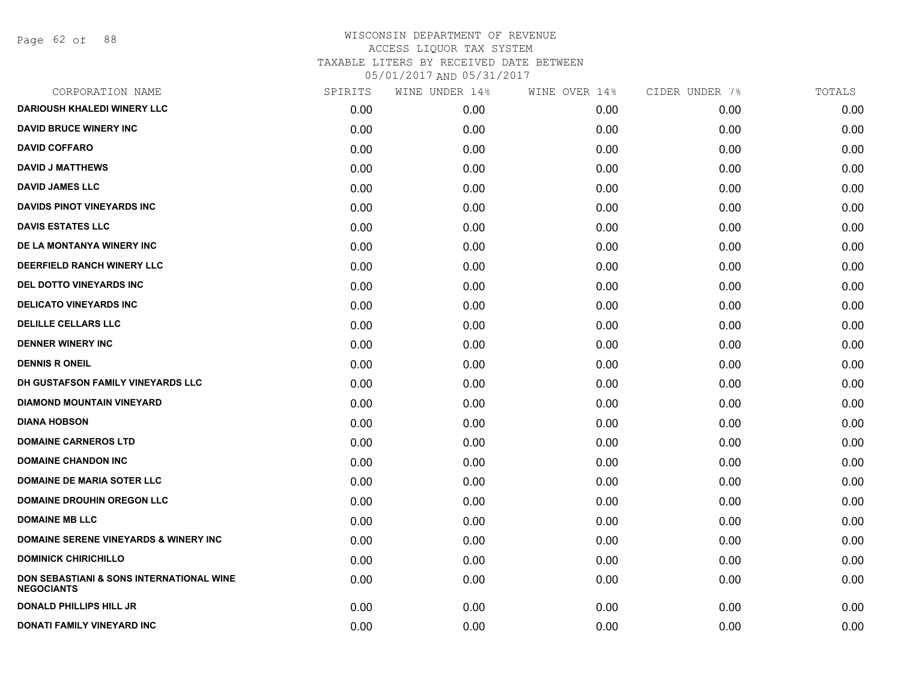Page 62 of 88

| CORPORATION NAME                                              | SPIRITS | WINE UNDER 14% | WINE OVER 14% | CIDER UNDER 7% | TOTALS |
|---------------------------------------------------------------|---------|----------------|---------------|----------------|--------|
| DARIOUSH KHALEDI WINERY LLC                                   | 0.00    | 0.00           | 0.00          | 0.00           | 0.00   |
| <b>DAVID BRUCE WINERY INC</b>                                 | 0.00    | 0.00           | 0.00          | 0.00           | 0.00   |
| <b>DAVID COFFARO</b>                                          | 0.00    | 0.00           | 0.00          | 0.00           | 0.00   |
| <b>DAVID J MATTHEWS</b>                                       | 0.00    | 0.00           | 0.00          | 0.00           | 0.00   |
| <b>DAVID JAMES LLC</b>                                        | 0.00    | 0.00           | 0.00          | 0.00           | 0.00   |
| <b>DAVIDS PINOT VINEYARDS INC</b>                             | 0.00    | 0.00           | 0.00          | 0.00           | 0.00   |
| <b>DAVIS ESTATES LLC</b>                                      | 0.00    | 0.00           | 0.00          | 0.00           | 0.00   |
| DE LA MONTANYA WINERY INC                                     | 0.00    | 0.00           | 0.00          | 0.00           | 0.00   |
| DEERFIELD RANCH WINERY LLC                                    | 0.00    | 0.00           | 0.00          | 0.00           | 0.00   |
| DEL DOTTO VINEYARDS INC                                       | 0.00    | 0.00           | 0.00          | 0.00           | 0.00   |
| <b>DELICATO VINEYARDS INC</b>                                 | 0.00    | 0.00           | 0.00          | 0.00           | 0.00   |
| <b>DELILLE CELLARS LLC</b>                                    | 0.00    | 0.00           | 0.00          | 0.00           | 0.00   |
| <b>DENNER WINERY INC</b>                                      | 0.00    | 0.00           | 0.00          | 0.00           | 0.00   |
| <b>DENNIS R ONEIL</b>                                         | 0.00    | 0.00           | 0.00          | 0.00           | 0.00   |
| DH GUSTAFSON FAMILY VINEYARDS LLC                             | 0.00    | 0.00           | 0.00          | 0.00           | 0.00   |
| <b>DIAMOND MOUNTAIN VINEYARD</b>                              | 0.00    | 0.00           | 0.00          | 0.00           | 0.00   |
| <b>DIANA HOBSON</b>                                           | 0.00    | 0.00           | 0.00          | 0.00           | 0.00   |
| <b>DOMAINE CARNEROS LTD</b>                                   | 0.00    | 0.00           | 0.00          | 0.00           | 0.00   |
| <b>DOMAINE CHANDON INC</b>                                    | 0.00    | 0.00           | 0.00          | 0.00           | 0.00   |
| <b>DOMAINE DE MARIA SOTER LLC</b>                             | 0.00    | 0.00           | 0.00          | 0.00           | 0.00   |
| <b>DOMAINE DROUHIN OREGON LLC</b>                             | 0.00    | 0.00           | 0.00          | 0.00           | 0.00   |
| <b>DOMAINE MB LLC</b>                                         | 0.00    | 0.00           | 0.00          | 0.00           | 0.00   |
| <b>DOMAINE SERENE VINEYARDS &amp; WINERY INC</b>              | 0.00    | 0.00           | 0.00          | 0.00           | 0.00   |
| <b>DOMINICK CHIRICHILLO</b>                                   | 0.00    | 0.00           | 0.00          | 0.00           | 0.00   |
| DON SEBASTIANI & SONS INTERNATIONAL WINE<br><b>NEGOCIANTS</b> | 0.00    | 0.00           | 0.00          | 0.00           | 0.00   |
| <b>DONALD PHILLIPS HILL JR</b>                                | 0.00    | 0.00           | 0.00          | 0.00           | 0.00   |
| DONATI FAMILY VINEYARD INC                                    | 0.00    | 0.00           | 0.00          | 0.00           | 0.00   |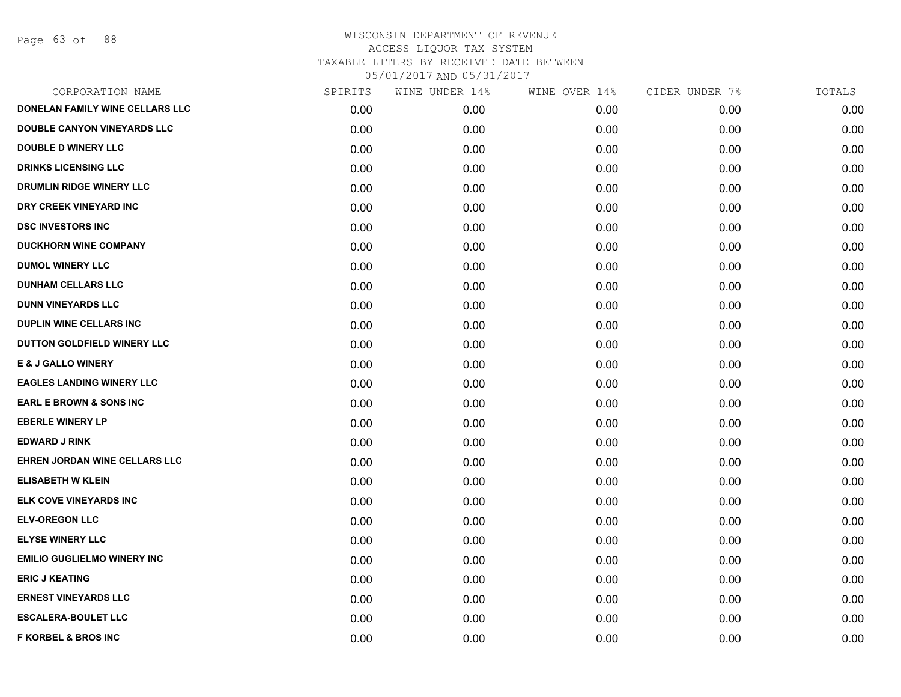Page 63 of 88

| CORPORATION NAME                   | SPIRITS | WINE UNDER 14% | WINE OVER 14% | CIDER UNDER 7% | TOTALS |
|------------------------------------|---------|----------------|---------------|----------------|--------|
| DONELAN FAMILY WINE CELLARS LLC    | 0.00    | 0.00           | 0.00          | 0.00           | 0.00   |
| DOUBLE CANYON VINEYARDS LLC        | 0.00    | 0.00           | 0.00          | 0.00           | 0.00   |
| <b>DOUBLE D WINERY LLC</b>         | 0.00    | 0.00           | 0.00          | 0.00           | 0.00   |
| <b>DRINKS LICENSING LLC</b>        | 0.00    | 0.00           | 0.00          | 0.00           | 0.00   |
| <b>DRUMLIN RIDGE WINERY LLC</b>    | 0.00    | 0.00           | 0.00          | 0.00           | 0.00   |
| DRY CREEK VINEYARD INC             | 0.00    | 0.00           | 0.00          | 0.00           | 0.00   |
| <b>DSC INVESTORS INC</b>           | 0.00    | 0.00           | 0.00          | 0.00           | 0.00   |
| <b>DUCKHORN WINE COMPANY</b>       | 0.00    | 0.00           | 0.00          | 0.00           | 0.00   |
| <b>DUMOL WINERY LLC</b>            | 0.00    | 0.00           | 0.00          | 0.00           | 0.00   |
| <b>DUNHAM CELLARS LLC</b>          | 0.00    | 0.00           | 0.00          | 0.00           | 0.00   |
| <b>DUNN VINEYARDS LLC</b>          | 0.00    | 0.00           | 0.00          | 0.00           | 0.00   |
| <b>DUPLIN WINE CELLARS INC</b>     | 0.00    | 0.00           | 0.00          | 0.00           | 0.00   |
| DUTTON GOLDFIELD WINERY LLC        | 0.00    | 0.00           | 0.00          | 0.00           | 0.00   |
| <b>E &amp; J GALLO WINERY</b>      | 0.00    | 0.00           | 0.00          | 0.00           | 0.00   |
| <b>EAGLES LANDING WINERY LLC</b>   | 0.00    | 0.00           | 0.00          | 0.00           | 0.00   |
| <b>EARL E BROWN &amp; SONS INC</b> | 0.00    | 0.00           | 0.00          | 0.00           | 0.00   |
| <b>EBERLE WINERY LP</b>            | 0.00    | 0.00           | 0.00          | 0.00           | 0.00   |
| <b>EDWARD J RINK</b>               | 0.00    | 0.00           | 0.00          | 0.00           | 0.00   |
| EHREN JORDAN WINE CELLARS LLC      | 0.00    | 0.00           | 0.00          | 0.00           | 0.00   |
| <b>ELISABETH W KLEIN</b>           | 0.00    | 0.00           | 0.00          | 0.00           | 0.00   |
| ELK COVE VINEYARDS INC             | 0.00    | 0.00           | 0.00          | 0.00           | 0.00   |
| <b>ELV-OREGON LLC</b>              | 0.00    | 0.00           | 0.00          | 0.00           | 0.00   |
| <b>ELYSE WINERY LLC</b>            | 0.00    | 0.00           | 0.00          | 0.00           | 0.00   |
| <b>EMILIO GUGLIELMO WINERY INC</b> | 0.00    | 0.00           | 0.00          | 0.00           | 0.00   |
| <b>ERIC J KEATING</b>              | 0.00    | 0.00           | 0.00          | 0.00           | 0.00   |
| <b>ERNEST VINEYARDS LLC</b>        | 0.00    | 0.00           | 0.00          | 0.00           | 0.00   |
| <b>ESCALERA-BOULET LLC</b>         | 0.00    | 0.00           | 0.00          | 0.00           | 0.00   |
| <b>F KORBEL &amp; BROS INC</b>     | 0.00    | 0.00           | 0.00          | 0.00           | 0.00   |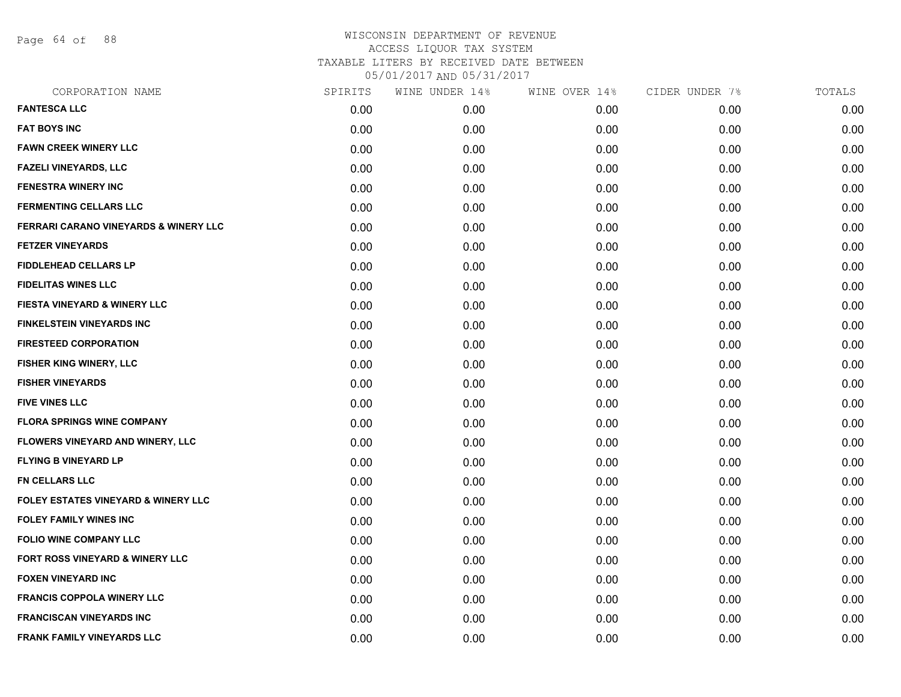Page 64 of 88

| CORPORATION NAME                                 | SPIRITS | WINE UNDER 14% | WINE OVER 14% | CIDER UNDER 7% | TOTALS |
|--------------------------------------------------|---------|----------------|---------------|----------------|--------|
| <b>FANTESCA LLC</b>                              | 0.00    | 0.00           | 0.00          | 0.00           | 0.00   |
| <b>FAT BOYS INC</b>                              | 0.00    | 0.00           | 0.00          | 0.00           | 0.00   |
| <b>FAWN CREEK WINERY LLC</b>                     | 0.00    | 0.00           | 0.00          | 0.00           | 0.00   |
| <b>FAZELI VINEYARDS, LLC</b>                     | 0.00    | 0.00           | 0.00          | 0.00           | 0.00   |
| <b>FENESTRA WINERY INC</b>                       | 0.00    | 0.00           | 0.00          | 0.00           | 0.00   |
| <b>FERMENTING CELLARS LLC</b>                    | 0.00    | 0.00           | 0.00          | 0.00           | 0.00   |
| <b>FERRARI CARANO VINEYARDS &amp; WINERY LLC</b> | 0.00    | 0.00           | 0.00          | 0.00           | 0.00   |
| <b>FETZER VINEYARDS</b>                          | 0.00    | 0.00           | 0.00          | 0.00           | 0.00   |
| <b>FIDDLEHEAD CELLARS LP</b>                     | 0.00    | 0.00           | 0.00          | 0.00           | 0.00   |
| <b>FIDELITAS WINES LLC</b>                       | 0.00    | 0.00           | 0.00          | 0.00           | 0.00   |
| <b>FIESTA VINEYARD &amp; WINERY LLC</b>          | 0.00    | 0.00           | 0.00          | 0.00           | 0.00   |
| <b>FINKELSTEIN VINEYARDS INC</b>                 | 0.00    | 0.00           | 0.00          | 0.00           | 0.00   |
| <b>FIRESTEED CORPORATION</b>                     | 0.00    | 0.00           | 0.00          | 0.00           | 0.00   |
| FISHER KING WINERY, LLC                          | 0.00    | 0.00           | 0.00          | 0.00           | 0.00   |
| <b>FISHER VINEYARDS</b>                          | 0.00    | 0.00           | 0.00          | 0.00           | 0.00   |
| <b>FIVE VINES LLC</b>                            | 0.00    | 0.00           | 0.00          | 0.00           | 0.00   |
| <b>FLORA SPRINGS WINE COMPANY</b>                | 0.00    | 0.00           | 0.00          | 0.00           | 0.00   |
| FLOWERS VINEYARD AND WINERY, LLC                 | 0.00    | 0.00           | 0.00          | 0.00           | 0.00   |
| <b>FLYING B VINEYARD LP</b>                      | 0.00    | 0.00           | 0.00          | 0.00           | 0.00   |
| <b>FN CELLARS LLC</b>                            | 0.00    | 0.00           | 0.00          | 0.00           | 0.00   |
| <b>FOLEY ESTATES VINEYARD &amp; WINERY LLC</b>   | 0.00    | 0.00           | 0.00          | 0.00           | 0.00   |
| <b>FOLEY FAMILY WINES INC</b>                    | 0.00    | 0.00           | 0.00          | 0.00           | 0.00   |
| <b>FOLIO WINE COMPANY LLC</b>                    | 0.00    | 0.00           | 0.00          | 0.00           | 0.00   |
| <b>FORT ROSS VINEYARD &amp; WINERY LLC</b>       | 0.00    | 0.00           | 0.00          | 0.00           | 0.00   |
| <b>FOXEN VINEYARD INC</b>                        | 0.00    | 0.00           | 0.00          | 0.00           | 0.00   |
| <b>FRANCIS COPPOLA WINERY LLC</b>                | 0.00    | 0.00           | 0.00          | 0.00           | 0.00   |
| <b>FRANCISCAN VINEYARDS INC</b>                  | 0.00    | 0.00           | 0.00          | 0.00           | 0.00   |
| <b>FRANK FAMILY VINEYARDS LLC</b>                | 0.00    | 0.00           | 0.00          | 0.00           | 0.00   |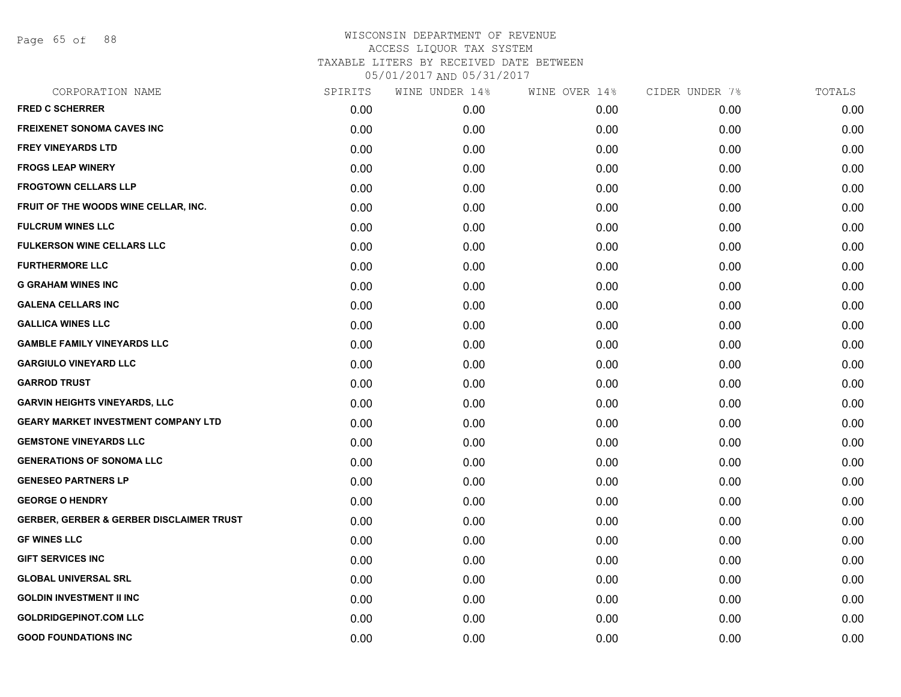Page 65 of 88

| CORPORATION NAME                                    | SPIRITS | WINE UNDER 14% | WINE OVER 14% | CIDER UNDER 7% | TOTALS |
|-----------------------------------------------------|---------|----------------|---------------|----------------|--------|
| <b>FRED C SCHERRER</b>                              | 0.00    | 0.00           | 0.00          | 0.00           | 0.00   |
| <b>FREIXENET SONOMA CAVES INC</b>                   | 0.00    | 0.00           | 0.00          | 0.00           | 0.00   |
| <b>FREY VINEYARDS LTD</b>                           | 0.00    | 0.00           | 0.00          | 0.00           | 0.00   |
| <b>FROGS LEAP WINERY</b>                            | 0.00    | 0.00           | 0.00          | 0.00           | 0.00   |
| <b>FROGTOWN CELLARS LLP</b>                         | 0.00    | 0.00           | 0.00          | 0.00           | 0.00   |
| FRUIT OF THE WOODS WINE CELLAR, INC.                | 0.00    | 0.00           | 0.00          | 0.00           | 0.00   |
| <b>FULCRUM WINES LLC</b>                            | 0.00    | 0.00           | 0.00          | 0.00           | 0.00   |
| <b>FULKERSON WINE CELLARS LLC</b>                   | 0.00    | 0.00           | 0.00          | 0.00           | 0.00   |
| <b>FURTHERMORE LLC</b>                              | 0.00    | 0.00           | 0.00          | 0.00           | 0.00   |
| <b>G GRAHAM WINES INC</b>                           | 0.00    | 0.00           | 0.00          | 0.00           | 0.00   |
| <b>GALENA CELLARS INC</b>                           | 0.00    | 0.00           | 0.00          | 0.00           | 0.00   |
| <b>GALLICA WINES LLC</b>                            | 0.00    | 0.00           | 0.00          | 0.00           | 0.00   |
| <b>GAMBLE FAMILY VINEYARDS LLC</b>                  | 0.00    | 0.00           | 0.00          | 0.00           | 0.00   |
| <b>GARGIULO VINEYARD LLC</b>                        | 0.00    | 0.00           | 0.00          | 0.00           | 0.00   |
| <b>GARROD TRUST</b>                                 | 0.00    | 0.00           | 0.00          | 0.00           | 0.00   |
| <b>GARVIN HEIGHTS VINEYARDS, LLC</b>                | 0.00    | 0.00           | 0.00          | 0.00           | 0.00   |
| <b>GEARY MARKET INVESTMENT COMPANY LTD</b>          | 0.00    | 0.00           | 0.00          | 0.00           | 0.00   |
| <b>GEMSTONE VINEYARDS LLC</b>                       | 0.00    | 0.00           | 0.00          | 0.00           | 0.00   |
| <b>GENERATIONS OF SONOMA LLC</b>                    | 0.00    | 0.00           | 0.00          | 0.00           | 0.00   |
| <b>GENESEO PARTNERS LP</b>                          | 0.00    | 0.00           | 0.00          | 0.00           | 0.00   |
| <b>GEORGE O HENDRY</b>                              | 0.00    | 0.00           | 0.00          | 0.00           | 0.00   |
| <b>GERBER, GERBER &amp; GERBER DISCLAIMER TRUST</b> | 0.00    | 0.00           | 0.00          | 0.00           | 0.00   |
| <b>GF WINES LLC</b>                                 | 0.00    | 0.00           | 0.00          | 0.00           | 0.00   |
| <b>GIFT SERVICES INC</b>                            | 0.00    | 0.00           | 0.00          | 0.00           | 0.00   |
| <b>GLOBAL UNIVERSAL SRL</b>                         | 0.00    | 0.00           | 0.00          | 0.00           | 0.00   |
| <b>GOLDIN INVESTMENT II INC</b>                     | 0.00    | 0.00           | 0.00          | 0.00           | 0.00   |
| <b>GOLDRIDGEPINOT.COM LLC</b>                       | 0.00    | 0.00           | 0.00          | 0.00           | 0.00   |
| <b>GOOD FOUNDATIONS INC</b>                         | 0.00    | 0.00           | 0.00          | 0.00           | 0.00   |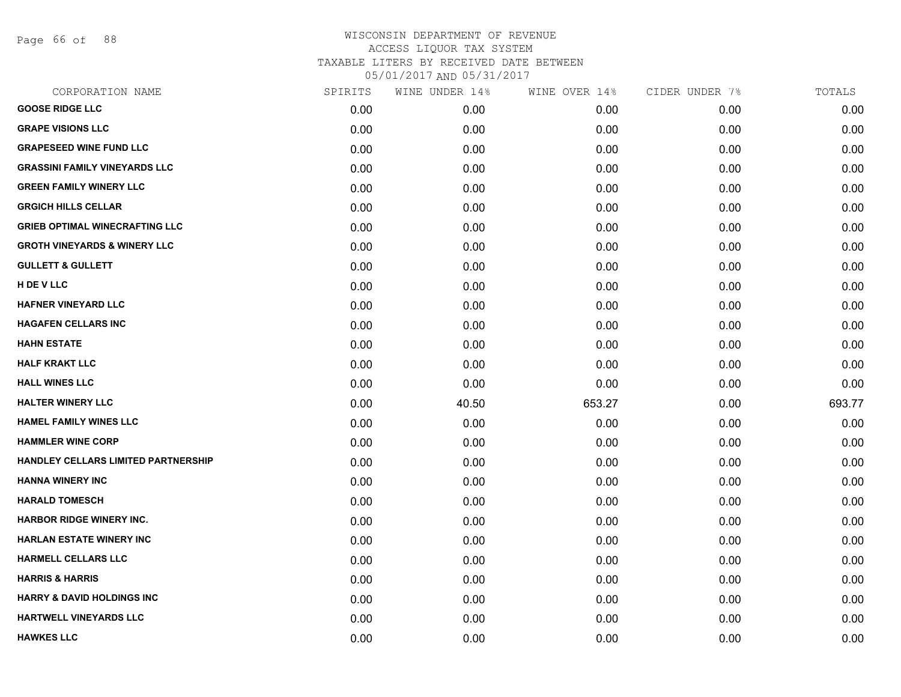Page 66 of 88

| CORPORATION NAME                        | SPIRITS | WINE UNDER 14% | WINE OVER 14% | CIDER UNDER 7% | TOTALS |
|-----------------------------------------|---------|----------------|---------------|----------------|--------|
| <b>GOOSE RIDGE LLC</b>                  | 0.00    | 0.00           | 0.00          | 0.00           | 0.00   |
| <b>GRAPE VISIONS LLC</b>                | 0.00    | 0.00           | 0.00          | 0.00           | 0.00   |
| <b>GRAPESEED WINE FUND LLC</b>          | 0.00    | 0.00           | 0.00          | 0.00           | 0.00   |
| <b>GRASSINI FAMILY VINEYARDS LLC</b>    | 0.00    | 0.00           | 0.00          | 0.00           | 0.00   |
| <b>GREEN FAMILY WINERY LLC</b>          | 0.00    | 0.00           | 0.00          | 0.00           | 0.00   |
| <b>GRGICH HILLS CELLAR</b>              | 0.00    | 0.00           | 0.00          | 0.00           | 0.00   |
| <b>GRIEB OPTIMAL WINECRAFTING LLC</b>   | 0.00    | 0.00           | 0.00          | 0.00           | 0.00   |
| <b>GROTH VINEYARDS &amp; WINERY LLC</b> | 0.00    | 0.00           | 0.00          | 0.00           | 0.00   |
| <b>GULLETT &amp; GULLETT</b>            | 0.00    | 0.00           | 0.00          | 0.00           | 0.00   |
| H DE V LLC                              | 0.00    | 0.00           | 0.00          | 0.00           | 0.00   |
| <b>HAFNER VINEYARD LLC</b>              | 0.00    | 0.00           | 0.00          | 0.00           | 0.00   |
| <b>HAGAFEN CELLARS INC</b>              | 0.00    | 0.00           | 0.00          | 0.00           | 0.00   |
| <b>HAHN ESTATE</b>                      | 0.00    | 0.00           | 0.00          | 0.00           | 0.00   |
| <b>HALF KRAKT LLC</b>                   | 0.00    | 0.00           | 0.00          | 0.00           | 0.00   |
| <b>HALL WINES LLC</b>                   | 0.00    | 0.00           | 0.00          | 0.00           | 0.00   |
| <b>HALTER WINERY LLC</b>                | 0.00    | 40.50          | 653.27        | 0.00           | 693.77 |
| <b>HAMEL FAMILY WINES LLC</b>           | 0.00    | 0.00           | 0.00          | 0.00           | 0.00   |
| <b>HAMMLER WINE CORP</b>                | 0.00    | 0.00           | 0.00          | 0.00           | 0.00   |
| HANDLEY CELLARS LIMITED PARTNERSHIP     | 0.00    | 0.00           | 0.00          | 0.00           | 0.00   |
| <b>HANNA WINERY INC</b>                 | 0.00    | 0.00           | 0.00          | 0.00           | 0.00   |
| <b>HARALD TOMESCH</b>                   | 0.00    | 0.00           | 0.00          | 0.00           | 0.00   |
| <b>HARBOR RIDGE WINERY INC.</b>         | 0.00    | 0.00           | 0.00          | 0.00           | 0.00   |
| <b>HARLAN ESTATE WINERY INC</b>         | 0.00    | 0.00           | 0.00          | 0.00           | 0.00   |
| <b>HARMELL CELLARS LLC</b>              | 0.00    | 0.00           | 0.00          | 0.00           | 0.00   |
| <b>HARRIS &amp; HARRIS</b>              | 0.00    | 0.00           | 0.00          | 0.00           | 0.00   |
| <b>HARRY &amp; DAVID HOLDINGS INC</b>   | 0.00    | 0.00           | 0.00          | 0.00           | 0.00   |
| HARTWELL VINEYARDS LLC                  | 0.00    | 0.00           | 0.00          | 0.00           | 0.00   |
| <b>HAWKES LLC</b>                       | 0.00    | 0.00           | 0.00          | 0.00           | 0.00   |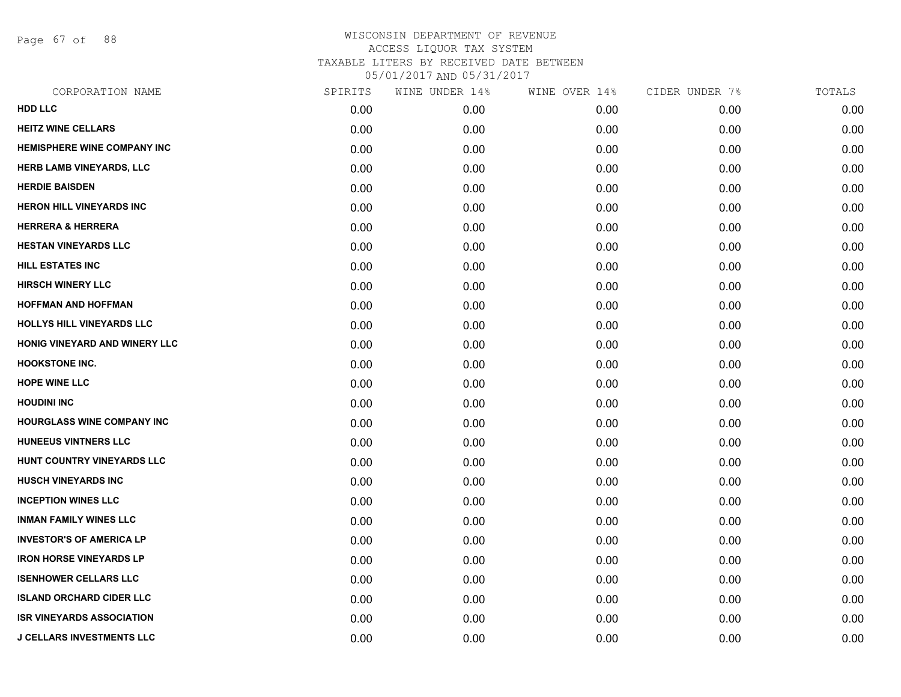Page 67 of 88

| CORPORATION NAME                   | SPIRITS | WINE UNDER 14% | WINE OVER 14% | CIDER UNDER 7% | TOTALS |
|------------------------------------|---------|----------------|---------------|----------------|--------|
| HDD LLC                            | 0.00    | 0.00           | 0.00          | 0.00           | 0.00   |
| <b>HEITZ WINE CELLARS</b>          | 0.00    | 0.00           | 0.00          | 0.00           | 0.00   |
| <b>HEMISPHERE WINE COMPANY INC</b> | 0.00    | 0.00           | 0.00          | 0.00           | 0.00   |
| HERB LAMB VINEYARDS, LLC           | 0.00    | 0.00           | 0.00          | 0.00           | 0.00   |
| <b>HERDIE BAISDEN</b>              | 0.00    | 0.00           | 0.00          | 0.00           | 0.00   |
| <b>HERON HILL VINEYARDS INC</b>    | 0.00    | 0.00           | 0.00          | 0.00           | 0.00   |
| <b>HERRERA &amp; HERRERA</b>       | 0.00    | 0.00           | 0.00          | 0.00           | 0.00   |
| <b>HESTAN VINEYARDS LLC</b>        | 0.00    | 0.00           | 0.00          | 0.00           | 0.00   |
| <b>HILL ESTATES INC</b>            | 0.00    | 0.00           | 0.00          | 0.00           | 0.00   |
| <b>HIRSCH WINERY LLC</b>           | 0.00    | 0.00           | 0.00          | 0.00           | 0.00   |
| <b>HOFFMAN AND HOFFMAN</b>         | 0.00    | 0.00           | 0.00          | 0.00           | 0.00   |
| HOLLYS HILL VINEYARDS LLC          | 0.00    | 0.00           | 0.00          | 0.00           | 0.00   |
| HONIG VINEYARD AND WINERY LLC      | 0.00    | 0.00           | 0.00          | 0.00           | 0.00   |
| <b>HOOKSTONE INC.</b>              | 0.00    | 0.00           | 0.00          | 0.00           | 0.00   |
| <b>HOPE WINE LLC</b>               | 0.00    | 0.00           | 0.00          | 0.00           | 0.00   |
| <b>HOUDINI INC</b>                 | 0.00    | 0.00           | 0.00          | 0.00           | 0.00   |
| <b>HOURGLASS WINE COMPANY INC</b>  | 0.00    | 0.00           | 0.00          | 0.00           | 0.00   |
| <b>HUNEEUS VINTNERS LLC</b>        | 0.00    | 0.00           | 0.00          | 0.00           | 0.00   |
| HUNT COUNTRY VINEYARDS LLC         | 0.00    | 0.00           | 0.00          | 0.00           | 0.00   |
| <b>HUSCH VINEYARDS INC</b>         | 0.00    | 0.00           | 0.00          | 0.00           | 0.00   |
| <b>INCEPTION WINES LLC</b>         | 0.00    | 0.00           | 0.00          | 0.00           | 0.00   |
| <b>INMAN FAMILY WINES LLC</b>      | 0.00    | 0.00           | 0.00          | 0.00           | 0.00   |
| <b>INVESTOR'S OF AMERICA LP</b>    | 0.00    | 0.00           | 0.00          | 0.00           | 0.00   |
| <b>IRON HORSE VINEYARDS LP</b>     | 0.00    | 0.00           | 0.00          | 0.00           | 0.00   |
| <b>ISENHOWER CELLARS LLC</b>       | 0.00    | 0.00           | 0.00          | 0.00           | 0.00   |
| <b>ISLAND ORCHARD CIDER LLC</b>    | 0.00    | 0.00           | 0.00          | 0.00           | 0.00   |
| <b>ISR VINEYARDS ASSOCIATION</b>   | 0.00    | 0.00           | 0.00          | 0.00           | 0.00   |
| <b>J CELLARS INVESTMENTS LLC</b>   | 0.00    | 0.00           | 0.00          | 0.00           | 0.00   |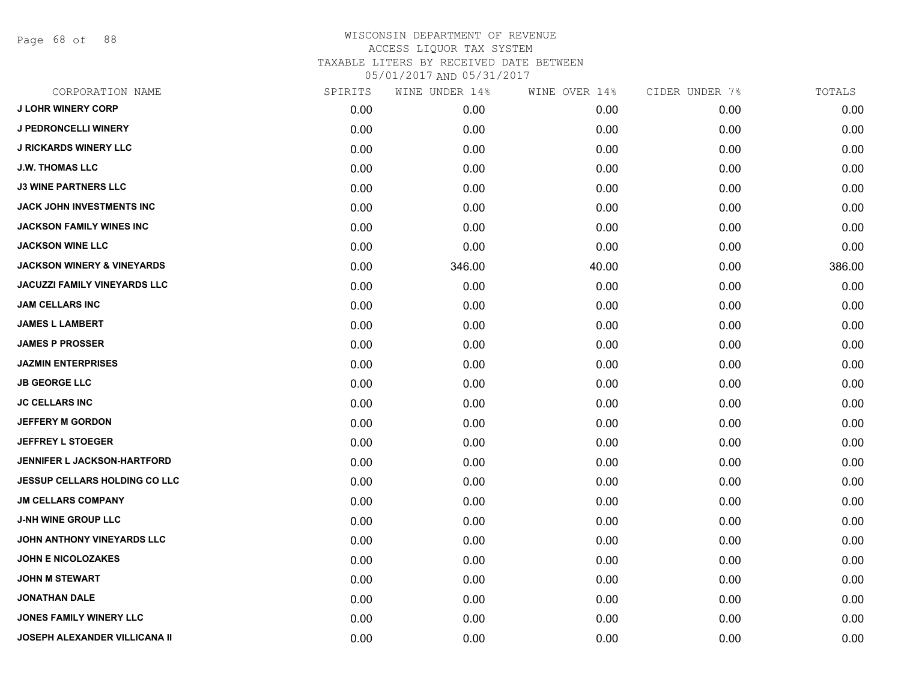Page 68 of 88

| CORPORATION NAME                      | SPIRITS | WINE UNDER 14% | WINE OVER 14% | CIDER UNDER 7% | TOTALS |
|---------------------------------------|---------|----------------|---------------|----------------|--------|
| <b>J LOHR WINERY CORP</b>             | 0.00    | 0.00           | 0.00          | 0.00           | 0.00   |
| <b>J PEDRONCELLI WINERY</b>           | 0.00    | 0.00           | 0.00          | 0.00           | 0.00   |
| <b>J RICKARDS WINERY LLC</b>          | 0.00    | 0.00           | 0.00          | 0.00           | 0.00   |
| <b>J.W. THOMAS LLC</b>                | 0.00    | 0.00           | 0.00          | 0.00           | 0.00   |
| <b>J3 WINE PARTNERS LLC</b>           | 0.00    | 0.00           | 0.00          | 0.00           | 0.00   |
| <b>JACK JOHN INVESTMENTS INC</b>      | 0.00    | 0.00           | 0.00          | 0.00           | 0.00   |
| <b>JACKSON FAMILY WINES INC</b>       | 0.00    | 0.00           | 0.00          | 0.00           | 0.00   |
| <b>JACKSON WINE LLC</b>               | 0.00    | 0.00           | 0.00          | 0.00           | 0.00   |
| <b>JACKSON WINERY &amp; VINEYARDS</b> | 0.00    | 346.00         | 40.00         | 0.00           | 386.00 |
| <b>JACUZZI FAMILY VINEYARDS LLC</b>   | 0.00    | 0.00           | 0.00          | 0.00           | 0.00   |
| <b>JAM CELLARS INC</b>                | 0.00    | 0.00           | 0.00          | 0.00           | 0.00   |
| <b>JAMES L LAMBERT</b>                | 0.00    | 0.00           | 0.00          | 0.00           | 0.00   |
| <b>JAMES P PROSSER</b>                | 0.00    | 0.00           | 0.00          | 0.00           | 0.00   |
| <b>JAZMIN ENTERPRISES</b>             | 0.00    | 0.00           | 0.00          | 0.00           | 0.00   |
| <b>JB GEORGE LLC</b>                  | 0.00    | 0.00           | 0.00          | 0.00           | 0.00   |
| <b>JC CELLARS INC</b>                 | 0.00    | 0.00           | 0.00          | 0.00           | 0.00   |
| <b>JEFFERY M GORDON</b>               | 0.00    | 0.00           | 0.00          | 0.00           | 0.00   |
| <b>JEFFREY L STOEGER</b>              | 0.00    | 0.00           | 0.00          | 0.00           | 0.00   |
| <b>JENNIFER L JACKSON-HARTFORD</b>    | 0.00    | 0.00           | 0.00          | 0.00           | 0.00   |
| JESSUP CELLARS HOLDING CO LLC         | 0.00    | 0.00           | 0.00          | 0.00           | 0.00   |
| <b>JM CELLARS COMPANY</b>             | 0.00    | 0.00           | 0.00          | 0.00           | 0.00   |
| <b>J-NH WINE GROUP LLC</b>            | 0.00    | 0.00           | 0.00          | 0.00           | 0.00   |
| JOHN ANTHONY VINEYARDS LLC            | 0.00    | 0.00           | 0.00          | 0.00           | 0.00   |
| <b>JOHN E NICOLOZAKES</b>             | 0.00    | 0.00           | 0.00          | 0.00           | 0.00   |
| <b>JOHN M STEWART</b>                 | 0.00    | 0.00           | 0.00          | 0.00           | 0.00   |
| <b>JONATHAN DALE</b>                  | 0.00    | 0.00           | 0.00          | 0.00           | 0.00   |
| <b>JONES FAMILY WINERY LLC</b>        | 0.00    | 0.00           | 0.00          | 0.00           | 0.00   |
| <b>JOSEPH ALEXANDER VILLICANA II</b>  | 0.00    | 0.00           | 0.00          | 0.00           | 0.00   |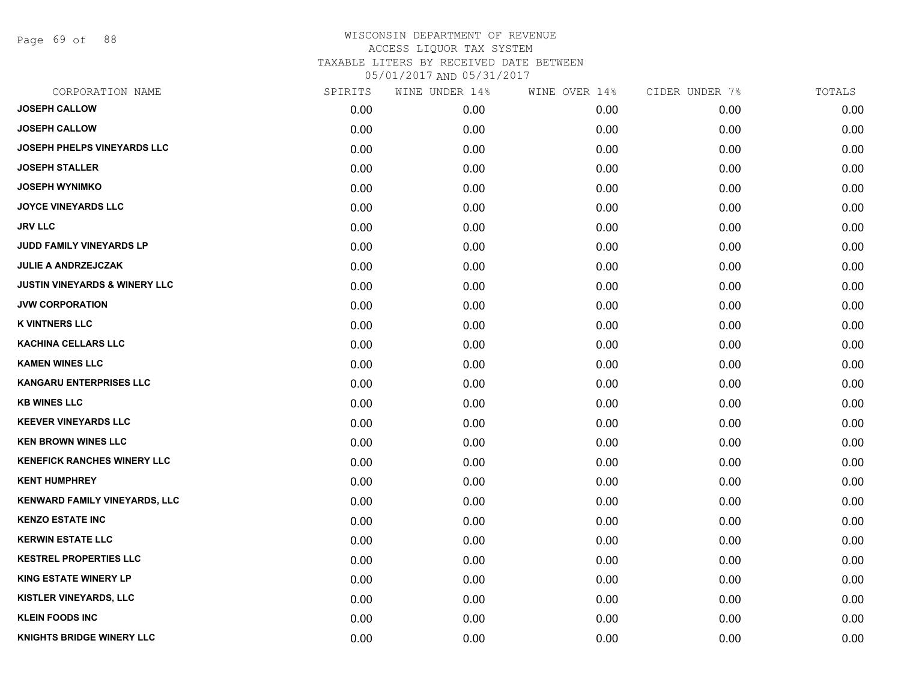Page 69 of 88

| CORPORATION NAME                         | SPIRITS | WINE UNDER 14% | WINE OVER 14% | CIDER UNDER 7% | TOTALS |
|------------------------------------------|---------|----------------|---------------|----------------|--------|
| <b>JOSEPH CALLOW</b>                     | 0.00    | 0.00           | 0.00          | 0.00           | 0.00   |
| <b>JOSEPH CALLOW</b>                     | 0.00    | 0.00           | 0.00          | 0.00           | 0.00   |
| JOSEPH PHELPS VINEYARDS LLC              | 0.00    | 0.00           | 0.00          | 0.00           | 0.00   |
| <b>JOSEPH STALLER</b>                    | 0.00    | 0.00           | 0.00          | 0.00           | 0.00   |
| <b>JOSEPH WYNIMKO</b>                    | 0.00    | 0.00           | 0.00          | 0.00           | 0.00   |
| <b>JOYCE VINEYARDS LLC</b>               | 0.00    | 0.00           | 0.00          | 0.00           | 0.00   |
| <b>JRV LLC</b>                           | 0.00    | 0.00           | 0.00          | 0.00           | 0.00   |
| JUDD FAMILY VINEYARDS LP                 | 0.00    | 0.00           | 0.00          | 0.00           | 0.00   |
| <b>JULIE A ANDRZEJCZAK</b>               | 0.00    | 0.00           | 0.00          | 0.00           | 0.00   |
| <b>JUSTIN VINEYARDS &amp; WINERY LLC</b> | 0.00    | 0.00           | 0.00          | 0.00           | 0.00   |
| <b>JVW CORPORATION</b>                   | 0.00    | 0.00           | 0.00          | 0.00           | 0.00   |
| <b>K VINTNERS LLC</b>                    | 0.00    | 0.00           | 0.00          | 0.00           | 0.00   |
| <b>KACHINA CELLARS LLC</b>               | 0.00    | 0.00           | 0.00          | 0.00           | 0.00   |
| <b>KAMEN WINES LLC</b>                   | 0.00    | 0.00           | 0.00          | 0.00           | 0.00   |
| <b>KANGARU ENTERPRISES LLC</b>           | 0.00    | 0.00           | 0.00          | 0.00           | 0.00   |
| <b>KB WINES LLC</b>                      | 0.00    | 0.00           | 0.00          | 0.00           | 0.00   |
| <b>KEEVER VINEYARDS LLC</b>              | 0.00    | 0.00           | 0.00          | 0.00           | 0.00   |
| <b>KEN BROWN WINES LLC</b>               | 0.00    | 0.00           | 0.00          | 0.00           | 0.00   |
| <b>KENEFICK RANCHES WINERY LLC</b>       | 0.00    | 0.00           | 0.00          | 0.00           | 0.00   |
| <b>KENT HUMPHREY</b>                     | 0.00    | 0.00           | 0.00          | 0.00           | 0.00   |
| <b>KENWARD FAMILY VINEYARDS, LLC</b>     | 0.00    | 0.00           | 0.00          | 0.00           | 0.00   |
| <b>KENZO ESTATE INC</b>                  | 0.00    | 0.00           | 0.00          | 0.00           | 0.00   |
| <b>KERWIN ESTATE LLC</b>                 | 0.00    | 0.00           | 0.00          | 0.00           | 0.00   |
| <b>KESTREL PROPERTIES LLC</b>            | 0.00    | 0.00           | 0.00          | 0.00           | 0.00   |
| <b>KING ESTATE WINERY LP</b>             | 0.00    | 0.00           | 0.00          | 0.00           | 0.00   |
| <b>KISTLER VINEYARDS, LLC</b>            | 0.00    | 0.00           | 0.00          | 0.00           | 0.00   |
| <b>KLEIN FOODS INC</b>                   | 0.00    | 0.00           | 0.00          | 0.00           | 0.00   |
| <b>KNIGHTS BRIDGE WINERY LLC</b>         | 0.00    | 0.00           | 0.00          | 0.00           | 0.00   |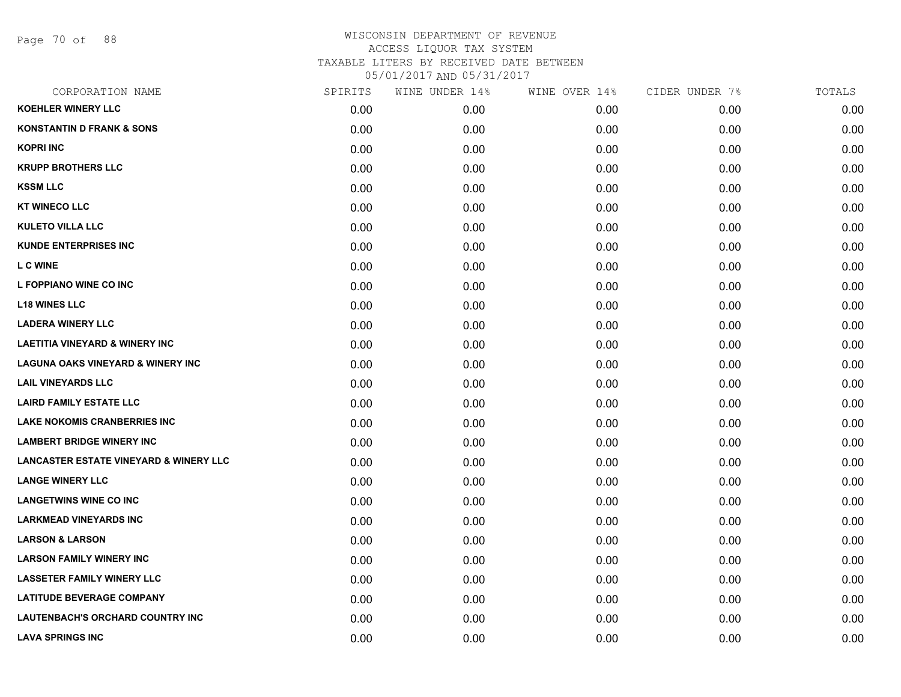Page 70 of 88

| CORPORATION NAME                                  | SPIRITS | WINE UNDER 14% | WINE OVER 14% | CIDER UNDER 7% | TOTALS |
|---------------------------------------------------|---------|----------------|---------------|----------------|--------|
| <b>KOEHLER WINERY LLC</b>                         | 0.00    | 0.00           | 0.00          | 0.00           | 0.00   |
| <b>KONSTANTIN D FRANK &amp; SONS</b>              | 0.00    | 0.00           | 0.00          | 0.00           | 0.00   |
| <b>KOPRI INC</b>                                  | 0.00    | 0.00           | 0.00          | 0.00           | 0.00   |
| <b>KRUPP BROTHERS LLC</b>                         | 0.00    | 0.00           | 0.00          | 0.00           | 0.00   |
| <b>KSSM LLC</b>                                   | 0.00    | 0.00           | 0.00          | 0.00           | 0.00   |
| <b>KT WINECO LLC</b>                              | 0.00    | 0.00           | 0.00          | 0.00           | 0.00   |
| <b>KULETO VILLA LLC</b>                           | 0.00    | 0.00           | 0.00          | 0.00           | 0.00   |
| <b>KUNDE ENTERPRISES INC</b>                      | 0.00    | 0.00           | 0.00          | 0.00           | 0.00   |
| <b>LC WINE</b>                                    | 0.00    | 0.00           | 0.00          | 0.00           | 0.00   |
| L FOPPIANO WINE CO INC                            | 0.00    | 0.00           | 0.00          | 0.00           | 0.00   |
| <b>L18 WINES LLC</b>                              | 0.00    | 0.00           | 0.00          | 0.00           | 0.00   |
| <b>LADERA WINERY LLC</b>                          | 0.00    | 0.00           | 0.00          | 0.00           | 0.00   |
| <b>LAETITIA VINEYARD &amp; WINERY INC</b>         | 0.00    | 0.00           | 0.00          | 0.00           | 0.00   |
| <b>LAGUNA OAKS VINEYARD &amp; WINERY INC</b>      | 0.00    | 0.00           | 0.00          | 0.00           | 0.00   |
| <b>LAIL VINEYARDS LLC</b>                         | 0.00    | 0.00           | 0.00          | 0.00           | 0.00   |
| <b>LAIRD FAMILY ESTATE LLC</b>                    | 0.00    | 0.00           | 0.00          | 0.00           | 0.00   |
| <b>LAKE NOKOMIS CRANBERRIES INC</b>               | 0.00    | 0.00           | 0.00          | 0.00           | 0.00   |
| <b>LAMBERT BRIDGE WINERY INC</b>                  | 0.00    | 0.00           | 0.00          | 0.00           | 0.00   |
| <b>LANCASTER ESTATE VINEYARD &amp; WINERY LLC</b> | 0.00    | 0.00           | 0.00          | 0.00           | 0.00   |
| <b>LANGE WINERY LLC</b>                           | 0.00    | 0.00           | 0.00          | 0.00           | 0.00   |
| <b>LANGETWINS WINE CO INC</b>                     | 0.00    | 0.00           | 0.00          | 0.00           | 0.00   |
| <b>LARKMEAD VINEYARDS INC</b>                     | 0.00    | 0.00           | 0.00          | 0.00           | 0.00   |
| <b>LARSON &amp; LARSON</b>                        | 0.00    | 0.00           | 0.00          | 0.00           | 0.00   |
| <b>LARSON FAMILY WINERY INC</b>                   | 0.00    | 0.00           | 0.00          | 0.00           | 0.00   |
| <b>LASSETER FAMILY WINERY LLC</b>                 | 0.00    | 0.00           | 0.00          | 0.00           | 0.00   |
| <b>LATITUDE BEVERAGE COMPANY</b>                  | 0.00    | 0.00           | 0.00          | 0.00           | 0.00   |
| LAUTENBACH'S ORCHARD COUNTRY INC                  | 0.00    | 0.00           | 0.00          | 0.00           | 0.00   |
| <b>LAVA SPRINGS INC</b>                           | 0.00    | 0.00           | 0.00          | 0.00           | 0.00   |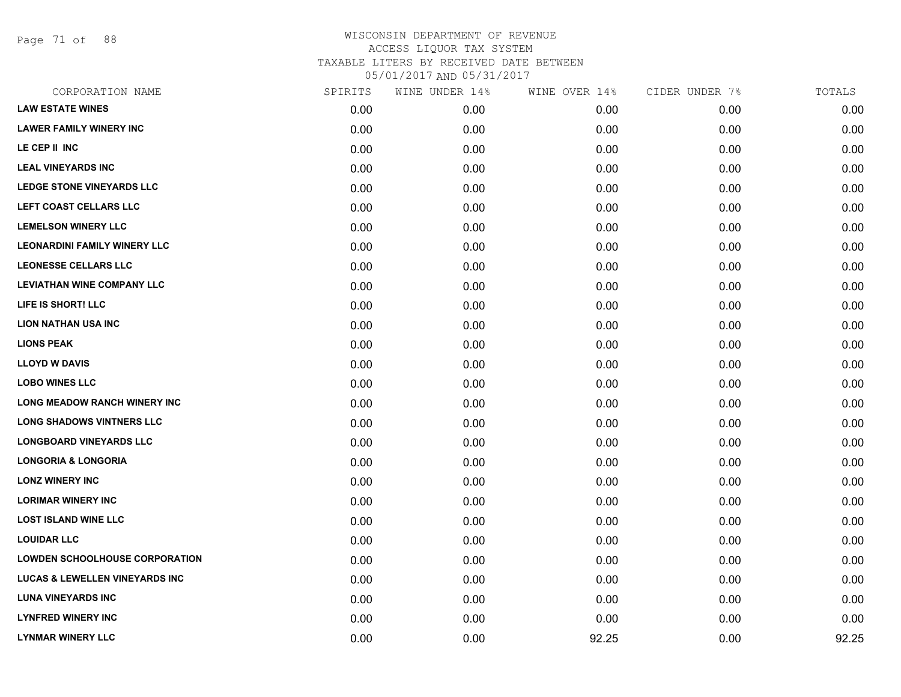Page 71 of 88

| CORPORATION NAME                          | SPIRITS | WINE UNDER 14% | WINE OVER 14% | CIDER UNDER 7% | TOTALS |
|-------------------------------------------|---------|----------------|---------------|----------------|--------|
| <b>LAW ESTATE WINES</b>                   | 0.00    | 0.00           | 0.00          | 0.00           | 0.00   |
| <b>LAWER FAMILY WINERY INC</b>            | 0.00    | 0.00           | 0.00          | 0.00           | 0.00   |
| LE CEP II INC                             | 0.00    | 0.00           | 0.00          | 0.00           | 0.00   |
| <b>LEAL VINEYARDS INC</b>                 | 0.00    | 0.00           | 0.00          | 0.00           | 0.00   |
| <b>LEDGE STONE VINEYARDS LLC</b>          | 0.00    | 0.00           | 0.00          | 0.00           | 0.00   |
| LEFT COAST CELLARS LLC                    | 0.00    | 0.00           | 0.00          | 0.00           | 0.00   |
| <b>LEMELSON WINERY LLC</b>                | 0.00    | 0.00           | 0.00          | 0.00           | 0.00   |
| <b>LEONARDINI FAMILY WINERY LLC</b>       | 0.00    | 0.00           | 0.00          | 0.00           | 0.00   |
| <b>LEONESSE CELLARS LLC</b>               | 0.00    | 0.00           | 0.00          | 0.00           | 0.00   |
| <b>LEVIATHAN WINE COMPANY LLC</b>         | 0.00    | 0.00           | 0.00          | 0.00           | 0.00   |
| LIFE IS SHORT! LLC                        | 0.00    | 0.00           | 0.00          | 0.00           | 0.00   |
| <b>LION NATHAN USA INC</b>                | 0.00    | 0.00           | 0.00          | 0.00           | 0.00   |
| <b>LIONS PEAK</b>                         | 0.00    | 0.00           | 0.00          | 0.00           | 0.00   |
| <b>LLOYD W DAVIS</b>                      | 0.00    | 0.00           | 0.00          | 0.00           | 0.00   |
| <b>LOBO WINES LLC</b>                     | 0.00    | 0.00           | 0.00          | 0.00           | 0.00   |
| <b>LONG MEADOW RANCH WINERY INC</b>       | 0.00    | 0.00           | 0.00          | 0.00           | 0.00   |
| <b>LONG SHADOWS VINTNERS LLC</b>          | 0.00    | 0.00           | 0.00          | 0.00           | 0.00   |
| <b>LONGBOARD VINEYARDS LLC</b>            | 0.00    | 0.00           | 0.00          | 0.00           | 0.00   |
| <b>LONGORIA &amp; LONGORIA</b>            | 0.00    | 0.00           | 0.00          | 0.00           | 0.00   |
| <b>LONZ WINERY INC</b>                    | 0.00    | 0.00           | 0.00          | 0.00           | 0.00   |
| <b>LORIMAR WINERY INC</b>                 | 0.00    | 0.00           | 0.00          | 0.00           | 0.00   |
| <b>LOST ISLAND WINE LLC</b>               | 0.00    | 0.00           | 0.00          | 0.00           | 0.00   |
| <b>LOUIDAR LLC</b>                        | 0.00    | 0.00           | 0.00          | 0.00           | 0.00   |
| <b>LOWDEN SCHOOLHOUSE CORPORATION</b>     | 0.00    | 0.00           | 0.00          | 0.00           | 0.00   |
| <b>LUCAS &amp; LEWELLEN VINEYARDS INC</b> | 0.00    | 0.00           | 0.00          | 0.00           | 0.00   |
| <b>LUNA VINEYARDS INC</b>                 | 0.00    | 0.00           | 0.00          | 0.00           | 0.00   |
| <b>LYNFRED WINERY INC</b>                 | 0.00    | 0.00           | 0.00          | 0.00           | 0.00   |
| <b>LYNMAR WINERY LLC</b>                  | 0.00    | 0.00           | 92.25         | 0.00           | 92.25  |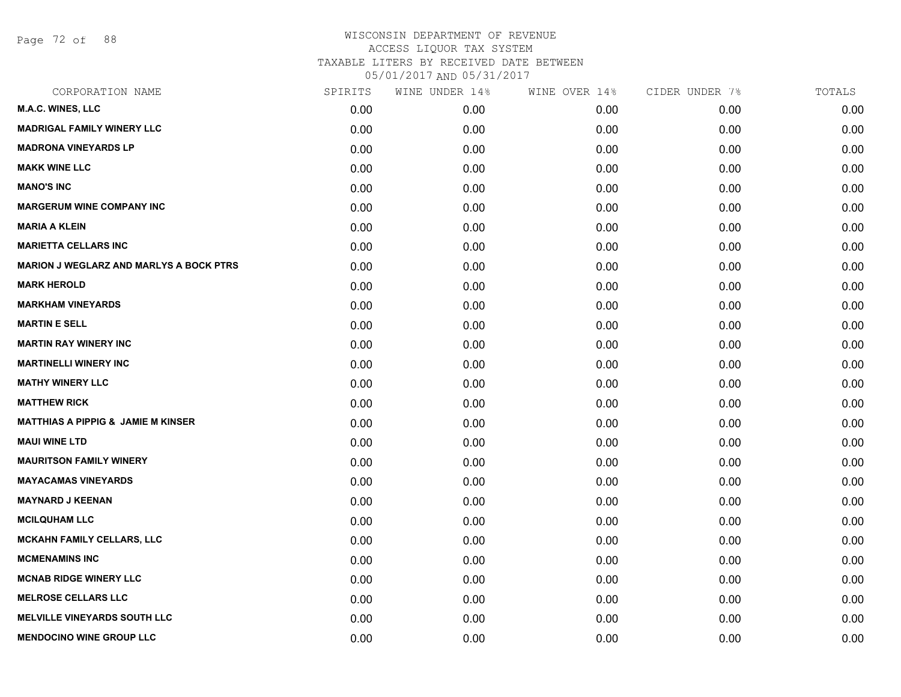Page 72 of 88

| CORPORATION NAME                               | SPIRITS | WINE UNDER 14% | WINE OVER 14% | CIDER UNDER 7% | TOTALS |
|------------------------------------------------|---------|----------------|---------------|----------------|--------|
| M.A.C. WINES, LLC                              | 0.00    | 0.00           | 0.00          | 0.00           | 0.00   |
| <b>MADRIGAL FAMILY WINERY LLC</b>              | 0.00    | 0.00           | 0.00          | 0.00           | 0.00   |
| <b>MADRONA VINEYARDS LP</b>                    | 0.00    | 0.00           | 0.00          | 0.00           | 0.00   |
| <b>MAKK WINE LLC</b>                           | 0.00    | 0.00           | 0.00          | 0.00           | 0.00   |
| <b>MANO'S INC</b>                              | 0.00    | 0.00           | 0.00          | 0.00           | 0.00   |
| <b>MARGERUM WINE COMPANY INC</b>               | 0.00    | 0.00           | 0.00          | 0.00           | 0.00   |
| <b>MARIA A KLEIN</b>                           | 0.00    | 0.00           | 0.00          | 0.00           | 0.00   |
| <b>MARIETTA CELLARS INC</b>                    | 0.00    | 0.00           | 0.00          | 0.00           | 0.00   |
| <b>MARION J WEGLARZ AND MARLYS A BOCK PTRS</b> | 0.00    | 0.00           | 0.00          | 0.00           | 0.00   |
| <b>MARK HEROLD</b>                             | 0.00    | 0.00           | 0.00          | 0.00           | 0.00   |
| <b>MARKHAM VINEYARDS</b>                       | 0.00    | 0.00           | 0.00          | 0.00           | 0.00   |
| <b>MARTIN E SELL</b>                           | 0.00    | 0.00           | 0.00          | 0.00           | 0.00   |
| <b>MARTIN RAY WINERY INC</b>                   | 0.00    | 0.00           | 0.00          | 0.00           | 0.00   |
| <b>MARTINELLI WINERY INC</b>                   | 0.00    | 0.00           | 0.00          | 0.00           | 0.00   |
| <b>MATHY WINERY LLC</b>                        | 0.00    | 0.00           | 0.00          | 0.00           | 0.00   |
| <b>MATTHEW RICK</b>                            | 0.00    | 0.00           | 0.00          | 0.00           | 0.00   |
| <b>MATTHIAS A PIPPIG &amp; JAMIE M KINSER</b>  | 0.00    | 0.00           | 0.00          | 0.00           | 0.00   |
| <b>MAUI WINE LTD</b>                           | 0.00    | 0.00           | 0.00          | 0.00           | 0.00   |
| <b>MAURITSON FAMILY WINERY</b>                 | 0.00    | 0.00           | 0.00          | 0.00           | 0.00   |
| <b>MAYACAMAS VINEYARDS</b>                     | 0.00    | 0.00           | 0.00          | 0.00           | 0.00   |
| <b>MAYNARD J KEENAN</b>                        | 0.00    | 0.00           | 0.00          | 0.00           | 0.00   |
| <b>MCILQUHAM LLC</b>                           | 0.00    | 0.00           | 0.00          | 0.00           | 0.00   |
| <b>MCKAHN FAMILY CELLARS, LLC</b>              | 0.00    | 0.00           | 0.00          | 0.00           | 0.00   |
| <b>MCMENAMINS INC</b>                          | 0.00    | 0.00           | 0.00          | 0.00           | 0.00   |
| <b>MCNAB RIDGE WINERY LLC</b>                  | 0.00    | 0.00           | 0.00          | 0.00           | 0.00   |
| <b>MELROSE CELLARS LLC</b>                     | 0.00    | 0.00           | 0.00          | 0.00           | 0.00   |
| <b>MELVILLE VINEYARDS SOUTH LLC</b>            | 0.00    | 0.00           | 0.00          | 0.00           | 0.00   |
| <b>MENDOCINO WINE GROUP LLC</b>                | 0.00    | 0.00           | 0.00          | 0.00           | 0.00   |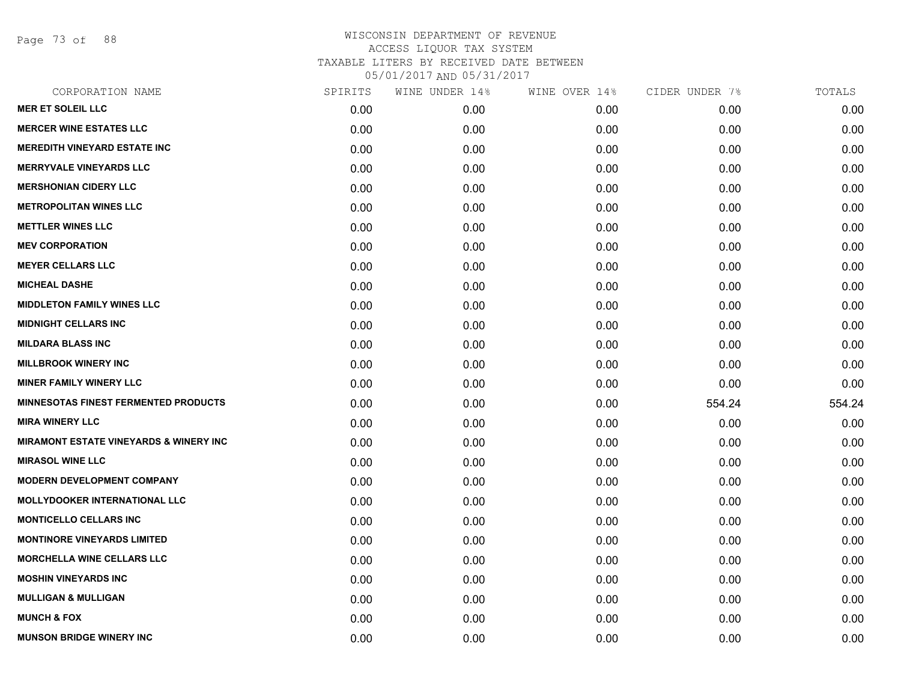Page 73 of 88

| SPIRITS | WINE UNDER 14% | WINE OVER 14% | CIDER UNDER 7% | TOTALS |
|---------|----------------|---------------|----------------|--------|
| 0.00    | 0.00           | 0.00          | 0.00           | 0.00   |
| 0.00    | 0.00           | 0.00          | 0.00           | 0.00   |
| 0.00    | 0.00           | 0.00          | 0.00           | 0.00   |
| 0.00    | 0.00           | 0.00          | 0.00           | 0.00   |
| 0.00    | 0.00           | 0.00          | 0.00           | 0.00   |
| 0.00    | 0.00           | 0.00          | 0.00           | 0.00   |
| 0.00    | 0.00           | 0.00          | 0.00           | 0.00   |
| 0.00    | 0.00           | 0.00          | 0.00           | 0.00   |
| 0.00    | 0.00           | 0.00          | 0.00           | 0.00   |
| 0.00    | 0.00           | 0.00          | 0.00           | 0.00   |
| 0.00    | 0.00           | 0.00          | 0.00           | 0.00   |
| 0.00    | 0.00           | 0.00          | 0.00           | 0.00   |
| 0.00    | 0.00           | 0.00          | 0.00           | 0.00   |
| 0.00    | 0.00           | 0.00          | 0.00           | 0.00   |
| 0.00    | 0.00           | 0.00          | 0.00           | 0.00   |
| 0.00    | 0.00           | 0.00          | 554.24         | 554.24 |
| 0.00    | 0.00           | 0.00          | 0.00           | 0.00   |
| 0.00    | 0.00           | 0.00          | 0.00           | 0.00   |
| 0.00    | 0.00           | 0.00          | 0.00           | 0.00   |
| 0.00    | 0.00           | 0.00          | 0.00           | 0.00   |
| 0.00    | 0.00           | 0.00          | 0.00           | 0.00   |
| 0.00    | 0.00           | 0.00          | 0.00           | 0.00   |
| 0.00    | 0.00           | 0.00          | 0.00           | 0.00   |
| 0.00    | 0.00           | 0.00          | 0.00           | 0.00   |
| 0.00    | 0.00           | 0.00          | 0.00           | 0.00   |
| 0.00    | 0.00           | 0.00          | 0.00           | 0.00   |
| 0.00    | 0.00           | 0.00          | 0.00           | 0.00   |
| 0.00    | 0.00           | 0.00          | 0.00           | 0.00   |
|         |                |               |                |        |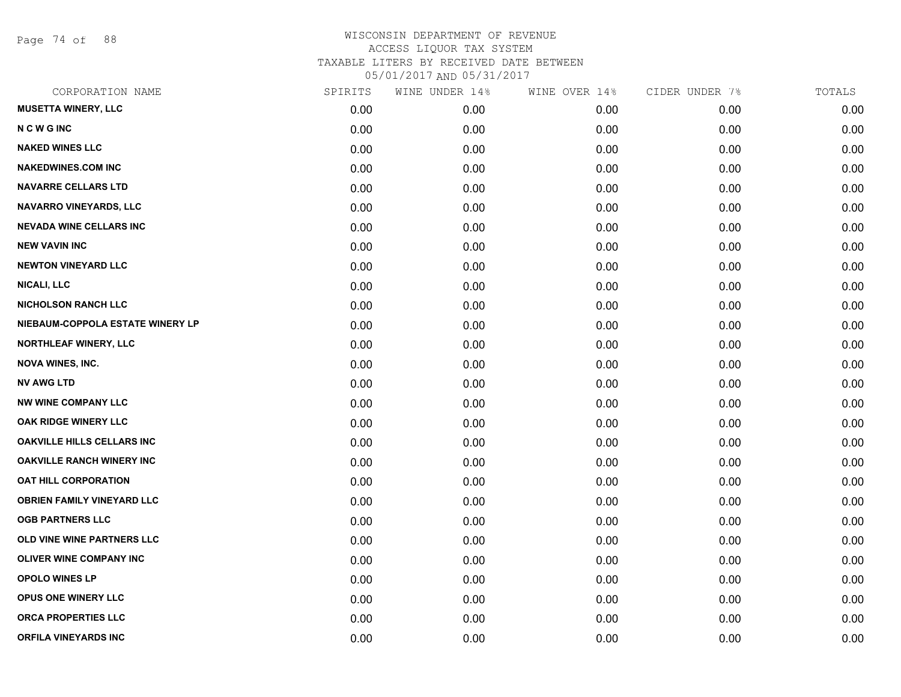Page 74 of 88

| CORPORATION NAME                  | SPIRITS | WINE UNDER 14% | WINE OVER 14% | CIDER UNDER 7% | TOTALS |
|-----------------------------------|---------|----------------|---------------|----------------|--------|
| <b>MUSETTA WINERY, LLC</b>        | 0.00    | 0.00           | 0.00          | 0.00           | 0.00   |
| <b>NCWGINC</b>                    | 0.00    | 0.00           | 0.00          | 0.00           | 0.00   |
| <b>NAKED WINES LLC</b>            | 0.00    | 0.00           | 0.00          | 0.00           | 0.00   |
| <b>NAKEDWINES.COM INC</b>         | 0.00    | 0.00           | 0.00          | 0.00           | 0.00   |
| <b>NAVARRE CELLARS LTD</b>        | 0.00    | 0.00           | 0.00          | 0.00           | 0.00   |
| NAVARRO VINEYARDS, LLC            | 0.00    | 0.00           | 0.00          | 0.00           | 0.00   |
| <b>NEVADA WINE CELLARS INC</b>    | 0.00    | 0.00           | 0.00          | 0.00           | 0.00   |
| <b>NEW VAVIN INC</b>              | 0.00    | 0.00           | 0.00          | 0.00           | 0.00   |
| <b>NEWTON VINEYARD LLC</b>        | 0.00    | 0.00           | 0.00          | 0.00           | 0.00   |
| <b>NICALI, LLC</b>                | 0.00    | 0.00           | 0.00          | 0.00           | 0.00   |
| <b>NICHOLSON RANCH LLC</b>        | 0.00    | 0.00           | 0.00          | 0.00           | 0.00   |
| NIEBAUM-COPPOLA ESTATE WINERY LP  | 0.00    | 0.00           | 0.00          | 0.00           | 0.00   |
| NORTHLEAF WINERY, LLC             | 0.00    | 0.00           | 0.00          | 0.00           | 0.00   |
| <b>NOVA WINES, INC.</b>           | 0.00    | 0.00           | 0.00          | 0.00           | 0.00   |
| <b>NV AWG LTD</b>                 | 0.00    | 0.00           | 0.00          | 0.00           | 0.00   |
| <b>NW WINE COMPANY LLC</b>        | 0.00    | 0.00           | 0.00          | 0.00           | 0.00   |
| OAK RIDGE WINERY LLC              | 0.00    | 0.00           | 0.00          | 0.00           | 0.00   |
| <b>OAKVILLE HILLS CELLARS INC</b> | 0.00    | 0.00           | 0.00          | 0.00           | 0.00   |
| <b>OAKVILLE RANCH WINERY INC</b>  | 0.00    | 0.00           | 0.00          | 0.00           | 0.00   |
| <b>OAT HILL CORPORATION</b>       | 0.00    | 0.00           | 0.00          | 0.00           | 0.00   |
| <b>OBRIEN FAMILY VINEYARD LLC</b> | 0.00    | 0.00           | 0.00          | 0.00           | 0.00   |
| <b>OGB PARTNERS LLC</b>           | 0.00    | 0.00           | 0.00          | 0.00           | 0.00   |
| OLD VINE WINE PARTNERS LLC        | 0.00    | 0.00           | 0.00          | 0.00           | 0.00   |
| <b>OLIVER WINE COMPANY INC</b>    | 0.00    | 0.00           | 0.00          | 0.00           | 0.00   |
| <b>OPOLO WINES LP</b>             | 0.00    | 0.00           | 0.00          | 0.00           | 0.00   |
| OPUS ONE WINERY LLC               | 0.00    | 0.00           | 0.00          | 0.00           | 0.00   |
| <b>ORCA PROPERTIES LLC</b>        | 0.00    | 0.00           | 0.00          | 0.00           | 0.00   |
| <b>ORFILA VINEYARDS INC</b>       | 0.00    | 0.00           | 0.00          | 0.00           | 0.00   |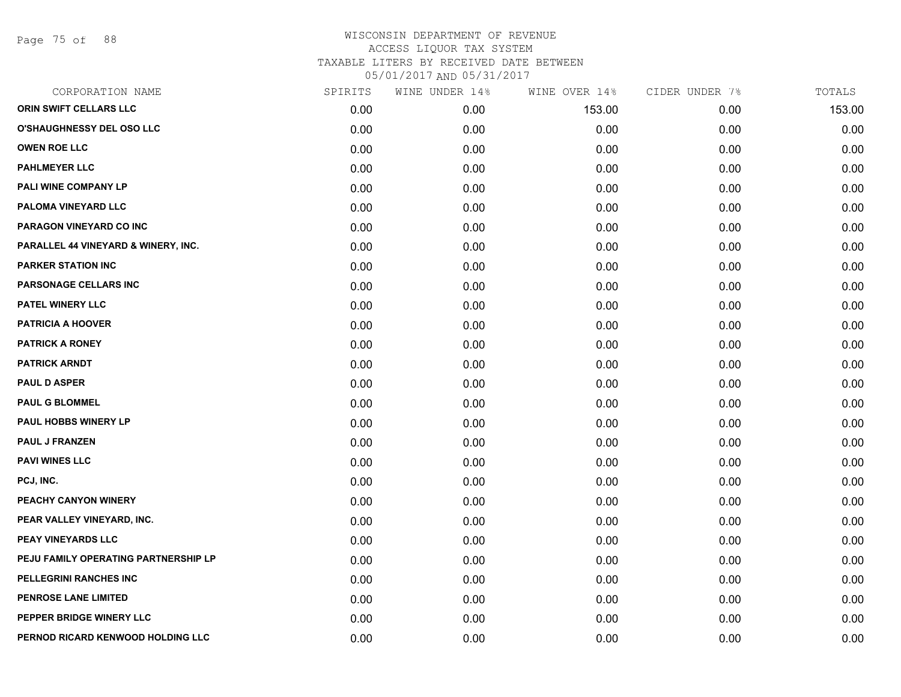Page 75 of 88

| CORPORATION NAME                     | SPIRITS | WINE UNDER 14% | WINE OVER 14% | CIDER UNDER 7% | TOTALS |
|--------------------------------------|---------|----------------|---------------|----------------|--------|
| ORIN SWIFT CELLARS LLC               | 0.00    | 0.00           | 153.00        | 0.00           | 153.00 |
| <b>O'SHAUGHNESSY DEL OSO LLC</b>     | 0.00    | 0.00           | 0.00          | 0.00           | 0.00   |
| <b>OWEN ROE LLC</b>                  | 0.00    | 0.00           | 0.00          | 0.00           | 0.00   |
| <b>PAHLMEYER LLC</b>                 | 0.00    | 0.00           | 0.00          | 0.00           | 0.00   |
| PALI WINE COMPANY LP                 | 0.00    | 0.00           | 0.00          | 0.00           | 0.00   |
| PALOMA VINEYARD LLC                  | 0.00    | 0.00           | 0.00          | 0.00           | 0.00   |
| PARAGON VINEYARD CO INC              | 0.00    | 0.00           | 0.00          | 0.00           | 0.00   |
| PARALLEL 44 VINEYARD & WINERY, INC.  | 0.00    | 0.00           | 0.00          | 0.00           | 0.00   |
| <b>PARKER STATION INC</b>            | 0.00    | 0.00           | 0.00          | 0.00           | 0.00   |
| PARSONAGE CELLARS INC                | 0.00    | 0.00           | 0.00          | 0.00           | 0.00   |
| PATEL WINERY LLC                     | 0.00    | 0.00           | 0.00          | 0.00           | 0.00   |
| <b>PATRICIA A HOOVER</b>             | 0.00    | 0.00           | 0.00          | 0.00           | 0.00   |
| <b>PATRICK A RONEY</b>               | 0.00    | 0.00           | 0.00          | 0.00           | 0.00   |
| <b>PATRICK ARNDT</b>                 | 0.00    | 0.00           | 0.00          | 0.00           | 0.00   |
| <b>PAUL D ASPER</b>                  | 0.00    | 0.00           | 0.00          | 0.00           | 0.00   |
| <b>PAUL G BLOMMEL</b>                | 0.00    | 0.00           | 0.00          | 0.00           | 0.00   |
| <b>PAUL HOBBS WINERY LP</b>          | 0.00    | 0.00           | 0.00          | 0.00           | 0.00   |
| <b>PAUL J FRANZEN</b>                | 0.00    | 0.00           | 0.00          | 0.00           | 0.00   |
| <b>PAVI WINES LLC</b>                | 0.00    | 0.00           | 0.00          | 0.00           | 0.00   |
| PCJ, INC.                            | 0.00    | 0.00           | 0.00          | 0.00           | 0.00   |
| PEACHY CANYON WINERY                 | 0.00    | 0.00           | 0.00          | 0.00           | 0.00   |
| PEAR VALLEY VINEYARD, INC.           | 0.00    | 0.00           | 0.00          | 0.00           | 0.00   |
| PEAY VINEYARDS LLC                   | 0.00    | 0.00           | 0.00          | 0.00           | 0.00   |
| PEJU FAMILY OPERATING PARTNERSHIP LP | 0.00    | 0.00           | 0.00          | 0.00           | 0.00   |
| PELLEGRINI RANCHES INC               | 0.00    | 0.00           | 0.00          | 0.00           | 0.00   |
| PENROSE LANE LIMITED                 | 0.00    | 0.00           | 0.00          | 0.00           | 0.00   |
| PEPPER BRIDGE WINERY LLC             | 0.00    | 0.00           | 0.00          | 0.00           | 0.00   |
| PERNOD RICARD KENWOOD HOLDING LLC    | 0.00    | 0.00           | 0.00          | 0.00           | 0.00   |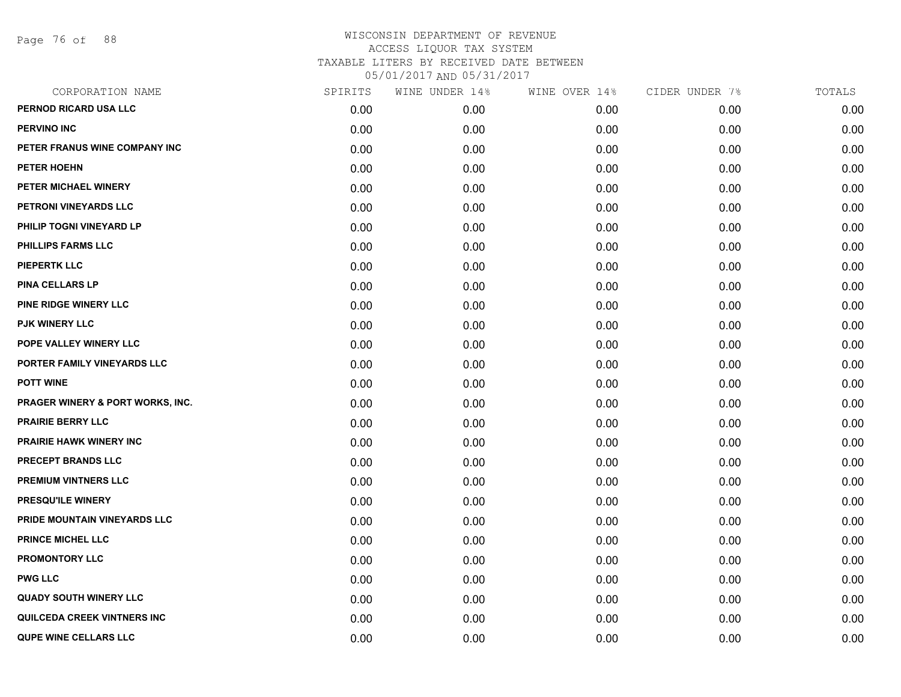Page 76 of 88

| CORPORATION NAME                   | SPIRITS | WINE UNDER 14% | WINE OVER 14% | CIDER UNDER 7% | TOTALS |
|------------------------------------|---------|----------------|---------------|----------------|--------|
| PERNOD RICARD USA LLC              | 0.00    | 0.00           | 0.00          | 0.00           | 0.00   |
| <b>PERVINO INC</b>                 | 0.00    | 0.00           | 0.00          | 0.00           | 0.00   |
| PETER FRANUS WINE COMPANY INC      | 0.00    | 0.00           | 0.00          | 0.00           | 0.00   |
| PETER HOEHN                        | 0.00    | 0.00           | 0.00          | 0.00           | 0.00   |
| PETER MICHAEL WINERY               | 0.00    | 0.00           | 0.00          | 0.00           | 0.00   |
| PETRONI VINEYARDS LLC              | 0.00    | 0.00           | 0.00          | 0.00           | 0.00   |
| PHILIP TOGNI VINEYARD LP           | 0.00    | 0.00           | 0.00          | 0.00           | 0.00   |
| <b>PHILLIPS FARMS LLC</b>          | 0.00    | 0.00           | 0.00          | 0.00           | 0.00   |
| <b>PIEPERTK LLC</b>                | 0.00    | 0.00           | 0.00          | 0.00           | 0.00   |
| <b>PINA CELLARS LP</b>             | 0.00    | 0.00           | 0.00          | 0.00           | 0.00   |
| PINE RIDGE WINERY LLC              | 0.00    | 0.00           | 0.00          | 0.00           | 0.00   |
| <b>PJK WINERY LLC</b>              | 0.00    | 0.00           | 0.00          | 0.00           | 0.00   |
| POPE VALLEY WINERY LLC             | 0.00    | 0.00           | 0.00          | 0.00           | 0.00   |
| PORTER FAMILY VINEYARDS LLC        | 0.00    | 0.00           | 0.00          | 0.00           | 0.00   |
| <b>POTT WINE</b>                   | 0.00    | 0.00           | 0.00          | 0.00           | 0.00   |
| PRAGER WINERY & PORT WORKS, INC.   | 0.00    | 0.00           | 0.00          | 0.00           | 0.00   |
| <b>PRAIRIE BERRY LLC</b>           | 0.00    | 0.00           | 0.00          | 0.00           | 0.00   |
| <b>PRAIRIE HAWK WINERY INC</b>     | 0.00    | 0.00           | 0.00          | 0.00           | 0.00   |
| PRECEPT BRANDS LLC                 | 0.00    | 0.00           | 0.00          | 0.00           | 0.00   |
| PREMIUM VINTNERS LLC               | 0.00    | 0.00           | 0.00          | 0.00           | 0.00   |
| PRESQU'ILE WINERY                  | 0.00    | 0.00           | 0.00          | 0.00           | 0.00   |
| PRIDE MOUNTAIN VINEYARDS LLC       | 0.00    | 0.00           | 0.00          | 0.00           | 0.00   |
| <b>PRINCE MICHEL LLC</b>           | 0.00    | 0.00           | 0.00          | 0.00           | 0.00   |
| <b>PROMONTORY LLC</b>              | 0.00    | 0.00           | 0.00          | 0.00           | 0.00   |
| <b>PWG LLC</b>                     | 0.00    | 0.00           | 0.00          | 0.00           | 0.00   |
| <b>QUADY SOUTH WINERY LLC</b>      | 0.00    | 0.00           | 0.00          | 0.00           | 0.00   |
| <b>QUILCEDA CREEK VINTNERS INC</b> | 0.00    | 0.00           | 0.00          | 0.00           | 0.00   |
| <b>QUPE WINE CELLARS LLC</b>       | 0.00    | 0.00           | 0.00          | 0.00           | 0.00   |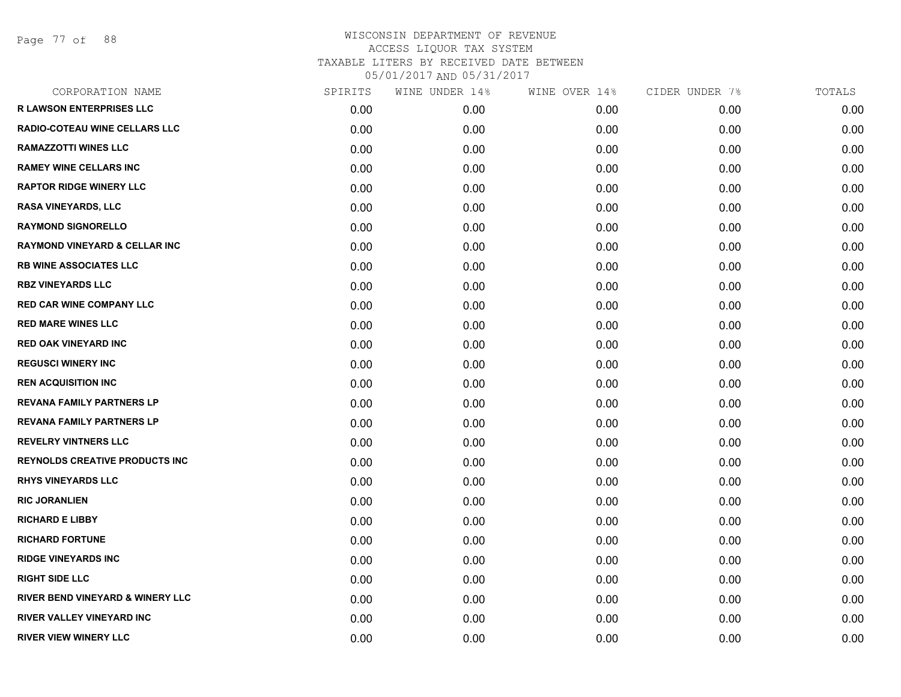Page 77 of 88

| CORPORATION NAME                            | SPIRITS | WINE UNDER 14% | WINE OVER 14% | CIDER UNDER 7% | TOTALS |
|---------------------------------------------|---------|----------------|---------------|----------------|--------|
| <b>R LAWSON ENTERPRISES LLC</b>             | 0.00    | 0.00           | 0.00          | 0.00           | 0.00   |
| <b>RADIO-COTEAU WINE CELLARS LLC</b>        | 0.00    | 0.00           | 0.00          | 0.00           | 0.00   |
| <b>RAMAZZOTTI WINES LLC</b>                 | 0.00    | 0.00           | 0.00          | 0.00           | 0.00   |
| <b>RAMEY WINE CELLARS INC</b>               | 0.00    | 0.00           | 0.00          | 0.00           | 0.00   |
| <b>RAPTOR RIDGE WINERY LLC</b>              | 0.00    | 0.00           | 0.00          | 0.00           | 0.00   |
| RASA VINEYARDS, LLC                         | 0.00    | 0.00           | 0.00          | 0.00           | 0.00   |
| <b>RAYMOND SIGNORELLO</b>                   | 0.00    | 0.00           | 0.00          | 0.00           | 0.00   |
| <b>RAYMOND VINEYARD &amp; CELLAR INC</b>    | 0.00    | 0.00           | 0.00          | 0.00           | 0.00   |
| <b>RB WINE ASSOCIATES LLC</b>               | 0.00    | 0.00           | 0.00          | 0.00           | 0.00   |
| <b>RBZ VINEYARDS LLC</b>                    | 0.00    | 0.00           | 0.00          | 0.00           | 0.00   |
| <b>RED CAR WINE COMPANY LLC</b>             | 0.00    | 0.00           | 0.00          | 0.00           | 0.00   |
| <b>RED MARE WINES LLC</b>                   | 0.00    | 0.00           | 0.00          | 0.00           | 0.00   |
| <b>RED OAK VINEYARD INC</b>                 | 0.00    | 0.00           | 0.00          | 0.00           | 0.00   |
| <b>REGUSCI WINERY INC</b>                   | 0.00    | 0.00           | 0.00          | 0.00           | 0.00   |
| <b>REN ACQUISITION INC</b>                  | 0.00    | 0.00           | 0.00          | 0.00           | 0.00   |
| <b>REVANA FAMILY PARTNERS LP</b>            | 0.00    | 0.00           | 0.00          | 0.00           | 0.00   |
| <b>REVANA FAMILY PARTNERS LP</b>            | 0.00    | 0.00           | 0.00          | 0.00           | 0.00   |
| <b>REVELRY VINTNERS LLC</b>                 | 0.00    | 0.00           | 0.00          | 0.00           | 0.00   |
| <b>REYNOLDS CREATIVE PRODUCTS INC</b>       | 0.00    | 0.00           | 0.00          | 0.00           | 0.00   |
| <b>RHYS VINEYARDS LLC</b>                   | 0.00    | 0.00           | 0.00          | 0.00           | 0.00   |
| <b>RIC JORANLIEN</b>                        | 0.00    | 0.00           | 0.00          | 0.00           | 0.00   |
| <b>RICHARD E LIBBY</b>                      | 0.00    | 0.00           | 0.00          | 0.00           | 0.00   |
| <b>RICHARD FORTUNE</b>                      | 0.00    | 0.00           | 0.00          | 0.00           | 0.00   |
| <b>RIDGE VINEYARDS INC</b>                  | 0.00    | 0.00           | 0.00          | 0.00           | 0.00   |
| <b>RIGHT SIDE LLC</b>                       | 0.00    | 0.00           | 0.00          | 0.00           | 0.00   |
| <b>RIVER BEND VINEYARD &amp; WINERY LLC</b> | 0.00    | 0.00           | 0.00          | 0.00           | 0.00   |
| <b>RIVER VALLEY VINEYARD INC</b>            | 0.00    | 0.00           | 0.00          | 0.00           | 0.00   |
| <b>RIVER VIEW WINERY LLC</b>                | 0.00    | 0.00           | 0.00          | 0.00           | 0.00   |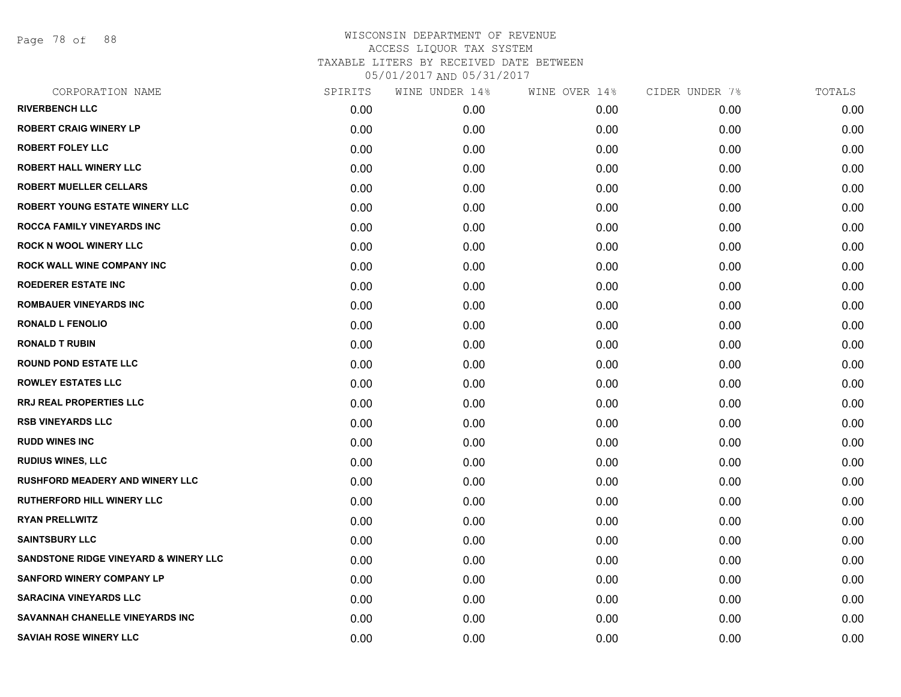Page 78 of 88

| SPIRITS | WINE UNDER 14% | WINE OVER 14% | CIDER UNDER 7% | TOTALS |
|---------|----------------|---------------|----------------|--------|
| 0.00    | 0.00           | 0.00          | 0.00           | 0.00   |
| 0.00    | 0.00           | 0.00          | 0.00           | 0.00   |
| 0.00    | 0.00           | 0.00          | 0.00           | 0.00   |
| 0.00    | 0.00           | 0.00          | 0.00           | 0.00   |
| 0.00    | 0.00           | 0.00          | 0.00           | 0.00   |
| 0.00    | 0.00           | 0.00          | 0.00           | 0.00   |
| 0.00    | 0.00           | 0.00          | 0.00           | 0.00   |
| 0.00    | 0.00           | 0.00          | 0.00           | 0.00   |
| 0.00    | 0.00           | 0.00          | 0.00           | 0.00   |
| 0.00    | 0.00           | 0.00          | 0.00           | 0.00   |
| 0.00    | 0.00           | 0.00          | 0.00           | 0.00   |
| 0.00    | 0.00           | 0.00          | 0.00           | 0.00   |
| 0.00    | 0.00           | 0.00          | 0.00           | 0.00   |
| 0.00    | 0.00           | 0.00          | 0.00           | 0.00   |
| 0.00    | 0.00           | 0.00          | 0.00           | 0.00   |
| 0.00    | 0.00           | 0.00          | 0.00           | 0.00   |
| 0.00    | 0.00           | 0.00          | 0.00           | 0.00   |
| 0.00    | 0.00           | 0.00          | 0.00           | 0.00   |
| 0.00    | 0.00           | 0.00          | 0.00           | 0.00   |
| 0.00    | 0.00           | 0.00          | 0.00           | 0.00   |
| 0.00    | 0.00           | 0.00          | 0.00           | 0.00   |
| 0.00    | 0.00           | 0.00          | 0.00           | 0.00   |
| 0.00    | 0.00           | 0.00          | 0.00           | 0.00   |
| 0.00    | 0.00           | 0.00          | 0.00           | 0.00   |
| 0.00    | 0.00           | 0.00          | 0.00           | 0.00   |
| 0.00    | 0.00           | 0.00          | 0.00           | 0.00   |
| 0.00    | 0.00           | 0.00          | 0.00           | 0.00   |
| 0.00    | 0.00           | 0.00          | 0.00           | 0.00   |
|         |                |               |                |        |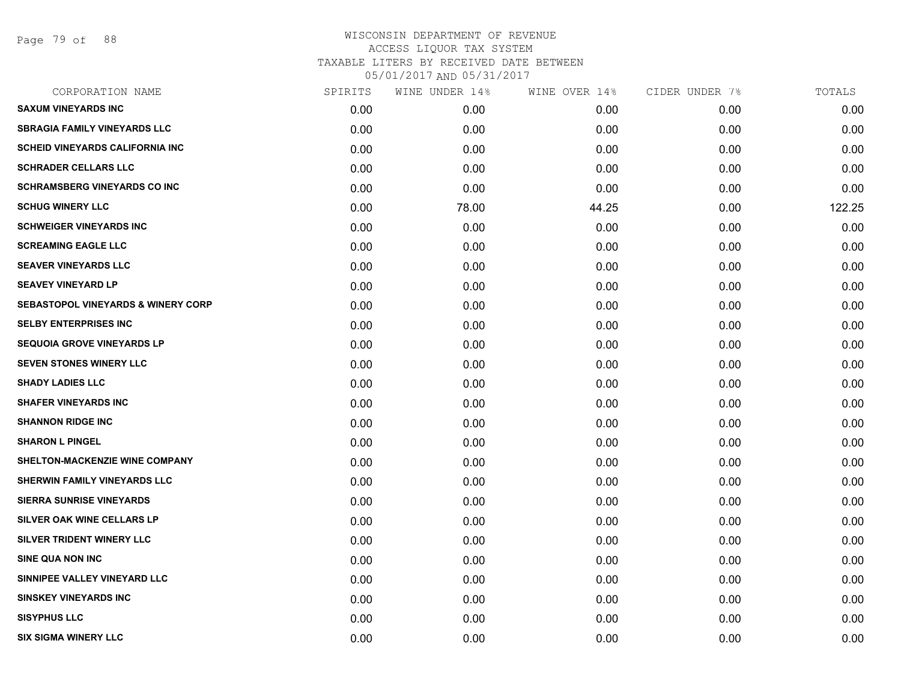Page 79 of 88

| CORPORATION NAME                              | SPIRITS | WINE UNDER 14% | WINE OVER 14% | CIDER UNDER 7% | TOTALS |
|-----------------------------------------------|---------|----------------|---------------|----------------|--------|
| <b>SAXUM VINEYARDS INC</b>                    | 0.00    | 0.00           | 0.00          | 0.00           | 0.00   |
| <b>SBRAGIA FAMILY VINEYARDS LLC</b>           | 0.00    | 0.00           | 0.00          | 0.00           | 0.00   |
| <b>SCHEID VINEYARDS CALIFORNIA INC</b>        | 0.00    | 0.00           | 0.00          | 0.00           | 0.00   |
| <b>SCHRADER CELLARS LLC</b>                   | 0.00    | 0.00           | 0.00          | 0.00           | 0.00   |
| <b>SCHRAMSBERG VINEYARDS CO INC.</b>          | 0.00    | 0.00           | 0.00          | 0.00           | 0.00   |
| <b>SCHUG WINERY LLC</b>                       | 0.00    | 78.00          | 44.25         | 0.00           | 122.25 |
| <b>SCHWEIGER VINEYARDS INC</b>                | 0.00    | 0.00           | 0.00          | 0.00           | 0.00   |
| <b>SCREAMING EAGLE LLC</b>                    | 0.00    | 0.00           | 0.00          | 0.00           | 0.00   |
| <b>SEAVER VINEYARDS LLC</b>                   | 0.00    | 0.00           | 0.00          | 0.00           | 0.00   |
| <b>SEAVEY VINEYARD LP</b>                     | 0.00    | 0.00           | 0.00          | 0.00           | 0.00   |
| <b>SEBASTOPOL VINEYARDS &amp; WINERY CORP</b> | 0.00    | 0.00           | 0.00          | 0.00           | 0.00   |
| <b>SELBY ENTERPRISES INC</b>                  | 0.00    | 0.00           | 0.00          | 0.00           | 0.00   |
| <b>SEQUOIA GROVE VINEYARDS LP</b>             | 0.00    | 0.00           | 0.00          | 0.00           | 0.00   |
| <b>SEVEN STONES WINERY LLC</b>                | 0.00    | 0.00           | 0.00          | 0.00           | 0.00   |
| <b>SHADY LADIES LLC</b>                       | 0.00    | 0.00           | 0.00          | 0.00           | 0.00   |
| <b>SHAFER VINEYARDS INC</b>                   | 0.00    | 0.00           | 0.00          | 0.00           | 0.00   |
| <b>SHANNON RIDGE INC</b>                      | 0.00    | 0.00           | 0.00          | 0.00           | 0.00   |
| <b>SHARON L PINGEL</b>                        | 0.00    | 0.00           | 0.00          | 0.00           | 0.00   |
| SHELTON-MACKENZIE WINE COMPANY                | 0.00    | 0.00           | 0.00          | 0.00           | 0.00   |
| SHERWIN FAMILY VINEYARDS LLC                  | 0.00    | 0.00           | 0.00          | 0.00           | 0.00   |
| <b>SIERRA SUNRISE VINEYARDS</b>               | 0.00    | 0.00           | 0.00          | 0.00           | 0.00   |
| SILVER OAK WINE CELLARS LP                    | 0.00    | 0.00           | 0.00          | 0.00           | 0.00   |
| SILVER TRIDENT WINERY LLC                     | 0.00    | 0.00           | 0.00          | 0.00           | 0.00   |
| <b>SINE QUA NON INC</b>                       | 0.00    | 0.00           | 0.00          | 0.00           | 0.00   |
| SINNIPEE VALLEY VINEYARD LLC                  | 0.00    | 0.00           | 0.00          | 0.00           | 0.00   |
| <b>SINSKEY VINEYARDS INC</b>                  | 0.00    | 0.00           | 0.00          | 0.00           | 0.00   |
| <b>SISYPHUS LLC</b>                           | 0.00    | 0.00           | 0.00          | 0.00           | 0.00   |
| <b>SIX SIGMA WINERY LLC</b>                   | 0.00    | 0.00           | 0.00          | 0.00           | 0.00   |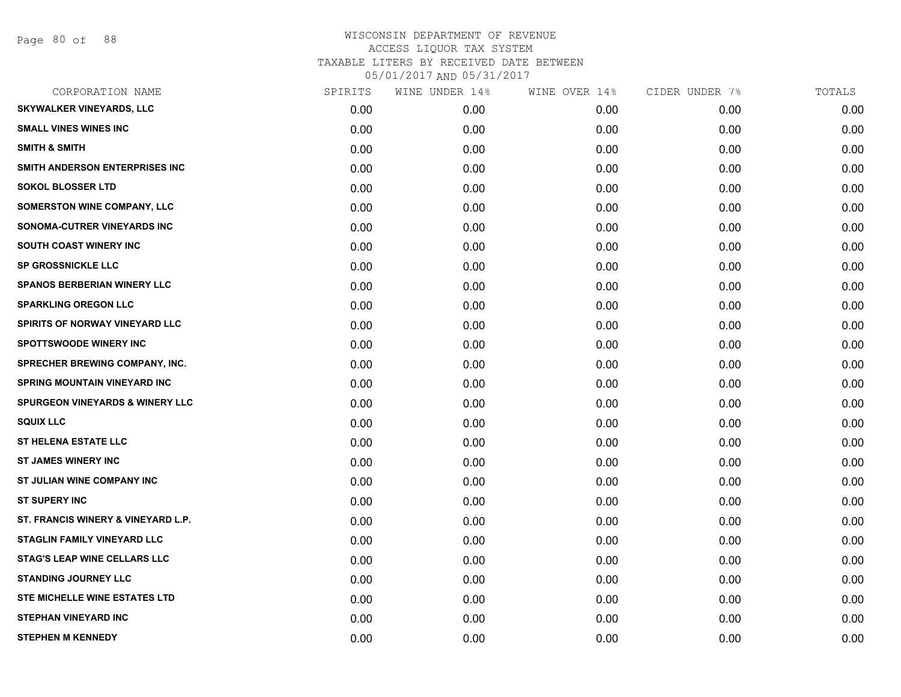| CORPORATION NAME                           | SPIRITS | WINE UNDER 14% | WINE OVER 14% | CIDER UNDER 7% | TOTALS |
|--------------------------------------------|---------|----------------|---------------|----------------|--------|
| SKYWALKER VINEYARDS, LLC                   | 0.00    | 0.00           | 0.00          | 0.00           | 0.00   |
| <b>SMALL VINES WINES INC</b>               | 0.00    | 0.00           | 0.00          | 0.00           | 0.00   |
| <b>SMITH &amp; SMITH</b>                   | 0.00    | 0.00           | 0.00          | 0.00           | 0.00   |
| SMITH ANDERSON ENTERPRISES INC             | 0.00    | 0.00           | 0.00          | 0.00           | 0.00   |
| <b>SOKOL BLOSSER LTD</b>                   | 0.00    | 0.00           | 0.00          | 0.00           | 0.00   |
| SOMERSTON WINE COMPANY, LLC                | 0.00    | 0.00           | 0.00          | 0.00           | 0.00   |
| SONOMA-CUTRER VINEYARDS INC                | 0.00    | 0.00           | 0.00          | 0.00           | 0.00   |
| SOUTH COAST WINERY INC                     | 0.00    | 0.00           | 0.00          | 0.00           | 0.00   |
| <b>SP GROSSNICKLE LLC</b>                  | 0.00    | 0.00           | 0.00          | 0.00           | 0.00   |
| <b>SPANOS BERBERIAN WINERY LLC</b>         | 0.00    | 0.00           | 0.00          | 0.00           | 0.00   |
| <b>SPARKLING OREGON LLC</b>                | 0.00    | 0.00           | 0.00          | 0.00           | 0.00   |
| <b>SPIRITS OF NORWAY VINEYARD LLC</b>      | 0.00    | 0.00           | 0.00          | 0.00           | 0.00   |
| <b>SPOTTSWOODE WINERY INC</b>              | 0.00    | 0.00           | 0.00          | 0.00           | 0.00   |
| <b>SPRECHER BREWING COMPANY, INC.</b>      | 0.00    | 0.00           | 0.00          | 0.00           | 0.00   |
| SPRING MOUNTAIN VINEYARD INC               | 0.00    | 0.00           | 0.00          | 0.00           | 0.00   |
| <b>SPURGEON VINEYARDS &amp; WINERY LLC</b> | 0.00    | 0.00           | 0.00          | 0.00           | 0.00   |
| <b>SQUIX LLC</b>                           | 0.00    | 0.00           | 0.00          | 0.00           | 0.00   |
| <b>ST HELENA ESTATE LLC</b>                | 0.00    | 0.00           | 0.00          | 0.00           | 0.00   |
| <b>ST JAMES WINERY INC</b>                 | 0.00    | 0.00           | 0.00          | 0.00           | 0.00   |
| <b>ST JULIAN WINE COMPANY INC</b>          | 0.00    | 0.00           | 0.00          | 0.00           | 0.00   |
| <b>ST SUPERY INC</b>                       | 0.00    | 0.00           | 0.00          | 0.00           | 0.00   |
| ST. FRANCIS WINERY & VINEYARD L.P.         | 0.00    | 0.00           | 0.00          | 0.00           | 0.00   |
| <b>STAGLIN FAMILY VINEYARD LLC</b>         | 0.00    | 0.00           | 0.00          | 0.00           | 0.00   |
| <b>STAG'S LEAP WINE CELLARS LLC</b>        | 0.00    | 0.00           | 0.00          | 0.00           | 0.00   |
| <b>STANDING JOURNEY LLC</b>                | 0.00    | 0.00           | 0.00          | 0.00           | 0.00   |
| STE MICHELLE WINE ESTATES LTD              | 0.00    | 0.00           | 0.00          | 0.00           | 0.00   |
| <b>STEPHAN VINEYARD INC</b>                | 0.00    | 0.00           | 0.00          | 0.00           | 0.00   |
| <b>STEPHEN M KENNEDY</b>                   | 0.00    | 0.00           | 0.00          | 0.00           | 0.00   |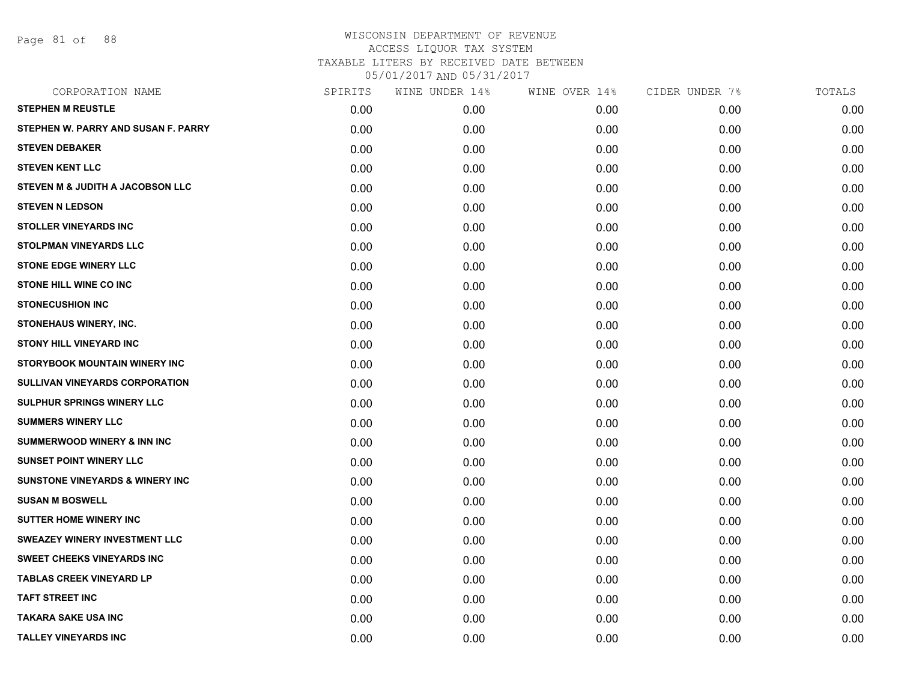Page 81 of 88

| CORPORATION NAME                           | SPIRITS | WINE UNDER 14% | WINE OVER 14% | CIDER UNDER 7% | TOTALS |
|--------------------------------------------|---------|----------------|---------------|----------------|--------|
| <b>STEPHEN M REUSTLE</b>                   | 0.00    | 0.00           | 0.00          | 0.00           | 0.00   |
| STEPHEN W. PARRY AND SUSAN F. PARRY        | 0.00    | 0.00           | 0.00          | 0.00           | 0.00   |
| <b>STEVEN DEBAKER</b>                      | 0.00    | 0.00           | 0.00          | 0.00           | 0.00   |
| <b>STEVEN KENT LLC</b>                     | 0.00    | 0.00           | 0.00          | 0.00           | 0.00   |
| STEVEN M & JUDITH A JACOBSON LLC           | 0.00    | 0.00           | 0.00          | 0.00           | 0.00   |
| <b>STEVEN N LEDSON</b>                     | 0.00    | 0.00           | 0.00          | 0.00           | 0.00   |
| <b>STOLLER VINEYARDS INC</b>               | 0.00    | 0.00           | 0.00          | 0.00           | 0.00   |
| <b>STOLPMAN VINEYARDS LLC</b>              | 0.00    | 0.00           | 0.00          | 0.00           | 0.00   |
| <b>STONE EDGE WINERY LLC</b>               | 0.00    | 0.00           | 0.00          | 0.00           | 0.00   |
| <b>STONE HILL WINE CO INC</b>              | 0.00    | 0.00           | 0.00          | 0.00           | 0.00   |
| <b>STONECUSHION INC</b>                    | 0.00    | 0.00           | 0.00          | 0.00           | 0.00   |
| <b>STONEHAUS WINERY, INC.</b>              | 0.00    | 0.00           | 0.00          | 0.00           | 0.00   |
| <b>STONY HILL VINEYARD INC</b>             | 0.00    | 0.00           | 0.00          | 0.00           | 0.00   |
| STORYBOOK MOUNTAIN WINERY INC              | 0.00    | 0.00           | 0.00          | 0.00           | 0.00   |
| SULLIVAN VINEYARDS CORPORATION             | 0.00    | 0.00           | 0.00          | 0.00           | 0.00   |
| <b>SULPHUR SPRINGS WINERY LLC</b>          | 0.00    | 0.00           | 0.00          | 0.00           | 0.00   |
| <b>SUMMERS WINERY LLC</b>                  | 0.00    | 0.00           | 0.00          | 0.00           | 0.00   |
| <b>SUMMERWOOD WINERY &amp; INN INC</b>     | 0.00    | 0.00           | 0.00          | 0.00           | 0.00   |
| <b>SUNSET POINT WINERY LLC</b>             | 0.00    | 0.00           | 0.00          | 0.00           | 0.00   |
| <b>SUNSTONE VINEYARDS &amp; WINERY INC</b> | 0.00    | 0.00           | 0.00          | 0.00           | 0.00   |
| <b>SUSAN M BOSWELL</b>                     | 0.00    | 0.00           | 0.00          | 0.00           | 0.00   |
| <b>SUTTER HOME WINERY INC</b>              | 0.00    | 0.00           | 0.00          | 0.00           | 0.00   |
| <b>SWEAZEY WINERY INVESTMENT LLC</b>       | 0.00    | 0.00           | 0.00          | 0.00           | 0.00   |
| <b>SWEET CHEEKS VINEYARDS INC</b>          | 0.00    | 0.00           | 0.00          | 0.00           | 0.00   |
| <b>TABLAS CREEK VINEYARD LP</b>            | 0.00    | 0.00           | 0.00          | 0.00           | 0.00   |
| <b>TAFT STREET INC</b>                     | 0.00    | 0.00           | 0.00          | 0.00           | 0.00   |
| <b>TAKARA SAKE USA INC</b>                 | 0.00    | 0.00           | 0.00          | 0.00           | 0.00   |
| <b>TALLEY VINEYARDS INC</b>                | 0.00    | 0.00           | 0.00          | 0.00           | 0.00   |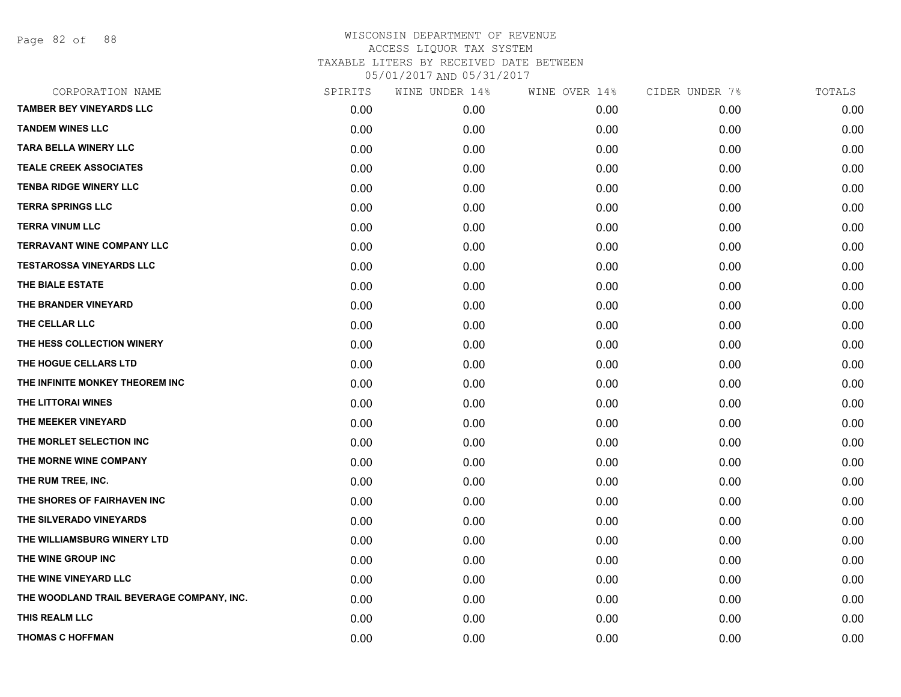Page 82 of 88

| CORPORATION NAME                          | SPIRITS | WINE UNDER 14% | WINE OVER 14% | CIDER UNDER 7% | TOTALS |
|-------------------------------------------|---------|----------------|---------------|----------------|--------|
| <b>TAMBER BEY VINEYARDS LLC</b>           | 0.00    | 0.00           | 0.00          | 0.00           | 0.00   |
| <b>TANDEM WINES LLC</b>                   | 0.00    | 0.00           | 0.00          | 0.00           | 0.00   |
| <b>TARA BELLA WINERY LLC</b>              | 0.00    | 0.00           | 0.00          | 0.00           | 0.00   |
| <b>TEALE CREEK ASSOCIATES</b>             | 0.00    | 0.00           | 0.00          | 0.00           | 0.00   |
| <b>TENBA RIDGE WINERY LLC</b>             | 0.00    | 0.00           | 0.00          | 0.00           | 0.00   |
| <b>TERRA SPRINGS LLC</b>                  | 0.00    | 0.00           | 0.00          | 0.00           | 0.00   |
| <b>TERRA VINUM LLC</b>                    | 0.00    | 0.00           | 0.00          | 0.00           | 0.00   |
| <b>TERRAVANT WINE COMPANY LLC</b>         | 0.00    | 0.00           | 0.00          | 0.00           | 0.00   |
| <b>TESTAROSSA VINEYARDS LLC</b>           | 0.00    | 0.00           | 0.00          | 0.00           | 0.00   |
| THE BIALE ESTATE                          | 0.00    | 0.00           | 0.00          | 0.00           | 0.00   |
| THE BRANDER VINEYARD                      | 0.00    | 0.00           | 0.00          | 0.00           | 0.00   |
| THE CELLAR LLC                            | 0.00    | 0.00           | 0.00          | 0.00           | 0.00   |
| THE HESS COLLECTION WINERY                | 0.00    | 0.00           | 0.00          | 0.00           | 0.00   |
| THE HOGUE CELLARS LTD                     | 0.00    | 0.00           | 0.00          | 0.00           | 0.00   |
| THE INFINITE MONKEY THEOREM INC           | 0.00    | 0.00           | 0.00          | 0.00           | 0.00   |
| THE LITTORAI WINES                        | 0.00    | 0.00           | 0.00          | 0.00           | 0.00   |
| THE MEEKER VINEYARD                       | 0.00    | 0.00           | 0.00          | 0.00           | 0.00   |
| THE MORLET SELECTION INC                  | 0.00    | 0.00           | 0.00          | 0.00           | 0.00   |
| THE MORNE WINE COMPANY                    | 0.00    | 0.00           | 0.00          | 0.00           | 0.00   |
| THE RUM TREE, INC.                        | 0.00    | 0.00           | 0.00          | 0.00           | 0.00   |
| THE SHORES OF FAIRHAVEN INC               | 0.00    | 0.00           | 0.00          | 0.00           | 0.00   |
| THE SILVERADO VINEYARDS                   | 0.00    | 0.00           | 0.00          | 0.00           | 0.00   |
| THE WILLIAMSBURG WINERY LTD               | 0.00    | 0.00           | 0.00          | 0.00           | 0.00   |
| THE WINE GROUP INC                        | 0.00    | 0.00           | 0.00          | 0.00           | 0.00   |
| THE WINE VINEYARD LLC                     | 0.00    | 0.00           | 0.00          | 0.00           | 0.00   |
| THE WOODLAND TRAIL BEVERAGE COMPANY, INC. | 0.00    | 0.00           | 0.00          | 0.00           | 0.00   |
| THIS REALM LLC                            | 0.00    | 0.00           | 0.00          | 0.00           | 0.00   |
| <b>THOMAS C HOFFMAN</b>                   | 0.00    | 0.00           | 0.00          | 0.00           | 0.00   |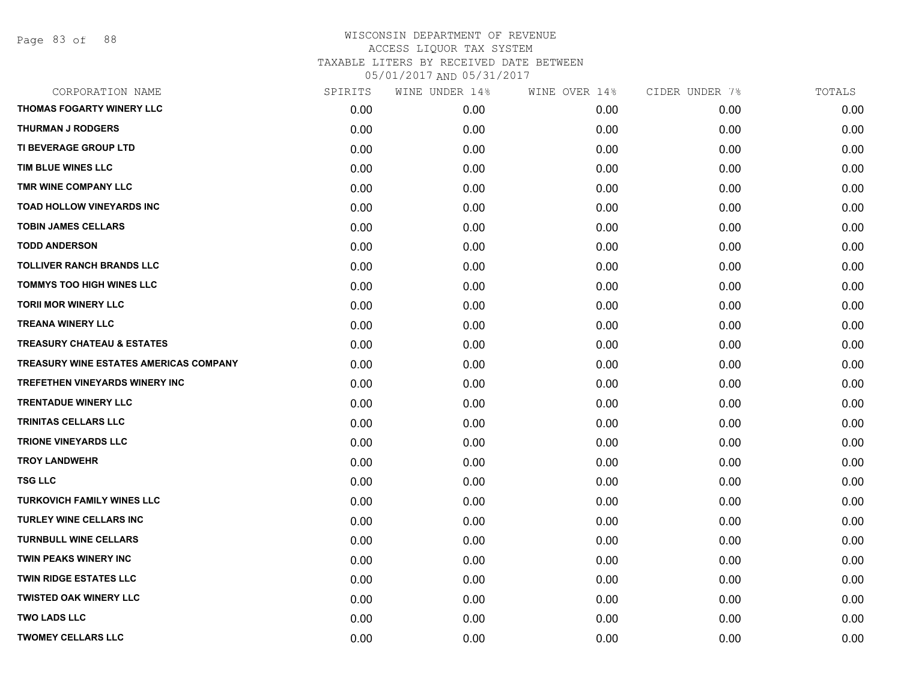Page 83 of 88

| CORPORATION NAME                       | SPIRITS | WINE UNDER 14% | WINE OVER 14% | CIDER UNDER 7% | TOTALS |
|----------------------------------------|---------|----------------|---------------|----------------|--------|
| THOMAS FOGARTY WINERY LLC              | 0.00    | 0.00           | 0.00          | 0.00           | 0.00   |
| <b>THURMAN J RODGERS</b>               | 0.00    | 0.00           | 0.00          | 0.00           | 0.00   |
| TI BEVERAGE GROUP LTD                  | 0.00    | 0.00           | 0.00          | 0.00           | 0.00   |
| TIM BLUE WINES LLC                     | 0.00    | 0.00           | 0.00          | 0.00           | 0.00   |
| TMR WINE COMPANY LLC                   | 0.00    | 0.00           | 0.00          | 0.00           | 0.00   |
| <b>TOAD HOLLOW VINEYARDS INC</b>       | 0.00    | 0.00           | 0.00          | 0.00           | 0.00   |
| <b>TOBIN JAMES CELLARS</b>             | 0.00    | 0.00           | 0.00          | 0.00           | 0.00   |
| <b>TODD ANDERSON</b>                   | 0.00    | 0.00           | 0.00          | 0.00           | 0.00   |
| <b>TOLLIVER RANCH BRANDS LLC</b>       | 0.00    | 0.00           | 0.00          | 0.00           | 0.00   |
| <b>TOMMYS TOO HIGH WINES LLC</b>       | 0.00    | 0.00           | 0.00          | 0.00           | 0.00   |
| <b>TORII MOR WINERY LLC</b>            | 0.00    | 0.00           | 0.00          | 0.00           | 0.00   |
| <b>TREANA WINERY LLC</b>               | 0.00    | 0.00           | 0.00          | 0.00           | 0.00   |
| <b>TREASURY CHATEAU &amp; ESTATES</b>  | 0.00    | 0.00           | 0.00          | 0.00           | 0.00   |
| TREASURY WINE ESTATES AMERICAS COMPANY | 0.00    | 0.00           | 0.00          | 0.00           | 0.00   |
| <b>TREFETHEN VINEYARDS WINERY INC</b>  | 0.00    | 0.00           | 0.00          | 0.00           | 0.00   |
| <b>TRENTADUE WINERY LLC</b>            | 0.00    | 0.00           | 0.00          | 0.00           | 0.00   |
| <b>TRINITAS CELLARS LLC</b>            | 0.00    | 0.00           | 0.00          | 0.00           | 0.00   |
| <b>TRIONE VINEYARDS LLC</b>            | 0.00    | 0.00           | 0.00          | 0.00           | 0.00   |
| <b>TROY LANDWEHR</b>                   | 0.00    | 0.00           | 0.00          | 0.00           | 0.00   |
| <b>TSG LLC</b>                         | 0.00    | 0.00           | 0.00          | 0.00           | 0.00   |
| <b>TURKOVICH FAMILY WINES LLC</b>      | 0.00    | 0.00           | 0.00          | 0.00           | 0.00   |
| TURLEY WINE CELLARS INC                | 0.00    | 0.00           | 0.00          | 0.00           | 0.00   |
| <b>TURNBULL WINE CELLARS</b>           | 0.00    | 0.00           | 0.00          | 0.00           | 0.00   |
| <b>TWIN PEAKS WINERY INC</b>           | 0.00    | 0.00           | 0.00          | 0.00           | 0.00   |
| <b>TWIN RIDGE ESTATES LLC</b>          | 0.00    | 0.00           | 0.00          | 0.00           | 0.00   |
| <b>TWISTED OAK WINERY LLC</b>          | 0.00    | 0.00           | 0.00          | 0.00           | 0.00   |
| <b>TWO LADS LLC</b>                    | 0.00    | 0.00           | 0.00          | 0.00           | 0.00   |
| <b>TWOMEY CELLARS LLC</b>              | 0.00    | 0.00           | 0.00          | 0.00           | 0.00   |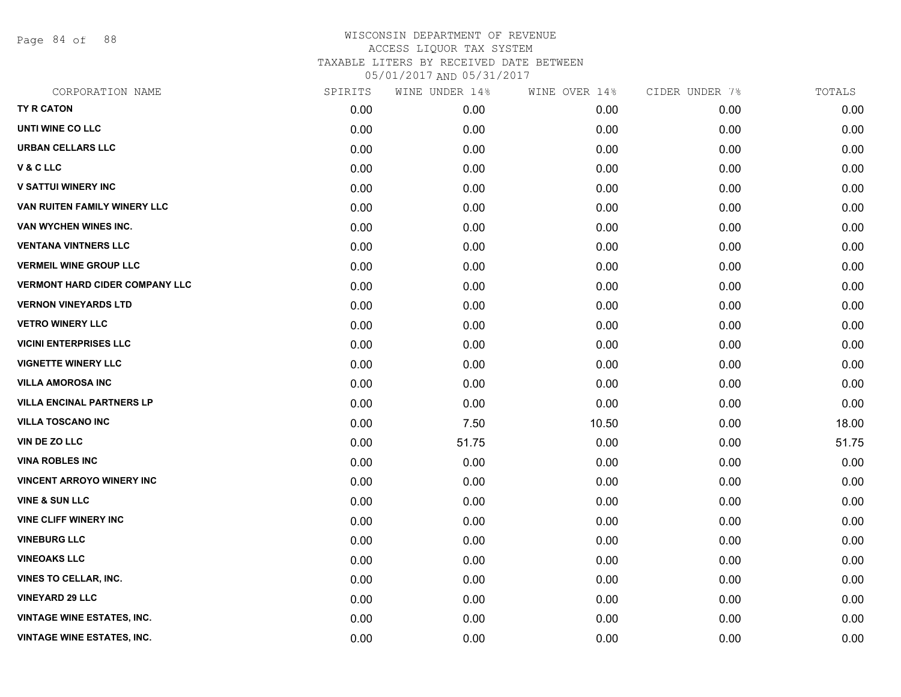Page 84 of 88

| CORPORATION NAME                      | SPIRITS | WINE UNDER 14% | WINE OVER 14% | CIDER UNDER 7% | TOTALS |
|---------------------------------------|---------|----------------|---------------|----------------|--------|
| TY R CATON                            | 0.00    | 0.00           | 0.00          | 0.00           | 0.00   |
| UNTI WINE CO LLC                      | 0.00    | 0.00           | 0.00          | 0.00           | 0.00   |
| <b>URBAN CELLARS LLC</b>              | 0.00    | 0.00           | 0.00          | 0.00           | 0.00   |
| <b>V&amp;CLLC</b>                     | 0.00    | 0.00           | 0.00          | 0.00           | 0.00   |
| <b>V SATTUI WINERY INC</b>            | 0.00    | 0.00           | 0.00          | 0.00           | 0.00   |
| VAN RUITEN FAMILY WINERY LLC          | 0.00    | 0.00           | 0.00          | 0.00           | 0.00   |
| VAN WYCHEN WINES INC.                 | 0.00    | 0.00           | 0.00          | 0.00           | 0.00   |
| <b>VENTANA VINTNERS LLC</b>           | 0.00    | 0.00           | 0.00          | 0.00           | 0.00   |
| <b>VERMEIL WINE GROUP LLC</b>         | 0.00    | 0.00           | 0.00          | 0.00           | 0.00   |
| <b>VERMONT HARD CIDER COMPANY LLC</b> | 0.00    | 0.00           | 0.00          | 0.00           | 0.00   |
| <b>VERNON VINEYARDS LTD</b>           | 0.00    | 0.00           | 0.00          | 0.00           | 0.00   |
| <b>VETRO WINERY LLC</b>               | 0.00    | 0.00           | 0.00          | 0.00           | 0.00   |
| <b>VICINI ENTERPRISES LLC</b>         | 0.00    | 0.00           | 0.00          | 0.00           | 0.00   |
| <b>VIGNETTE WINERY LLC</b>            | 0.00    | 0.00           | 0.00          | 0.00           | 0.00   |
| <b>VILLA AMOROSA INC</b>              | 0.00    | 0.00           | 0.00          | 0.00           | 0.00   |
| <b>VILLA ENCINAL PARTNERS LP</b>      | 0.00    | 0.00           | 0.00          | 0.00           | 0.00   |
| <b>VILLA TOSCANO INC</b>              | 0.00    | 7.50           | 10.50         | 0.00           | 18.00  |
| VIN DE ZO LLC                         | 0.00    | 51.75          | 0.00          | 0.00           | 51.75  |
| <b>VINA ROBLES INC</b>                | 0.00    | 0.00           | 0.00          | 0.00           | 0.00   |
| <b>VINCENT ARROYO WINERY INC</b>      | 0.00    | 0.00           | 0.00          | 0.00           | 0.00   |
| <b>VINE &amp; SUN LLC</b>             | 0.00    | 0.00           | 0.00          | 0.00           | 0.00   |
| <b>VINE CLIFF WINERY INC</b>          | 0.00    | 0.00           | 0.00          | 0.00           | 0.00   |
| <b>VINEBURG LLC</b>                   | 0.00    | 0.00           | 0.00          | 0.00           | 0.00   |
| <b>VINEOAKS LLC</b>                   | 0.00    | 0.00           | 0.00          | 0.00           | 0.00   |
| <b>VINES TO CELLAR, INC.</b>          | 0.00    | 0.00           | 0.00          | 0.00           | 0.00   |
| <b>VINEYARD 29 LLC</b>                | 0.00    | 0.00           | 0.00          | 0.00           | 0.00   |
| <b>VINTAGE WINE ESTATES, INC.</b>     | 0.00    | 0.00           | 0.00          | 0.00           | 0.00   |
| <b>VINTAGE WINE ESTATES, INC.</b>     | 0.00    | 0.00           | 0.00          | 0.00           | 0.00   |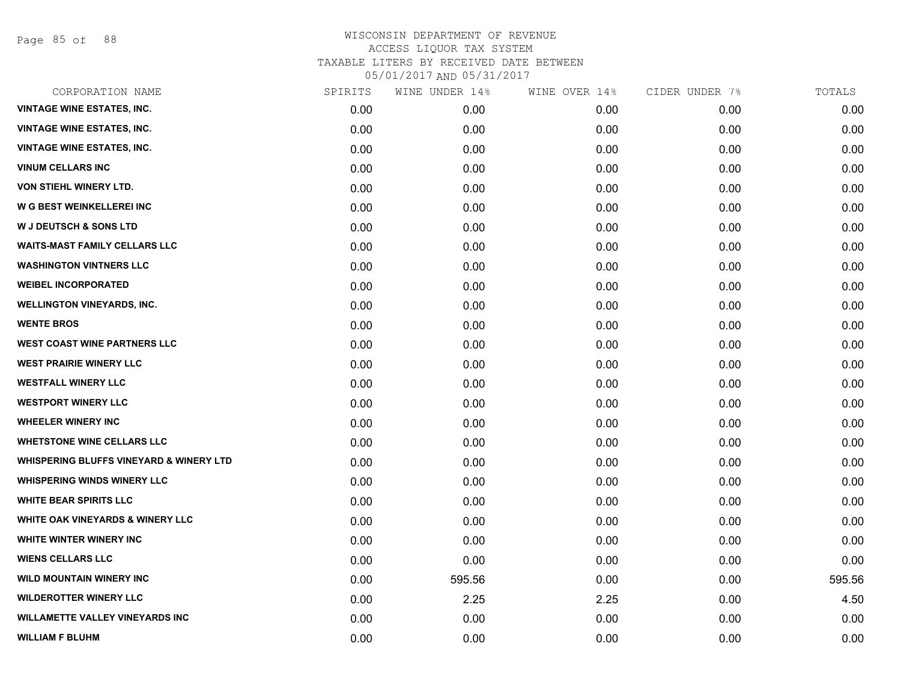Page 85 of 88

| CORPORATION NAME                                   | SPIRITS | WINE UNDER 14% | WINE OVER 14% | CIDER UNDER 7% | TOTALS |
|----------------------------------------------------|---------|----------------|---------------|----------------|--------|
| <b>VINTAGE WINE ESTATES, INC.</b>                  | 0.00    | 0.00           | 0.00          | 0.00           | 0.00   |
| <b>VINTAGE WINE ESTATES, INC.</b>                  | 0.00    | 0.00           | 0.00          | 0.00           | 0.00   |
| <b>VINTAGE WINE ESTATES, INC.</b>                  | 0.00    | 0.00           | 0.00          | 0.00           | 0.00   |
| <b>VINUM CELLARS INC</b>                           | 0.00    | 0.00           | 0.00          | 0.00           | 0.00   |
| <b>VON STIEHL WINERY LTD.</b>                      | 0.00    | 0.00           | 0.00          | 0.00           | 0.00   |
| W G BEST WEINKELLEREI INC                          | 0.00    | 0.00           | 0.00          | 0.00           | 0.00   |
| <b>W J DEUTSCH &amp; SONS LTD</b>                  | 0.00    | 0.00           | 0.00          | 0.00           | 0.00   |
| <b>WAITS-MAST FAMILY CELLARS LLC</b>               | 0.00    | 0.00           | 0.00          | 0.00           | 0.00   |
| <b>WASHINGTON VINTNERS LLC</b>                     | 0.00    | 0.00           | 0.00          | 0.00           | 0.00   |
| <b>WEIBEL INCORPORATED</b>                         | 0.00    | 0.00           | 0.00          | 0.00           | 0.00   |
| <b>WELLINGTON VINEYARDS, INC.</b>                  | 0.00    | 0.00           | 0.00          | 0.00           | 0.00   |
| <b>WENTE BROS</b>                                  | 0.00    | 0.00           | 0.00          | 0.00           | 0.00   |
| <b>WEST COAST WINE PARTNERS LLC</b>                | 0.00    | 0.00           | 0.00          | 0.00           | 0.00   |
| <b>WEST PRAIRIE WINERY LLC</b>                     | 0.00    | 0.00           | 0.00          | 0.00           | 0.00   |
| <b>WESTFALL WINERY LLC</b>                         | 0.00    | 0.00           | 0.00          | 0.00           | 0.00   |
| <b>WESTPORT WINERY LLC</b>                         | 0.00    | 0.00           | 0.00          | 0.00           | 0.00   |
| <b>WHEELER WINERY INC</b>                          | 0.00    | 0.00           | 0.00          | 0.00           | 0.00   |
| <b>WHETSTONE WINE CELLARS LLC</b>                  | 0.00    | 0.00           | 0.00          | 0.00           | 0.00   |
| <b>WHISPERING BLUFFS VINEYARD &amp; WINERY LTD</b> | 0.00    | 0.00           | 0.00          | 0.00           | 0.00   |
| <b>WHISPERING WINDS WINERY LLC</b>                 | 0.00    | 0.00           | 0.00          | 0.00           | 0.00   |
| <b>WHITE BEAR SPIRITS LLC</b>                      | 0.00    | 0.00           | 0.00          | 0.00           | 0.00   |
| WHITE OAK VINEYARDS & WINERY LLC                   | 0.00    | 0.00           | 0.00          | 0.00           | 0.00   |
| WHITE WINTER WINERY INC                            | 0.00    | 0.00           | 0.00          | 0.00           | 0.00   |
| <b>WIENS CELLARS LLC</b>                           | 0.00    | 0.00           | 0.00          | 0.00           | 0.00   |
| <b>WILD MOUNTAIN WINERY INC</b>                    | 0.00    | 595.56         | 0.00          | 0.00           | 595.56 |
| <b>WILDEROTTER WINERY LLC</b>                      | 0.00    | 2.25           | 2.25          | 0.00           | 4.50   |
| <b>WILLAMETTE VALLEY VINEYARDS INC</b>             | 0.00    | 0.00           | 0.00          | 0.00           | 0.00   |
| <b>WILLIAM F BLUHM</b>                             | 0.00    | 0.00           | 0.00          | 0.00           | 0.00   |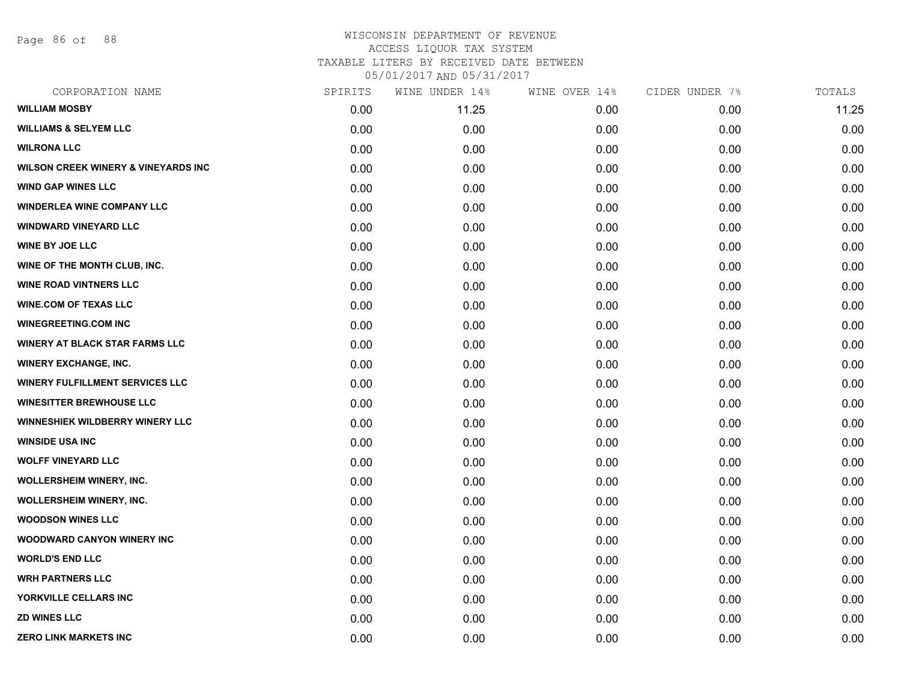Page 86 of 88

#### WISCONSIN DEPARTMENT OF REVENUE ACCESS LIQUOR TAX SYSTEM TAXABLE LITERS BY RECEIVED DATE BETWEEN

05/01/2017 AND 05/31/2017

| CORPORATION NAME                               | SPIRITS | WINE UNDER 14% | WINE OVER 14% | CIDER UNDER 7% | TOTALS |
|------------------------------------------------|---------|----------------|---------------|----------------|--------|
| <b>WILLIAM MOSBY</b>                           | 0.00    | 11.25          | 0.00          | 0.00           | 11.25  |
| <b>WILLIAMS &amp; SELYEM LLC</b>               | 0.00    | 0.00           | 0.00          | 0.00           | 0.00   |
| <b>WILRONA LLC</b>                             | 0.00    | 0.00           | 0.00          | 0.00           | 0.00   |
| <b>WILSON CREEK WINERY &amp; VINEYARDS INC</b> | 0.00    | 0.00           | 0.00          | 0.00           | 0.00   |
| <b>WIND GAP WINES LLC</b>                      | 0.00    | 0.00           | 0.00          | 0.00           | 0.00   |
| <b>WINDERLEA WINE COMPANY LLC</b>              | 0.00    | 0.00           | 0.00          | 0.00           | 0.00   |
| <b>WINDWARD VINEYARD LLC</b>                   | 0.00    | 0.00           | 0.00          | 0.00           | 0.00   |
| <b>WINE BY JOE LLC</b>                         | 0.00    | 0.00           | 0.00          | 0.00           | 0.00   |
| WINE OF THE MONTH CLUB, INC.                   | 0.00    | 0.00           | 0.00          | 0.00           | 0.00   |
| <b>WINE ROAD VINTNERS LLC</b>                  | 0.00    | 0.00           | 0.00          | 0.00           | 0.00   |
| <b>WINE.COM OF TEXAS LLC</b>                   | 0.00    | 0.00           | 0.00          | 0.00           | 0.00   |
| <b>WINEGREETING.COM INC</b>                    | 0.00    | 0.00           | 0.00          | 0.00           | 0.00   |
| <b>WINERY AT BLACK STAR FARMS LLC</b>          | 0.00    | 0.00           | 0.00          | 0.00           | 0.00   |
| <b>WINERY EXCHANGE, INC.</b>                   | 0.00    | 0.00           | 0.00          | 0.00           | 0.00   |
| <b>WINERY FULFILLMENT SERVICES LLC</b>         | 0.00    | 0.00           | 0.00          | 0.00           | 0.00   |
| <b>WINESITTER BREWHOUSE LLC</b>                | 0.00    | 0.00           | 0.00          | 0.00           | 0.00   |
| <b>WINNESHIEK WILDBERRY WINERY LLC</b>         | 0.00    | 0.00           | 0.00          | 0.00           | 0.00   |
| <b>WINSIDE USA INC</b>                         | 0.00    | 0.00           | 0.00          | 0.00           | 0.00   |
| <b>WOLFF VINEYARD LLC</b>                      | 0.00    | 0.00           | 0.00          | 0.00           | 0.00   |
| <b>WOLLERSHEIM WINERY, INC.</b>                | 0.00    | 0.00           | 0.00          | 0.00           | 0.00   |
| <b>WOLLERSHEIM WINERY, INC.</b>                | 0.00    | 0.00           | 0.00          | 0.00           | 0.00   |
| <b>WOODSON WINES LLC</b>                       | 0.00    | 0.00           | 0.00          | 0.00           | 0.00   |
| <b>WOODWARD CANYON WINERY INC</b>              | 0.00    | 0.00           | 0.00          | 0.00           | 0.00   |
| <b>WORLD'S END LLC</b>                         | 0.00    | 0.00           | 0.00          | 0.00           | 0.00   |
| <b>WRH PARTNERS LLC</b>                        | 0.00    | 0.00           | 0.00          | 0.00           | 0.00   |
| YORKVILLE CELLARS INC                          | 0.00    | 0.00           | 0.00          | 0.00           | 0.00   |
| <b>ZD WINES LLC</b>                            | 0.00    | 0.00           | 0.00          | 0.00           | 0.00   |
| <b>ZERO LINK MARKETS INC</b>                   | 0.00    | 0.00           | 0.00          | 0.00           | 0.00   |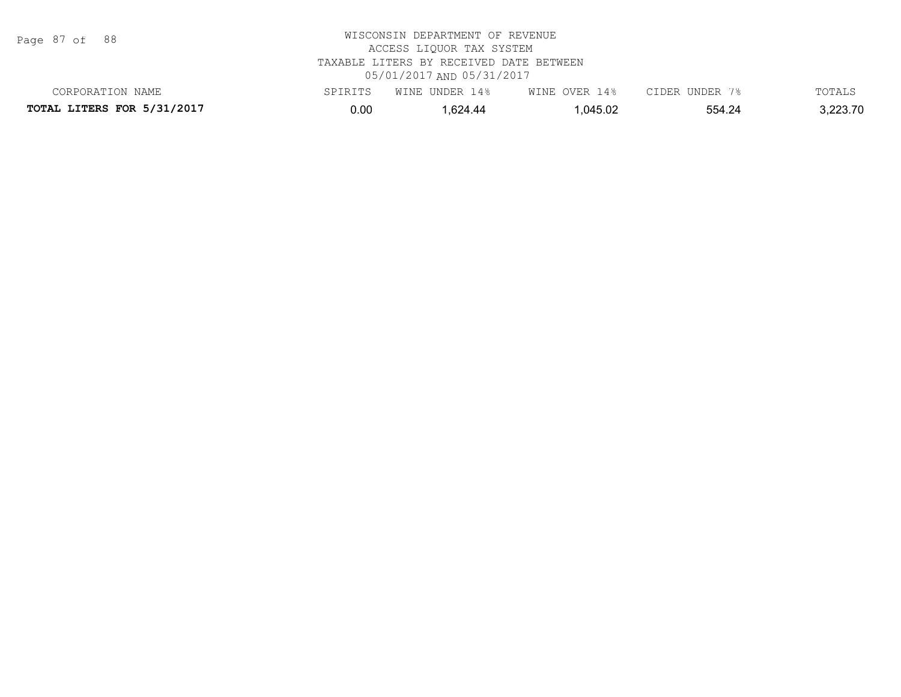Page 87 of 88

| CORPORATION NAME                  | SPIRITS | WINE UNDER 14% | WINE OVER 14% | CIDER UNDER 7% | TOTALS   |
|-----------------------------------|---------|----------------|---------------|----------------|----------|
| <b>TOTAL LITERS FOR 5/31/2017</b> | 0.00    | .624.44        | 1,045.02      | 554.24         | 3,223.70 |